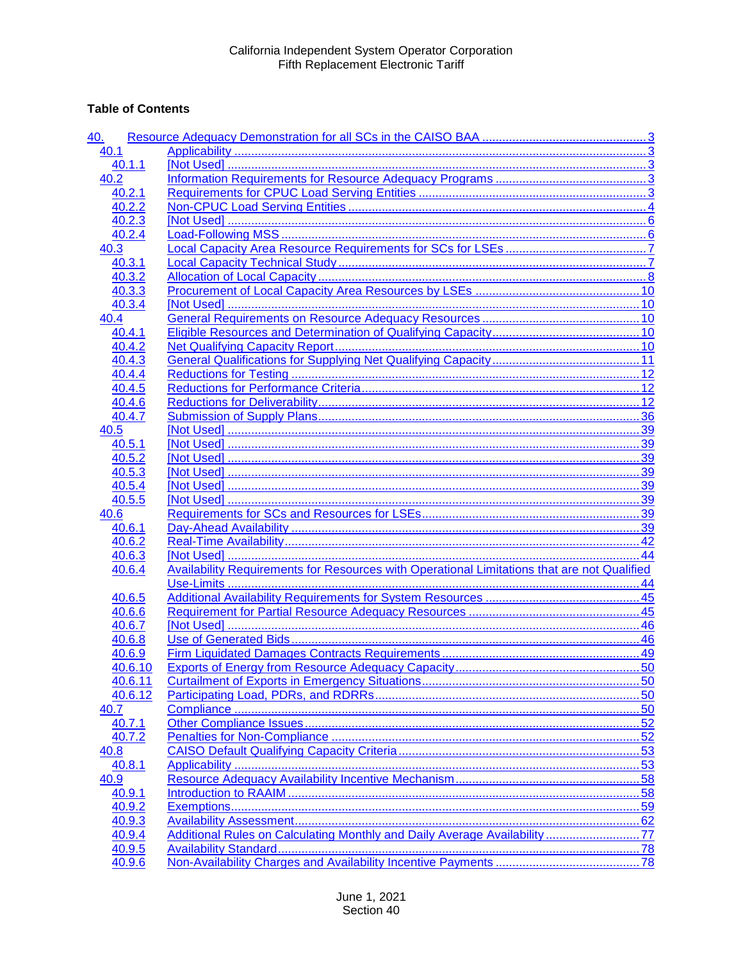## **Table of Contents**

| 40.            |                                                                                                    |    |
|----------------|----------------------------------------------------------------------------------------------------|----|
| 40.1           |                                                                                                    |    |
| 40.1.1         |                                                                                                    |    |
| 40.2           |                                                                                                    |    |
| 40.2.1         |                                                                                                    |    |
| 40.2.2         |                                                                                                    |    |
| 40.2.3         |                                                                                                    |    |
| 40.2.4         |                                                                                                    |    |
| 40.3           |                                                                                                    |    |
| 40.3.1         |                                                                                                    |    |
| 40.3.2         |                                                                                                    |    |
| 40.3.3         |                                                                                                    |    |
| 40.3.4         |                                                                                                    |    |
| 40.4           |                                                                                                    |    |
| 40.4.1         |                                                                                                    |    |
| 40.4.2         |                                                                                                    |    |
| 40.4.3         |                                                                                                    |    |
| 40.4.4         |                                                                                                    |    |
| 40.4.5         |                                                                                                    |    |
| 40.4.6         |                                                                                                    |    |
| 40.4.7         |                                                                                                    |    |
| 40.5           |                                                                                                    |    |
| 40.5.1         |                                                                                                    |    |
| 40.5.2         |                                                                                                    |    |
| 40.5.3         |                                                                                                    |    |
| 40.5.4         |                                                                                                    |    |
| 40.5.5         |                                                                                                    |    |
| 40.6           |                                                                                                    |    |
| 40.6.1         |                                                                                                    |    |
| 40.6.2         |                                                                                                    |    |
| 40.6.3         |                                                                                                    |    |
| 40.6.4         | <b>Availability Requirements for Resources with Operational Limitations that are not Qualified</b> |    |
|                |                                                                                                    |    |
| 40.6.5         |                                                                                                    |    |
| 40.6.6         |                                                                                                    |    |
| 40.6.7         |                                                                                                    |    |
| 40.6.8         |                                                                                                    |    |
| 40.6.9         |                                                                                                    |    |
| 40.6.10        |                                                                                                    | 50 |
| 40.6.11        |                                                                                                    |    |
| 40.6.12        |                                                                                                    |    |
| 40.7           |                                                                                                    |    |
| 40.7.1         |                                                                                                    |    |
| 40.7.2         |                                                                                                    |    |
| 40.8           |                                                                                                    |    |
|                |                                                                                                    |    |
| 40.8.1<br>40.9 |                                                                                                    |    |
|                |                                                                                                    |    |
| 40.9.1         |                                                                                                    |    |
| 40.9.2         |                                                                                                    |    |
| 40.9.3         |                                                                                                    |    |
| 40.9.4         | Additional Rules on Calculating Monthly and Daily Average Availability77                           |    |
| 40.9.5         |                                                                                                    |    |
| 40.9.6         |                                                                                                    |    |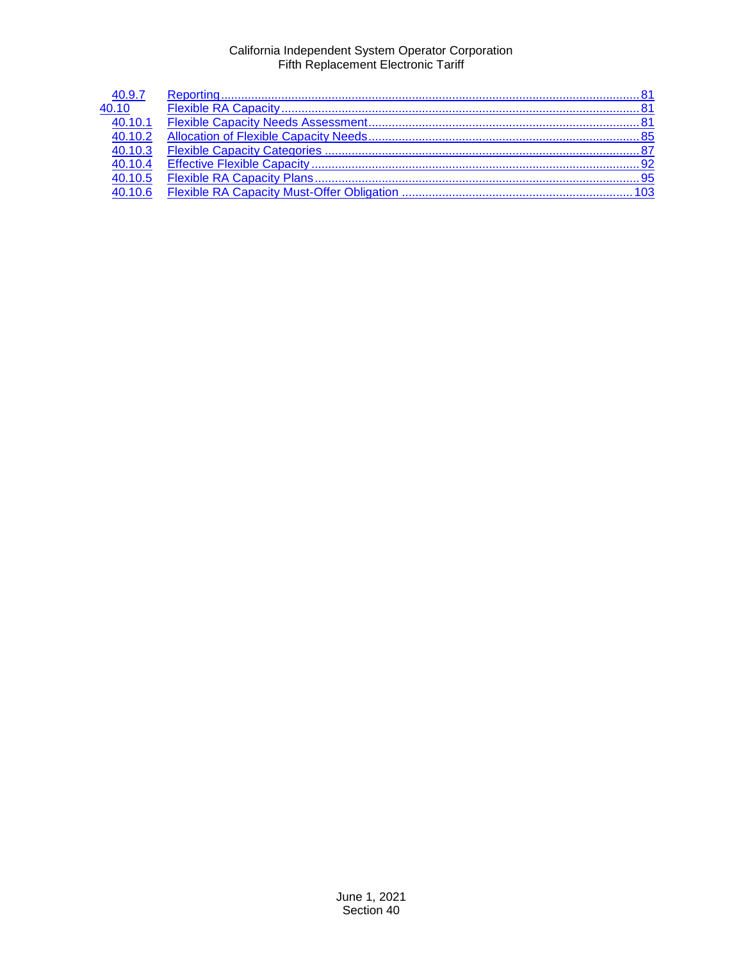| 40.9.7               |  |
|----------------------|--|
| 40.10                |  |
| $\overline{40.10.1}$ |  |
| 40.10.2              |  |
| 40.10.3              |  |
| 40.10.4              |  |
| 40.10.5              |  |
| 40106                |  |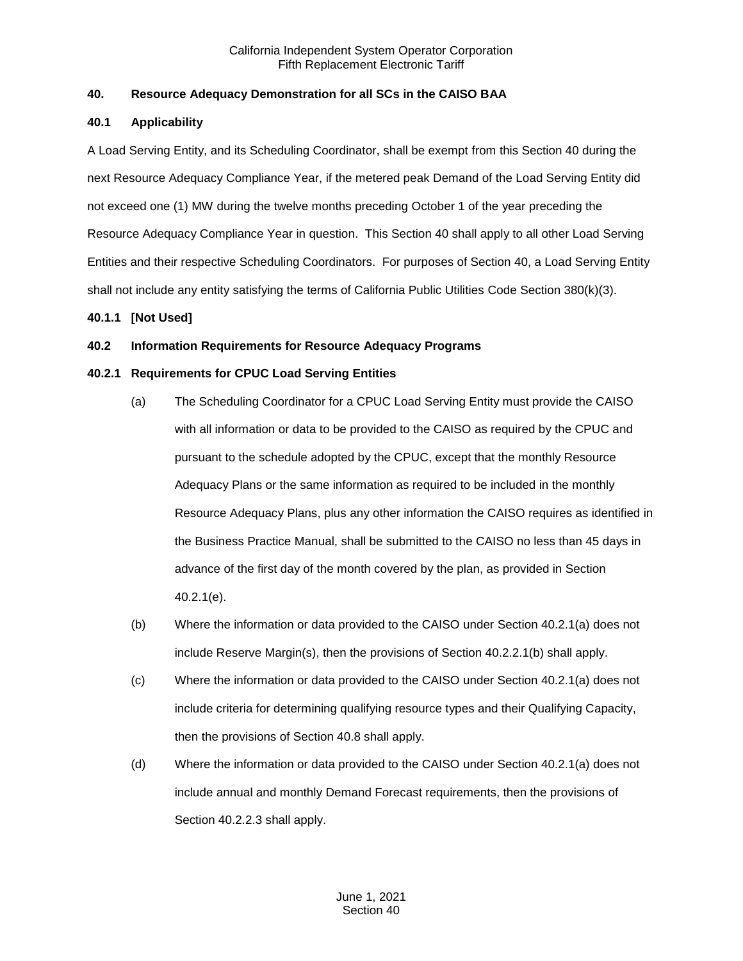## <span id="page-2-0"></span>**40. Resource Adequacy Demonstration for all SCs in the CAISO BAA**

## <span id="page-2-1"></span>**40.1 Applicability**

A Load Serving Entity, and its Scheduling Coordinator, shall be exempt from this Section 40 during the next Resource Adequacy Compliance Year, if the metered peak Demand of the Load Serving Entity did not exceed one (1) MW during the twelve months preceding October 1 of the year preceding the Resource Adequacy Compliance Year in question. This Section 40 shall apply to all other Load Serving Entities and their respective Scheduling Coordinators. For purposes of Section 40, a Load Serving Entity shall not include any entity satisfying the terms of California Public Utilities Code Section 380(k)(3).

## <span id="page-2-2"></span>**40.1.1 [Not Used]**

## <span id="page-2-3"></span>**40.2 Information Requirements for Resource Adequacy Programs**

## <span id="page-2-4"></span>**40.2.1 Requirements for CPUC Load Serving Entities**

- (a) The Scheduling Coordinator for a CPUC Load Serving Entity must provide the CAISO with all information or data to be provided to the CAISO as required by the CPUC and pursuant to the schedule adopted by the CPUC, except that the monthly Resource Adequacy Plans or the same information as required to be included in the monthly Resource Adequacy Plans, plus any other information the CAISO requires as identified in the Business Practice Manual, shall be submitted to the CAISO no less than 45 days in advance of the first day of the month covered by the plan, as provided in Section 40.2.1(e).
- (b) Where the information or data provided to the CAISO under Section 40.2.1(a) does not include Reserve Margin(s), then the provisions of Section 40.2.2.1(b) shall apply.
- (c) Where the information or data provided to the CAISO under Section 40.2.1(a) does not include criteria for determining qualifying resource types and their Qualifying Capacity, then the provisions of Section 40.8 shall apply.
- (d) Where the information or data provided to the CAISO under Section 40.2.1(a) does not include annual and monthly Demand Forecast requirements, then the provisions of Section 40.2.2.3 shall apply.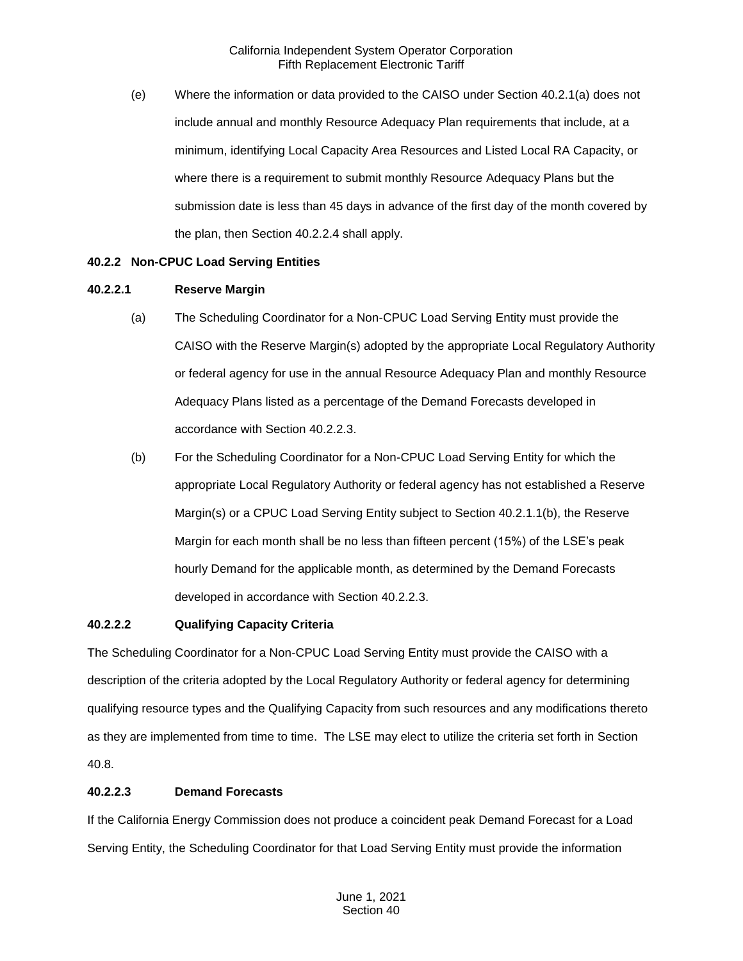(e) Where the information or data provided to the CAISO under Section 40.2.1(a) does not include annual and monthly Resource Adequacy Plan requirements that include, at a minimum, identifying Local Capacity Area Resources and Listed Local RA Capacity, or where there is a requirement to submit monthly Resource Adequacy Plans but the submission date is less than 45 days in advance of the first day of the month covered by the plan, then Section 40.2.2.4 shall apply.

## <span id="page-3-0"></span>**40.2.2 Non-CPUC Load Serving Entities**

## **40.2.2.1 Reserve Margin**

- (a) The Scheduling Coordinator for a Non-CPUC Load Serving Entity must provide the CAISO with the Reserve Margin(s) adopted by the appropriate Local Regulatory Authority or federal agency for use in the annual Resource Adequacy Plan and monthly Resource Adequacy Plans listed as a percentage of the Demand Forecasts developed in accordance with Section 40.2.2.3.
- (b) For the Scheduling Coordinator for a Non-CPUC Load Serving Entity for which the appropriate Local Regulatory Authority or federal agency has not established a Reserve Margin(s) or a CPUC Load Serving Entity subject to Section 40.2.1.1(b), the Reserve Margin for each month shall be no less than fifteen percent (15%) of the LSE's peak hourly Demand for the applicable month, as determined by the Demand Forecasts developed in accordance with Section 40.2.2.3.

#### **40.2.2.2 Qualifying Capacity Criteria**

The Scheduling Coordinator for a Non-CPUC Load Serving Entity must provide the CAISO with a description of the criteria adopted by the Local Regulatory Authority or federal agency for determining qualifying resource types and the Qualifying Capacity from such resources and any modifications thereto as they are implemented from time to time. The LSE may elect to utilize the criteria set forth in Section 40.8.

## **40.2.2.3 Demand Forecasts**

If the California Energy Commission does not produce a coincident peak Demand Forecast for a Load Serving Entity, the Scheduling Coordinator for that Load Serving Entity must provide the information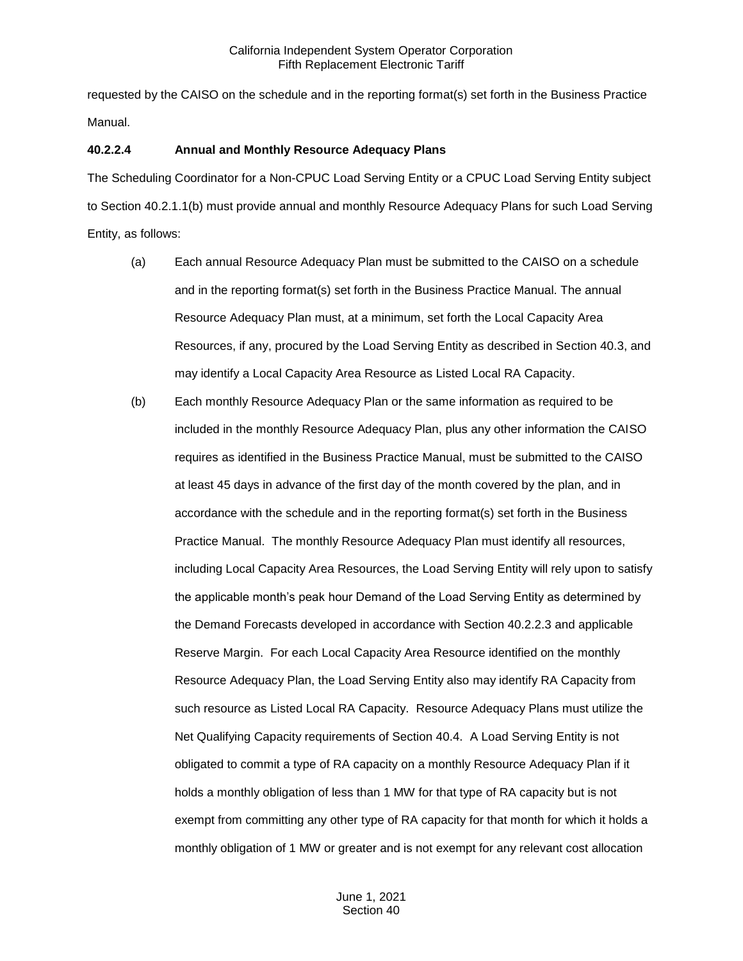requested by the CAISO on the schedule and in the reporting format(s) set forth in the Business Practice Manual.

## **40.2.2.4 Annual and Monthly Resource Adequacy Plans**

The Scheduling Coordinator for a Non-CPUC Load Serving Entity or a CPUC Load Serving Entity subject to Section 40.2.1.1(b) must provide annual and monthly Resource Adequacy Plans for such Load Serving Entity, as follows:

- (a) Each annual Resource Adequacy Plan must be submitted to the CAISO on a schedule and in the reporting format(s) set forth in the Business Practice Manual. The annual Resource Adequacy Plan must, at a minimum, set forth the Local Capacity Area Resources, if any, procured by the Load Serving Entity as described in Section 40.3, and may identify a Local Capacity Area Resource as Listed Local RA Capacity.
- (b) Each monthly Resource Adequacy Plan or the same information as required to be included in the monthly Resource Adequacy Plan, plus any other information the CAISO requires as identified in the Business Practice Manual, must be submitted to the CAISO at least 45 days in advance of the first day of the month covered by the plan, and in accordance with the schedule and in the reporting format(s) set forth in the Business Practice Manual. The monthly Resource Adequacy Plan must identify all resources, including Local Capacity Area Resources, the Load Serving Entity will rely upon to satisfy the applicable month's peak hour Demand of the Load Serving Entity as determined by the Demand Forecasts developed in accordance with Section 40.2.2.3 and applicable Reserve Margin. For each Local Capacity Area Resource identified on the monthly Resource Adequacy Plan, the Load Serving Entity also may identify RA Capacity from such resource as Listed Local RA Capacity. Resource Adequacy Plans must utilize the Net Qualifying Capacity requirements of Section 40.4. A Load Serving Entity is not obligated to commit a type of RA capacity on a monthly Resource Adequacy Plan if it holds a monthly obligation of less than 1 MW for that type of RA capacity but is not exempt from committing any other type of RA capacity for that month for which it holds a monthly obligation of 1 MW or greater and is not exempt for any relevant cost allocation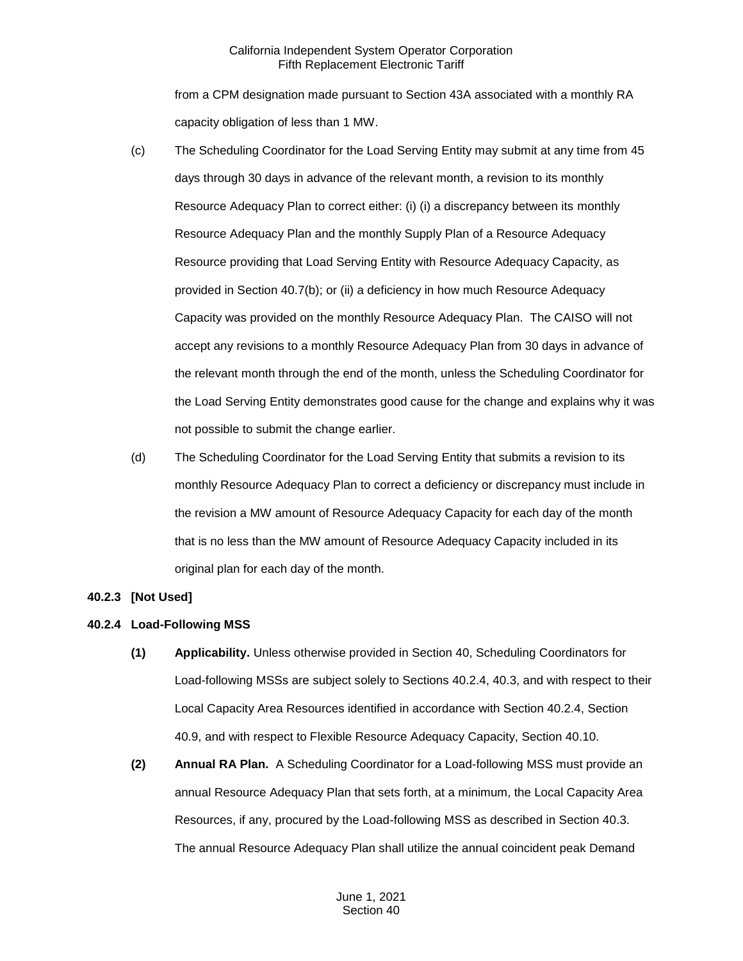from a CPM designation made pursuant to Section 43A associated with a monthly RA capacity obligation of less than 1 MW.

- (c) The Scheduling Coordinator for the Load Serving Entity may submit at any time from 45 days through 30 days in advance of the relevant month, a revision to its monthly Resource Adequacy Plan to correct either: (i) (i) a discrepancy between its monthly Resource Adequacy Plan and the monthly Supply Plan of a Resource Adequacy Resource providing that Load Serving Entity with Resource Adequacy Capacity, as provided in Section 40.7(b); or (ii) a deficiency in how much Resource Adequacy Capacity was provided on the monthly Resource Adequacy Plan. The CAISO will not accept any revisions to a monthly Resource Adequacy Plan from 30 days in advance of the relevant month through the end of the month, unless the Scheduling Coordinator for the Load Serving Entity demonstrates good cause for the change and explains why it was not possible to submit the change earlier.
- (d) The Scheduling Coordinator for the Load Serving Entity that submits a revision to its monthly Resource Adequacy Plan to correct a deficiency or discrepancy must include in the revision a MW amount of Resource Adequacy Capacity for each day of the month that is no less than the MW amount of Resource Adequacy Capacity included in its original plan for each day of the month.

## <span id="page-5-0"></span>**40.2.3 [Not Used]**

## <span id="page-5-1"></span>**40.2.4 Load-Following MSS**

- **(1) Applicability.** Unless otherwise provided in Section 40, Scheduling Coordinators for Load-following MSSs are subject solely to Sections 40.2.4, 40.3, and with respect to their Local Capacity Area Resources identified in accordance with Section 40.2.4, Section 40.9, and with respect to Flexible Resource Adequacy Capacity, Section 40.10.
- **(2) Annual RA Plan.** A Scheduling Coordinator for a Load-following MSS must provide an annual Resource Adequacy Plan that sets forth, at a minimum, the Local Capacity Area Resources, if any, procured by the Load-following MSS as described in Section 40.3. The annual Resource Adequacy Plan shall utilize the annual coincident peak Demand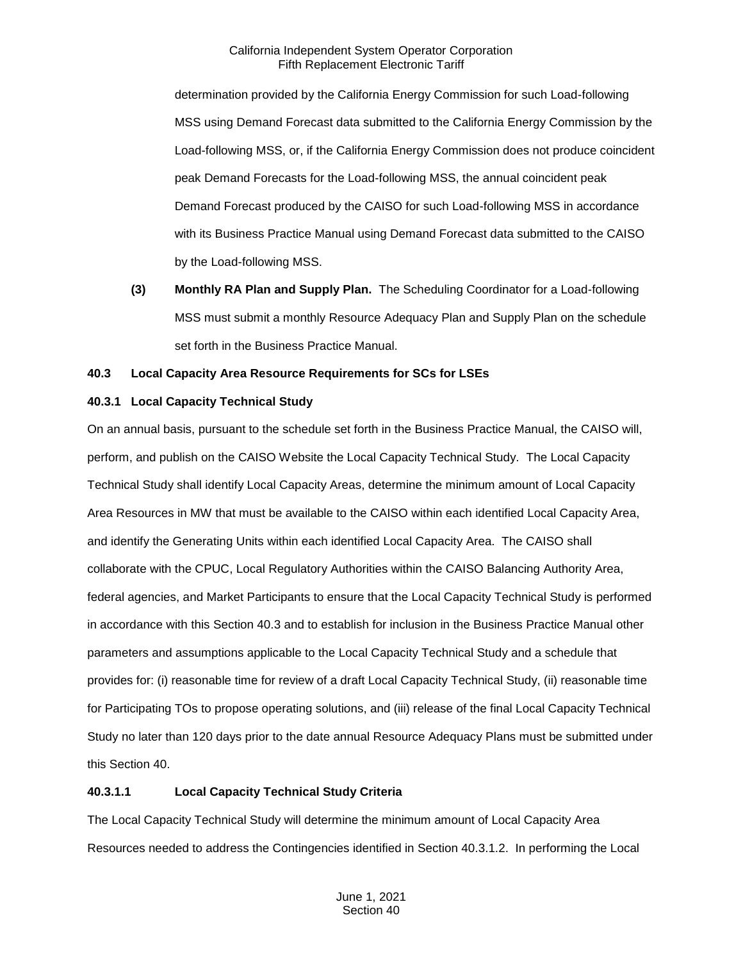determination provided by the California Energy Commission for such Load-following MSS using Demand Forecast data submitted to the California Energy Commission by the Load-following MSS, or, if the California Energy Commission does not produce coincident peak Demand Forecasts for the Load-following MSS, the annual coincident peak Demand Forecast produced by the CAISO for such Load-following MSS in accordance with its Business Practice Manual using Demand Forecast data submitted to the CAISO by the Load-following MSS.

**(3) Monthly RA Plan and Supply Plan.** The Scheduling Coordinator for a Load-following MSS must submit a monthly Resource Adequacy Plan and Supply Plan on the schedule set forth in the Business Practice Manual.

## <span id="page-6-0"></span>**40.3 Local Capacity Area Resource Requirements for SCs for LSEs**

## <span id="page-6-1"></span>**40.3.1 Local Capacity Technical Study**

On an annual basis, pursuant to the schedule set forth in the Business Practice Manual, the CAISO will, perform, and publish on the CAISO Website the Local Capacity Technical Study. The Local Capacity Technical Study shall identify Local Capacity Areas, determine the minimum amount of Local Capacity Area Resources in MW that must be available to the CAISO within each identified Local Capacity Area, and identify the Generating Units within each identified Local Capacity Area. The CAISO shall collaborate with the CPUC, Local Regulatory Authorities within the CAISO Balancing Authority Area, federal agencies, and Market Participants to ensure that the Local Capacity Technical Study is performed in accordance with this Section 40.3 and to establish for inclusion in the Business Practice Manual other parameters and assumptions applicable to the Local Capacity Technical Study and a schedule that provides for: (i) reasonable time for review of a draft Local Capacity Technical Study, (ii) reasonable time for Participating TOs to propose operating solutions, and (iii) release of the final Local Capacity Technical Study no later than 120 days prior to the date annual Resource Adequacy Plans must be submitted under this Section 40.

## **40.3.1.1 Local Capacity Technical Study Criteria**

The Local Capacity Technical Study will determine the minimum amount of Local Capacity Area Resources needed to address the Contingencies identified in Section 40.3.1.2. In performing the Local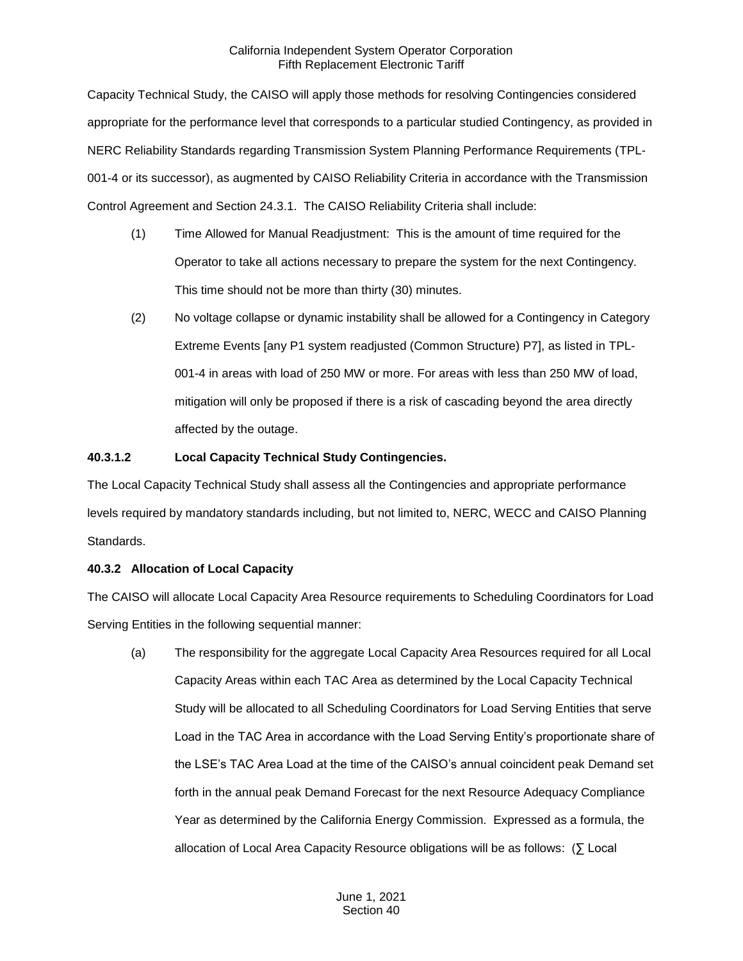Capacity Technical Study, the CAISO will apply those methods for resolving Contingencies considered appropriate for the performance level that corresponds to a particular studied Contingency, as provided in NERC Reliability Standards regarding Transmission System Planning Performance Requirements (TPL-001-4 or its successor), as augmented by CAISO Reliability Criteria in accordance with the Transmission Control Agreement and Section 24.3.1. The CAISO Reliability Criteria shall include:

- (1) Time Allowed for Manual Readjustment: This is the amount of time required for the Operator to take all actions necessary to prepare the system for the next Contingency. This time should not be more than thirty (30) minutes.
- (2) No voltage collapse or dynamic instability shall be allowed for a Contingency in Category Extreme Events [any P1 system readjusted (Common Structure) P7], as listed in TPL-001-4 in areas with load of 250 MW or more. For areas with less than 250 MW of load, mitigation will only be proposed if there is a risk of cascading beyond the area directly affected by the outage.

## **40.3.1.2 Local Capacity Technical Study Contingencies.**

The Local Capacity Technical Study shall assess all the Contingencies and appropriate performance levels required by mandatory standards including, but not limited to, NERC, WECC and CAISO Planning Standards.

## <span id="page-7-0"></span>**40.3.2 Allocation of Local Capacity**

The CAISO will allocate Local Capacity Area Resource requirements to Scheduling Coordinators for Load Serving Entities in the following sequential manner:

(a) The responsibility for the aggregate Local Capacity Area Resources required for all Local Capacity Areas within each TAC Area as determined by the Local Capacity Technical Study will be allocated to all Scheduling Coordinators for Load Serving Entities that serve Load in the TAC Area in accordance with the Load Serving Entity's proportionate share of the LSE's TAC Area Load at the time of the CAISO's annual coincident peak Demand set forth in the annual peak Demand Forecast for the next Resource Adequacy Compliance Year as determined by the California Energy Commission. Expressed as a formula, the allocation of Local Area Capacity Resource obligations will be as follows: (∑ Local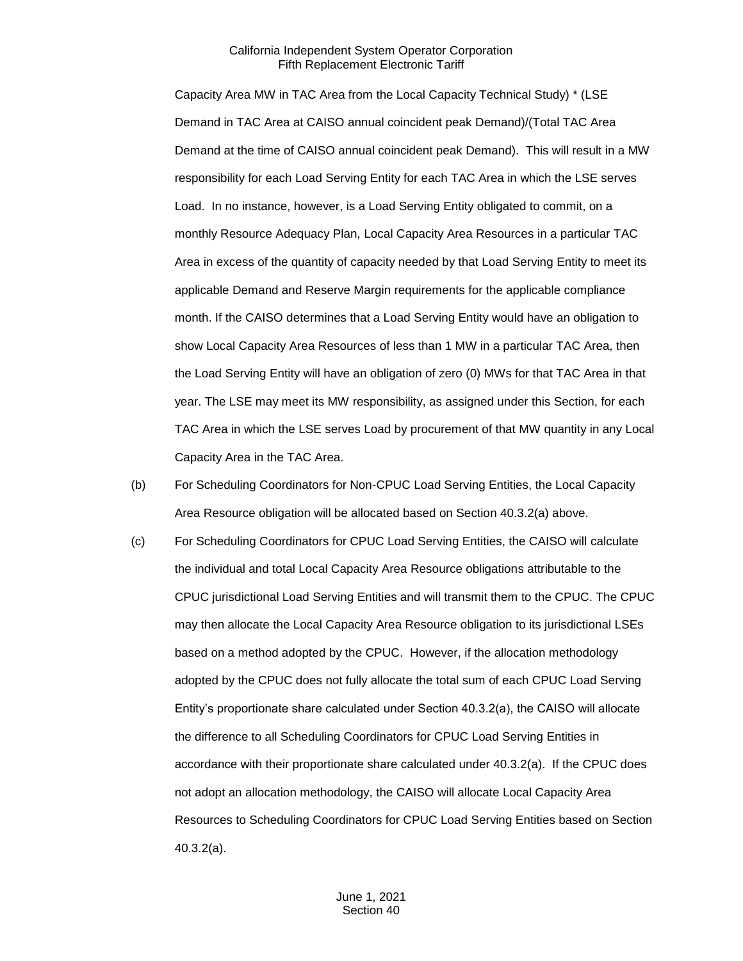Capacity Area MW in TAC Area from the Local Capacity Technical Study) \* (LSE Demand in TAC Area at CAISO annual coincident peak Demand)/(Total TAC Area Demand at the time of CAISO annual coincident peak Demand). This will result in a MW responsibility for each Load Serving Entity for each TAC Area in which the LSE serves Load. In no instance, however, is a Load Serving Entity obligated to commit, on a monthly Resource Adequacy Plan, Local Capacity Area Resources in a particular TAC Area in excess of the quantity of capacity needed by that Load Serving Entity to meet its applicable Demand and Reserve Margin requirements for the applicable compliance month. If the CAISO determines that a Load Serving Entity would have an obligation to show Local Capacity Area Resources of less than 1 MW in a particular TAC Area, then the Load Serving Entity will have an obligation of zero (0) MWs for that TAC Area in that year. The LSE may meet its MW responsibility, as assigned under this Section, for each TAC Area in which the LSE serves Load by procurement of that MW quantity in any Local Capacity Area in the TAC Area.

- (b) For Scheduling Coordinators for Non-CPUC Load Serving Entities, the Local Capacity Area Resource obligation will be allocated based on Section 40.3.2(a) above.
- (c) For Scheduling Coordinators for CPUC Load Serving Entities, the CAISO will calculate the individual and total Local Capacity Area Resource obligations attributable to the CPUC jurisdictional Load Serving Entities and will transmit them to the CPUC. The CPUC may then allocate the Local Capacity Area Resource obligation to its jurisdictional LSEs based on a method adopted by the CPUC. However, if the allocation methodology adopted by the CPUC does not fully allocate the total sum of each CPUC Load Serving Entity's proportionate share calculated under Section 40.3.2(a), the CAISO will allocate the difference to all Scheduling Coordinators for CPUC Load Serving Entities in accordance with their proportionate share calculated under 40.3.2(a). If the CPUC does not adopt an allocation methodology, the CAISO will allocate Local Capacity Area Resources to Scheduling Coordinators for CPUC Load Serving Entities based on Section 40.3.2(a).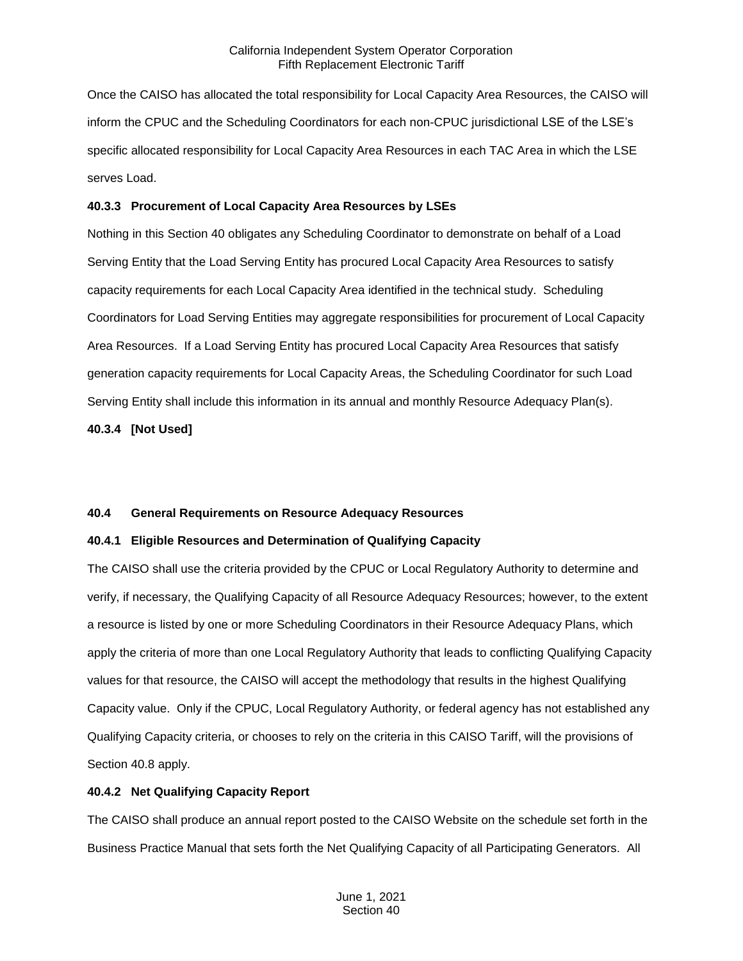Once the CAISO has allocated the total responsibility for Local Capacity Area Resources, the CAISO will inform the CPUC and the Scheduling Coordinators for each non-CPUC jurisdictional LSE of the LSE's specific allocated responsibility for Local Capacity Area Resources in each TAC Area in which the LSE serves Load.

#### <span id="page-9-0"></span>**40.3.3 Procurement of Local Capacity Area Resources by LSEs**

Nothing in this Section 40 obligates any Scheduling Coordinator to demonstrate on behalf of a Load Serving Entity that the Load Serving Entity has procured Local Capacity Area Resources to satisfy capacity requirements for each Local Capacity Area identified in the technical study. Scheduling Coordinators for Load Serving Entities may aggregate responsibilities for procurement of Local Capacity Area Resources. If a Load Serving Entity has procured Local Capacity Area Resources that satisfy generation capacity requirements for Local Capacity Areas, the Scheduling Coordinator for such Load Serving Entity shall include this information in its annual and monthly Resource Adequacy Plan(s).

<span id="page-9-1"></span>**40.3.4 [Not Used]**

#### <span id="page-9-2"></span>**40.4 General Requirements on Resource Adequacy Resources**

#### <span id="page-9-3"></span>**40.4.1 Eligible Resources and Determination of Qualifying Capacity**

The CAISO shall use the criteria provided by the CPUC or Local Regulatory Authority to determine and verify, if necessary, the Qualifying Capacity of all Resource Adequacy Resources; however, to the extent a resource is listed by one or more Scheduling Coordinators in their Resource Adequacy Plans, which apply the criteria of more than one Local Regulatory Authority that leads to conflicting Qualifying Capacity values for that resource, the CAISO will accept the methodology that results in the highest Qualifying Capacity value. Only if the CPUC, Local Regulatory Authority, or federal agency has not established any Qualifying Capacity criteria, or chooses to rely on the criteria in this CAISO Tariff, will the provisions of Section 40.8 apply.

#### <span id="page-9-4"></span>**40.4.2 Net Qualifying Capacity Report**

The CAISO shall produce an annual report posted to the CAISO Website on the schedule set forth in the Business Practice Manual that sets forth the Net Qualifying Capacity of all Participating Generators. All

> June 1, 2021 Section 40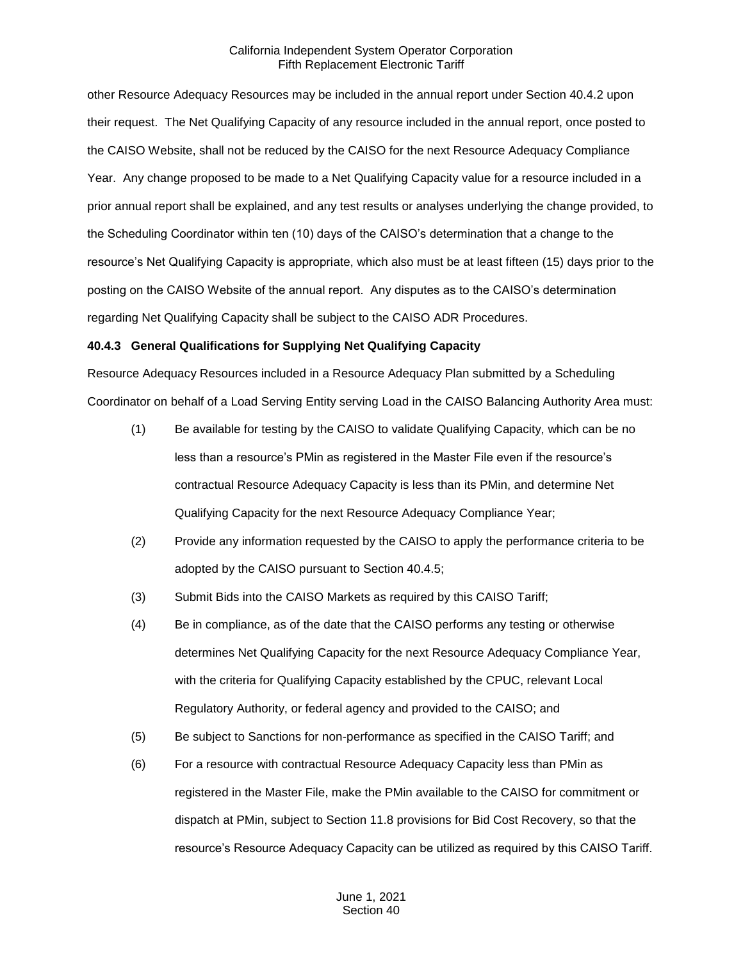other Resource Adequacy Resources may be included in the annual report under Section 40.4.2 upon their request. The Net Qualifying Capacity of any resource included in the annual report, once posted to the CAISO Website, shall not be reduced by the CAISO for the next Resource Adequacy Compliance Year. Any change proposed to be made to a Net Qualifying Capacity value for a resource included in a prior annual report shall be explained, and any test results or analyses underlying the change provided, to the Scheduling Coordinator within ten (10) days of the CAISO's determination that a change to the resource's Net Qualifying Capacity is appropriate, which also must be at least fifteen (15) days prior to the posting on the CAISO Website of the annual report. Any disputes as to the CAISO's determination regarding Net Qualifying Capacity shall be subject to the CAISO ADR Procedures.

## <span id="page-10-0"></span>**40.4.3 General Qualifications for Supplying Net Qualifying Capacity**

Resource Adequacy Resources included in a Resource Adequacy Plan submitted by a Scheduling Coordinator on behalf of a Load Serving Entity serving Load in the CAISO Balancing Authority Area must:

- (1) Be available for testing by the CAISO to validate Qualifying Capacity, which can be no less than a resource's PMin as registered in the Master File even if the resource's contractual Resource Adequacy Capacity is less than its PMin, and determine Net Qualifying Capacity for the next Resource Adequacy Compliance Year;
- (2) Provide any information requested by the CAISO to apply the performance criteria to be adopted by the CAISO pursuant to Section 40.4.5;
- (3) Submit Bids into the CAISO Markets as required by this CAISO Tariff;
- (4) Be in compliance, as of the date that the CAISO performs any testing or otherwise determines Net Qualifying Capacity for the next Resource Adequacy Compliance Year, with the criteria for Qualifying Capacity established by the CPUC, relevant Local Regulatory Authority, or federal agency and provided to the CAISO; and
- (5) Be subject to Sanctions for non-performance as specified in the CAISO Tariff; and
- (6) For a resource with contractual Resource Adequacy Capacity less than PMin as registered in the Master File, make the PMin available to the CAISO for commitment or dispatch at PMin, subject to Section 11.8 provisions for Bid Cost Recovery, so that the resource's Resource Adequacy Capacity can be utilized as required by this CAISO Tariff.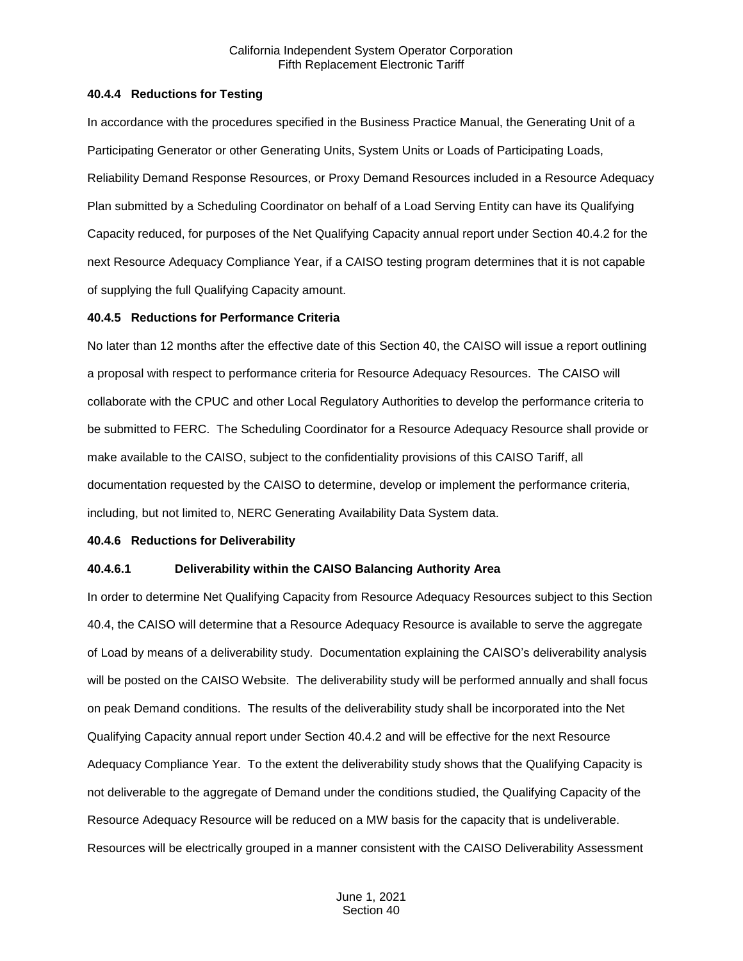#### <span id="page-11-0"></span>**40.4.4 Reductions for Testing**

In accordance with the procedures specified in the Business Practice Manual, the Generating Unit of a Participating Generator or other Generating Units, System Units or Loads of Participating Loads, Reliability Demand Response Resources, or Proxy Demand Resources included in a Resource Adequacy Plan submitted by a Scheduling Coordinator on behalf of a Load Serving Entity can have its Qualifying Capacity reduced, for purposes of the Net Qualifying Capacity annual report under Section 40.4.2 for the next Resource Adequacy Compliance Year, if a CAISO testing program determines that it is not capable of supplying the full Qualifying Capacity amount.

#### <span id="page-11-1"></span>**40.4.5 Reductions for Performance Criteria**

No later than 12 months after the effective date of this Section 40, the CAISO will issue a report outlining a proposal with respect to performance criteria for Resource Adequacy Resources. The CAISO will collaborate with the CPUC and other Local Regulatory Authorities to develop the performance criteria to be submitted to FERC. The Scheduling Coordinator for a Resource Adequacy Resource shall provide or make available to the CAISO, subject to the confidentiality provisions of this CAISO Tariff, all documentation requested by the CAISO to determine, develop or implement the performance criteria, including, but not limited to, NERC Generating Availability Data System data.

#### <span id="page-11-2"></span>**40.4.6 Reductions for Deliverability**

#### **40.4.6.1 Deliverability within the CAISO Balancing Authority Area**

In order to determine Net Qualifying Capacity from Resource Adequacy Resources subject to this Section 40.4, the CAISO will determine that a Resource Adequacy Resource is available to serve the aggregate of Load by means of a deliverability study. Documentation explaining the CAISO's deliverability analysis will be posted on the CAISO Website. The deliverability study will be performed annually and shall focus on peak Demand conditions. The results of the deliverability study shall be incorporated into the Net Qualifying Capacity annual report under Section 40.4.2 and will be effective for the next Resource Adequacy Compliance Year. To the extent the deliverability study shows that the Qualifying Capacity is not deliverable to the aggregate of Demand under the conditions studied, the Qualifying Capacity of the Resource Adequacy Resource will be reduced on a MW basis for the capacity that is undeliverable. Resources will be electrically grouped in a manner consistent with the CAISO Deliverability Assessment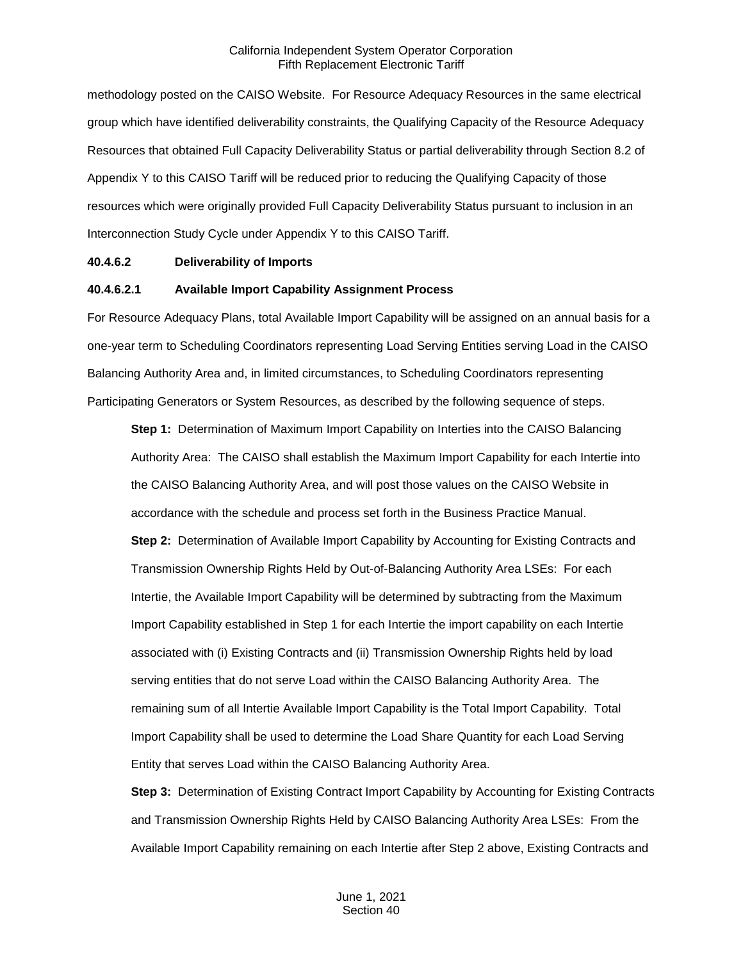methodology posted on the CAISO Website. For Resource Adequacy Resources in the same electrical group which have identified deliverability constraints, the Qualifying Capacity of the Resource Adequacy Resources that obtained Full Capacity Deliverability Status or partial deliverability through Section 8.2 of Appendix Y to this CAISO Tariff will be reduced prior to reducing the Qualifying Capacity of those resources which were originally provided Full Capacity Deliverability Status pursuant to inclusion in an Interconnection Study Cycle under Appendix Y to this CAISO Tariff.

#### **40.4.6.2 Deliverability of Imports**

#### **40.4.6.2.1 Available Import Capability Assignment Process**

For Resource Adequacy Plans, total Available Import Capability will be assigned on an annual basis for a one-year term to Scheduling Coordinators representing Load Serving Entities serving Load in the CAISO Balancing Authority Area and, in limited circumstances, to Scheduling Coordinators representing Participating Generators or System Resources, as described by the following sequence of steps.

**Step 1:** Determination of Maximum Import Capability on Interties into the CAISO Balancing Authority Area: The CAISO shall establish the Maximum Import Capability for each Intertie into the CAISO Balancing Authority Area, and will post those values on the CAISO Website in accordance with the schedule and process set forth in the Business Practice Manual. **Step 2:** Determination of Available Import Capability by Accounting for Existing Contracts and Transmission Ownership Rights Held by Out-of-Balancing Authority Area LSEs: For each Intertie, the Available Import Capability will be determined by subtracting from the Maximum Import Capability established in Step 1 for each Intertie the import capability on each Intertie associated with (i) Existing Contracts and (ii) Transmission Ownership Rights held by load serving entities that do not serve Load within the CAISO Balancing Authority Area. The remaining sum of all Intertie Available Import Capability is the Total Import Capability. Total Import Capability shall be used to determine the Load Share Quantity for each Load Serving Entity that serves Load within the CAISO Balancing Authority Area.

**Step 3:** Determination of Existing Contract Import Capability by Accounting for Existing Contracts and Transmission Ownership Rights Held by CAISO Balancing Authority Area LSEs: From the Available Import Capability remaining on each Intertie after Step 2 above, Existing Contracts and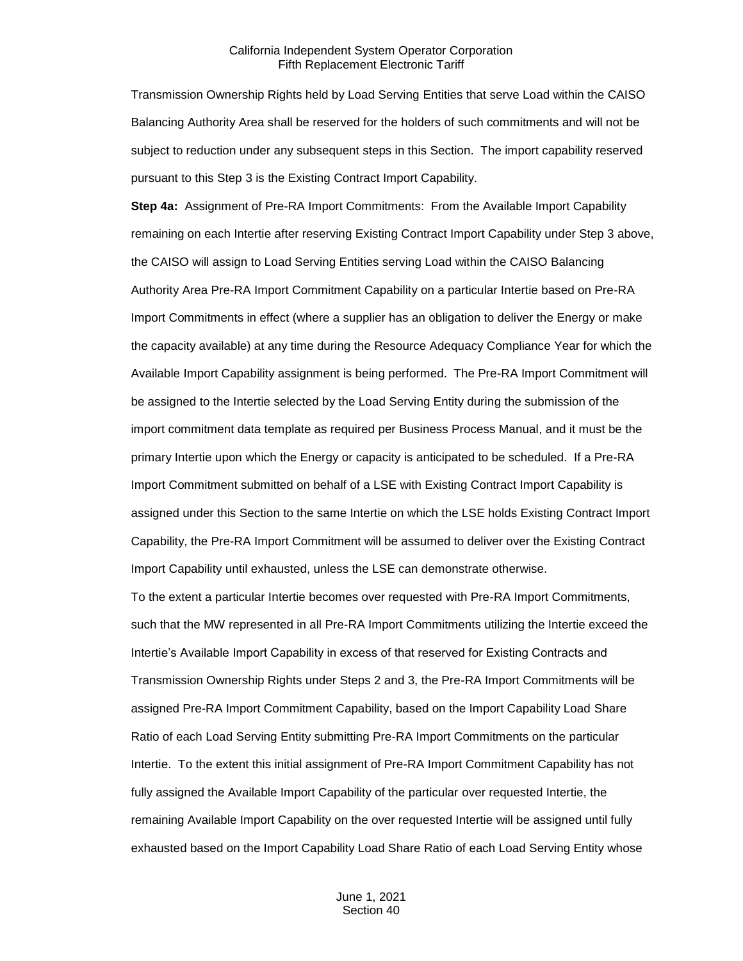Transmission Ownership Rights held by Load Serving Entities that serve Load within the CAISO Balancing Authority Area shall be reserved for the holders of such commitments and will not be subject to reduction under any subsequent steps in this Section. The import capability reserved pursuant to this Step 3 is the Existing Contract Import Capability.

**Step 4a:** Assignment of Pre-RA Import Commitments: From the Available Import Capability remaining on each Intertie after reserving Existing Contract Import Capability under Step 3 above, the CAISO will assign to Load Serving Entities serving Load within the CAISO Balancing Authority Area Pre-RA Import Commitment Capability on a particular Intertie based on Pre-RA Import Commitments in effect (where a supplier has an obligation to deliver the Energy or make the capacity available) at any time during the Resource Adequacy Compliance Year for which the Available Import Capability assignment is being performed. The Pre-RA Import Commitment will be assigned to the Intertie selected by the Load Serving Entity during the submission of the import commitment data template as required per Business Process Manual, and it must be the primary Intertie upon which the Energy or capacity is anticipated to be scheduled. If a Pre-RA Import Commitment submitted on behalf of a LSE with Existing Contract Import Capability is assigned under this Section to the same Intertie on which the LSE holds Existing Contract Import Capability, the Pre-RA Import Commitment will be assumed to deliver over the Existing Contract Import Capability until exhausted, unless the LSE can demonstrate otherwise.

To the extent a particular Intertie becomes over requested with Pre-RA Import Commitments, such that the MW represented in all Pre-RA Import Commitments utilizing the Intertie exceed the Intertie's Available Import Capability in excess of that reserved for Existing Contracts and Transmission Ownership Rights under Steps 2 and 3, the Pre-RA Import Commitments will be assigned Pre-RA Import Commitment Capability, based on the Import Capability Load Share Ratio of each Load Serving Entity submitting Pre-RA Import Commitments on the particular Intertie. To the extent this initial assignment of Pre-RA Import Commitment Capability has not fully assigned the Available Import Capability of the particular over requested Intertie, the remaining Available Import Capability on the over requested Intertie will be assigned until fully exhausted based on the Import Capability Load Share Ratio of each Load Serving Entity whose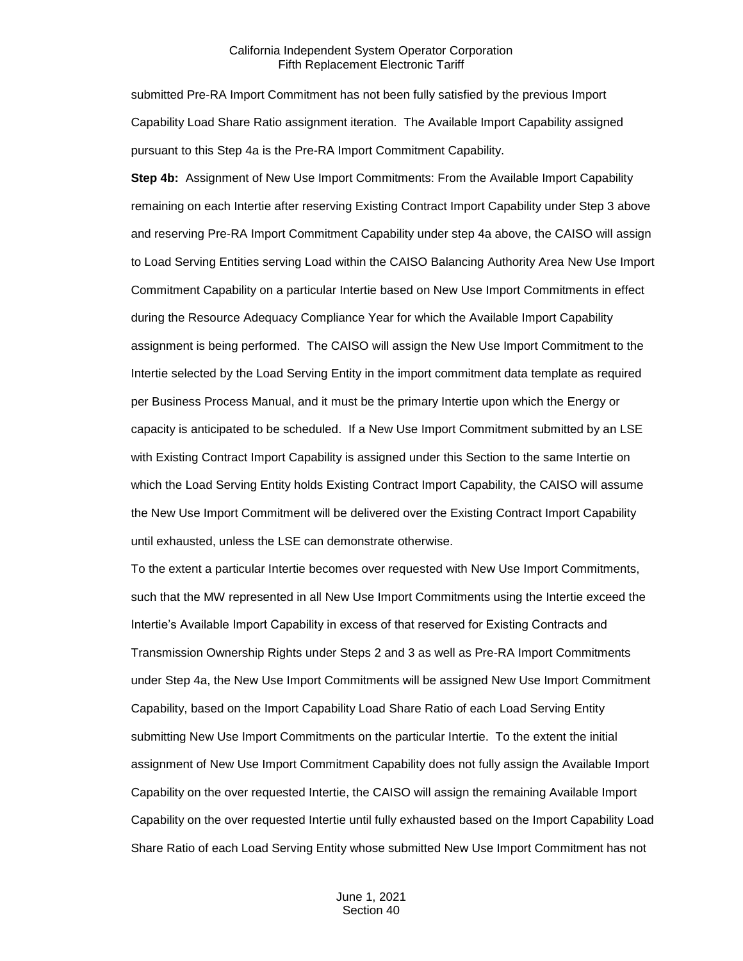submitted Pre-RA Import Commitment has not been fully satisfied by the previous Import Capability Load Share Ratio assignment iteration. The Available Import Capability assigned pursuant to this Step 4a is the Pre-RA Import Commitment Capability.

**Step 4b:** Assignment of New Use Import Commitments: From the Available Import Capability remaining on each Intertie after reserving Existing Contract Import Capability under Step 3 above and reserving Pre-RA Import Commitment Capability under step 4a above, the CAISO will assign to Load Serving Entities serving Load within the CAISO Balancing Authority Area New Use Import Commitment Capability on a particular Intertie based on New Use Import Commitments in effect during the Resource Adequacy Compliance Year for which the Available Import Capability assignment is being performed. The CAISO will assign the New Use Import Commitment to the Intertie selected by the Load Serving Entity in the import commitment data template as required per Business Process Manual, and it must be the primary Intertie upon which the Energy or capacity is anticipated to be scheduled. If a New Use Import Commitment submitted by an LSE with Existing Contract Import Capability is assigned under this Section to the same Intertie on which the Load Serving Entity holds Existing Contract Import Capability, the CAISO will assume the New Use Import Commitment will be delivered over the Existing Contract Import Capability until exhausted, unless the LSE can demonstrate otherwise.

To the extent a particular Intertie becomes over requested with New Use Import Commitments, such that the MW represented in all New Use Import Commitments using the Intertie exceed the Intertie's Available Import Capability in excess of that reserved for Existing Contracts and Transmission Ownership Rights under Steps 2 and 3 as well as Pre-RA Import Commitments under Step 4a, the New Use Import Commitments will be assigned New Use Import Commitment Capability, based on the Import Capability Load Share Ratio of each Load Serving Entity submitting New Use Import Commitments on the particular Intertie. To the extent the initial assignment of New Use Import Commitment Capability does not fully assign the Available Import Capability on the over requested Intertie, the CAISO will assign the remaining Available Import Capability on the over requested Intertie until fully exhausted based on the Import Capability Load Share Ratio of each Load Serving Entity whose submitted New Use Import Commitment has not

> June 1, 2021 Section 40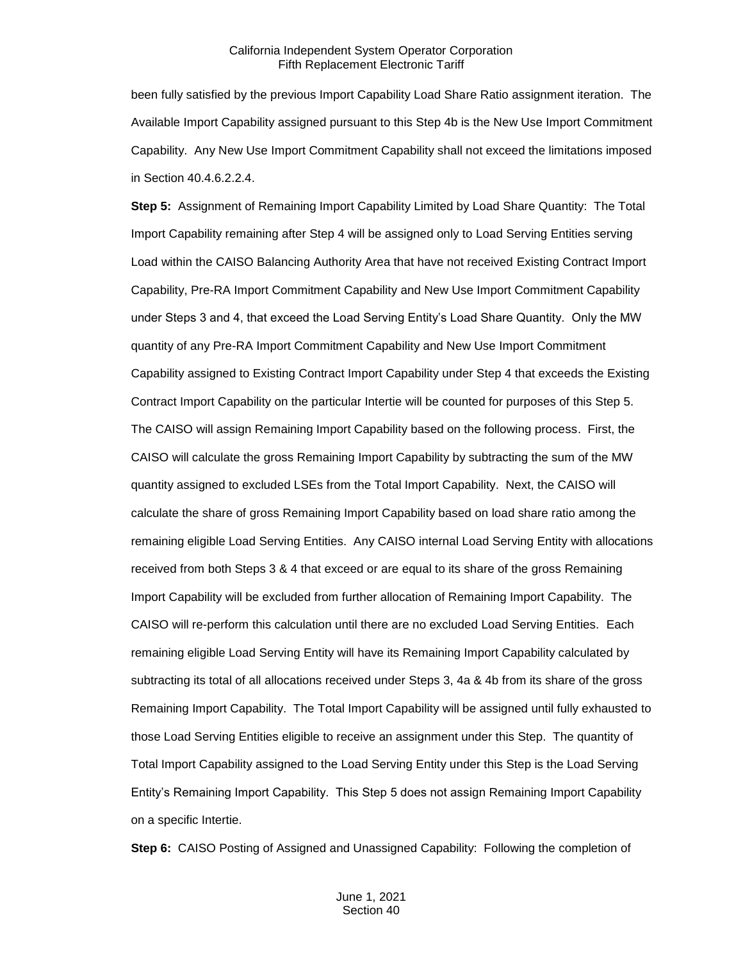been fully satisfied by the previous Import Capability Load Share Ratio assignment iteration. The Available Import Capability assigned pursuant to this Step 4b is the New Use Import Commitment Capability. Any New Use Import Commitment Capability shall not exceed the limitations imposed in Section 40.4.6.2.2.4.

**Step 5:** Assignment of Remaining Import Capability Limited by Load Share Quantity: The Total Import Capability remaining after Step 4 will be assigned only to Load Serving Entities serving Load within the CAISO Balancing Authority Area that have not received Existing Contract Import Capability, Pre-RA Import Commitment Capability and New Use Import Commitment Capability under Steps 3 and 4, that exceed the Load Serving Entity's Load Share Quantity. Only the MW quantity of any Pre-RA Import Commitment Capability and New Use Import Commitment Capability assigned to Existing Contract Import Capability under Step 4 that exceeds the Existing Contract Import Capability on the particular Intertie will be counted for purposes of this Step 5. The CAISO will assign Remaining Import Capability based on the following process. First, the CAISO will calculate the gross Remaining Import Capability by subtracting the sum of the MW quantity assigned to excluded LSEs from the Total Import Capability. Next, the CAISO will calculate the share of gross Remaining Import Capability based on load share ratio among the remaining eligible Load Serving Entities. Any CAISO internal Load Serving Entity with allocations received from both Steps 3 & 4 that exceed or are equal to its share of the gross Remaining Import Capability will be excluded from further allocation of Remaining Import Capability. The CAISO will re-perform this calculation until there are no excluded Load Serving Entities. Each remaining eligible Load Serving Entity will have its Remaining Import Capability calculated by subtracting its total of all allocations received under Steps 3, 4a & 4b from its share of the gross Remaining Import Capability. The Total Import Capability will be assigned until fully exhausted to those Load Serving Entities eligible to receive an assignment under this Step. The quantity of Total Import Capability assigned to the Load Serving Entity under this Step is the Load Serving Entity's Remaining Import Capability. This Step 5 does not assign Remaining Import Capability on a specific Intertie.

**Step 6:** CAISO Posting of Assigned and Unassigned Capability: Following the completion of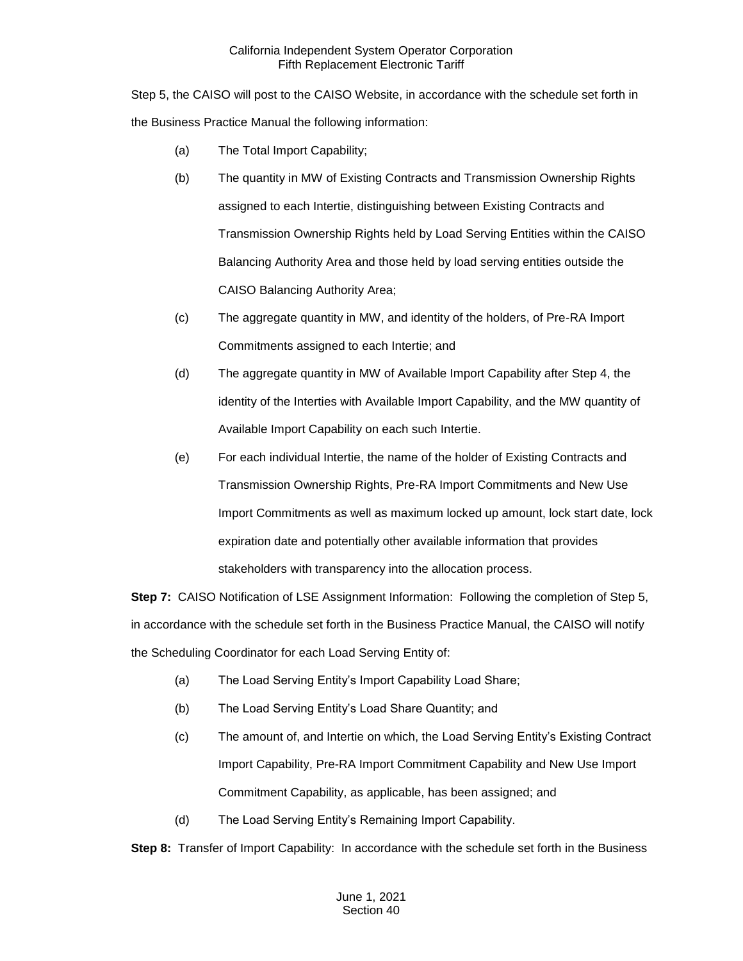Step 5, the CAISO will post to the CAISO Website, in accordance with the schedule set forth in the Business Practice Manual the following information:

- (a) The Total Import Capability;
- (b) The quantity in MW of Existing Contracts and Transmission Ownership Rights assigned to each Intertie, distinguishing between Existing Contracts and Transmission Ownership Rights held by Load Serving Entities within the CAISO Balancing Authority Area and those held by load serving entities outside the CAISO Balancing Authority Area;
- (c) The aggregate quantity in MW, and identity of the holders, of Pre-RA Import Commitments assigned to each Intertie; and
- (d) The aggregate quantity in MW of Available Import Capability after Step 4, the identity of the Interties with Available Import Capability, and the MW quantity of Available Import Capability on each such Intertie.
- (e) For each individual Intertie, the name of the holder of Existing Contracts and Transmission Ownership Rights, Pre-RA Import Commitments and New Use Import Commitments as well as maximum locked up amount, lock start date, lock expiration date and potentially other available information that provides stakeholders with transparency into the allocation process.

**Step 7:** CAISO Notification of LSE Assignment Information: Following the completion of Step 5, in accordance with the schedule set forth in the Business Practice Manual, the CAISO will notify the Scheduling Coordinator for each Load Serving Entity of:

- (a) The Load Serving Entity's Import Capability Load Share;
- (b) The Load Serving Entity's Load Share Quantity; and
- (c) The amount of, and Intertie on which, the Load Serving Entity's Existing Contract Import Capability, Pre-RA Import Commitment Capability and New Use Import Commitment Capability, as applicable, has been assigned; and
- (d) The Load Serving Entity's Remaining Import Capability.

**Step 8:** Transfer of Import Capability: In accordance with the schedule set forth in the Business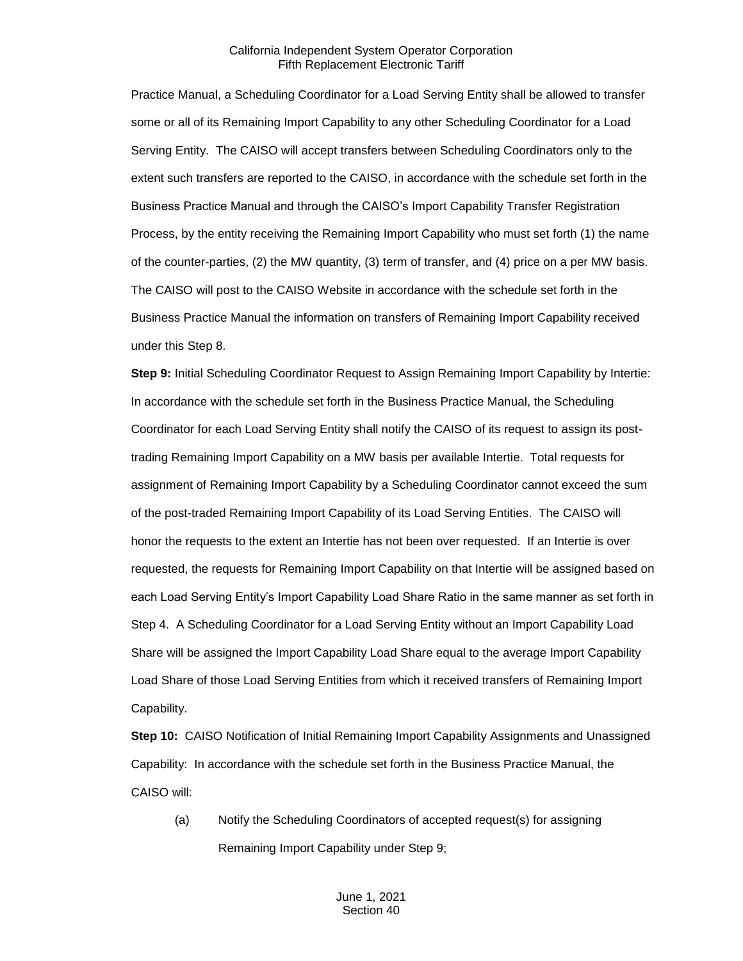Practice Manual, a Scheduling Coordinator for a Load Serving Entity shall be allowed to transfer some or all of its Remaining Import Capability to any other Scheduling Coordinator for a Load Serving Entity. The CAISO will accept transfers between Scheduling Coordinators only to the extent such transfers are reported to the CAISO, in accordance with the schedule set forth in the Business Practice Manual and through the CAISO's Import Capability Transfer Registration Process, by the entity receiving the Remaining Import Capability who must set forth (1) the name of the counter-parties, (2) the MW quantity, (3) term of transfer, and (4) price on a per MW basis. The CAISO will post to the CAISO Website in accordance with the schedule set forth in the Business Practice Manual the information on transfers of Remaining Import Capability received under this Step 8.

**Step 9:** Initial Scheduling Coordinator Request to Assign Remaining Import Capability by Intertie: In accordance with the schedule set forth in the Business Practice Manual, the Scheduling Coordinator for each Load Serving Entity shall notify the CAISO of its request to assign its posttrading Remaining Import Capability on a MW basis per available Intertie. Total requests for assignment of Remaining Import Capability by a Scheduling Coordinator cannot exceed the sum of the post-traded Remaining Import Capability of its Load Serving Entities. The CAISO will honor the requests to the extent an Intertie has not been over requested. If an Intertie is over requested, the requests for Remaining Import Capability on that Intertie will be assigned based on each Load Serving Entity's Import Capability Load Share Ratio in the same manner as set forth in Step 4. A Scheduling Coordinator for a Load Serving Entity without an Import Capability Load Share will be assigned the Import Capability Load Share equal to the average Import Capability Load Share of those Load Serving Entities from which it received transfers of Remaining Import Capability.

**Step 10:** CAISO Notification of Initial Remaining Import Capability Assignments and Unassigned Capability: In accordance with the schedule set forth in the Business Practice Manual, the CAISO will:

(a) Notify the Scheduling Coordinators of accepted request(s) for assigning Remaining Import Capability under Step 9;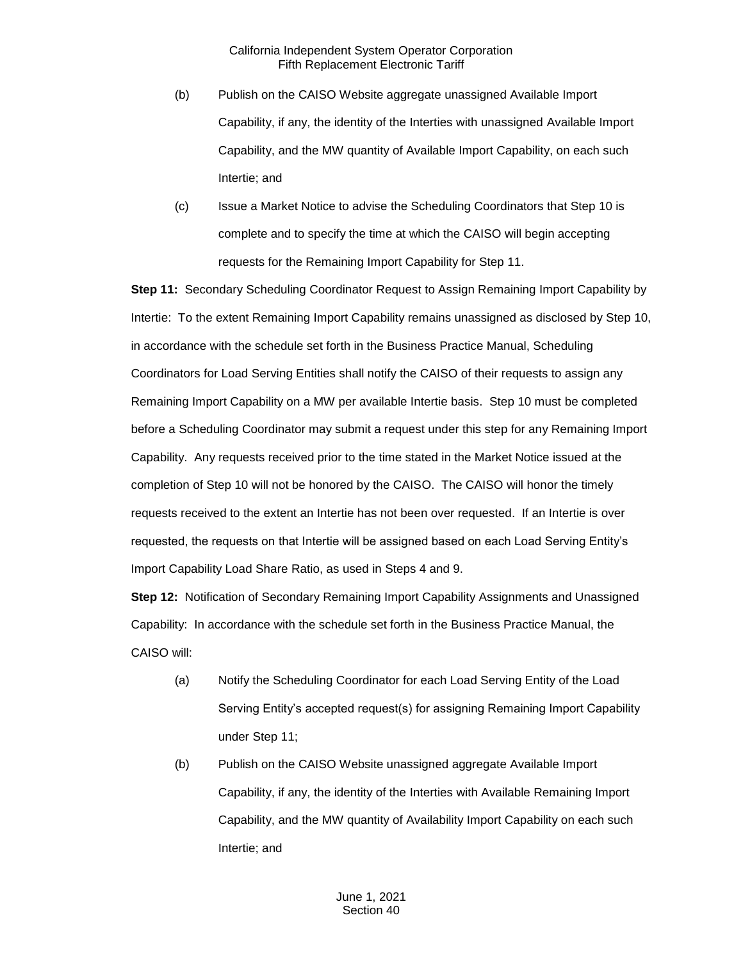- (b) Publish on the CAISO Website aggregate unassigned Available Import Capability, if any, the identity of the Interties with unassigned Available Import Capability, and the MW quantity of Available Import Capability, on each such Intertie; and
- (c) Issue a Market Notice to advise the Scheduling Coordinators that Step 10 is complete and to specify the time at which the CAISO will begin accepting requests for the Remaining Import Capability for Step 11.

**Step 11:** Secondary Scheduling Coordinator Request to Assign Remaining Import Capability by Intertie: To the extent Remaining Import Capability remains unassigned as disclosed by Step 10, in accordance with the schedule set forth in the Business Practice Manual, Scheduling Coordinators for Load Serving Entities shall notify the CAISO of their requests to assign any Remaining Import Capability on a MW per available Intertie basis. Step 10 must be completed before a Scheduling Coordinator may submit a request under this step for any Remaining Import Capability. Any requests received prior to the time stated in the Market Notice issued at the completion of Step 10 will not be honored by the CAISO. The CAISO will honor the timely requests received to the extent an Intertie has not been over requested. If an Intertie is over requested, the requests on that Intertie will be assigned based on each Load Serving Entity's Import Capability Load Share Ratio, as used in Steps 4 and 9.

**Step 12:** Notification of Secondary Remaining Import Capability Assignments and Unassigned Capability: In accordance with the schedule set forth in the Business Practice Manual, the CAISO will:

- (a) Notify the Scheduling Coordinator for each Load Serving Entity of the Load Serving Entity's accepted request(s) for assigning Remaining Import Capability under Step 11;
- (b) Publish on the CAISO Website unassigned aggregate Available Import Capability, if any, the identity of the Interties with Available Remaining Import Capability, and the MW quantity of Availability Import Capability on each such Intertie; and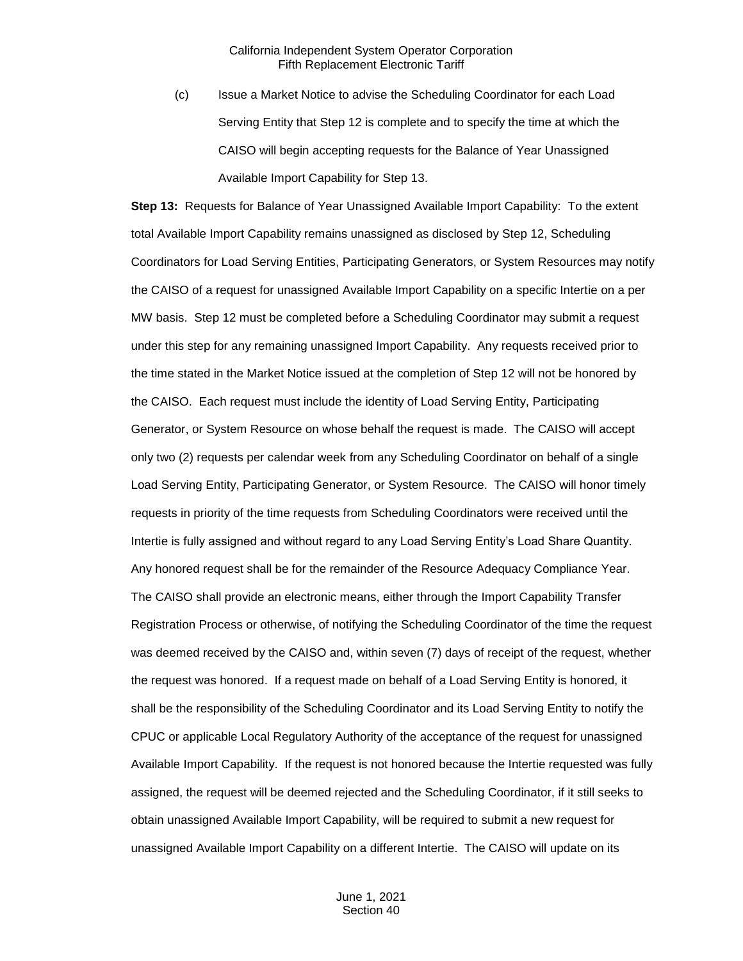(c) Issue a Market Notice to advise the Scheduling Coordinator for each Load Serving Entity that Step 12 is complete and to specify the time at which the CAISO will begin accepting requests for the Balance of Year Unassigned Available Import Capability for Step 13.

**Step 13:** Requests for Balance of Year Unassigned Available Import Capability: To the extent total Available Import Capability remains unassigned as disclosed by Step 12, Scheduling Coordinators for Load Serving Entities, Participating Generators, or System Resources may notify the CAISO of a request for unassigned Available Import Capability on a specific Intertie on a per MW basis. Step 12 must be completed before a Scheduling Coordinator may submit a request under this step for any remaining unassigned Import Capability. Any requests received prior to the time stated in the Market Notice issued at the completion of Step 12 will not be honored by the CAISO. Each request must include the identity of Load Serving Entity, Participating Generator, or System Resource on whose behalf the request is made. The CAISO will accept only two (2) requests per calendar week from any Scheduling Coordinator on behalf of a single Load Serving Entity, Participating Generator, or System Resource. The CAISO will honor timely requests in priority of the time requests from Scheduling Coordinators were received until the Intertie is fully assigned and without regard to any Load Serving Entity's Load Share Quantity. Any honored request shall be for the remainder of the Resource Adequacy Compliance Year. The CAISO shall provide an electronic means, either through the Import Capability Transfer Registration Process or otherwise, of notifying the Scheduling Coordinator of the time the request was deemed received by the CAISO and, within seven (7) days of receipt of the request, whether the request was honored. If a request made on behalf of a Load Serving Entity is honored, it shall be the responsibility of the Scheduling Coordinator and its Load Serving Entity to notify the CPUC or applicable Local Regulatory Authority of the acceptance of the request for unassigned Available Import Capability. If the request is not honored because the Intertie requested was fully assigned, the request will be deemed rejected and the Scheduling Coordinator, if it still seeks to obtain unassigned Available Import Capability, will be required to submit a new request for unassigned Available Import Capability on a different Intertie. The CAISO will update on its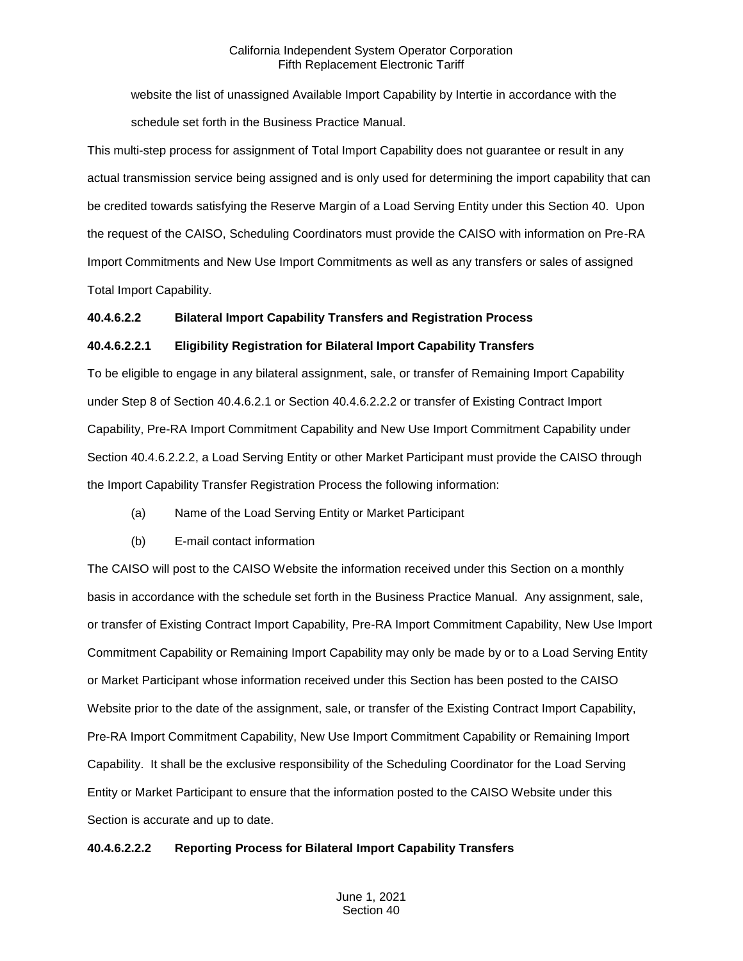website the list of unassigned Available Import Capability by Intertie in accordance with the schedule set forth in the Business Practice Manual.

This multi-step process for assignment of Total Import Capability does not guarantee or result in any actual transmission service being assigned and is only used for determining the import capability that can be credited towards satisfying the Reserve Margin of a Load Serving Entity under this Section 40. Upon the request of the CAISO, Scheduling Coordinators must provide the CAISO with information on Pre-RA Import Commitments and New Use Import Commitments as well as any transfers or sales of assigned Total Import Capability.

## **40.4.6.2.2 Bilateral Import Capability Transfers and Registration Process**

## **40.4.6.2.2.1 Eligibility Registration for Bilateral Import Capability Transfers**

To be eligible to engage in any bilateral assignment, sale, or transfer of Remaining Import Capability under Step 8 of Section 40.4.6.2.1 or Section 40.4.6.2.2.2 or transfer of Existing Contract Import Capability, Pre-RA Import Commitment Capability and New Use Import Commitment Capability under Section 40.4.6.2.2.2, a Load Serving Entity or other Market Participant must provide the CAISO through the Import Capability Transfer Registration Process the following information:

- (a) Name of the Load Serving Entity or Market Participant
- (b) E-mail contact information

The CAISO will post to the CAISO Website the information received under this Section on a monthly basis in accordance with the schedule set forth in the Business Practice Manual. Any assignment, sale, or transfer of Existing Contract Import Capability, Pre-RA Import Commitment Capability, New Use Import Commitment Capability or Remaining Import Capability may only be made by or to a Load Serving Entity or Market Participant whose information received under this Section has been posted to the CAISO Website prior to the date of the assignment, sale, or transfer of the Existing Contract Import Capability, Pre-RA Import Commitment Capability, New Use Import Commitment Capability or Remaining Import Capability. It shall be the exclusive responsibility of the Scheduling Coordinator for the Load Serving Entity or Market Participant to ensure that the information posted to the CAISO Website under this Section is accurate and up to date.

## **40.4.6.2.2.2 Reporting Process for Bilateral Import Capability Transfers**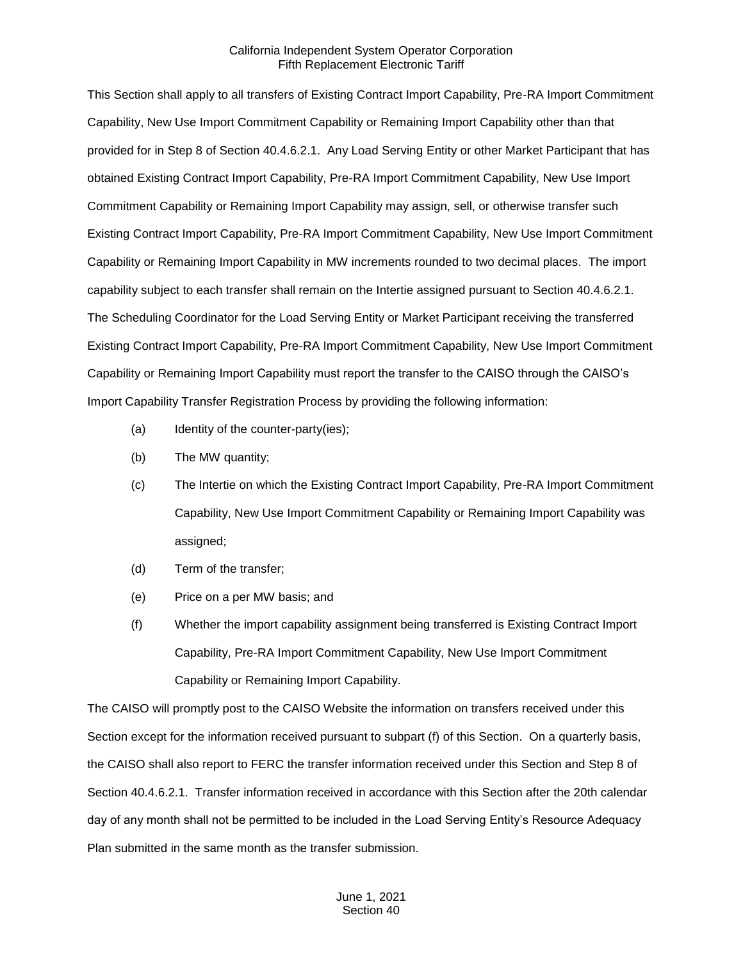This Section shall apply to all transfers of Existing Contract Import Capability, Pre-RA Import Commitment Capability, New Use Import Commitment Capability or Remaining Import Capability other than that provided for in Step 8 of Section 40.4.6.2.1. Any Load Serving Entity or other Market Participant that has obtained Existing Contract Import Capability, Pre-RA Import Commitment Capability, New Use Import Commitment Capability or Remaining Import Capability may assign, sell, or otherwise transfer such Existing Contract Import Capability, Pre-RA Import Commitment Capability, New Use Import Commitment Capability or Remaining Import Capability in MW increments rounded to two decimal places. The import capability subject to each transfer shall remain on the Intertie assigned pursuant to Section 40.4.6.2.1. The Scheduling Coordinator for the Load Serving Entity or Market Participant receiving the transferred Existing Contract Import Capability, Pre-RA Import Commitment Capability, New Use Import Commitment Capability or Remaining Import Capability must report the transfer to the CAISO through the CAISO's Import Capability Transfer Registration Process by providing the following information:

- (a) Identity of the counter-party(ies);
- (b) The MW quantity;
- (c) The Intertie on which the Existing Contract Import Capability, Pre-RA Import Commitment Capability, New Use Import Commitment Capability or Remaining Import Capability was assigned;
- (d) Term of the transfer;
- (e) Price on a per MW basis; and
- (f) Whether the import capability assignment being transferred is Existing Contract Import Capability, Pre-RA Import Commitment Capability, New Use Import Commitment Capability or Remaining Import Capability.

The CAISO will promptly post to the CAISO Website the information on transfers received under this Section except for the information received pursuant to subpart (f) of this Section. On a quarterly basis, the CAISO shall also report to FERC the transfer information received under this Section and Step 8 of Section 40.4.6.2.1. Transfer information received in accordance with this Section after the 20th calendar day of any month shall not be permitted to be included in the Load Serving Entity's Resource Adequacy Plan submitted in the same month as the transfer submission.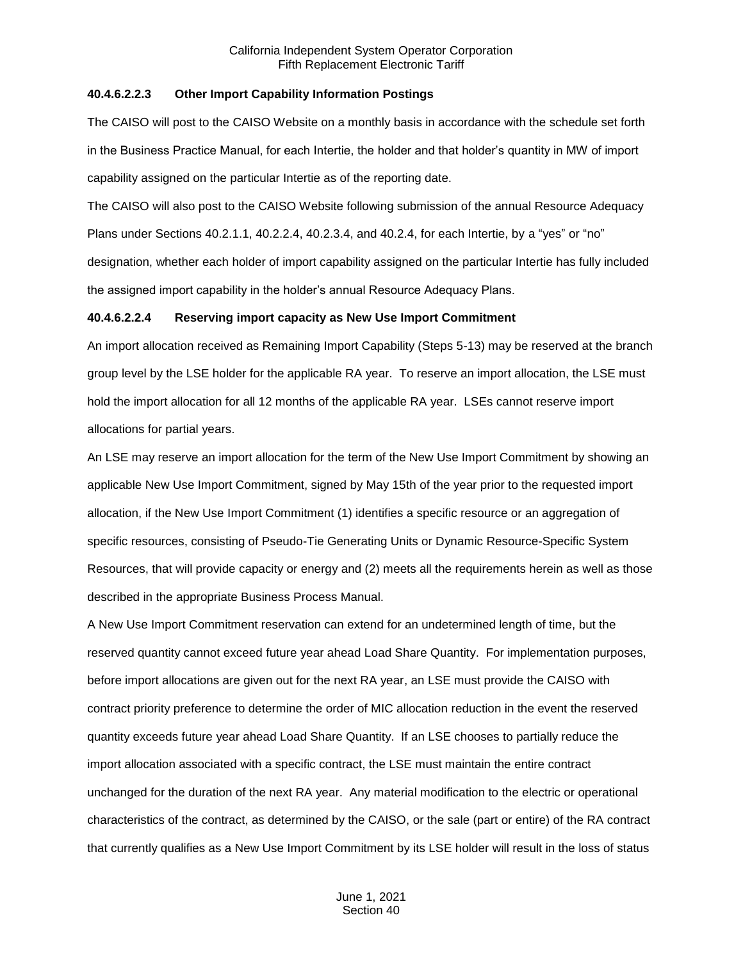#### **40.4.6.2.2.3 Other Import Capability Information Postings**

The CAISO will post to the CAISO Website on a monthly basis in accordance with the schedule set forth in the Business Practice Manual, for each Intertie, the holder and that holder's quantity in MW of import capability assigned on the particular Intertie as of the reporting date.

The CAISO will also post to the CAISO Website following submission of the annual Resource Adequacy Plans under Sections 40.2.1.1, 40.2.2.4, 40.2.3.4, and 40.2.4, for each Intertie, by a "yes" or "no" designation, whether each holder of import capability assigned on the particular Intertie has fully included the assigned import capability in the holder's annual Resource Adequacy Plans.

#### **40.4.6.2.2.4 Reserving import capacity as New Use Import Commitment**

An import allocation received as Remaining Import Capability (Steps 5-13) may be reserved at the branch group level by the LSE holder for the applicable RA year. To reserve an import allocation, the LSE must hold the import allocation for all 12 months of the applicable RA year. LSEs cannot reserve import allocations for partial years.

An LSE may reserve an import allocation for the term of the New Use Import Commitment by showing an applicable New Use Import Commitment, signed by May 15th of the year prior to the requested import allocation, if the New Use Import Commitment (1) identifies a specific resource or an aggregation of specific resources, consisting of Pseudo-Tie Generating Units or Dynamic Resource-Specific System Resources, that will provide capacity or energy and (2) meets all the requirements herein as well as those described in the appropriate Business Process Manual.

A New Use Import Commitment reservation can extend for an undetermined length of time, but the reserved quantity cannot exceed future year ahead Load Share Quantity. For implementation purposes, before import allocations are given out for the next RA year, an LSE must provide the CAISO with contract priority preference to determine the order of MIC allocation reduction in the event the reserved quantity exceeds future year ahead Load Share Quantity. If an LSE chooses to partially reduce the import allocation associated with a specific contract, the LSE must maintain the entire contract unchanged for the duration of the next RA year. Any material modification to the electric or operational characteristics of the contract, as determined by the CAISO, or the sale (part or entire) of the RA contract that currently qualifies as a New Use Import Commitment by its LSE holder will result in the loss of status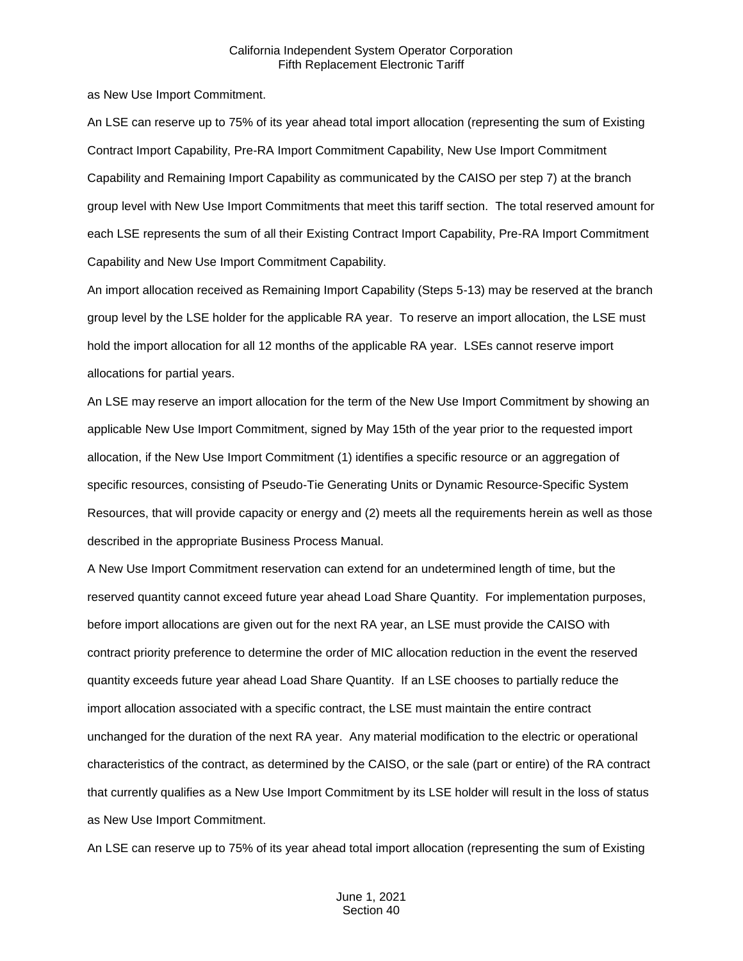as New Use Import Commitment.

An LSE can reserve up to 75% of its year ahead total import allocation (representing the sum of Existing Contract Import Capability, Pre-RA Import Commitment Capability, New Use Import Commitment Capability and Remaining Import Capability as communicated by the CAISO per step 7) at the branch group level with New Use Import Commitments that meet this tariff section. The total reserved amount for each LSE represents the sum of all their Existing Contract Import Capability, Pre-RA Import Commitment Capability and New Use Import Commitment Capability.

An import allocation received as Remaining Import Capability (Steps 5-13) may be reserved at the branch group level by the LSE holder for the applicable RA year. To reserve an import allocation, the LSE must hold the import allocation for all 12 months of the applicable RA year. LSEs cannot reserve import allocations for partial years.

An LSE may reserve an import allocation for the term of the New Use Import Commitment by showing an applicable New Use Import Commitment, signed by May 15th of the year prior to the requested import allocation, if the New Use Import Commitment (1) identifies a specific resource or an aggregation of specific resources, consisting of Pseudo-Tie Generating Units or Dynamic Resource-Specific System Resources, that will provide capacity or energy and (2) meets all the requirements herein as well as those described in the appropriate Business Process Manual.

A New Use Import Commitment reservation can extend for an undetermined length of time, but the reserved quantity cannot exceed future year ahead Load Share Quantity. For implementation purposes, before import allocations are given out for the next RA year, an LSE must provide the CAISO with contract priority preference to determine the order of MIC allocation reduction in the event the reserved quantity exceeds future year ahead Load Share Quantity. If an LSE chooses to partially reduce the import allocation associated with a specific contract, the LSE must maintain the entire contract unchanged for the duration of the next RA year. Any material modification to the electric or operational characteristics of the contract, as determined by the CAISO, or the sale (part or entire) of the RA contract that currently qualifies as a New Use Import Commitment by its LSE holder will result in the loss of status as New Use Import Commitment.

An LSE can reserve up to 75% of its year ahead total import allocation (representing the sum of Existing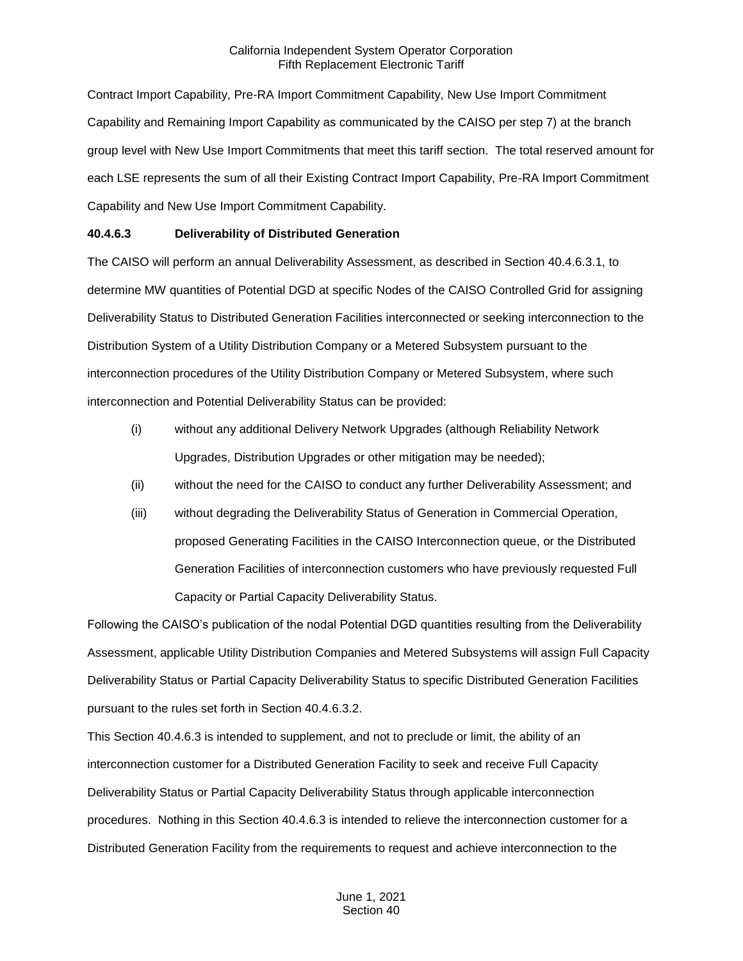Contract Import Capability, Pre-RA Import Commitment Capability, New Use Import Commitment Capability and Remaining Import Capability as communicated by the CAISO per step 7) at the branch group level with New Use Import Commitments that meet this tariff section. The total reserved amount for each LSE represents the sum of all their Existing Contract Import Capability, Pre-RA Import Commitment Capability and New Use Import Commitment Capability.

## **40.4.6.3 Deliverability of Distributed Generation**

The CAISO will perform an annual Deliverability Assessment, as described in Section 40.4.6.3.1, to determine MW quantities of Potential DGD at specific Nodes of the CAISO Controlled Grid for assigning Deliverability Status to Distributed Generation Facilities interconnected or seeking interconnection to the Distribution System of a Utility Distribution Company or a Metered Subsystem pursuant to the interconnection procedures of the Utility Distribution Company or Metered Subsystem, where such interconnection and Potential Deliverability Status can be provided:

- (i) without any additional Delivery Network Upgrades (although Reliability Network Upgrades, Distribution Upgrades or other mitigation may be needed);
- (ii) without the need for the CAISO to conduct any further Deliverability Assessment; and
- (iii) without degrading the Deliverability Status of Generation in Commercial Operation, proposed Generating Facilities in the CAISO Interconnection queue, or the Distributed Generation Facilities of interconnection customers who have previously requested Full Capacity or Partial Capacity Deliverability Status.

Following the CAISO's publication of the nodal Potential DGD quantities resulting from the Deliverability Assessment, applicable Utility Distribution Companies and Metered Subsystems will assign Full Capacity Deliverability Status or Partial Capacity Deliverability Status to specific Distributed Generation Facilities pursuant to the rules set forth in Section 40.4.6.3.2.

This Section 40.4.6.3 is intended to supplement, and not to preclude or limit, the ability of an interconnection customer for a Distributed Generation Facility to seek and receive Full Capacity Deliverability Status or Partial Capacity Deliverability Status through applicable interconnection procedures. Nothing in this Section 40.4.6.3 is intended to relieve the interconnection customer for a Distributed Generation Facility from the requirements to request and achieve interconnection to the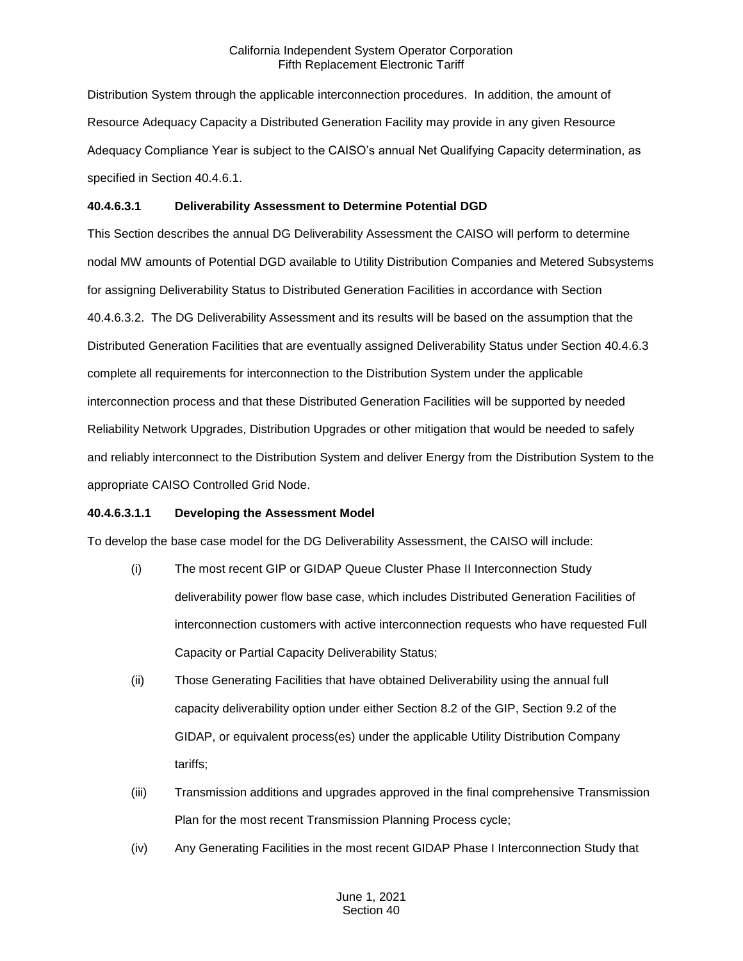Distribution System through the applicable interconnection procedures. In addition, the amount of Resource Adequacy Capacity a Distributed Generation Facility may provide in any given Resource Adequacy Compliance Year is subject to the CAISO's annual Net Qualifying Capacity determination, as specified in Section 40.4.6.1.

## **40.4.6.3.1 Deliverability Assessment to Determine Potential DGD**

This Section describes the annual DG Deliverability Assessment the CAISO will perform to determine nodal MW amounts of Potential DGD available to Utility Distribution Companies and Metered Subsystems for assigning Deliverability Status to Distributed Generation Facilities in accordance with Section 40.4.6.3.2. The DG Deliverability Assessment and its results will be based on the assumption that the Distributed Generation Facilities that are eventually assigned Deliverability Status under Section 40.4.6.3 complete all requirements for interconnection to the Distribution System under the applicable interconnection process and that these Distributed Generation Facilities will be supported by needed Reliability Network Upgrades, Distribution Upgrades or other mitigation that would be needed to safely and reliably interconnect to the Distribution System and deliver Energy from the Distribution System to the appropriate CAISO Controlled Grid Node.

## **40.4.6.3.1.1 Developing the Assessment Model**

To develop the base case model for the DG Deliverability Assessment, the CAISO will include:

- (i) The most recent GIP or GIDAP Queue Cluster Phase II Interconnection Study deliverability power flow base case, which includes Distributed Generation Facilities of interconnection customers with active interconnection requests who have requested Full Capacity or Partial Capacity Deliverability Status;
- (ii) Those Generating Facilities that have obtained Deliverability using the annual full capacity deliverability option under either Section 8.2 of the GIP, Section 9.2 of the GIDAP, or equivalent process(es) under the applicable Utility Distribution Company tariffs;
- (iii) Transmission additions and upgrades approved in the final comprehensive Transmission Plan for the most recent Transmission Planning Process cycle;
- (iv) Any Generating Facilities in the most recent GIDAP Phase I Interconnection Study that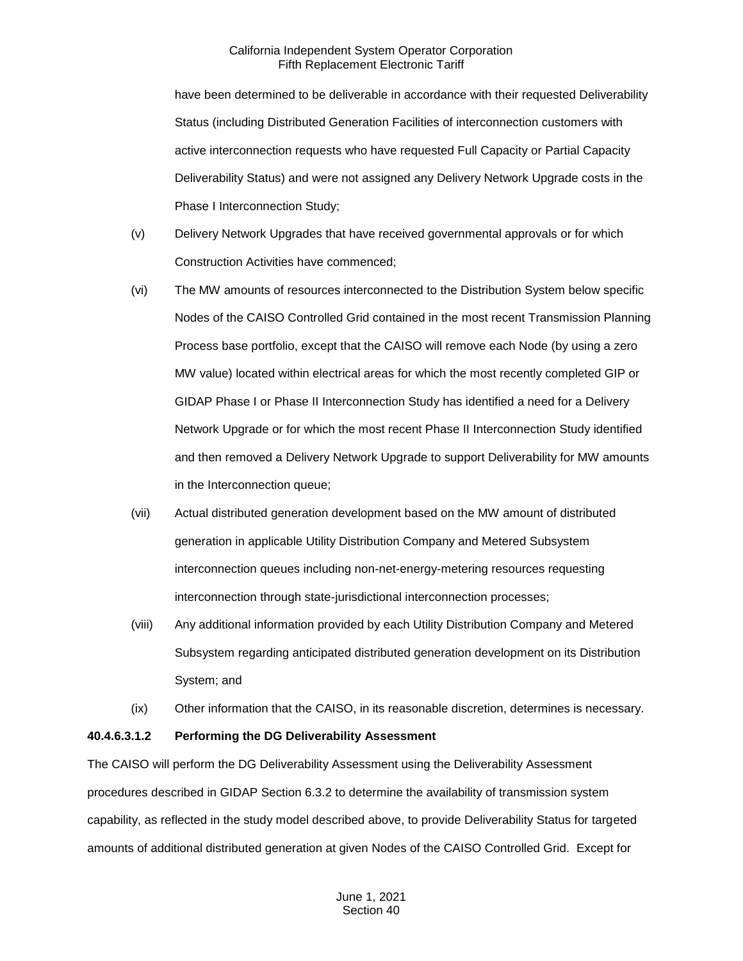have been determined to be deliverable in accordance with their requested Deliverability Status (including Distributed Generation Facilities of interconnection customers with active interconnection requests who have requested Full Capacity or Partial Capacity Deliverability Status) and were not assigned any Delivery Network Upgrade costs in the Phase I Interconnection Study;

- (v) Delivery Network Upgrades that have received governmental approvals or for which Construction Activities have commenced;
- (vi) The MW amounts of resources interconnected to the Distribution System below specific Nodes of the CAISO Controlled Grid contained in the most recent Transmission Planning Process base portfolio, except that the CAISO will remove each Node (by using a zero MW value) located within electrical areas for which the most recently completed GIP or GIDAP Phase I or Phase II Interconnection Study has identified a need for a Delivery Network Upgrade or for which the most recent Phase II Interconnection Study identified and then removed a Delivery Network Upgrade to support Deliverability for MW amounts in the Interconnection queue;
- (vii) Actual distributed generation development based on the MW amount of distributed generation in applicable Utility Distribution Company and Metered Subsystem interconnection queues including non-net-energy-metering resources requesting interconnection through state-jurisdictional interconnection processes;
- (viii) Any additional information provided by each Utility Distribution Company and Metered Subsystem regarding anticipated distributed generation development on its Distribution System; and
- (ix) Other information that the CAISO, in its reasonable discretion, determines is necessary.

## **40.4.6.3.1.2 Performing the DG Deliverability Assessment**

The CAISO will perform the DG Deliverability Assessment using the Deliverability Assessment procedures described in GIDAP Section 6.3.2 to determine the availability of transmission system capability, as reflected in the study model described above, to provide Deliverability Status for targeted amounts of additional distributed generation at given Nodes of the CAISO Controlled Grid. Except for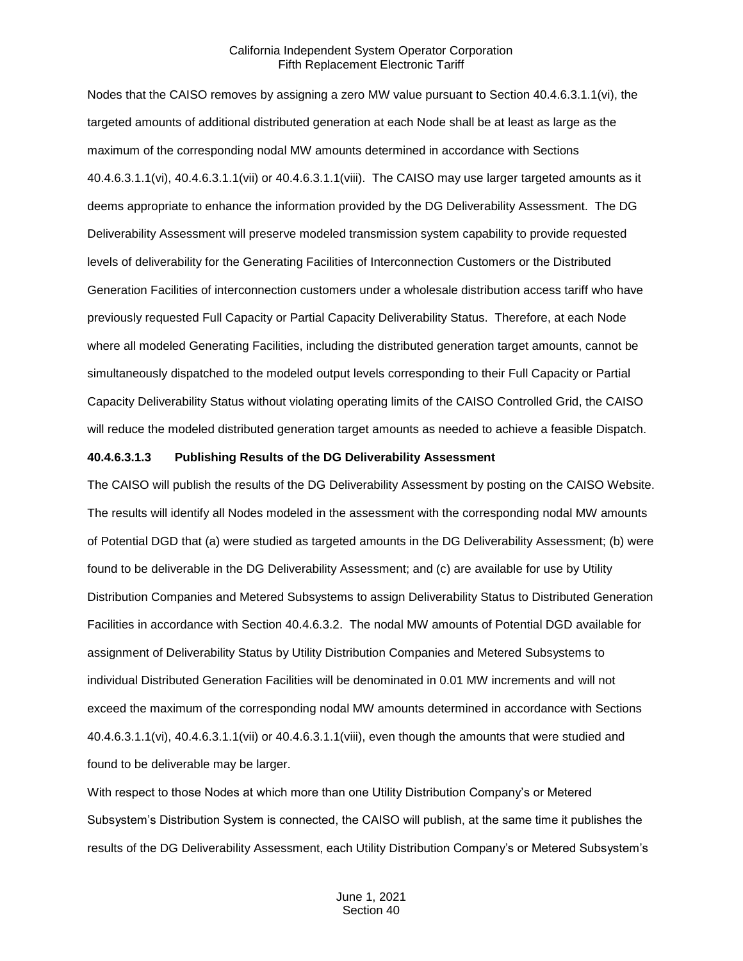Nodes that the CAISO removes by assigning a zero MW value pursuant to Section 40.4.6.3.1.1(vi), the targeted amounts of additional distributed generation at each Node shall be at least as large as the maximum of the corresponding nodal MW amounts determined in accordance with Sections 40.4.6.3.1.1(vi), 40.4.6.3.1.1(vii) or 40.4.6.3.1.1(viii). The CAISO may use larger targeted amounts as it deems appropriate to enhance the information provided by the DG Deliverability Assessment. The DG Deliverability Assessment will preserve modeled transmission system capability to provide requested levels of deliverability for the Generating Facilities of Interconnection Customers or the Distributed Generation Facilities of interconnection customers under a wholesale distribution access tariff who have previously requested Full Capacity or Partial Capacity Deliverability Status. Therefore, at each Node where all modeled Generating Facilities, including the distributed generation target amounts, cannot be simultaneously dispatched to the modeled output levels corresponding to their Full Capacity or Partial Capacity Deliverability Status without violating operating limits of the CAISO Controlled Grid, the CAISO will reduce the modeled distributed generation target amounts as needed to achieve a feasible Dispatch.

#### **40.4.6.3.1.3 Publishing Results of the DG Deliverability Assessment**

The CAISO will publish the results of the DG Deliverability Assessment by posting on the CAISO Website. The results will identify all Nodes modeled in the assessment with the corresponding nodal MW amounts of Potential DGD that (a) were studied as targeted amounts in the DG Deliverability Assessment; (b) were found to be deliverable in the DG Deliverability Assessment; and (c) are available for use by Utility Distribution Companies and Metered Subsystems to assign Deliverability Status to Distributed Generation Facilities in accordance with Section 40.4.6.3.2. The nodal MW amounts of Potential DGD available for assignment of Deliverability Status by Utility Distribution Companies and Metered Subsystems to individual Distributed Generation Facilities will be denominated in 0.01 MW increments and will not exceed the maximum of the corresponding nodal MW amounts determined in accordance with Sections 40.4.6.3.1.1(vi), 40.4.6.3.1.1(vii) or 40.4.6.3.1.1(viii), even though the amounts that were studied and found to be deliverable may be larger.

With respect to those Nodes at which more than one Utility Distribution Company's or Metered Subsystem's Distribution System is connected, the CAISO will publish, at the same time it publishes the results of the DG Deliverability Assessment, each Utility Distribution Company's or Metered Subsystem's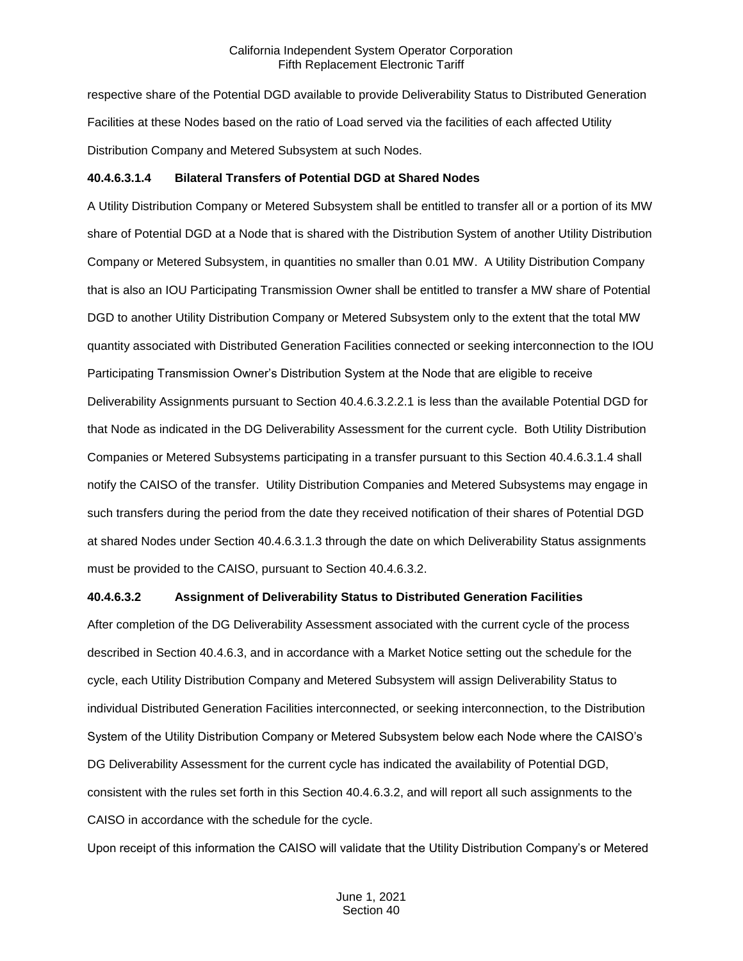respective share of the Potential DGD available to provide Deliverability Status to Distributed Generation Facilities at these Nodes based on the ratio of Load served via the facilities of each affected Utility Distribution Company and Metered Subsystem at such Nodes.

#### **40.4.6.3.1.4 Bilateral Transfers of Potential DGD at Shared Nodes**

A Utility Distribution Company or Metered Subsystem shall be entitled to transfer all or a portion of its MW share of Potential DGD at a Node that is shared with the Distribution System of another Utility Distribution Company or Metered Subsystem, in quantities no smaller than 0.01 MW. A Utility Distribution Company that is also an IOU Participating Transmission Owner shall be entitled to transfer a MW share of Potential DGD to another Utility Distribution Company or Metered Subsystem only to the extent that the total MW quantity associated with Distributed Generation Facilities connected or seeking interconnection to the IOU Participating Transmission Owner's Distribution System at the Node that are eligible to receive Deliverability Assignments pursuant to Section 40.4.6.3.2.2.1 is less than the available Potential DGD for that Node as indicated in the DG Deliverability Assessment for the current cycle. Both Utility Distribution Companies or Metered Subsystems participating in a transfer pursuant to this Section 40.4.6.3.1.4 shall notify the CAISO of the transfer. Utility Distribution Companies and Metered Subsystems may engage in such transfers during the period from the date they received notification of their shares of Potential DGD at shared Nodes under Section 40.4.6.3.1.3 through the date on which Deliverability Status assignments must be provided to the CAISO, pursuant to Section 40.4.6.3.2.

#### **40.4.6.3.2 Assignment of Deliverability Status to Distributed Generation Facilities**

After completion of the DG Deliverability Assessment associated with the current cycle of the process described in Section 40.4.6.3, and in accordance with a Market Notice setting out the schedule for the cycle, each Utility Distribution Company and Metered Subsystem will assign Deliverability Status to individual Distributed Generation Facilities interconnected, or seeking interconnection, to the Distribution System of the Utility Distribution Company or Metered Subsystem below each Node where the CAISO's DG Deliverability Assessment for the current cycle has indicated the availability of Potential DGD, consistent with the rules set forth in this Section 40.4.6.3.2, and will report all such assignments to the CAISO in accordance with the schedule for the cycle.

Upon receipt of this information the CAISO will validate that the Utility Distribution Company's or Metered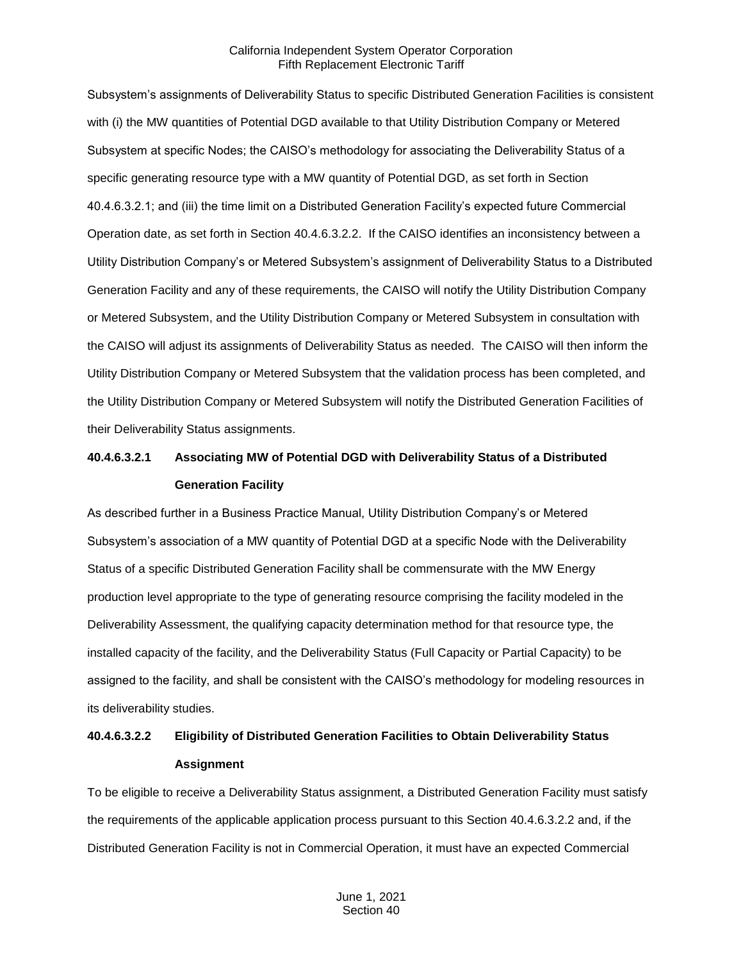Subsystem's assignments of Deliverability Status to specific Distributed Generation Facilities is consistent with (i) the MW quantities of Potential DGD available to that Utility Distribution Company or Metered Subsystem at specific Nodes; the CAISO's methodology for associating the Deliverability Status of a specific generating resource type with a MW quantity of Potential DGD, as set forth in Section 40.4.6.3.2.1; and (iii) the time limit on a Distributed Generation Facility's expected future Commercial Operation date, as set forth in Section 40.4.6.3.2.2. If the CAISO identifies an inconsistency between a Utility Distribution Company's or Metered Subsystem's assignment of Deliverability Status to a Distributed Generation Facility and any of these requirements, the CAISO will notify the Utility Distribution Company or Metered Subsystem, and the Utility Distribution Company or Metered Subsystem in consultation with the CAISO will adjust its assignments of Deliverability Status as needed. The CAISO will then inform the Utility Distribution Company or Metered Subsystem that the validation process has been completed, and the Utility Distribution Company or Metered Subsystem will notify the Distributed Generation Facilities of their Deliverability Status assignments.

## **40.4.6.3.2.1 Associating MW of Potential DGD with Deliverability Status of a Distributed Generation Facility**

As described further in a Business Practice Manual, Utility Distribution Company's or Metered Subsystem's association of a MW quantity of Potential DGD at a specific Node with the Deliverability Status of a specific Distributed Generation Facility shall be commensurate with the MW Energy production level appropriate to the type of generating resource comprising the facility modeled in the Deliverability Assessment, the qualifying capacity determination method for that resource type, the installed capacity of the facility, and the Deliverability Status (Full Capacity or Partial Capacity) to be assigned to the facility, and shall be consistent with the CAISO's methodology for modeling resources in its deliverability studies.

## **40.4.6.3.2.2 Eligibility of Distributed Generation Facilities to Obtain Deliverability Status Assignment**

To be eligible to receive a Deliverability Status assignment, a Distributed Generation Facility must satisfy the requirements of the applicable application process pursuant to this Section 40.4.6.3.2.2 and, if the Distributed Generation Facility is not in Commercial Operation, it must have an expected Commercial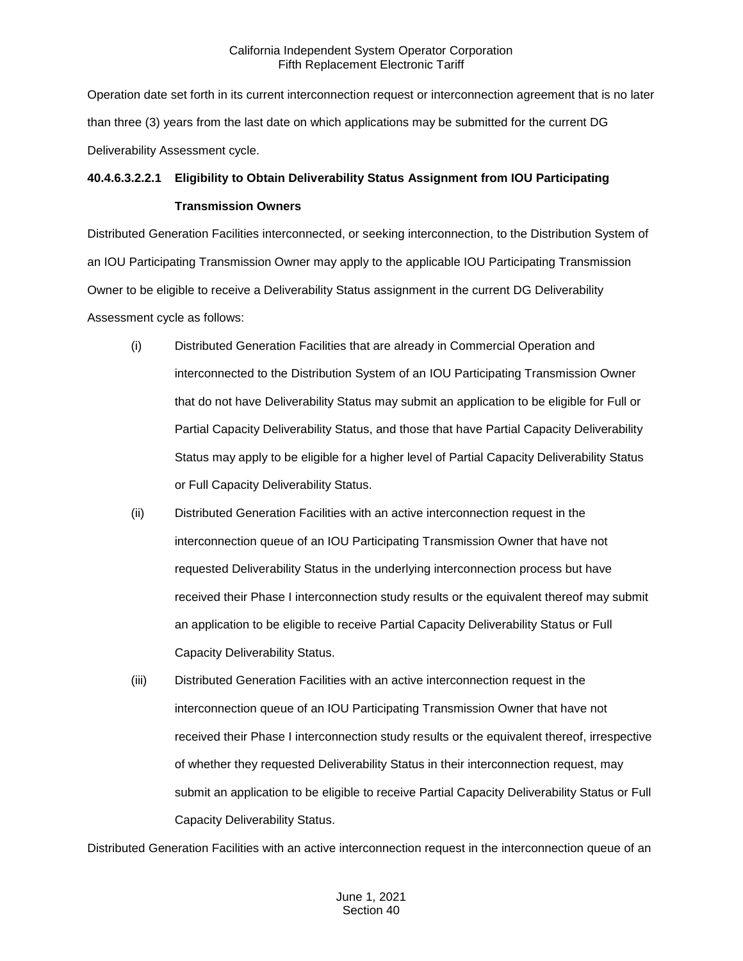Operation date set forth in its current interconnection request or interconnection agreement that is no later than three (3) years from the last date on which applications may be submitted for the current DG Deliverability Assessment cycle.

## **40.4.6.3.2.2.1 Eligibility to Obtain Deliverability Status Assignment from IOU Participating**

## **Transmission Owners**

Distributed Generation Facilities interconnected, or seeking interconnection, to the Distribution System of an IOU Participating Transmission Owner may apply to the applicable IOU Participating Transmission Owner to be eligible to receive a Deliverability Status assignment in the current DG Deliverability Assessment cycle as follows:

- (i) Distributed Generation Facilities that are already in Commercial Operation and interconnected to the Distribution System of an IOU Participating Transmission Owner that do not have Deliverability Status may submit an application to be eligible for Full or Partial Capacity Deliverability Status, and those that have Partial Capacity Deliverability Status may apply to be eligible for a higher level of Partial Capacity Deliverability Status or Full Capacity Deliverability Status.
- (ii) Distributed Generation Facilities with an active interconnection request in the interconnection queue of an IOU Participating Transmission Owner that have not requested Deliverability Status in the underlying interconnection process but have received their Phase I interconnection study results or the equivalent thereof may submit an application to be eligible to receive Partial Capacity Deliverability Status or Full Capacity Deliverability Status.
- (iii) Distributed Generation Facilities with an active interconnection request in the interconnection queue of an IOU Participating Transmission Owner that have not received their Phase I interconnection study results or the equivalent thereof, irrespective of whether they requested Deliverability Status in their interconnection request, may submit an application to be eligible to receive Partial Capacity Deliverability Status or Full Capacity Deliverability Status.

Distributed Generation Facilities with an active interconnection request in the interconnection queue of an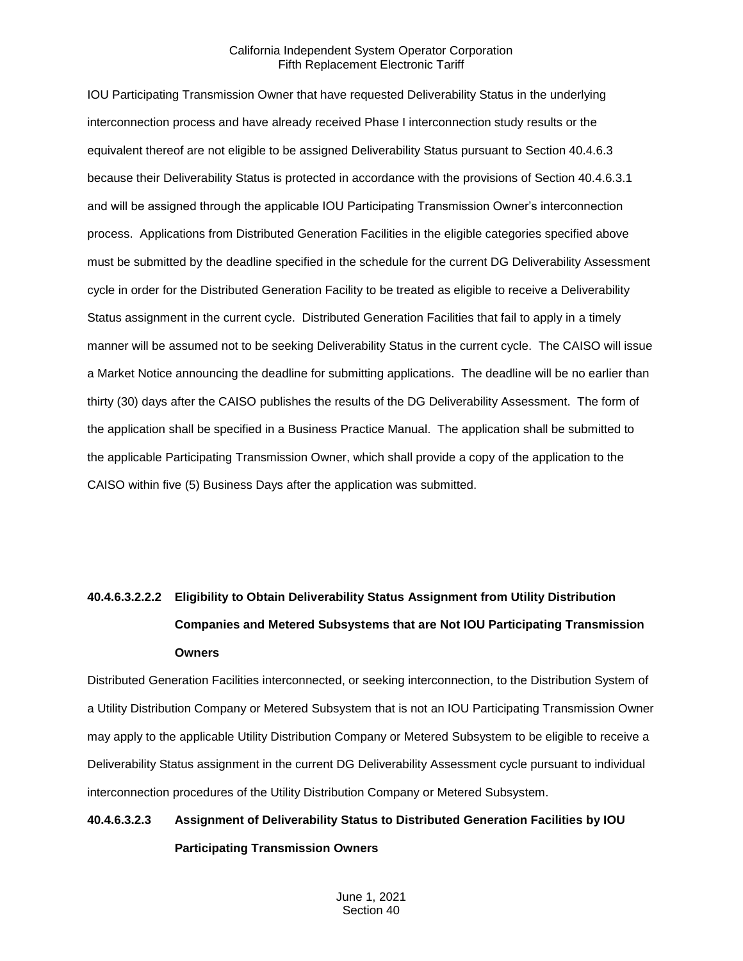IOU Participating Transmission Owner that have requested Deliverability Status in the underlying interconnection process and have already received Phase I interconnection study results or the equivalent thereof are not eligible to be assigned Deliverability Status pursuant to Section 40.4.6.3 because their Deliverability Status is protected in accordance with the provisions of Section 40.4.6.3.1 and will be assigned through the applicable IOU Participating Transmission Owner's interconnection process. Applications from Distributed Generation Facilities in the eligible categories specified above must be submitted by the deadline specified in the schedule for the current DG Deliverability Assessment cycle in order for the Distributed Generation Facility to be treated as eligible to receive a Deliverability Status assignment in the current cycle. Distributed Generation Facilities that fail to apply in a timely manner will be assumed not to be seeking Deliverability Status in the current cycle. The CAISO will issue a Market Notice announcing the deadline for submitting applications. The deadline will be no earlier than thirty (30) days after the CAISO publishes the results of the DG Deliverability Assessment. The form of the application shall be specified in a Business Practice Manual. The application shall be submitted to the applicable Participating Transmission Owner, which shall provide a copy of the application to the CAISO within five (5) Business Days after the application was submitted.

# **40.4.6.3.2.2.2 Eligibility to Obtain Deliverability Status Assignment from Utility Distribution Companies and Metered Subsystems that are Not IOU Participating Transmission Owners**

Distributed Generation Facilities interconnected, or seeking interconnection, to the Distribution System of a Utility Distribution Company or Metered Subsystem that is not an IOU Participating Transmission Owner may apply to the applicable Utility Distribution Company or Metered Subsystem to be eligible to receive a Deliverability Status assignment in the current DG Deliverability Assessment cycle pursuant to individual interconnection procedures of the Utility Distribution Company or Metered Subsystem.

## **40.4.6.3.2.3 Assignment of Deliverability Status to Distributed Generation Facilities by IOU Participating Transmission Owners**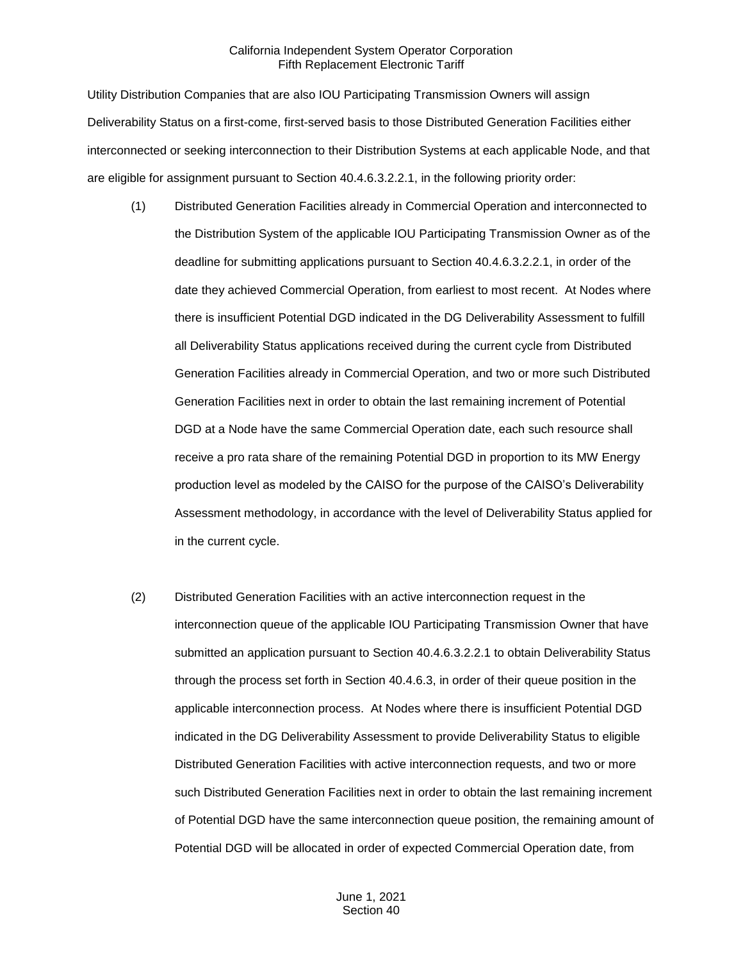Utility Distribution Companies that are also IOU Participating Transmission Owners will assign Deliverability Status on a first-come, first-served basis to those Distributed Generation Facilities either interconnected or seeking interconnection to their Distribution Systems at each applicable Node, and that are eligible for assignment pursuant to Section 40.4.6.3.2.2.1, in the following priority order:

- (1) Distributed Generation Facilities already in Commercial Operation and interconnected to the Distribution System of the applicable IOU Participating Transmission Owner as of the deadline for submitting applications pursuant to Section 40.4.6.3.2.2.1, in order of the date they achieved Commercial Operation, from earliest to most recent. At Nodes where there is insufficient Potential DGD indicated in the DG Deliverability Assessment to fulfill all Deliverability Status applications received during the current cycle from Distributed Generation Facilities already in Commercial Operation, and two or more such Distributed Generation Facilities next in order to obtain the last remaining increment of Potential DGD at a Node have the same Commercial Operation date, each such resource shall receive a pro rata share of the remaining Potential DGD in proportion to its MW Energy production level as modeled by the CAISO for the purpose of the CAISO's Deliverability Assessment methodology, in accordance with the level of Deliverability Status applied for in the current cycle.
- (2) Distributed Generation Facilities with an active interconnection request in the interconnection queue of the applicable IOU Participating Transmission Owner that have submitted an application pursuant to Section 40.4.6.3.2.2.1 to obtain Deliverability Status through the process set forth in Section 40.4.6.3, in order of their queue position in the applicable interconnection process. At Nodes where there is insufficient Potential DGD indicated in the DG Deliverability Assessment to provide Deliverability Status to eligible Distributed Generation Facilities with active interconnection requests, and two or more such Distributed Generation Facilities next in order to obtain the last remaining increment of Potential DGD have the same interconnection queue position, the remaining amount of Potential DGD will be allocated in order of expected Commercial Operation date, from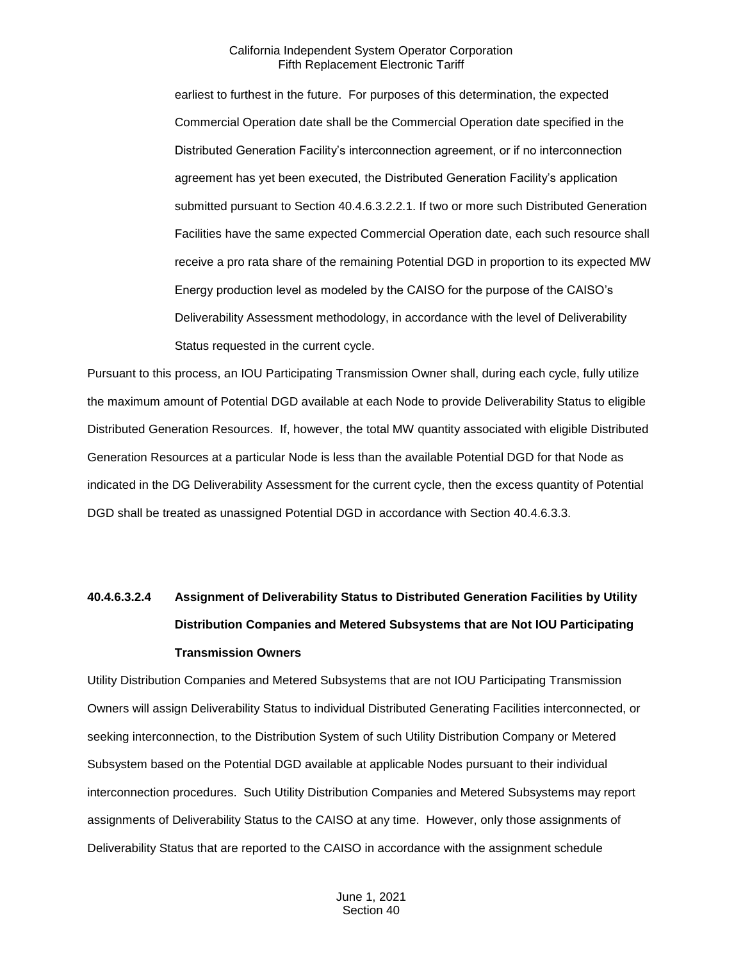earliest to furthest in the future. For purposes of this determination, the expected Commercial Operation date shall be the Commercial Operation date specified in the Distributed Generation Facility's interconnection agreement, or if no interconnection agreement has yet been executed, the Distributed Generation Facility's application submitted pursuant to Section 40.4.6.3.2.2.1. If two or more such Distributed Generation Facilities have the same expected Commercial Operation date, each such resource shall receive a pro rata share of the remaining Potential DGD in proportion to its expected MW Energy production level as modeled by the CAISO for the purpose of the CAISO's Deliverability Assessment methodology, in accordance with the level of Deliverability Status requested in the current cycle.

Pursuant to this process, an IOU Participating Transmission Owner shall, during each cycle, fully utilize the maximum amount of Potential DGD available at each Node to provide Deliverability Status to eligible Distributed Generation Resources. If, however, the total MW quantity associated with eligible Distributed Generation Resources at a particular Node is less than the available Potential DGD for that Node as indicated in the DG Deliverability Assessment for the current cycle, then the excess quantity of Potential DGD shall be treated as unassigned Potential DGD in accordance with Section 40.4.6.3.3.

# **40.4.6.3.2.4 Assignment of Deliverability Status to Distributed Generation Facilities by Utility Distribution Companies and Metered Subsystems that are Not IOU Participating Transmission Owners**

Utility Distribution Companies and Metered Subsystems that are not IOU Participating Transmission Owners will assign Deliverability Status to individual Distributed Generating Facilities interconnected, or seeking interconnection, to the Distribution System of such Utility Distribution Company or Metered Subsystem based on the Potential DGD available at applicable Nodes pursuant to their individual interconnection procedures. Such Utility Distribution Companies and Metered Subsystems may report assignments of Deliverability Status to the CAISO at any time. However, only those assignments of Deliverability Status that are reported to the CAISO in accordance with the assignment schedule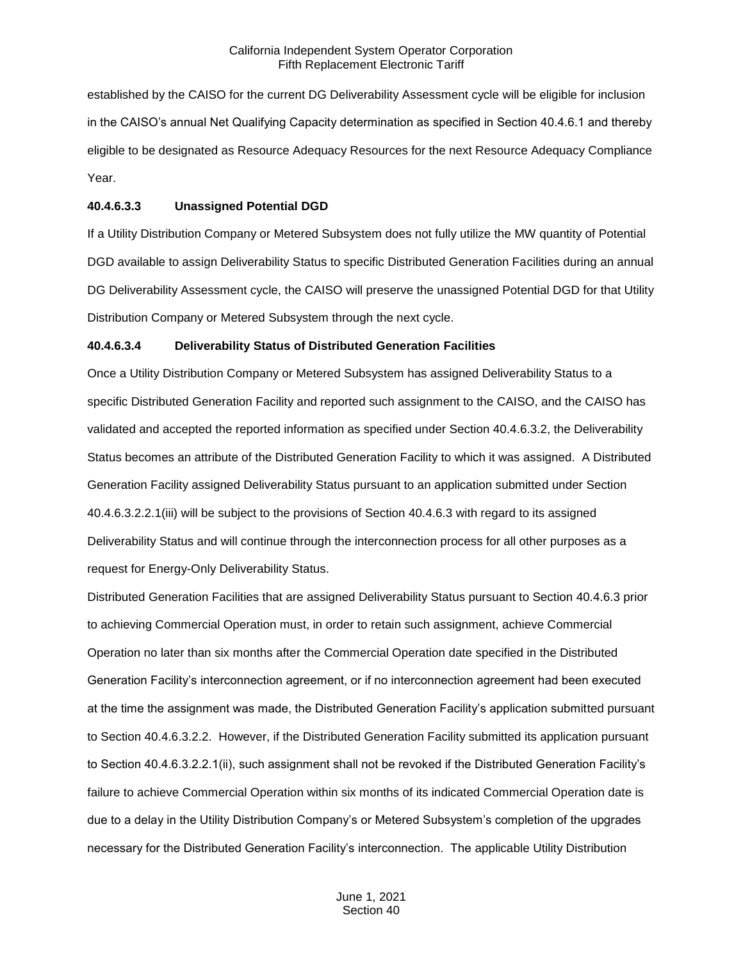established by the CAISO for the current DG Deliverability Assessment cycle will be eligible for inclusion in the CAISO's annual Net Qualifying Capacity determination as specified in Section 40.4.6.1 and thereby eligible to be designated as Resource Adequacy Resources for the next Resource Adequacy Compliance Year.

#### **40.4.6.3.3 Unassigned Potential DGD**

If a Utility Distribution Company or Metered Subsystem does not fully utilize the MW quantity of Potential DGD available to assign Deliverability Status to specific Distributed Generation Facilities during an annual DG Deliverability Assessment cycle, the CAISO will preserve the unassigned Potential DGD for that Utility Distribution Company or Metered Subsystem through the next cycle.

## **40.4.6.3.4 Deliverability Status of Distributed Generation Facilities**

Once a Utility Distribution Company or Metered Subsystem has assigned Deliverability Status to a specific Distributed Generation Facility and reported such assignment to the CAISO, and the CAISO has validated and accepted the reported information as specified under Section 40.4.6.3.2, the Deliverability Status becomes an attribute of the Distributed Generation Facility to which it was assigned. A Distributed Generation Facility assigned Deliverability Status pursuant to an application submitted under Section 40.4.6.3.2.2.1(iii) will be subject to the provisions of Section 40.4.6.3 with regard to its assigned Deliverability Status and will continue through the interconnection process for all other purposes as a request for Energy-Only Deliverability Status.

Distributed Generation Facilities that are assigned Deliverability Status pursuant to Section 40.4.6.3 prior to achieving Commercial Operation must, in order to retain such assignment, achieve Commercial Operation no later than six months after the Commercial Operation date specified in the Distributed Generation Facility's interconnection agreement, or if no interconnection agreement had been executed at the time the assignment was made, the Distributed Generation Facility's application submitted pursuant to Section 40.4.6.3.2.2. However, if the Distributed Generation Facility submitted its application pursuant to Section 40.4.6.3.2.2.1(ii), such assignment shall not be revoked if the Distributed Generation Facility's failure to achieve Commercial Operation within six months of its indicated Commercial Operation date is due to a delay in the Utility Distribution Company's or Metered Subsystem's completion of the upgrades necessary for the Distributed Generation Facility's interconnection. The applicable Utility Distribution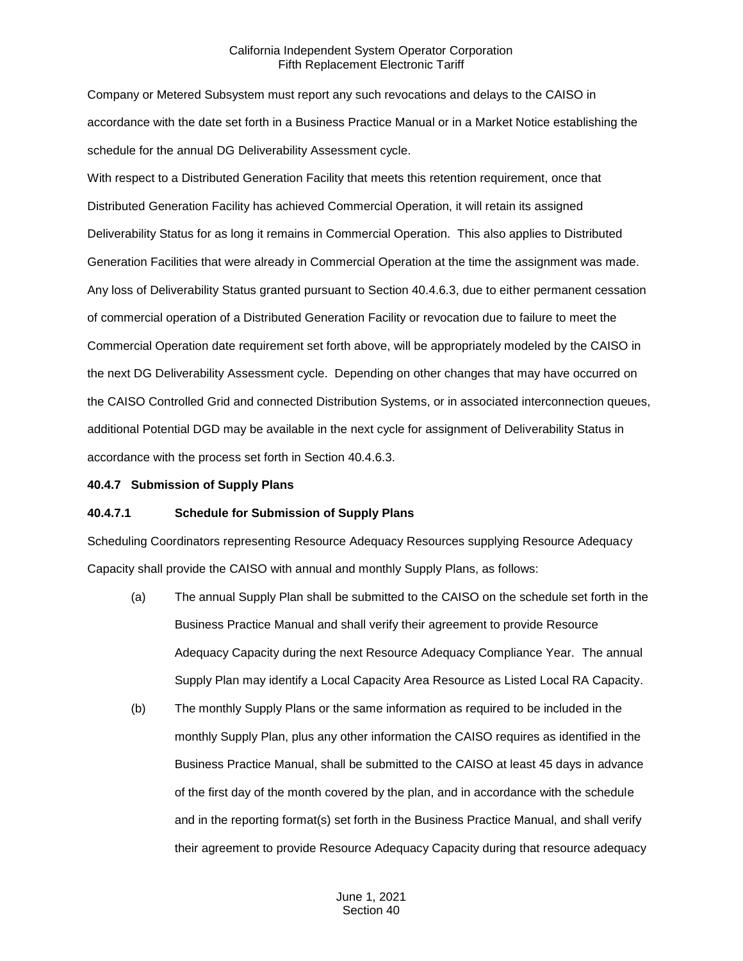Company or Metered Subsystem must report any such revocations and delays to the CAISO in accordance with the date set forth in a Business Practice Manual or in a Market Notice establishing the schedule for the annual DG Deliverability Assessment cycle.

With respect to a Distributed Generation Facility that meets this retention requirement, once that Distributed Generation Facility has achieved Commercial Operation, it will retain its assigned Deliverability Status for as long it remains in Commercial Operation. This also applies to Distributed Generation Facilities that were already in Commercial Operation at the time the assignment was made. Any loss of Deliverability Status granted pursuant to Section 40.4.6.3, due to either permanent cessation of commercial operation of a Distributed Generation Facility or revocation due to failure to meet the Commercial Operation date requirement set forth above, will be appropriately modeled by the CAISO in the next DG Deliverability Assessment cycle. Depending on other changes that may have occurred on the CAISO Controlled Grid and connected Distribution Systems, or in associated interconnection queues, additional Potential DGD may be available in the next cycle for assignment of Deliverability Status in accordance with the process set forth in Section 40.4.6.3.

#### <span id="page-35-0"></span>**40.4.7 Submission of Supply Plans**

## **40.4.7.1 Schedule for Submission of Supply Plans**

Scheduling Coordinators representing Resource Adequacy Resources supplying Resource Adequacy Capacity shall provide the CAISO with annual and monthly Supply Plans, as follows:

- (a) The annual Supply Plan shall be submitted to the CAISO on the schedule set forth in the Business Practice Manual and shall verify their agreement to provide Resource Adequacy Capacity during the next Resource Adequacy Compliance Year. The annual Supply Plan may identify a Local Capacity Area Resource as Listed Local RA Capacity.
- (b) The monthly Supply Plans or the same information as required to be included in the monthly Supply Plan, plus any other information the CAISO requires as identified in the Business Practice Manual, shall be submitted to the CAISO at least 45 days in advance of the first day of the month covered by the plan, and in accordance with the schedule and in the reporting format(s) set forth in the Business Practice Manual, and shall verify their agreement to provide Resource Adequacy Capacity during that resource adequacy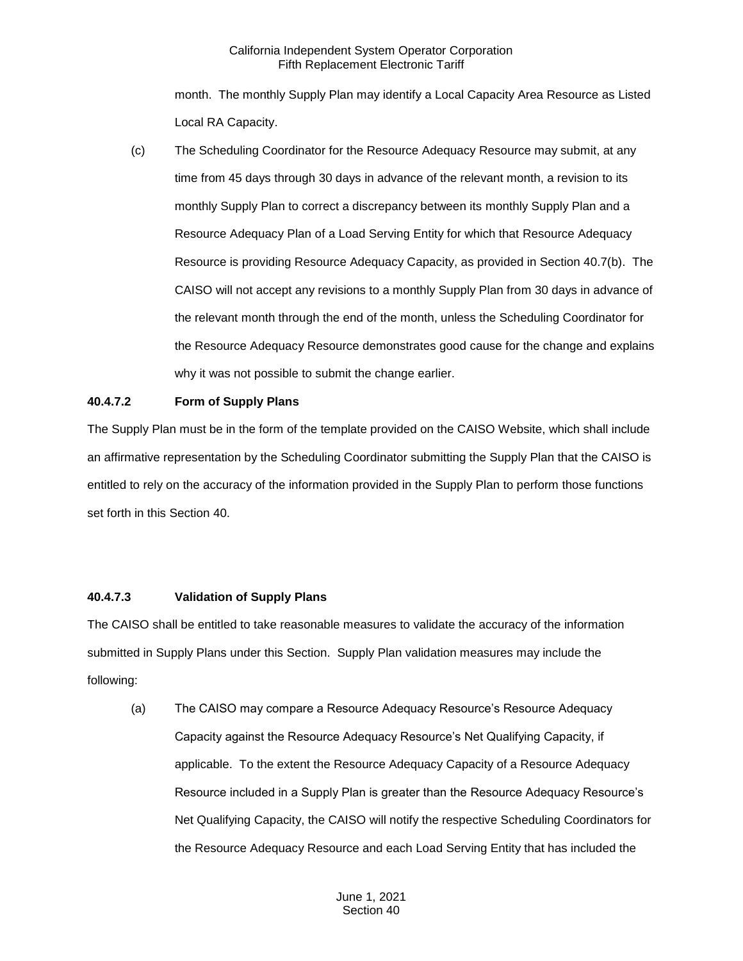month. The monthly Supply Plan may identify a Local Capacity Area Resource as Listed Local RA Capacity.

(c) The Scheduling Coordinator for the Resource Adequacy Resource may submit, at any time from 45 days through 30 days in advance of the relevant month, a revision to its monthly Supply Plan to correct a discrepancy between its monthly Supply Plan and a Resource Adequacy Plan of a Load Serving Entity for which that Resource Adequacy Resource is providing Resource Adequacy Capacity, as provided in Section 40.7(b). The CAISO will not accept any revisions to a monthly Supply Plan from 30 days in advance of the relevant month through the end of the month, unless the Scheduling Coordinator for the Resource Adequacy Resource demonstrates good cause for the change and explains why it was not possible to submit the change earlier.

# **40.4.7.2 Form of Supply Plans**

The Supply Plan must be in the form of the template provided on the CAISO Website, which shall include an affirmative representation by the Scheduling Coordinator submitting the Supply Plan that the CAISO is entitled to rely on the accuracy of the information provided in the Supply Plan to perform those functions set forth in this Section 40.

#### **40.4.7.3 Validation of Supply Plans**

The CAISO shall be entitled to take reasonable measures to validate the accuracy of the information submitted in Supply Plans under this Section. Supply Plan validation measures may include the following:

(a) The CAISO may compare a Resource Adequacy Resource's Resource Adequacy Capacity against the Resource Adequacy Resource's Net Qualifying Capacity, if applicable. To the extent the Resource Adequacy Capacity of a Resource Adequacy Resource included in a Supply Plan is greater than the Resource Adequacy Resource's Net Qualifying Capacity, the CAISO will notify the respective Scheduling Coordinators for the Resource Adequacy Resource and each Load Serving Entity that has included the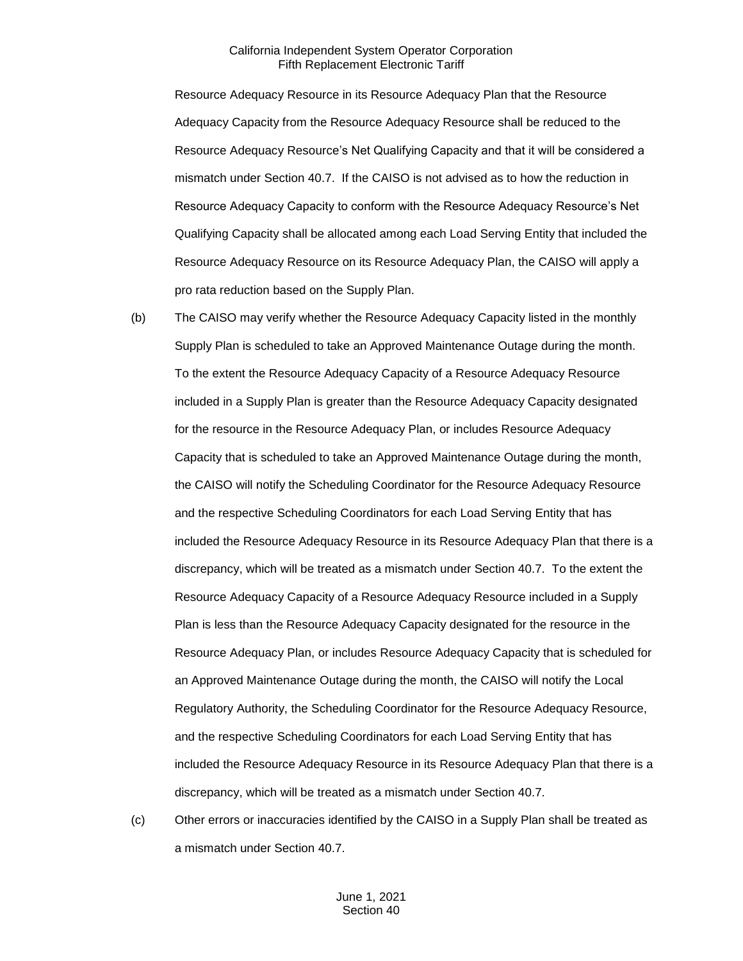Resource Adequacy Resource in its Resource Adequacy Plan that the Resource Adequacy Capacity from the Resource Adequacy Resource shall be reduced to the Resource Adequacy Resource's Net Qualifying Capacity and that it will be considered a mismatch under Section 40.7. If the CAISO is not advised as to how the reduction in Resource Adequacy Capacity to conform with the Resource Adequacy Resource's Net Qualifying Capacity shall be allocated among each Load Serving Entity that included the Resource Adequacy Resource on its Resource Adequacy Plan, the CAISO will apply a pro rata reduction based on the Supply Plan.

- (b) The CAISO may verify whether the Resource Adequacy Capacity listed in the monthly Supply Plan is scheduled to take an Approved Maintenance Outage during the month. To the extent the Resource Adequacy Capacity of a Resource Adequacy Resource included in a Supply Plan is greater than the Resource Adequacy Capacity designated for the resource in the Resource Adequacy Plan, or includes Resource Adequacy Capacity that is scheduled to take an Approved Maintenance Outage during the month, the CAISO will notify the Scheduling Coordinator for the Resource Adequacy Resource and the respective Scheduling Coordinators for each Load Serving Entity that has included the Resource Adequacy Resource in its Resource Adequacy Plan that there is a discrepancy, which will be treated as a mismatch under Section 40.7. To the extent the Resource Adequacy Capacity of a Resource Adequacy Resource included in a Supply Plan is less than the Resource Adequacy Capacity designated for the resource in the Resource Adequacy Plan, or includes Resource Adequacy Capacity that is scheduled for an Approved Maintenance Outage during the month, the CAISO will notify the Local Regulatory Authority, the Scheduling Coordinator for the Resource Adequacy Resource, and the respective Scheduling Coordinators for each Load Serving Entity that has included the Resource Adequacy Resource in its Resource Adequacy Plan that there is a discrepancy, which will be treated as a mismatch under Section 40.7.
- (c) Other errors or inaccuracies identified by the CAISO in a Supply Plan shall be treated as a mismatch under Section 40.7.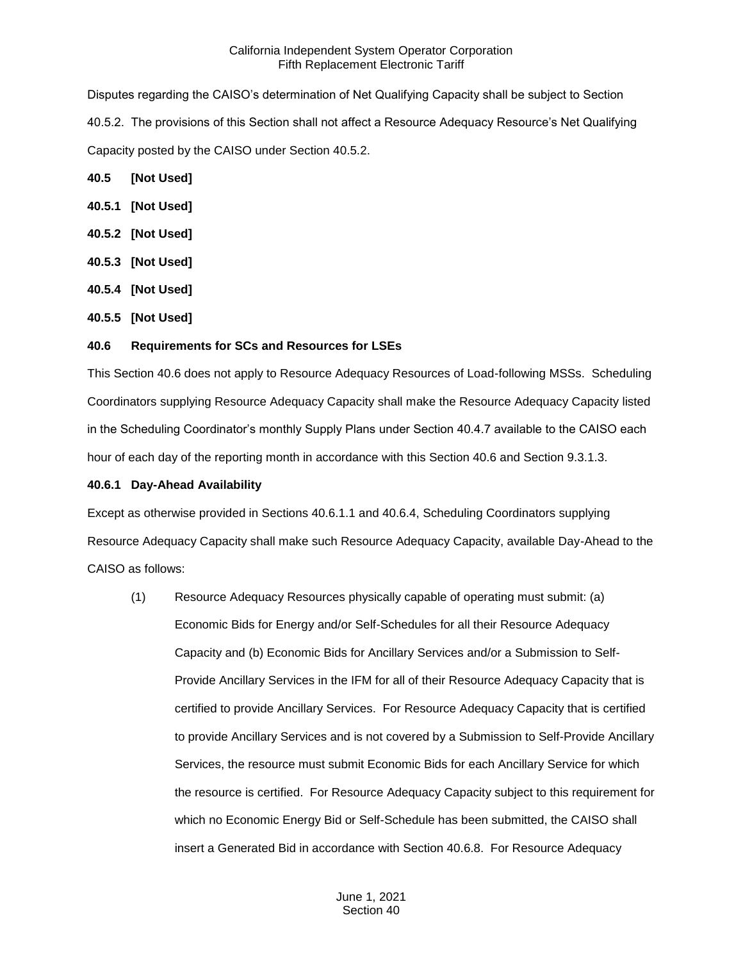Disputes regarding the CAISO's determination of Net Qualifying Capacity shall be subject to Section 40.5.2. The provisions of this Section shall not affect a Resource Adequacy Resource's Net Qualifying Capacity posted by the CAISO under Section 40.5.2.

- **40.5 [Not Used]**
- **40.5.1 [Not Used]**
- **40.5.2 [Not Used]**
- **40.5.3 [Not Used]**
- **40.5.4 [Not Used]**
- **40.5.5 [Not Used]**

### **40.6 Requirements for SCs and Resources for LSEs**

This Section 40.6 does not apply to Resource Adequacy Resources of Load-following MSSs. Scheduling Coordinators supplying Resource Adequacy Capacity shall make the Resource Adequacy Capacity listed in the Scheduling Coordinator's monthly Supply Plans under Section 40.4.7 available to the CAISO each hour of each day of the reporting month in accordance with this Section 40.6 and Section 9.3.1.3.

#### **40.6.1 Day-Ahead Availability**

Except as otherwise provided in Sections 40.6.1.1 and 40.6.4, Scheduling Coordinators supplying Resource Adequacy Capacity shall make such Resource Adequacy Capacity, available Day-Ahead to the CAISO as follows:

(1) Resource Adequacy Resources physically capable of operating must submit: (a) Economic Bids for Energy and/or Self-Schedules for all their Resource Adequacy Capacity and (b) Economic Bids for Ancillary Services and/or a Submission to Self-Provide Ancillary Services in the IFM for all of their Resource Adequacy Capacity that is certified to provide Ancillary Services. For Resource Adequacy Capacity that is certified to provide Ancillary Services and is not covered by a Submission to Self-Provide Ancillary Services, the resource must submit Economic Bids for each Ancillary Service for which the resource is certified. For Resource Adequacy Capacity subject to this requirement for which no Economic Energy Bid or Self-Schedule has been submitted, the CAISO shall insert a Generated Bid in accordance with Section 40.6.8. For Resource Adequacy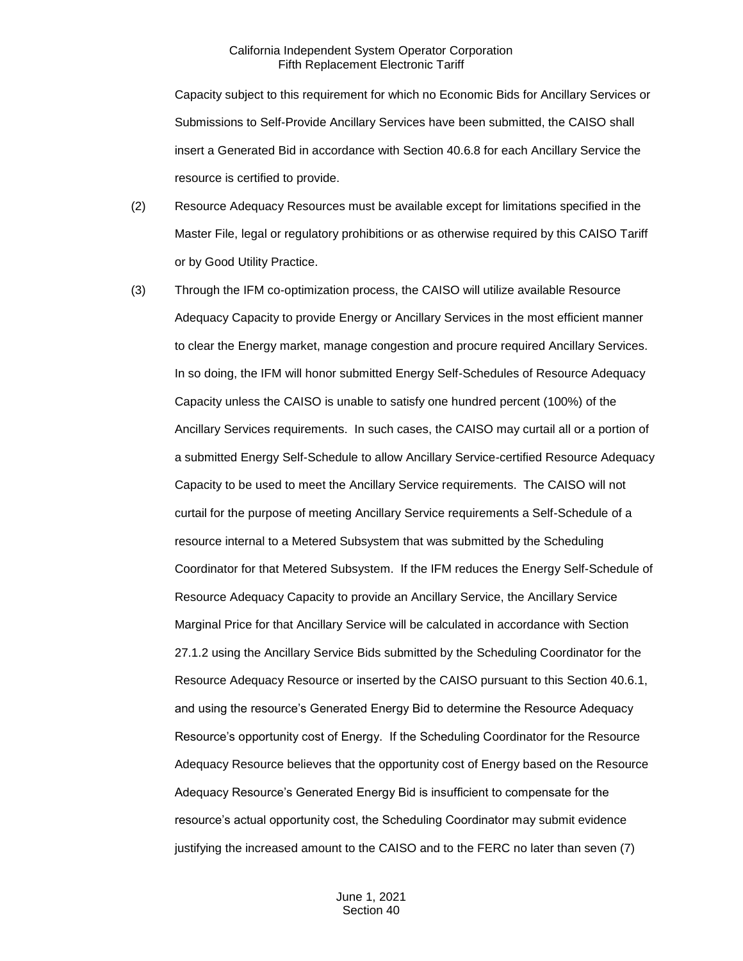Capacity subject to this requirement for which no Economic Bids for Ancillary Services or Submissions to Self-Provide Ancillary Services have been submitted, the CAISO shall insert a Generated Bid in accordance with Section 40.6.8 for each Ancillary Service the resource is certified to provide.

- (2) Resource Adequacy Resources must be available except for limitations specified in the Master File, legal or regulatory prohibitions or as otherwise required by this CAISO Tariff or by Good Utility Practice.
- (3) Through the IFM co-optimization process, the CAISO will utilize available Resource Adequacy Capacity to provide Energy or Ancillary Services in the most efficient manner to clear the Energy market, manage congestion and procure required Ancillary Services. In so doing, the IFM will honor submitted Energy Self-Schedules of Resource Adequacy Capacity unless the CAISO is unable to satisfy one hundred percent (100%) of the Ancillary Services requirements. In such cases, the CAISO may curtail all or a portion of a submitted Energy Self-Schedule to allow Ancillary Service-certified Resource Adequacy Capacity to be used to meet the Ancillary Service requirements. The CAISO will not curtail for the purpose of meeting Ancillary Service requirements a Self-Schedule of a resource internal to a Metered Subsystem that was submitted by the Scheduling Coordinator for that Metered Subsystem. If the IFM reduces the Energy Self-Schedule of Resource Adequacy Capacity to provide an Ancillary Service, the Ancillary Service Marginal Price for that Ancillary Service will be calculated in accordance with Section 27.1.2 using the Ancillary Service Bids submitted by the Scheduling Coordinator for the Resource Adequacy Resource or inserted by the CAISO pursuant to this Section 40.6.1, and using the resource's Generated Energy Bid to determine the Resource Adequacy Resource's opportunity cost of Energy. If the Scheduling Coordinator for the Resource Adequacy Resource believes that the opportunity cost of Energy based on the Resource Adequacy Resource's Generated Energy Bid is insufficient to compensate for the resource's actual opportunity cost, the Scheduling Coordinator may submit evidence justifying the increased amount to the CAISO and to the FERC no later than seven (7)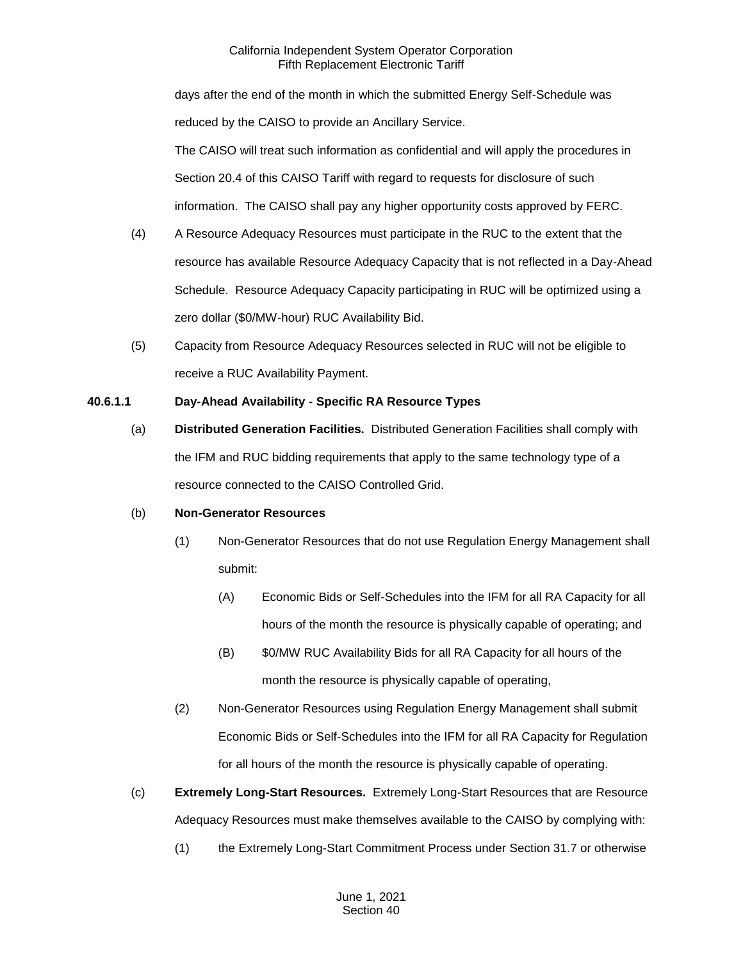days after the end of the month in which the submitted Energy Self-Schedule was reduced by the CAISO to provide an Ancillary Service. The CAISO will treat such information as confidential and will apply the procedures in Section 20.4 of this CAISO Tariff with regard to requests for disclosure of such information. The CAISO shall pay any higher opportunity costs approved by FERC.

- (4) A Resource Adequacy Resources must participate in the RUC to the extent that the resource has available Resource Adequacy Capacity that is not reflected in a Day-Ahead Schedule. Resource Adequacy Capacity participating in RUC will be optimized using a zero dollar (\$0/MW-hour) RUC Availability Bid.
- (5) Capacity from Resource Adequacy Resources selected in RUC will not be eligible to receive a RUC Availability Payment.

# **40.6.1.1 Day-Ahead Availability - Specific RA Resource Types**

(a) **Distributed Generation Facilities.** Distributed Generation Facilities shall comply with the IFM and RUC bidding requirements that apply to the same technology type of a resource connected to the CAISO Controlled Grid.

# (b) **Non-Generator Resources**

- (1) Non-Generator Resources that do not use Regulation Energy Management shall submit:
	- (A) Economic Bids or Self-Schedules into the IFM for all RA Capacity for all hours of the month the resource is physically capable of operating; and
	- (B) \$0/MW RUC Availability Bids for all RA Capacity for all hours of the month the resource is physically capable of operating,
- (2) Non-Generator Resources using Regulation Energy Management shall submit Economic Bids or Self-Schedules into the IFM for all RA Capacity for Regulation for all hours of the month the resource is physically capable of operating.
- (c) **Extremely Long-Start Resources.** Extremely Long-Start Resources that are Resource Adequacy Resources must make themselves available to the CAISO by complying with:
	- (1) the Extremely Long-Start Commitment Process under Section 31.7 or otherwise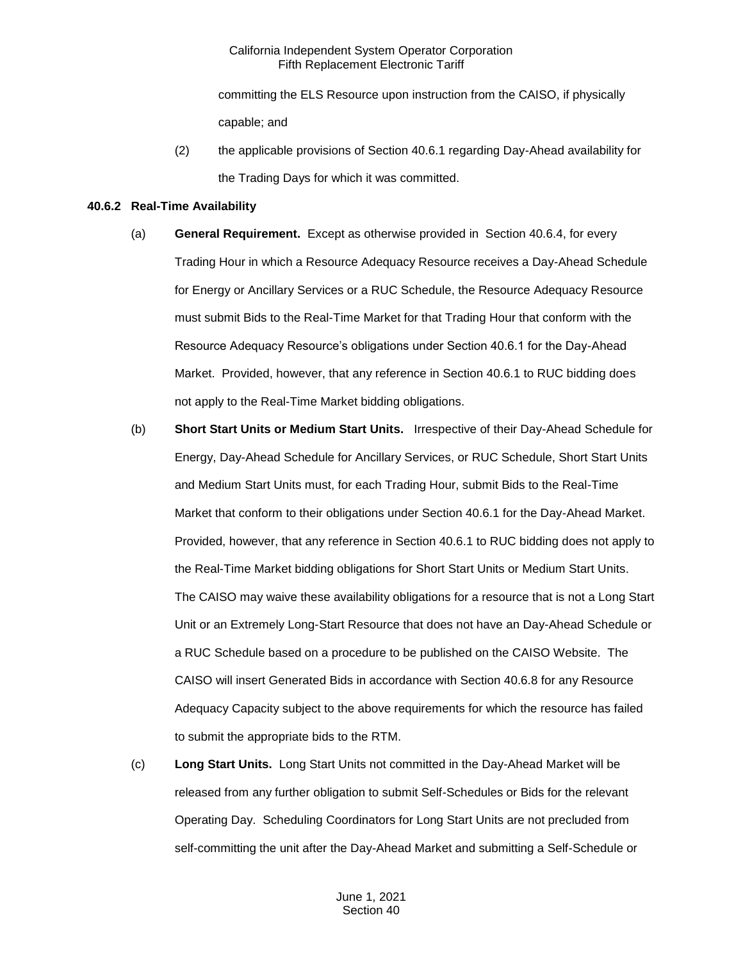committing the ELS Resource upon instruction from the CAISO, if physically capable; and

(2) the applicable provisions of Section 40.6.1 regarding Day-Ahead availability for the Trading Days for which it was committed.

### **40.6.2 Real-Time Availability**

- (a) **General Requirement.** Except as otherwise provided in Section 40.6.4, for every Trading Hour in which a Resource Adequacy Resource receives a Day-Ahead Schedule for Energy or Ancillary Services or a RUC Schedule, the Resource Adequacy Resource must submit Bids to the Real-Time Market for that Trading Hour that conform with the Resource Adequacy Resource's obligations under Section 40.6.1 for the Day-Ahead Market. Provided, however, that any reference in Section 40.6.1 to RUC bidding does not apply to the Real-Time Market bidding obligations.
- (b) **Short Start Units or Medium Start Units.** Irrespective of their Day-Ahead Schedule for Energy, Day-Ahead Schedule for Ancillary Services, or RUC Schedule, Short Start Units and Medium Start Units must, for each Trading Hour, submit Bids to the Real-Time Market that conform to their obligations under Section 40.6.1 for the Day-Ahead Market. Provided, however, that any reference in Section 40.6.1 to RUC bidding does not apply to the Real-Time Market bidding obligations for Short Start Units or Medium Start Units. The CAISO may waive these availability obligations for a resource that is not a Long Start Unit or an Extremely Long-Start Resource that does not have an Day-Ahead Schedule or a RUC Schedule based on a procedure to be published on the CAISO Website. The CAISO will insert Generated Bids in accordance with Section 40.6.8 for any Resource Adequacy Capacity subject to the above requirements for which the resource has failed to submit the appropriate bids to the RTM.
- (c) **Long Start Units.** Long Start Units not committed in the Day-Ahead Market will be released from any further obligation to submit Self-Schedules or Bids for the relevant Operating Day. Scheduling Coordinators for Long Start Units are not precluded from self-committing the unit after the Day-Ahead Market and submitting a Self-Schedule or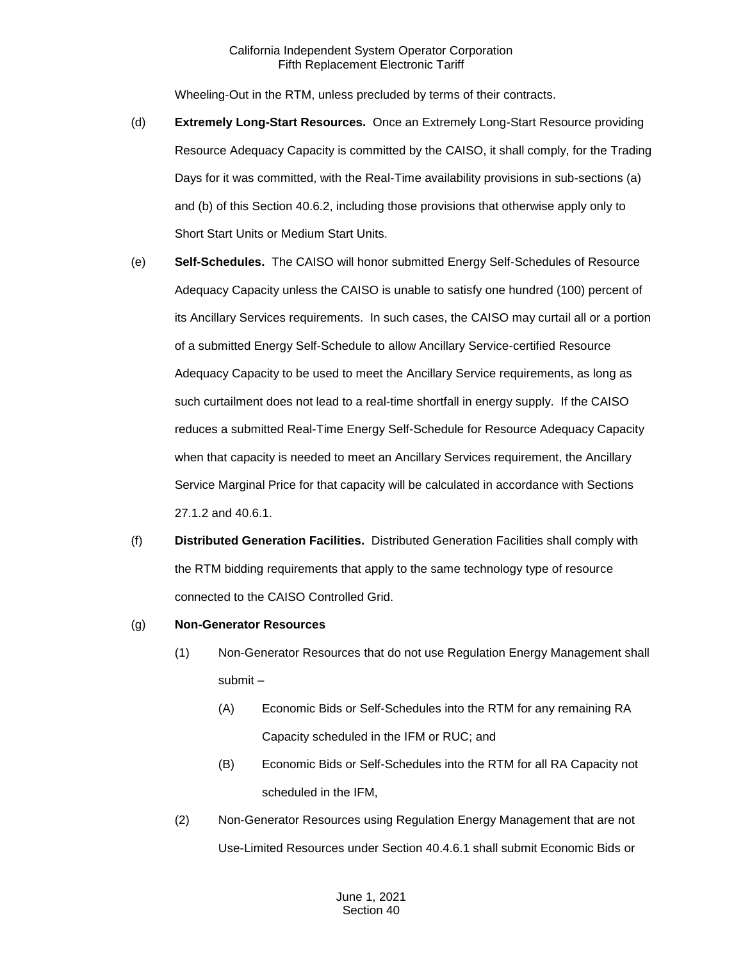Wheeling-Out in the RTM, unless precluded by terms of their contracts.

- (d) **Extremely Long-Start Resources.** Once an Extremely Long-Start Resource providing Resource Adequacy Capacity is committed by the CAISO, it shall comply, for the Trading Days for it was committed, with the Real-Time availability provisions in sub-sections (a) and (b) of this Section 40.6.2, including those provisions that otherwise apply only to Short Start Units or Medium Start Units.
- (e) **Self-Schedules.** The CAISO will honor submitted Energy Self-Schedules of Resource Adequacy Capacity unless the CAISO is unable to satisfy one hundred (100) percent of its Ancillary Services requirements. In such cases, the CAISO may curtail all or a portion of a submitted Energy Self-Schedule to allow Ancillary Service-certified Resource Adequacy Capacity to be used to meet the Ancillary Service requirements, as long as such curtailment does not lead to a real-time shortfall in energy supply. If the CAISO reduces a submitted Real-Time Energy Self-Schedule for Resource Adequacy Capacity when that capacity is needed to meet an Ancillary Services requirement, the Ancillary Service Marginal Price for that capacity will be calculated in accordance with Sections 27.1.2 and 40.6.1.
- (f) **Distributed Generation Facilities.** Distributed Generation Facilities shall comply with the RTM bidding requirements that apply to the same technology type of resource connected to the CAISO Controlled Grid.
- (g) **Non-Generator Resources**
	- (1) Non-Generator Resources that do not use Regulation Energy Management shall submit –
		- (A) Economic Bids or Self-Schedules into the RTM for any remaining RA Capacity scheduled in the IFM or RUC; and
		- (B) Economic Bids or Self-Schedules into the RTM for all RA Capacity not scheduled in the IFM,
	- (2) Non-Generator Resources using Regulation Energy Management that are not Use-Limited Resources under Section 40.4.6.1 shall submit Economic Bids or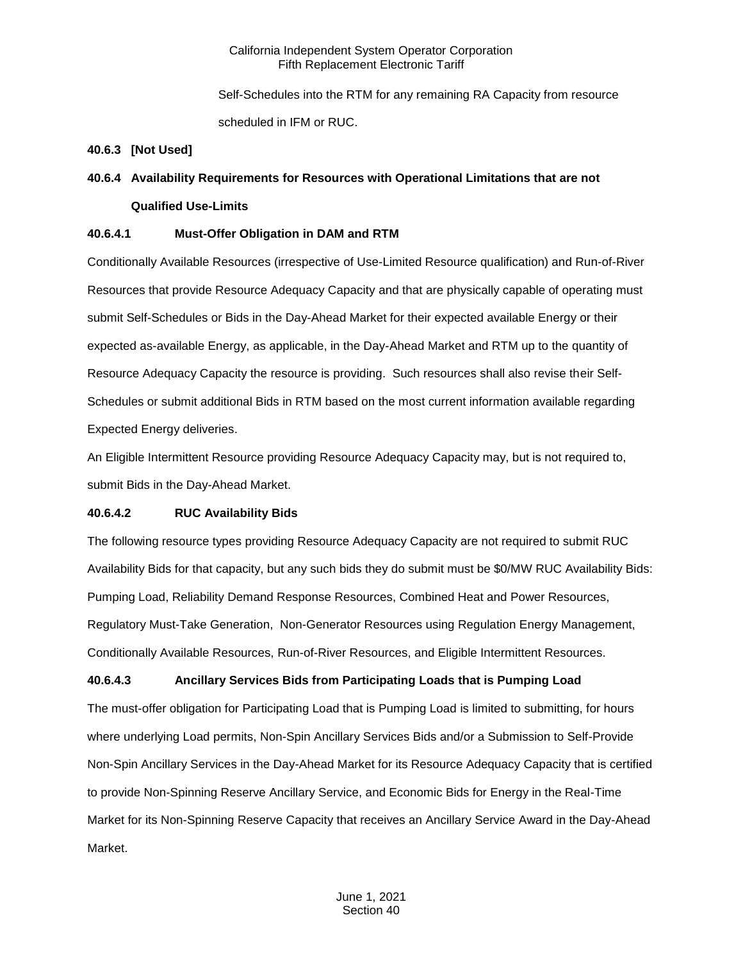Self-Schedules into the RTM for any remaining RA Capacity from resource scheduled in IFM or RUC.

#### **40.6.3 [Not Used]**

# **40.6.4 Availability Requirements for Resources with Operational Limitations that are not**

### **Qualified Use-Limits**

# **40.6.4.1 Must-Offer Obligation in DAM and RTM**

Conditionally Available Resources (irrespective of Use-Limited Resource qualification) and Run-of-River Resources that provide Resource Adequacy Capacity and that are physically capable of operating must submit Self-Schedules or Bids in the Day-Ahead Market for their expected available Energy or their expected as-available Energy, as applicable, in the Day-Ahead Market and RTM up to the quantity of Resource Adequacy Capacity the resource is providing. Such resources shall also revise their Self-Schedules or submit additional Bids in RTM based on the most current information available regarding Expected Energy deliveries.

An Eligible Intermittent Resource providing Resource Adequacy Capacity may, but is not required to, submit Bids in the Day-Ahead Market.

# **40.6.4.2 RUC Availability Bids**

The following resource types providing Resource Adequacy Capacity are not required to submit RUC Availability Bids for that capacity, but any such bids they do submit must be \$0/MW RUC Availability Bids: Pumping Load, Reliability Demand Response Resources, Combined Heat and Power Resources, Regulatory Must-Take Generation, Non-Generator Resources using Regulation Energy Management, Conditionally Available Resources, Run-of-River Resources, and Eligible Intermittent Resources.

# **40.6.4.3 Ancillary Services Bids from Participating Loads that is Pumping Load**

The must-offer obligation for Participating Load that is Pumping Load is limited to submitting, for hours where underlying Load permits, Non-Spin Ancillary Services Bids and/or a Submission to Self-Provide Non-Spin Ancillary Services in the Day-Ahead Market for its Resource Adequacy Capacity that is certified to provide Non-Spinning Reserve Ancillary Service, and Economic Bids for Energy in the Real-Time Market for its Non-Spinning Reserve Capacity that receives an Ancillary Service Award in the Day-Ahead Market.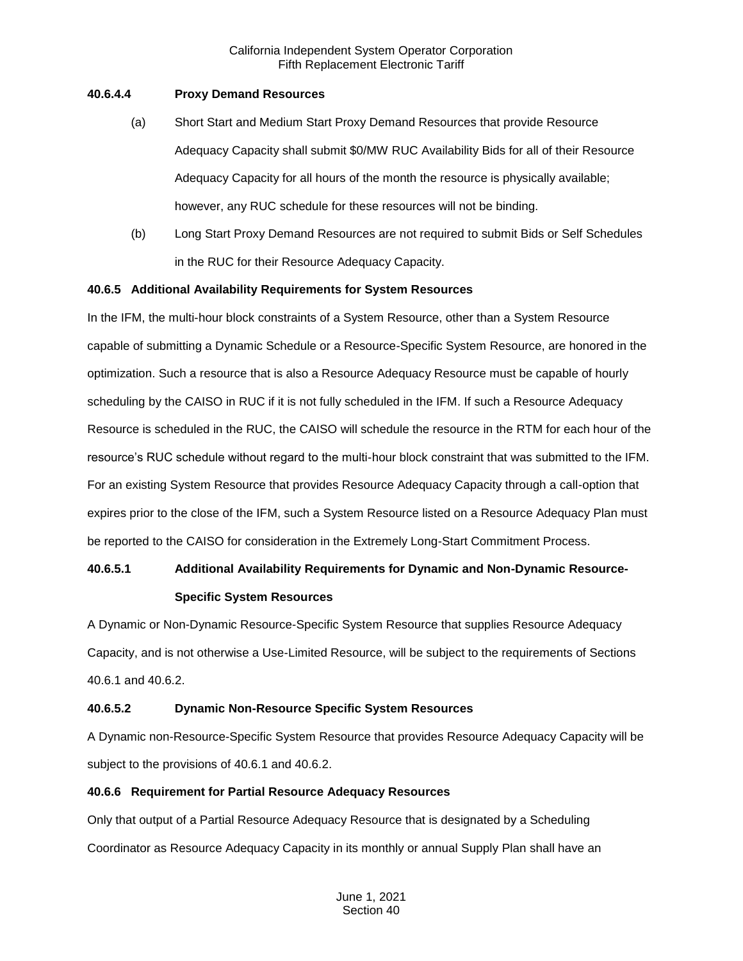### **40.6.4.4 Proxy Demand Resources**

- (a) Short Start and Medium Start Proxy Demand Resources that provide Resource Adequacy Capacity shall submit \$0/MW RUC Availability Bids for all of their Resource Adequacy Capacity for all hours of the month the resource is physically available; however, any RUC schedule for these resources will not be binding.
- (b) Long Start Proxy Demand Resources are not required to submit Bids or Self Schedules in the RUC for their Resource Adequacy Capacity.

### **40.6.5 Additional Availability Requirements for System Resources**

In the IFM, the multi-hour block constraints of a System Resource, other than a System Resource capable of submitting a Dynamic Schedule or a Resource-Specific System Resource, are honored in the optimization. Such a resource that is also a Resource Adequacy Resource must be capable of hourly scheduling by the CAISO in RUC if it is not fully scheduled in the IFM. If such a Resource Adequacy Resource is scheduled in the RUC, the CAISO will schedule the resource in the RTM for each hour of the resource's RUC schedule without regard to the multi-hour block constraint that was submitted to the IFM. For an existing System Resource that provides Resource Adequacy Capacity through a call-option that expires prior to the close of the IFM, such a System Resource listed on a Resource Adequacy Plan must be reported to the CAISO for consideration in the Extremely Long-Start Commitment Process.

# **40.6.5.1 Additional Availability Requirements for Dynamic and Non-Dynamic Resource-Specific System Resources**

A Dynamic or Non-Dynamic Resource-Specific System Resource that supplies Resource Adequacy Capacity, and is not otherwise a Use-Limited Resource, will be subject to the requirements of Sections 40.6.1 and 40.6.2.

# **40.6.5.2 Dynamic Non-Resource Specific System Resources**

A Dynamic non-Resource-Specific System Resource that provides Resource Adequacy Capacity will be subject to the provisions of 40.6.1 and 40.6.2.

# **40.6.6 Requirement for Partial Resource Adequacy Resources**

Only that output of a Partial Resource Adequacy Resource that is designated by a Scheduling Coordinator as Resource Adequacy Capacity in its monthly or annual Supply Plan shall have an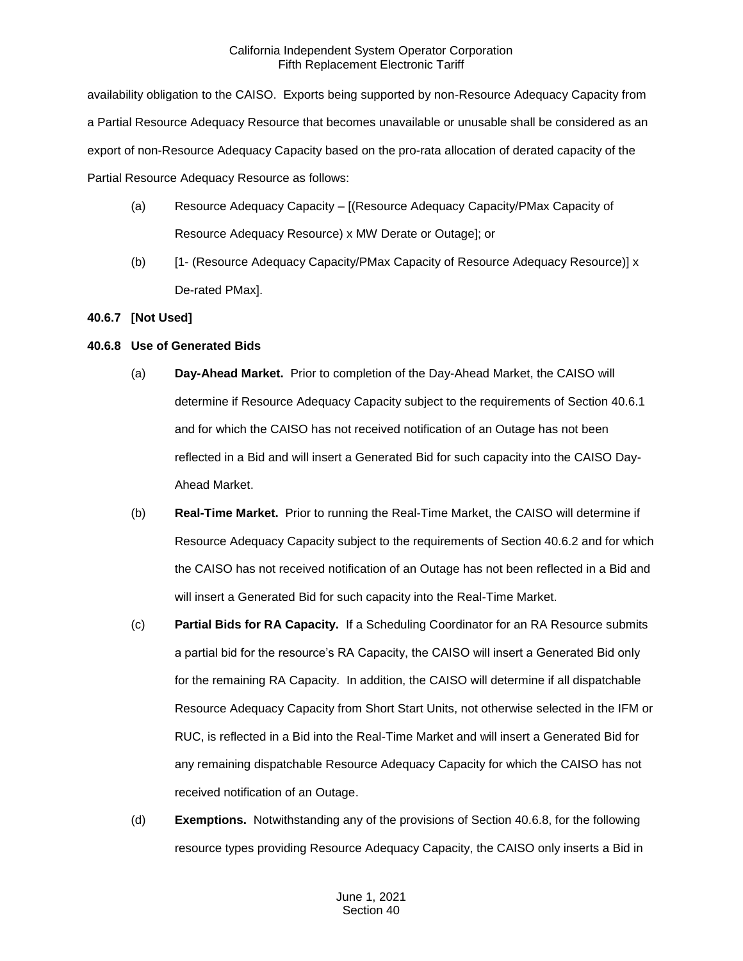availability obligation to the CAISO. Exports being supported by non-Resource Adequacy Capacity from a Partial Resource Adequacy Resource that becomes unavailable or unusable shall be considered as an export of non-Resource Adequacy Capacity based on the pro-rata allocation of derated capacity of the Partial Resource Adequacy Resource as follows:

- (a) Resource Adequacy Capacity [(Resource Adequacy Capacity/PMax Capacity of Resource Adequacy Resource) x MW Derate or Outage]; or
- (b) [1- (Resource Adequacy Capacity/PMax Capacity of Resource Adequacy Resource)] x De-rated PMax].

### **40.6.7 [Not Used]**

### **40.6.8 Use of Generated Bids**

- (a) **Day-Ahead Market.** Prior to completion of the Day-Ahead Market, the CAISO will determine if Resource Adequacy Capacity subject to the requirements of Section 40.6.1 and for which the CAISO has not received notification of an Outage has not been reflected in a Bid and will insert a Generated Bid for such capacity into the CAISO Day-Ahead Market.
- (b) **Real-Time Market.** Prior to running the Real-Time Market, the CAISO will determine if Resource Adequacy Capacity subject to the requirements of Section 40.6.2 and for which the CAISO has not received notification of an Outage has not been reflected in a Bid and will insert a Generated Bid for such capacity into the Real-Time Market.
- (c) **Partial Bids for RA Capacity.** If a Scheduling Coordinator for an RA Resource submits a partial bid for the resource's RA Capacity, the CAISO will insert a Generated Bid only for the remaining RA Capacity. In addition, the CAISO will determine if all dispatchable Resource Adequacy Capacity from Short Start Units, not otherwise selected in the IFM or RUC, is reflected in a Bid into the Real-Time Market and will insert a Generated Bid for any remaining dispatchable Resource Adequacy Capacity for which the CAISO has not received notification of an Outage.
- (d) **Exemptions.** Notwithstanding any of the provisions of Section 40.6.8, for the following resource types providing Resource Adequacy Capacity, the CAISO only inserts a Bid in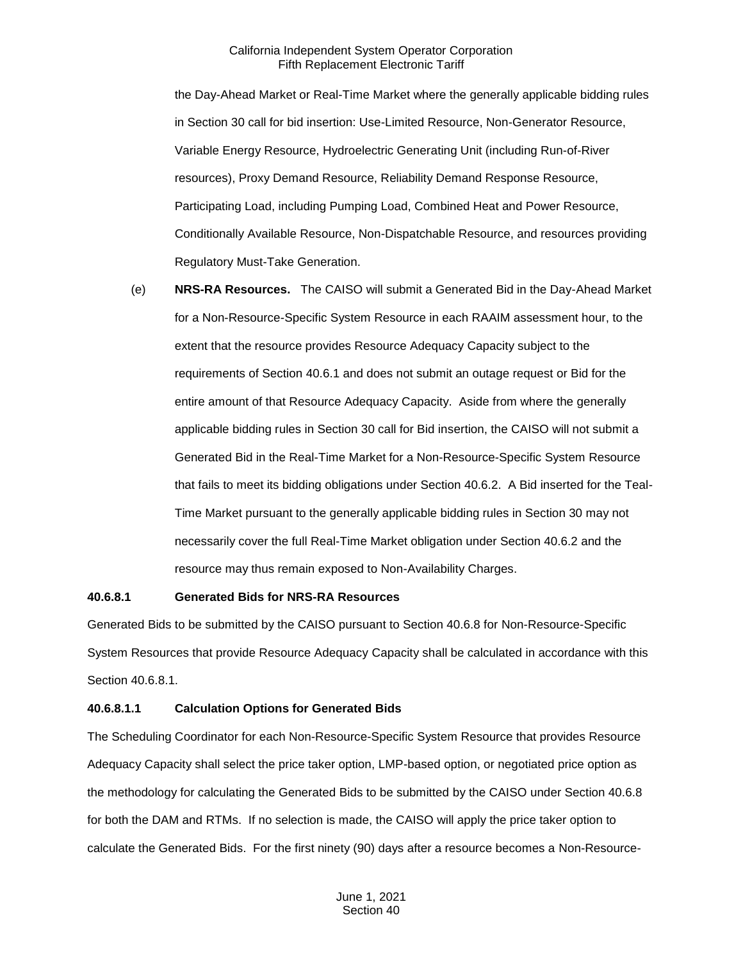the Day-Ahead Market or Real-Time Market where the generally applicable bidding rules in Section 30 call for bid insertion: Use-Limited Resource, Non-Generator Resource, Variable Energy Resource, Hydroelectric Generating Unit (including Run-of-River resources), Proxy Demand Resource, Reliability Demand Response Resource, Participating Load, including Pumping Load, Combined Heat and Power Resource, Conditionally Available Resource, Non-Dispatchable Resource, and resources providing Regulatory Must-Take Generation.

(e) **NRS-RA Resources.** The CAISO will submit a Generated Bid in the Day-Ahead Market for a Non-Resource-Specific System Resource in each RAAIM assessment hour, to the extent that the resource provides Resource Adequacy Capacity subject to the requirements of Section 40.6.1 and does not submit an outage request or Bid for the entire amount of that Resource Adequacy Capacity. Aside from where the generally applicable bidding rules in Section 30 call for Bid insertion, the CAISO will not submit a Generated Bid in the Real-Time Market for a Non-Resource-Specific System Resource that fails to meet its bidding obligations under Section 40.6.2. A Bid inserted for the Teal-Time Market pursuant to the generally applicable bidding rules in Section 30 may not necessarily cover the full Real-Time Market obligation under Section 40.6.2 and the resource may thus remain exposed to Non-Availability Charges.

#### **40.6.8.1 Generated Bids for NRS-RA Resources**

Generated Bids to be submitted by the CAISO pursuant to Section 40.6.8 for Non-Resource-Specific System Resources that provide Resource Adequacy Capacity shall be calculated in accordance with this Section 40.6.8.1.

#### **40.6.8.1.1 Calculation Options for Generated Bids**

The Scheduling Coordinator for each Non-Resource-Specific System Resource that provides Resource Adequacy Capacity shall select the price taker option, LMP-based option, or negotiated price option as the methodology for calculating the Generated Bids to be submitted by the CAISO under Section 40.6.8 for both the DAM and RTMs. If no selection is made, the CAISO will apply the price taker option to calculate the Generated Bids. For the first ninety (90) days after a resource becomes a Non-Resource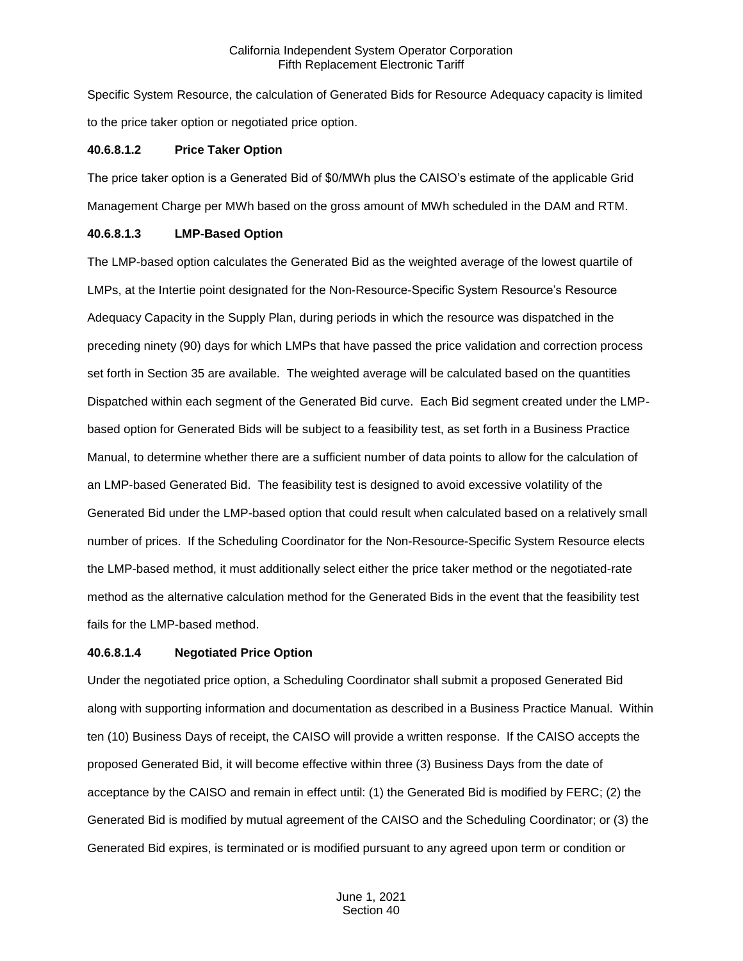Specific System Resource, the calculation of Generated Bids for Resource Adequacy capacity is limited to the price taker option or negotiated price option.

#### **40.6.8.1.2 Price Taker Option**

The price taker option is a Generated Bid of \$0/MWh plus the CAISO's estimate of the applicable Grid Management Charge per MWh based on the gross amount of MWh scheduled in the DAM and RTM.

#### **40.6.8.1.3 LMP-Based Option**

The LMP-based option calculates the Generated Bid as the weighted average of the lowest quartile of LMPs, at the Intertie point designated for the Non-Resource-Specific System Resource's Resource Adequacy Capacity in the Supply Plan, during periods in which the resource was dispatched in the preceding ninety (90) days for which LMPs that have passed the price validation and correction process set forth in Section 35 are available. The weighted average will be calculated based on the quantities Dispatched within each segment of the Generated Bid curve. Each Bid segment created under the LMPbased option for Generated Bids will be subject to a feasibility test, as set forth in a Business Practice Manual, to determine whether there are a sufficient number of data points to allow for the calculation of an LMP-based Generated Bid. The feasibility test is designed to avoid excessive volatility of the Generated Bid under the LMP-based option that could result when calculated based on a relatively small number of prices. If the Scheduling Coordinator for the Non-Resource-Specific System Resource elects the LMP-based method, it must additionally select either the price taker method or the negotiated-rate method as the alternative calculation method for the Generated Bids in the event that the feasibility test fails for the LMP-based method.

#### **40.6.8.1.4 Negotiated Price Option**

Under the negotiated price option, a Scheduling Coordinator shall submit a proposed Generated Bid along with supporting information and documentation as described in a Business Practice Manual. Within ten (10) Business Days of receipt, the CAISO will provide a written response. If the CAISO accepts the proposed Generated Bid, it will become effective within three (3) Business Days from the date of acceptance by the CAISO and remain in effect until: (1) the Generated Bid is modified by FERC; (2) the Generated Bid is modified by mutual agreement of the CAISO and the Scheduling Coordinator; or (3) the Generated Bid expires, is terminated or is modified pursuant to any agreed upon term or condition or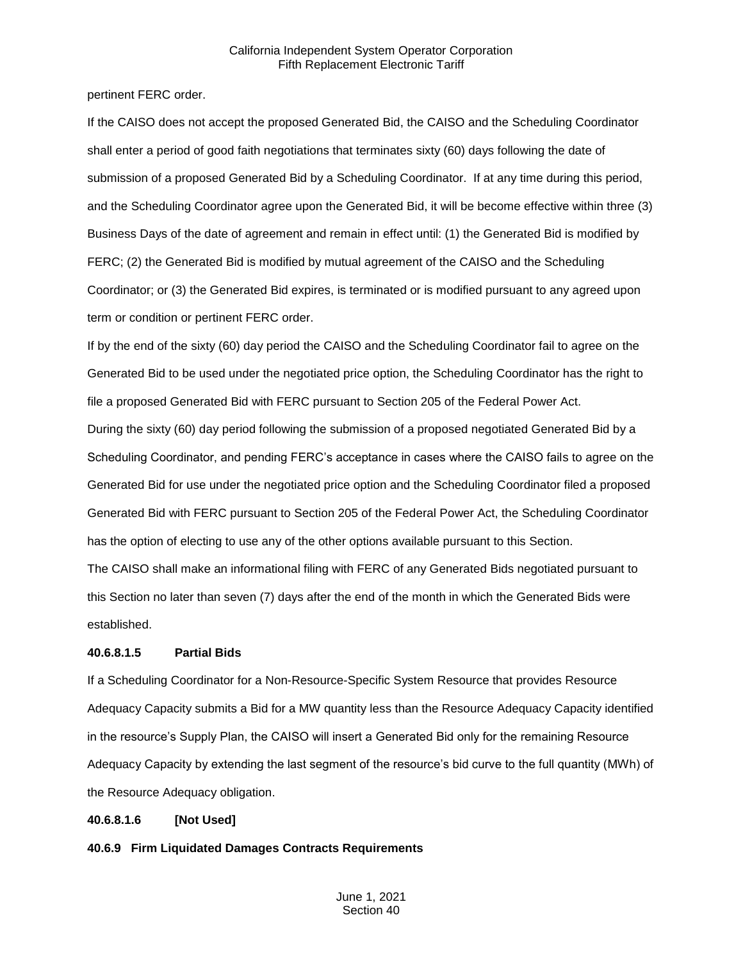pertinent FERC order.

If the CAISO does not accept the proposed Generated Bid, the CAISO and the Scheduling Coordinator shall enter a period of good faith negotiations that terminates sixty (60) days following the date of submission of a proposed Generated Bid by a Scheduling Coordinator. If at any time during this period, and the Scheduling Coordinator agree upon the Generated Bid, it will be become effective within three (3) Business Days of the date of agreement and remain in effect until: (1) the Generated Bid is modified by FERC; (2) the Generated Bid is modified by mutual agreement of the CAISO and the Scheduling Coordinator; or (3) the Generated Bid expires, is terminated or is modified pursuant to any agreed upon term or condition or pertinent FERC order.

If by the end of the sixty (60) day period the CAISO and the Scheduling Coordinator fail to agree on the Generated Bid to be used under the negotiated price option, the Scheduling Coordinator has the right to file a proposed Generated Bid with FERC pursuant to Section 205 of the Federal Power Act.

During the sixty (60) day period following the submission of a proposed negotiated Generated Bid by a Scheduling Coordinator, and pending FERC's acceptance in cases where the CAISO fails to agree on the Generated Bid for use under the negotiated price option and the Scheduling Coordinator filed a proposed Generated Bid with FERC pursuant to Section 205 of the Federal Power Act, the Scheduling Coordinator has the option of electing to use any of the other options available pursuant to this Section.

The CAISO shall make an informational filing with FERC of any Generated Bids negotiated pursuant to this Section no later than seven (7) days after the end of the month in which the Generated Bids were established.

# **40.6.8.1.5 Partial Bids**

If a Scheduling Coordinator for a Non-Resource-Specific System Resource that provides Resource Adequacy Capacity submits a Bid for a MW quantity less than the Resource Adequacy Capacity identified in the resource's Supply Plan, the CAISO will insert a Generated Bid only for the remaining Resource Adequacy Capacity by extending the last segment of the resource's bid curve to the full quantity (MWh) of the Resource Adequacy obligation.

# **40.6.8.1.6 [Not Used]**

**40.6.9 Firm Liquidated Damages Contracts Requirements**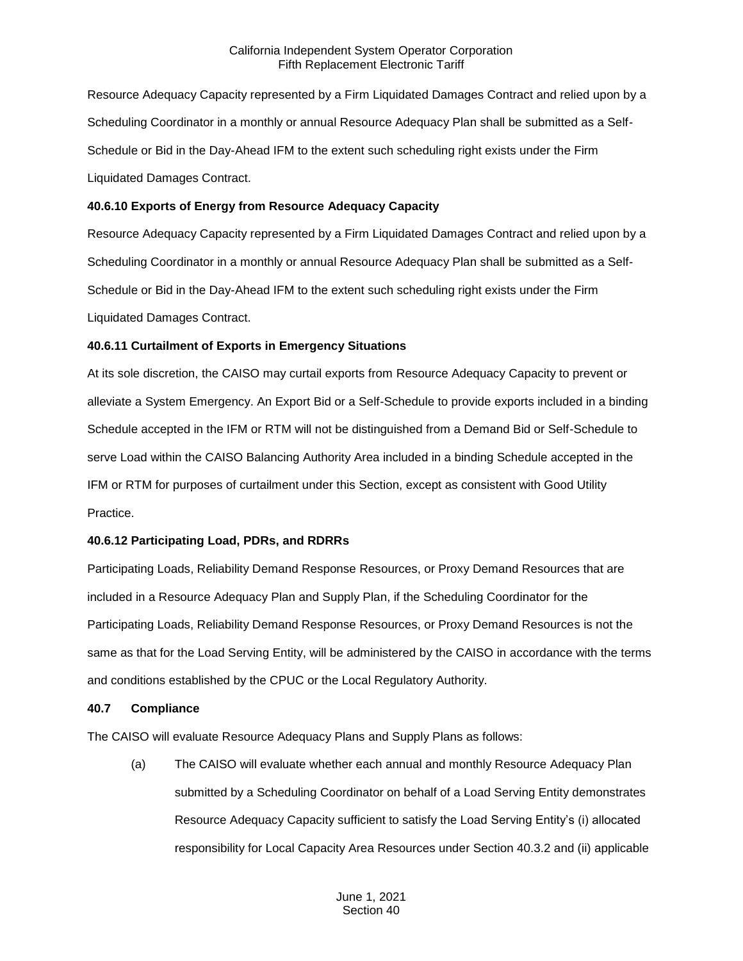Resource Adequacy Capacity represented by a Firm Liquidated Damages Contract and relied upon by a Scheduling Coordinator in a monthly or annual Resource Adequacy Plan shall be submitted as a Self-Schedule or Bid in the Day-Ahead IFM to the extent such scheduling right exists under the Firm Liquidated Damages Contract.

### **40.6.10 Exports of Energy from Resource Adequacy Capacity**

Resource Adequacy Capacity represented by a Firm Liquidated Damages Contract and relied upon by a Scheduling Coordinator in a monthly or annual Resource Adequacy Plan shall be submitted as a Self-Schedule or Bid in the Day-Ahead IFM to the extent such scheduling right exists under the Firm Liquidated Damages Contract.

# **40.6.11 Curtailment of Exports in Emergency Situations**

At its sole discretion, the CAISO may curtail exports from Resource Adequacy Capacity to prevent or alleviate a System Emergency. An Export Bid or a Self-Schedule to provide exports included in a binding Schedule accepted in the IFM or RTM will not be distinguished from a Demand Bid or Self-Schedule to serve Load within the CAISO Balancing Authority Area included in a binding Schedule accepted in the IFM or RTM for purposes of curtailment under this Section, except as consistent with Good Utility Practice.

# **40.6.12 Participating Load, PDRs, and RDRRs**

Participating Loads, Reliability Demand Response Resources, or Proxy Demand Resources that are included in a Resource Adequacy Plan and Supply Plan, if the Scheduling Coordinator for the Participating Loads, Reliability Demand Response Resources, or Proxy Demand Resources is not the same as that for the Load Serving Entity, will be administered by the CAISO in accordance with the terms and conditions established by the CPUC or the Local Regulatory Authority.

#### **40.7 Compliance**

The CAISO will evaluate Resource Adequacy Plans and Supply Plans as follows:

(a) The CAISO will evaluate whether each annual and monthly Resource Adequacy Plan submitted by a Scheduling Coordinator on behalf of a Load Serving Entity demonstrates Resource Adequacy Capacity sufficient to satisfy the Load Serving Entity's (i) allocated responsibility for Local Capacity Area Resources under Section 40.3.2 and (ii) applicable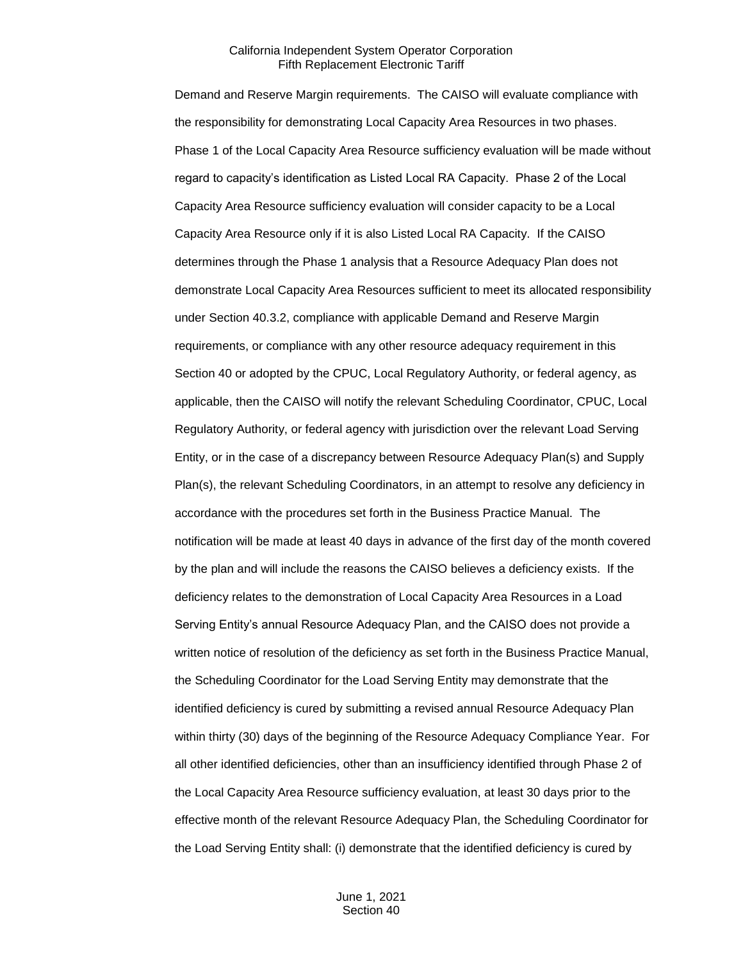Demand and Reserve Margin requirements. The CAISO will evaluate compliance with the responsibility for demonstrating Local Capacity Area Resources in two phases. Phase 1 of the Local Capacity Area Resource sufficiency evaluation will be made without regard to capacity's identification as Listed Local RA Capacity. Phase 2 of the Local Capacity Area Resource sufficiency evaluation will consider capacity to be a Local Capacity Area Resource only if it is also Listed Local RA Capacity. If the CAISO determines through the Phase 1 analysis that a Resource Adequacy Plan does not demonstrate Local Capacity Area Resources sufficient to meet its allocated responsibility under Section 40.3.2, compliance with applicable Demand and Reserve Margin requirements, or compliance with any other resource adequacy requirement in this Section 40 or adopted by the CPUC, Local Regulatory Authority, or federal agency, as applicable, then the CAISO will notify the relevant Scheduling Coordinator, CPUC, Local Regulatory Authority, or federal agency with jurisdiction over the relevant Load Serving Entity, or in the case of a discrepancy between Resource Adequacy Plan(s) and Supply Plan(s), the relevant Scheduling Coordinators, in an attempt to resolve any deficiency in accordance with the procedures set forth in the Business Practice Manual. The notification will be made at least 40 days in advance of the first day of the month covered by the plan and will include the reasons the CAISO believes a deficiency exists. If the deficiency relates to the demonstration of Local Capacity Area Resources in a Load Serving Entity's annual Resource Adequacy Plan, and the CAISO does not provide a written notice of resolution of the deficiency as set forth in the Business Practice Manual, the Scheduling Coordinator for the Load Serving Entity may demonstrate that the identified deficiency is cured by submitting a revised annual Resource Adequacy Plan within thirty (30) days of the beginning of the Resource Adequacy Compliance Year. For all other identified deficiencies, other than an insufficiency identified through Phase 2 of the Local Capacity Area Resource sufficiency evaluation, at least 30 days prior to the effective month of the relevant Resource Adequacy Plan, the Scheduling Coordinator for the Load Serving Entity shall: (i) demonstrate that the identified deficiency is cured by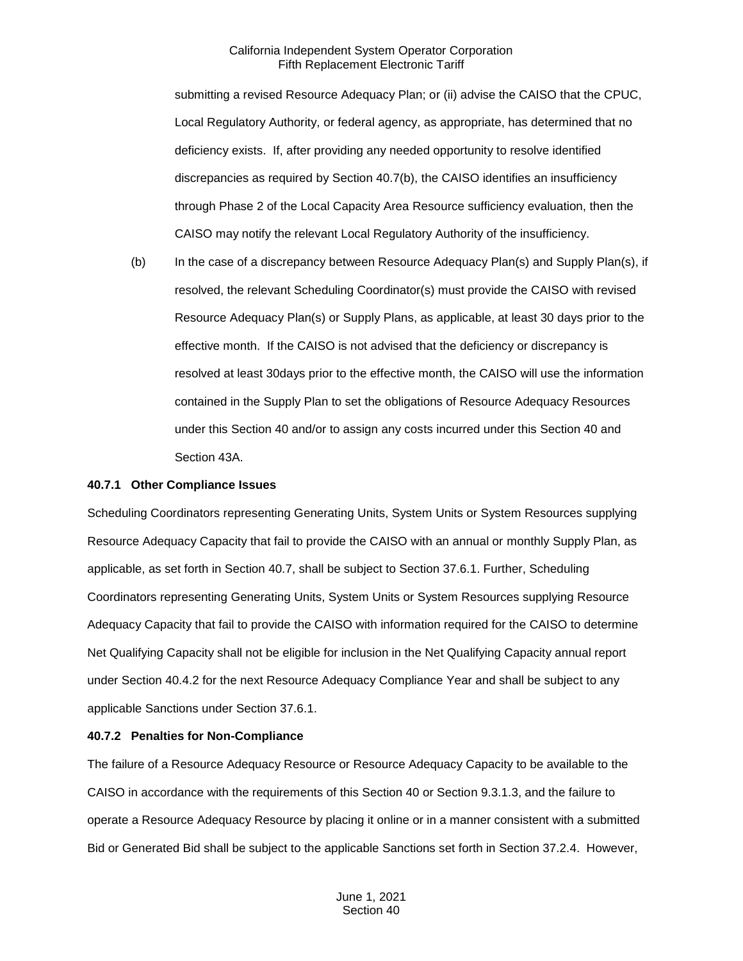submitting a revised Resource Adequacy Plan; or (ii) advise the CAISO that the CPUC, Local Regulatory Authority, or federal agency, as appropriate, has determined that no deficiency exists. If, after providing any needed opportunity to resolve identified discrepancies as required by Section 40.7(b), the CAISO identifies an insufficiency through Phase 2 of the Local Capacity Area Resource sufficiency evaluation, then the CAISO may notify the relevant Local Regulatory Authority of the insufficiency.

(b) In the case of a discrepancy between Resource Adequacy Plan(s) and Supply Plan(s), if resolved, the relevant Scheduling Coordinator(s) must provide the CAISO with revised Resource Adequacy Plan(s) or Supply Plans, as applicable, at least 30 days prior to the effective month. If the CAISO is not advised that the deficiency or discrepancy is resolved at least 30days prior to the effective month, the CAISO will use the information contained in the Supply Plan to set the obligations of Resource Adequacy Resources under this Section 40 and/or to assign any costs incurred under this Section 40 and Section 43A.

### **40.7.1 Other Compliance Issues**

Scheduling Coordinators representing Generating Units, System Units or System Resources supplying Resource Adequacy Capacity that fail to provide the CAISO with an annual or monthly Supply Plan, as applicable, as set forth in Section 40.7, shall be subject to Section 37.6.1. Further, Scheduling Coordinators representing Generating Units, System Units or System Resources supplying Resource Adequacy Capacity that fail to provide the CAISO with information required for the CAISO to determine Net Qualifying Capacity shall not be eligible for inclusion in the Net Qualifying Capacity annual report under Section 40.4.2 for the next Resource Adequacy Compliance Year and shall be subject to any applicable Sanctions under Section 37.6.1.

# **40.7.2 Penalties for Non-Compliance**

The failure of a Resource Adequacy Resource or Resource Adequacy Capacity to be available to the CAISO in accordance with the requirements of this Section 40 or Section 9.3.1.3, and the failure to operate a Resource Adequacy Resource by placing it online or in a manner consistent with a submitted Bid or Generated Bid shall be subject to the applicable Sanctions set forth in Section 37.2.4. However,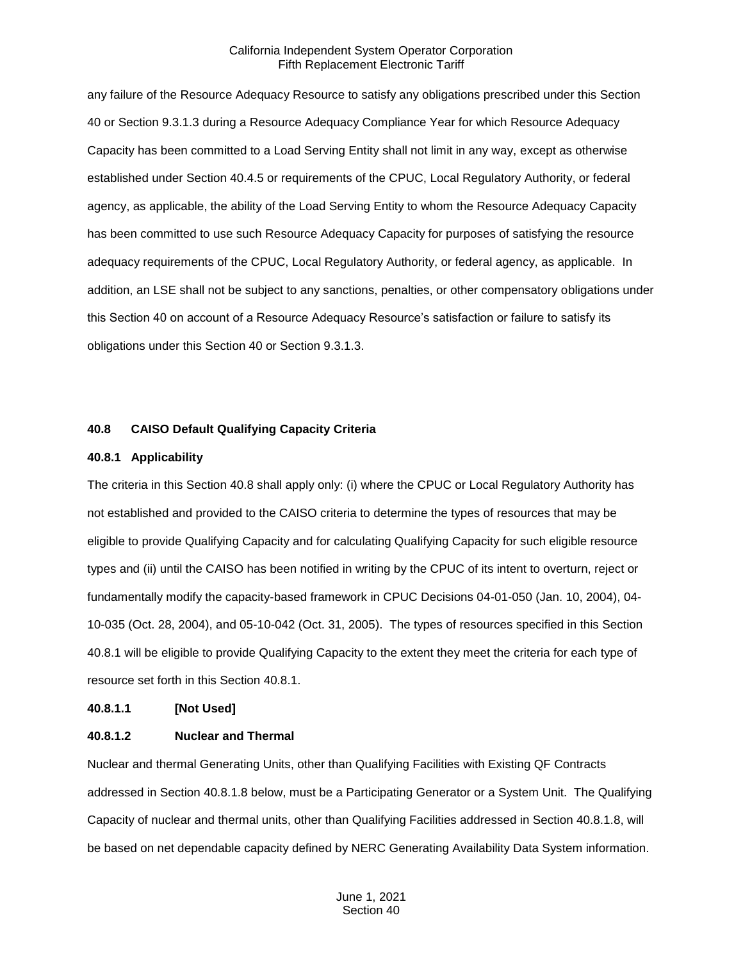any failure of the Resource Adequacy Resource to satisfy any obligations prescribed under this Section 40 or Section 9.3.1.3 during a Resource Adequacy Compliance Year for which Resource Adequacy Capacity has been committed to a Load Serving Entity shall not limit in any way, except as otherwise established under Section 40.4.5 or requirements of the CPUC, Local Regulatory Authority, or federal agency, as applicable, the ability of the Load Serving Entity to whom the Resource Adequacy Capacity has been committed to use such Resource Adequacy Capacity for purposes of satisfying the resource adequacy requirements of the CPUC, Local Regulatory Authority, or federal agency, as applicable. In addition, an LSE shall not be subject to any sanctions, penalties, or other compensatory obligations under this Section 40 on account of a Resource Adequacy Resource's satisfaction or failure to satisfy its obligations under this Section 40 or Section 9.3.1.3.

#### **40.8 CAISO Default Qualifying Capacity Criteria**

#### **40.8.1 Applicability**

The criteria in this Section 40.8 shall apply only: (i) where the CPUC or Local Regulatory Authority has not established and provided to the CAISO criteria to determine the types of resources that may be eligible to provide Qualifying Capacity and for calculating Qualifying Capacity for such eligible resource types and (ii) until the CAISO has been notified in writing by the CPUC of its intent to overturn, reject or fundamentally modify the capacity-based framework in CPUC Decisions 04-01-050 (Jan. 10, 2004), 04- 10-035 (Oct. 28, 2004), and 05-10-042 (Oct. 31, 2005). The types of resources specified in this Section 40.8.1 will be eligible to provide Qualifying Capacity to the extent they meet the criteria for each type of resource set forth in this Section 40.8.1.

#### **40.8.1.1 [Not Used]**

#### **40.8.1.2 Nuclear and Thermal**

Nuclear and thermal Generating Units, other than Qualifying Facilities with Existing QF Contracts addressed in Section 40.8.1.8 below, must be a Participating Generator or a System Unit. The Qualifying Capacity of nuclear and thermal units, other than Qualifying Facilities addressed in Section 40.8.1.8, will be based on net dependable capacity defined by NERC Generating Availability Data System information.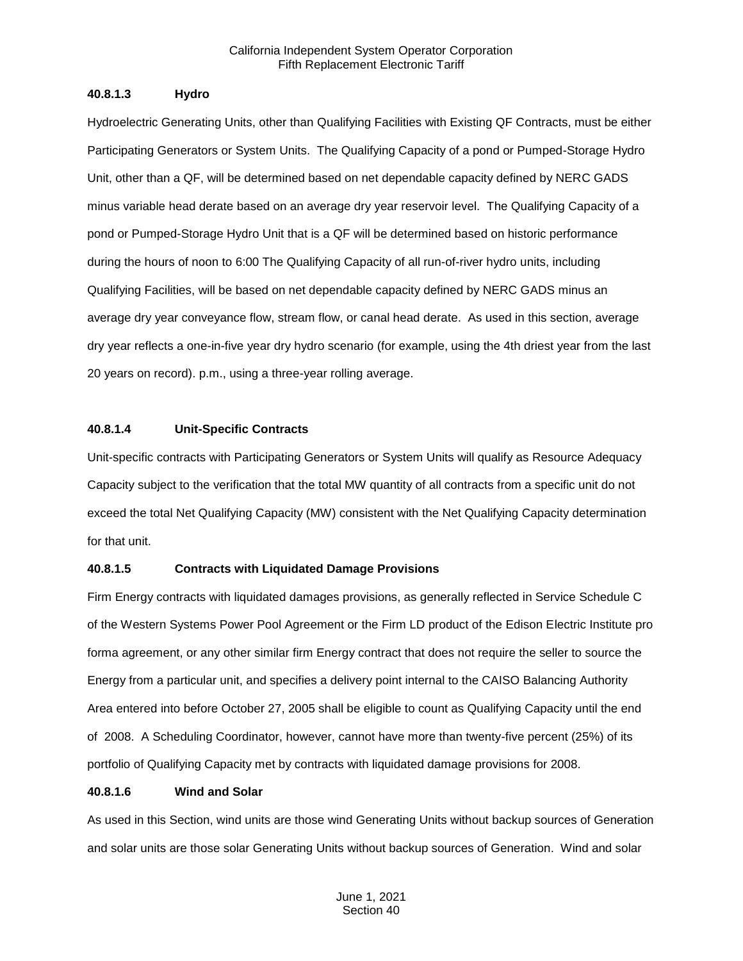### **40.8.1.3 Hydro**

Hydroelectric Generating Units, other than Qualifying Facilities with Existing QF Contracts, must be either Participating Generators or System Units. The Qualifying Capacity of a pond or Pumped-Storage Hydro Unit, other than a QF, will be determined based on net dependable capacity defined by NERC GADS minus variable head derate based on an average dry year reservoir level. The Qualifying Capacity of a pond or Pumped-Storage Hydro Unit that is a QF will be determined based on historic performance during the hours of noon to 6:00 The Qualifying Capacity of all run-of-river hydro units, including Qualifying Facilities, will be based on net dependable capacity defined by NERC GADS minus an average dry year conveyance flow, stream flow, or canal head derate. As used in this section, average dry year reflects a one-in-five year dry hydro scenario (for example, using the 4th driest year from the last 20 years on record). p.m., using a three-year rolling average.

### **40.8.1.4 Unit-Specific Contracts**

Unit-specific contracts with Participating Generators or System Units will qualify as Resource Adequacy Capacity subject to the verification that the total MW quantity of all contracts from a specific unit do not exceed the total Net Qualifying Capacity (MW) consistent with the Net Qualifying Capacity determination for that unit.

# **40.8.1.5 Contracts with Liquidated Damage Provisions**

Firm Energy contracts with liquidated damages provisions, as generally reflected in Service Schedule C of the Western Systems Power Pool Agreement or the Firm LD product of the Edison Electric Institute pro forma agreement, or any other similar firm Energy contract that does not require the seller to source the Energy from a particular unit, and specifies a delivery point internal to the CAISO Balancing Authority Area entered into before October 27, 2005 shall be eligible to count as Qualifying Capacity until the end of 2008. A Scheduling Coordinator, however, cannot have more than twenty-five percent (25%) of its portfolio of Qualifying Capacity met by contracts with liquidated damage provisions for 2008.

# **40.8.1.6 Wind and Solar**

As used in this Section, wind units are those wind Generating Units without backup sources of Generation and solar units are those solar Generating Units without backup sources of Generation. Wind and solar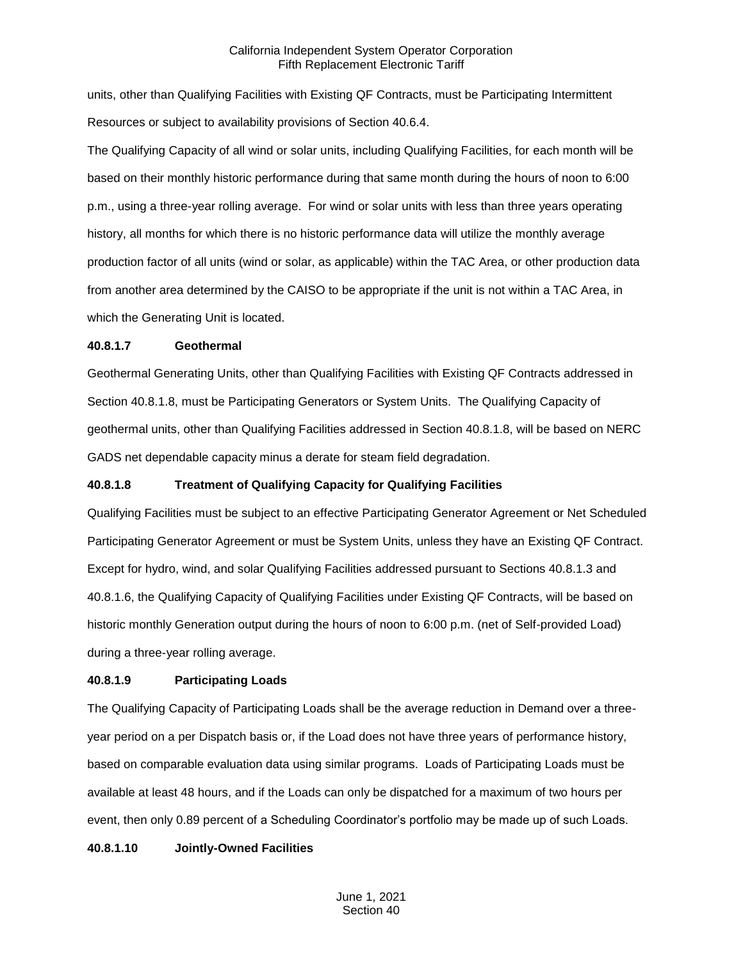units, other than Qualifying Facilities with Existing QF Contracts, must be Participating Intermittent Resources or subject to availability provisions of Section 40.6.4.

The Qualifying Capacity of all wind or solar units, including Qualifying Facilities, for each month will be based on their monthly historic performance during that same month during the hours of noon to 6:00 p.m., using a three-year rolling average. For wind or solar units with less than three years operating history, all months for which there is no historic performance data will utilize the monthly average production factor of all units (wind or solar, as applicable) within the TAC Area, or other production data from another area determined by the CAISO to be appropriate if the unit is not within a TAC Area, in which the Generating Unit is located.

### **40.8.1.7 Geothermal**

Geothermal Generating Units, other than Qualifying Facilities with Existing QF Contracts addressed in Section 40.8.1.8, must be Participating Generators or System Units. The Qualifying Capacity of geothermal units, other than Qualifying Facilities addressed in Section 40.8.1.8, will be based on NERC GADS net dependable capacity minus a derate for steam field degradation.

# **40.8.1.8 Treatment of Qualifying Capacity for Qualifying Facilities**

Qualifying Facilities must be subject to an effective Participating Generator Agreement or Net Scheduled Participating Generator Agreement or must be System Units, unless they have an Existing QF Contract. Except for hydro, wind, and solar Qualifying Facilities addressed pursuant to Sections 40.8.1.3 and 40.8.1.6, the Qualifying Capacity of Qualifying Facilities under Existing QF Contracts, will be based on historic monthly Generation output during the hours of noon to 6:00 p.m. (net of Self-provided Load) during a three-year rolling average.

# **40.8.1.9 Participating Loads**

The Qualifying Capacity of Participating Loads shall be the average reduction in Demand over a threeyear period on a per Dispatch basis or, if the Load does not have three years of performance history, based on comparable evaluation data using similar programs. Loads of Participating Loads must be available at least 48 hours, and if the Loads can only be dispatched for a maximum of two hours per event, then only 0.89 percent of a Scheduling Coordinator's portfolio may be made up of such Loads.

# **40.8.1.10 Jointly-Owned Facilities**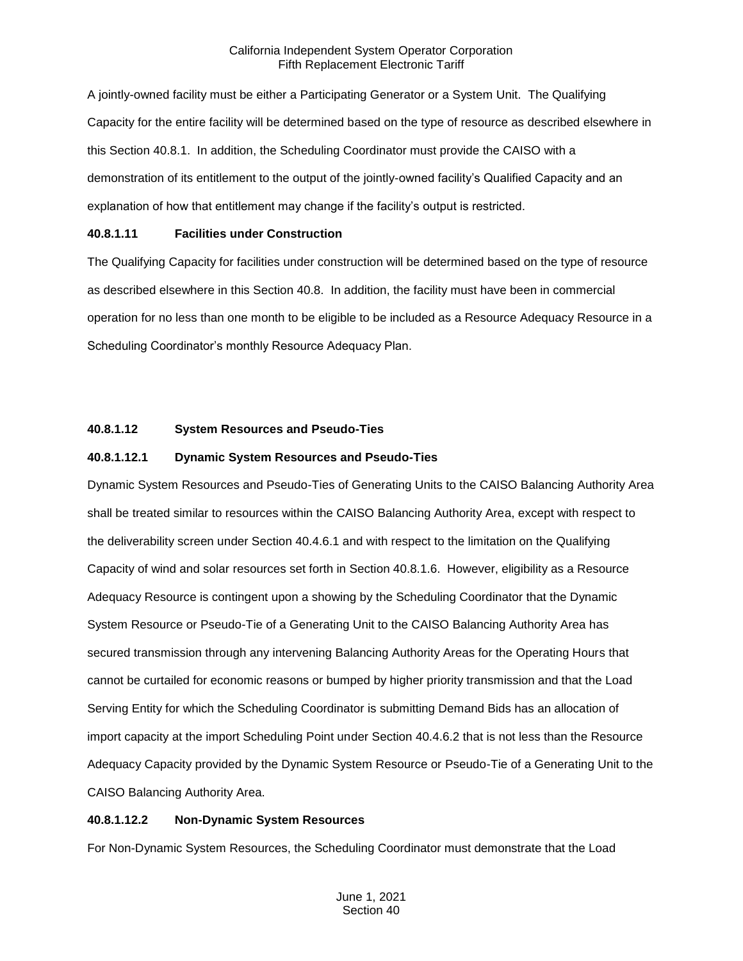A jointly-owned facility must be either a Participating Generator or a System Unit. The Qualifying Capacity for the entire facility will be determined based on the type of resource as described elsewhere in this Section 40.8.1. In addition, the Scheduling Coordinator must provide the CAISO with a demonstration of its entitlement to the output of the jointly-owned facility's Qualified Capacity and an explanation of how that entitlement may change if the facility's output is restricted.

# **40.8.1.11 Facilities under Construction**

The Qualifying Capacity for facilities under construction will be determined based on the type of resource as described elsewhere in this Section 40.8. In addition, the facility must have been in commercial operation for no less than one month to be eligible to be included as a Resource Adequacy Resource in a Scheduling Coordinator's monthly Resource Adequacy Plan.

# **40.8.1.12 System Resources and Pseudo-Ties**

# **40.8.1.12.1 Dynamic System Resources and Pseudo-Ties**

Dynamic System Resources and Pseudo-Ties of Generating Units to the CAISO Balancing Authority Area shall be treated similar to resources within the CAISO Balancing Authority Area, except with respect to the deliverability screen under Section 40.4.6.1 and with respect to the limitation on the Qualifying Capacity of wind and solar resources set forth in Section 40.8.1.6. However, eligibility as a Resource Adequacy Resource is contingent upon a showing by the Scheduling Coordinator that the Dynamic System Resource or Pseudo-Tie of a Generating Unit to the CAISO Balancing Authority Area has secured transmission through any intervening Balancing Authority Areas for the Operating Hours that cannot be curtailed for economic reasons or bumped by higher priority transmission and that the Load Serving Entity for which the Scheduling Coordinator is submitting Demand Bids has an allocation of import capacity at the import Scheduling Point under Section 40.4.6.2 that is not less than the Resource Adequacy Capacity provided by the Dynamic System Resource or Pseudo-Tie of a Generating Unit to the CAISO Balancing Authority Area.

#### **40.8.1.12.2 Non-Dynamic System Resources**

For Non-Dynamic System Resources, the Scheduling Coordinator must demonstrate that the Load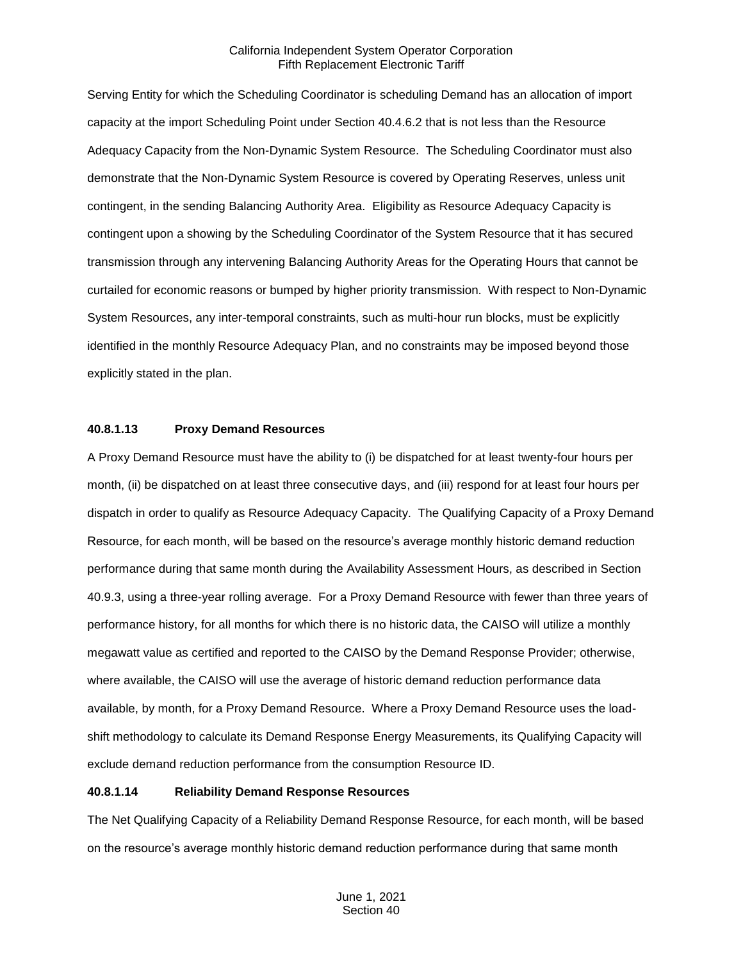Serving Entity for which the Scheduling Coordinator is scheduling Demand has an allocation of import capacity at the import Scheduling Point under Section 40.4.6.2 that is not less than the Resource Adequacy Capacity from the Non-Dynamic System Resource. The Scheduling Coordinator must also demonstrate that the Non-Dynamic System Resource is covered by Operating Reserves, unless unit contingent, in the sending Balancing Authority Area. Eligibility as Resource Adequacy Capacity is contingent upon a showing by the Scheduling Coordinator of the System Resource that it has secured transmission through any intervening Balancing Authority Areas for the Operating Hours that cannot be curtailed for economic reasons or bumped by higher priority transmission. With respect to Non-Dynamic System Resources, any inter-temporal constraints, such as multi-hour run blocks, must be explicitly identified in the monthly Resource Adequacy Plan, and no constraints may be imposed beyond those explicitly stated in the plan.

#### **40.8.1.13 Proxy Demand Resources**

A Proxy Demand Resource must have the ability to (i) be dispatched for at least twenty-four hours per month, (ii) be dispatched on at least three consecutive days, and (iii) respond for at least four hours per dispatch in order to qualify as Resource Adequacy Capacity. The Qualifying Capacity of a Proxy Demand Resource, for each month, will be based on the resource's average monthly historic demand reduction performance during that same month during the Availability Assessment Hours, as described in Section 40.9.3, using a three-year rolling average. For a Proxy Demand Resource with fewer than three years of performance history, for all months for which there is no historic data, the CAISO will utilize a monthly megawatt value as certified and reported to the CAISO by the Demand Response Provider; otherwise, where available, the CAISO will use the average of historic demand reduction performance data available, by month, for a Proxy Demand Resource. Where a Proxy Demand Resource uses the loadshift methodology to calculate its Demand Response Energy Measurements, its Qualifying Capacity will exclude demand reduction performance from the consumption Resource ID.

#### **40.8.1.14 Reliability Demand Response Resources**

The Net Qualifying Capacity of a Reliability Demand Response Resource, for each month, will be based on the resource's average monthly historic demand reduction performance during that same month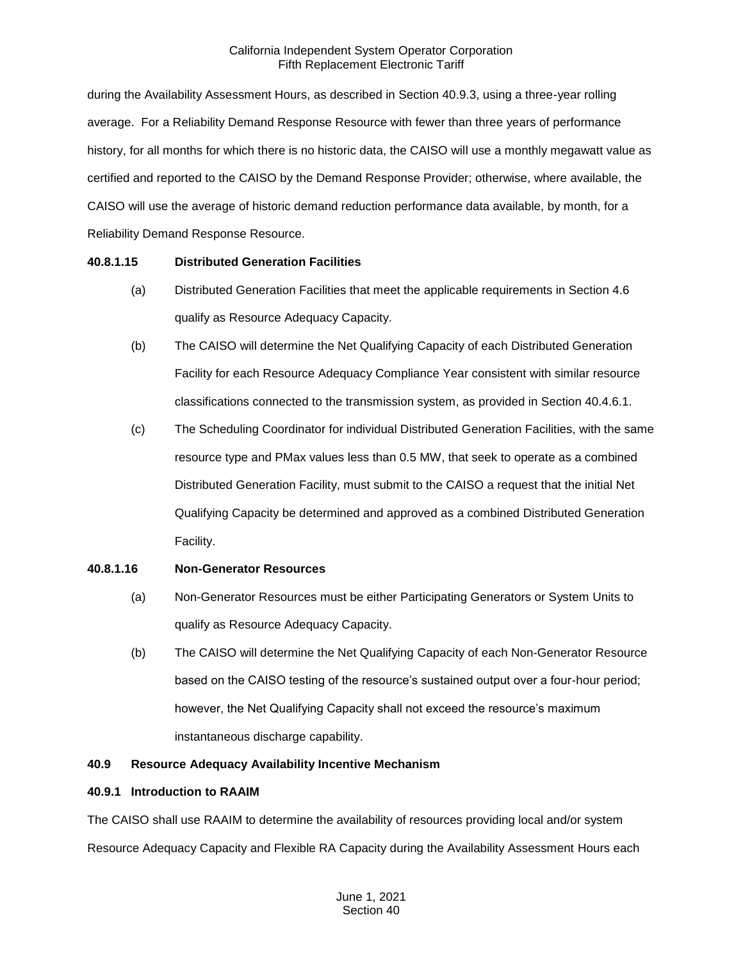during the Availability Assessment Hours, as described in Section 40.9.3, using a three-year rolling average. For a Reliability Demand Response Resource with fewer than three years of performance history, for all months for which there is no historic data, the CAISO will use a monthly megawatt value as certified and reported to the CAISO by the Demand Response Provider; otherwise, where available, the CAISO will use the average of historic demand reduction performance data available, by month, for a Reliability Demand Response Resource.

# **40.8.1.15 Distributed Generation Facilities**

- (a) Distributed Generation Facilities that meet the applicable requirements in Section 4.6 qualify as Resource Adequacy Capacity.
- (b) The CAISO will determine the Net Qualifying Capacity of each Distributed Generation Facility for each Resource Adequacy Compliance Year consistent with similar resource classifications connected to the transmission system, as provided in Section 40.4.6.1.
- (c) The Scheduling Coordinator for individual Distributed Generation Facilities, with the same resource type and PMax values less than 0.5 MW, that seek to operate as a combined Distributed Generation Facility, must submit to the CAISO a request that the initial Net Qualifying Capacity be determined and approved as a combined Distributed Generation Facility.

# **40.8.1.16 Non-Generator Resources**

- (a) Non-Generator Resources must be either Participating Generators or System Units to qualify as Resource Adequacy Capacity.
- (b) The CAISO will determine the Net Qualifying Capacity of each Non-Generator Resource based on the CAISO testing of the resource's sustained output over a four-hour period; however, the Net Qualifying Capacity shall not exceed the resource's maximum instantaneous discharge capability.

# **40.9 Resource Adequacy Availability Incentive Mechanism**

# **40.9.1 Introduction to RAAIM**

The CAISO shall use RAAIM to determine the availability of resources providing local and/or system Resource Adequacy Capacity and Flexible RA Capacity during the Availability Assessment Hours each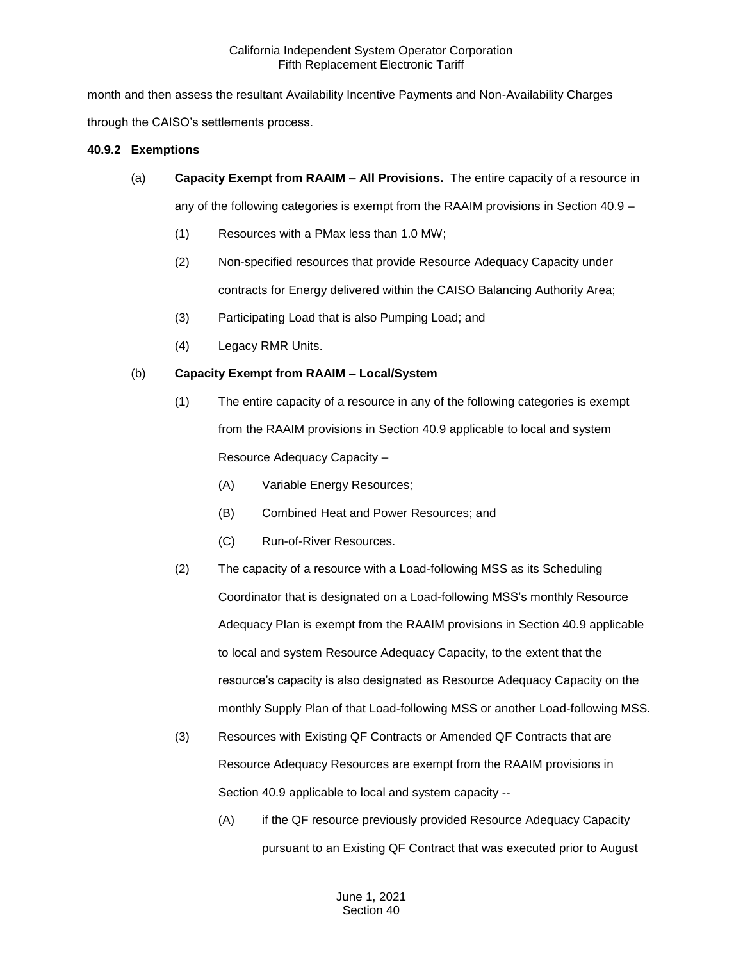month and then assess the resultant Availability Incentive Payments and Non-Availability Charges through the CAISO's settlements process.

### **40.9.2 Exemptions**

(a) **Capacity Exempt from RAAIM – All Provisions.** The entire capacity of a resource in

any of the following categories is exempt from the RAAIM provisions in Section 40.9 –

- (1) Resources with a PMax less than 1.0 MW;
- (2) Non-specified resources that provide Resource Adequacy Capacity under contracts for Energy delivered within the CAISO Balancing Authority Area;
- (3) Participating Load that is also Pumping Load; and
- (4) Legacy RMR Units.

# (b) **Capacity Exempt from RAAIM – Local/System**

- (1) The entire capacity of a resource in any of the following categories is exempt from the RAAIM provisions in Section 40.9 applicable to local and system Resource Adequacy Capacity –
	- (A) Variable Energy Resources;
	- (B) Combined Heat and Power Resources; and
	- (C) Run-of-River Resources.
- (2) The capacity of a resource with a Load-following MSS as its Scheduling Coordinator that is designated on a Load-following MSS's monthly Resource Adequacy Plan is exempt from the RAAIM provisions in Section 40.9 applicable to local and system Resource Adequacy Capacity, to the extent that the resource's capacity is also designated as Resource Adequacy Capacity on the monthly Supply Plan of that Load-following MSS or another Load-following MSS.
- (3) Resources with Existing QF Contracts or Amended QF Contracts that are Resource Adequacy Resources are exempt from the RAAIM provisions in Section 40.9 applicable to local and system capacity --
	- (A) if the QF resource previously provided Resource Adequacy Capacity pursuant to an Existing QF Contract that was executed prior to August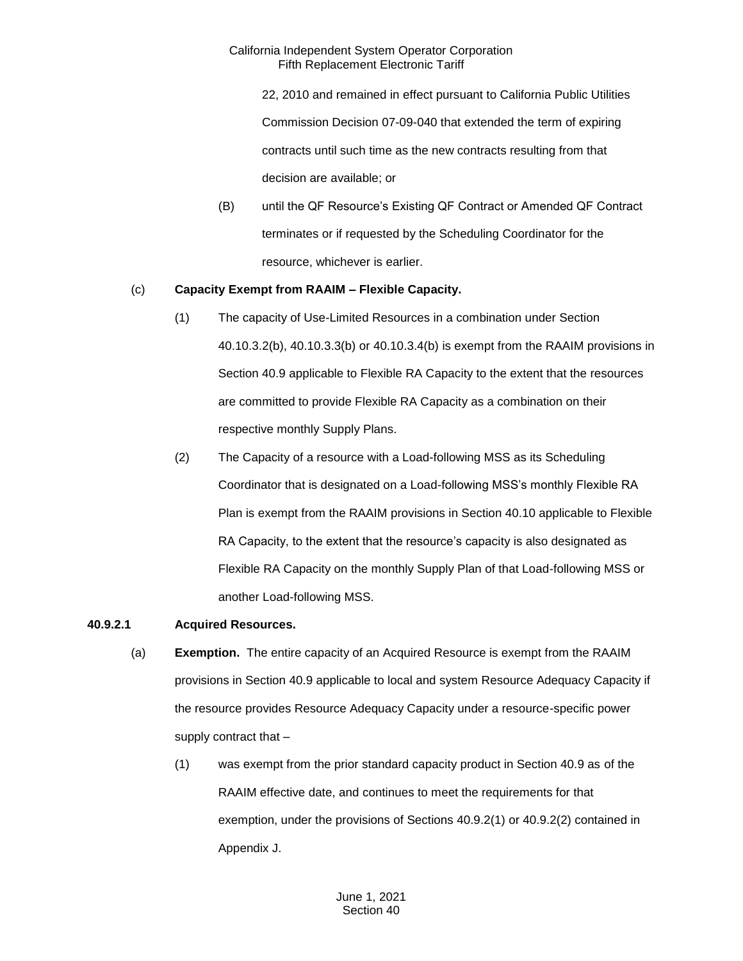22, 2010 and remained in effect pursuant to California Public Utilities Commission Decision 07-09-040 that extended the term of expiring contracts until such time as the new contracts resulting from that decision are available; or

(B) until the QF Resource's Existing QF Contract or Amended QF Contract terminates or if requested by the Scheduling Coordinator for the resource, whichever is earlier.

### (c) **Capacity Exempt from RAAIM – Flexible Capacity.**

- (1) The capacity of Use-Limited Resources in a combination under Section 40.10.3.2(b), 40.10.3.3(b) or 40.10.3.4(b) is exempt from the RAAIM provisions in Section 40.9 applicable to Flexible RA Capacity to the extent that the resources are committed to provide Flexible RA Capacity as a combination on their respective monthly Supply Plans.
- (2) The Capacity of a resource with a Load-following MSS as its Scheduling Coordinator that is designated on a Load-following MSS's monthly Flexible RA Plan is exempt from the RAAIM provisions in Section 40.10 applicable to Flexible RA Capacity, to the extent that the resource's capacity is also designated as Flexible RA Capacity on the monthly Supply Plan of that Load-following MSS or another Load-following MSS.

# **40.9.2.1 Acquired Resources.**

- (a) **Exemption.** The entire capacity of an Acquired Resource is exempt from the RAAIM provisions in Section 40.9 applicable to local and system Resource Adequacy Capacity if the resource provides Resource Adequacy Capacity under a resource-specific power supply contract that –
	- (1) was exempt from the prior standard capacity product in Section 40.9 as of the RAAIM effective date, and continues to meet the requirements for that exemption, under the provisions of Sections 40.9.2(1) or 40.9.2(2) contained in Appendix J.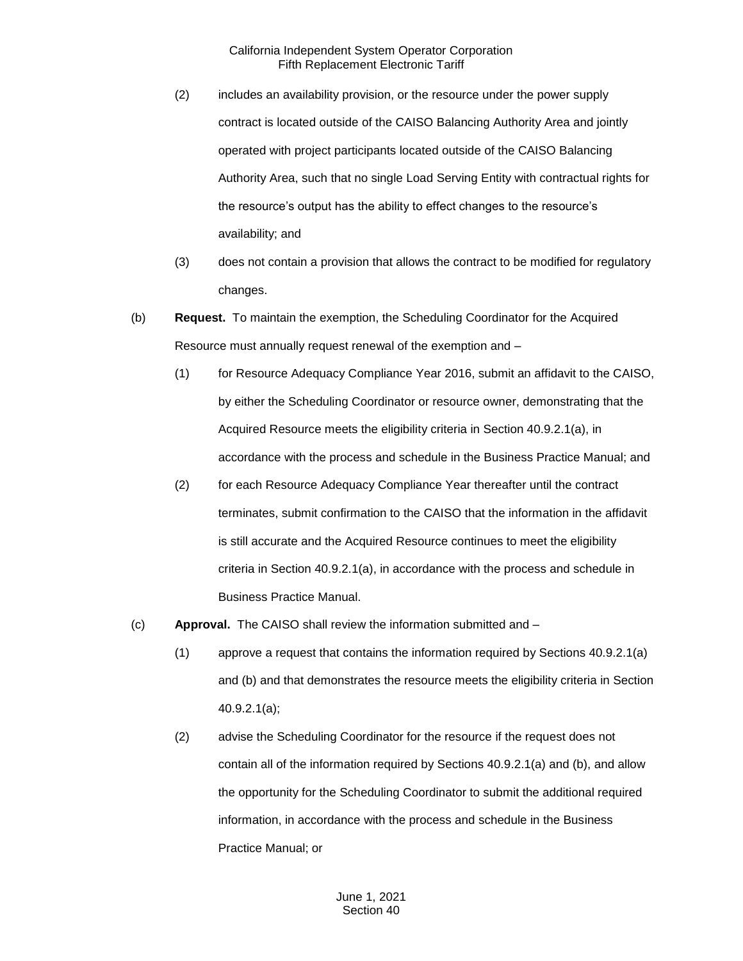- (2) includes an availability provision, or the resource under the power supply contract is located outside of the CAISO Balancing Authority Area and jointly operated with project participants located outside of the CAISO Balancing Authority Area, such that no single Load Serving Entity with contractual rights for the resource's output has the ability to effect changes to the resource's availability; and
- (3) does not contain a provision that allows the contract to be modified for regulatory changes.
- (b) **Request.** To maintain the exemption, the Scheduling Coordinator for the Acquired Resource must annually request renewal of the exemption and –
	- (1) for Resource Adequacy Compliance Year 2016, submit an affidavit to the CAISO, by either the Scheduling Coordinator or resource owner, demonstrating that the Acquired Resource meets the eligibility criteria in Section 40.9.2.1(a), in accordance with the process and schedule in the Business Practice Manual; and
	- (2) for each Resource Adequacy Compliance Year thereafter until the contract terminates, submit confirmation to the CAISO that the information in the affidavit is still accurate and the Acquired Resource continues to meet the eligibility criteria in Section 40.9.2.1(a), in accordance with the process and schedule in Business Practice Manual.
- (c) **Approval.** The CAISO shall review the information submitted and
	- (1) approve a request that contains the information required by Sections 40.9.2.1(a) and (b) and that demonstrates the resource meets the eligibility criteria in Section 40.9.2.1(a);
	- (2) advise the Scheduling Coordinator for the resource if the request does not contain all of the information required by Sections 40.9.2.1(a) and (b), and allow the opportunity for the Scheduling Coordinator to submit the additional required information, in accordance with the process and schedule in the Business Practice Manual; or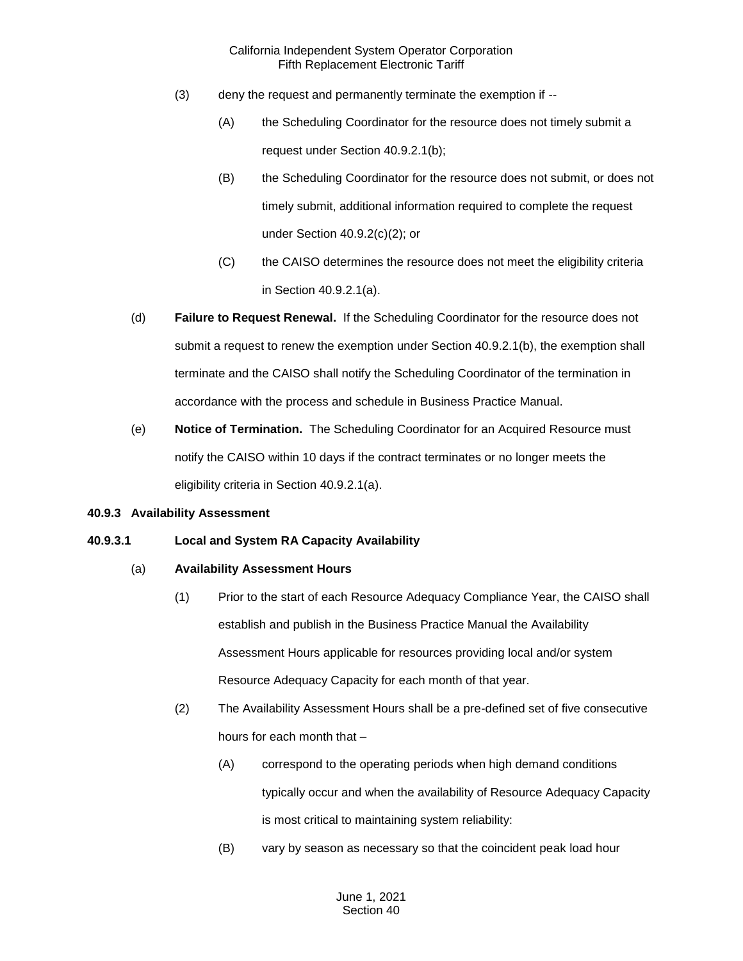- (3) deny the request and permanently terminate the exemption if --
	- (A) the Scheduling Coordinator for the resource does not timely submit a request under Section 40.9.2.1(b);
	- (B) the Scheduling Coordinator for the resource does not submit, or does not timely submit, additional information required to complete the request under Section 40.9.2(c)(2); or
	- (C) the CAISO determines the resource does not meet the eligibility criteria in Section 40.9.2.1(a).
- (d) **Failure to Request Renewal.** If the Scheduling Coordinator for the resource does not submit a request to renew the exemption under Section 40.9.2.1(b), the exemption shall terminate and the CAISO shall notify the Scheduling Coordinator of the termination in accordance with the process and schedule in Business Practice Manual.
- (e) **Notice of Termination.** The Scheduling Coordinator for an Acquired Resource must notify the CAISO within 10 days if the contract terminates or no longer meets the eligibility criteria in Section 40.9.2.1(a).

#### **40.9.3 Availability Assessment**

# **40.9.3.1 Local and System RA Capacity Availability**

#### (a) **Availability Assessment Hours**

- (1) Prior to the start of each Resource Adequacy Compliance Year, the CAISO shall establish and publish in the Business Practice Manual the Availability Assessment Hours applicable for resources providing local and/or system Resource Adequacy Capacity for each month of that year.
- (2) The Availability Assessment Hours shall be a pre-defined set of five consecutive hours for each month that –
	- (A) correspond to the operating periods when high demand conditions typically occur and when the availability of Resource Adequacy Capacity is most critical to maintaining system reliability:
	- (B) vary by season as necessary so that the coincident peak load hour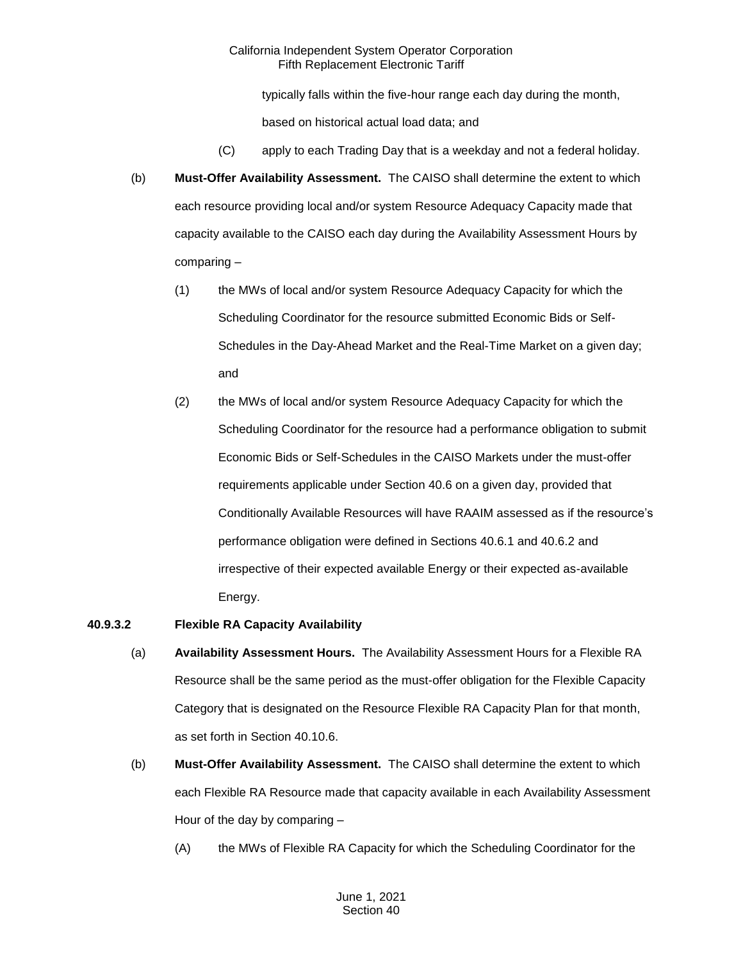typically falls within the five-hour range each day during the month,

based on historical actual load data; and

- (C) apply to each Trading Day that is a weekday and not a federal holiday.
- (b) **Must-Offer Availability Assessment.** The CAISO shall determine the extent to which each resource providing local and/or system Resource Adequacy Capacity made that capacity available to the CAISO each day during the Availability Assessment Hours by comparing –
	- (1) the MWs of local and/or system Resource Adequacy Capacity for which the Scheduling Coordinator for the resource submitted Economic Bids or Self-Schedules in the Day-Ahead Market and the Real-Time Market on a given day; and
	- (2) the MWs of local and/or system Resource Adequacy Capacity for which the Scheduling Coordinator for the resource had a performance obligation to submit Economic Bids or Self-Schedules in the CAISO Markets under the must-offer requirements applicable under Section 40.6 on a given day, provided that Conditionally Available Resources will have RAAIM assessed as if the resource's performance obligation were defined in Sections 40.6.1 and 40.6.2 and irrespective of their expected available Energy or their expected as-available Energy.

# **40.9.3.2 Flexible RA Capacity Availability**

- (a) **Availability Assessment Hours.** The Availability Assessment Hours for a Flexible RA Resource shall be the same period as the must-offer obligation for the Flexible Capacity Category that is designated on the Resource Flexible RA Capacity Plan for that month, as set forth in Section 40.10.6.
- (b) **Must-Offer Availability Assessment.** The CAISO shall determine the extent to which each Flexible RA Resource made that capacity available in each Availability Assessment Hour of the day by comparing –
	- (A) the MWs of Flexible RA Capacity for which the Scheduling Coordinator for the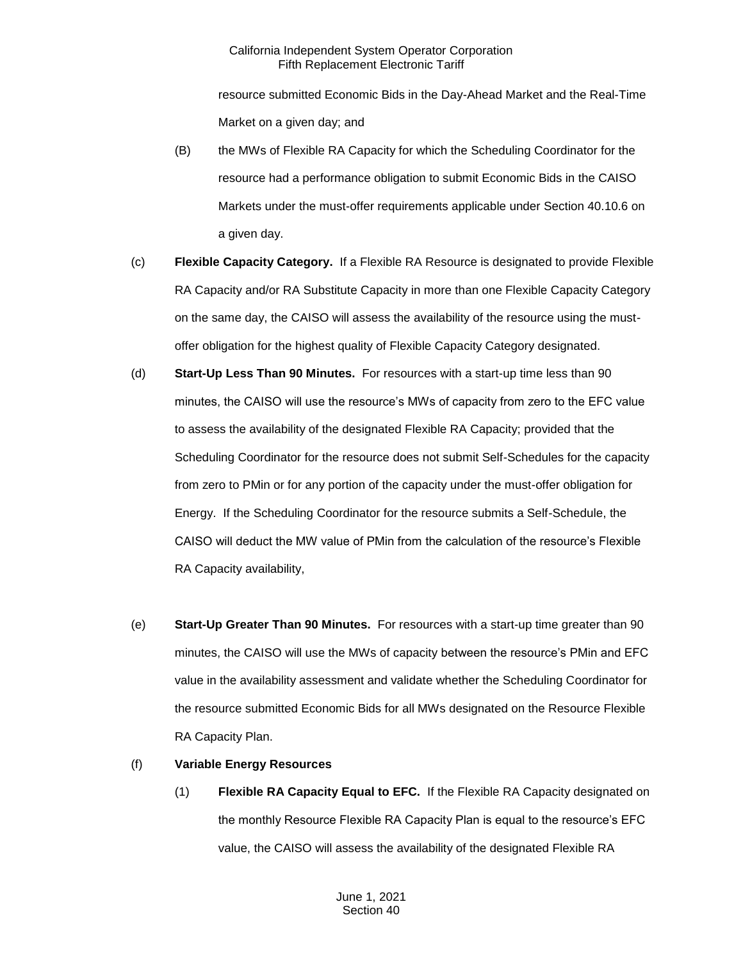resource submitted Economic Bids in the Day-Ahead Market and the Real-Time Market on a given day; and

- (B) the MWs of Flexible RA Capacity for which the Scheduling Coordinator for the resource had a performance obligation to submit Economic Bids in the CAISO Markets under the must-offer requirements applicable under Section 40.10.6 on a given day.
- (c) **Flexible Capacity Category.** If a Flexible RA Resource is designated to provide Flexible RA Capacity and/or RA Substitute Capacity in more than one Flexible Capacity Category on the same day, the CAISO will assess the availability of the resource using the mustoffer obligation for the highest quality of Flexible Capacity Category designated.
- (d) **Start-Up Less Than 90 Minutes.** For resources with a start-up time less than 90 minutes, the CAISO will use the resource's MWs of capacity from zero to the EFC value to assess the availability of the designated Flexible RA Capacity; provided that the Scheduling Coordinator for the resource does not submit Self-Schedules for the capacity from zero to PMin or for any portion of the capacity under the must-offer obligation for Energy. If the Scheduling Coordinator for the resource submits a Self-Schedule, the CAISO will deduct the MW value of PMin from the calculation of the resource's Flexible RA Capacity availability,
- (e) **Start-Up Greater Than 90 Minutes.** For resources with a start-up time greater than 90 minutes, the CAISO will use the MWs of capacity between the resource's PMin and EFC value in the availability assessment and validate whether the Scheduling Coordinator for the resource submitted Economic Bids for all MWs designated on the Resource Flexible RA Capacity Plan.

# (f) **Variable Energy Resources**

(1) **Flexible RA Capacity Equal to EFC.** If the Flexible RA Capacity designated on the monthly Resource Flexible RA Capacity Plan is equal to the resource's EFC value, the CAISO will assess the availability of the designated Flexible RA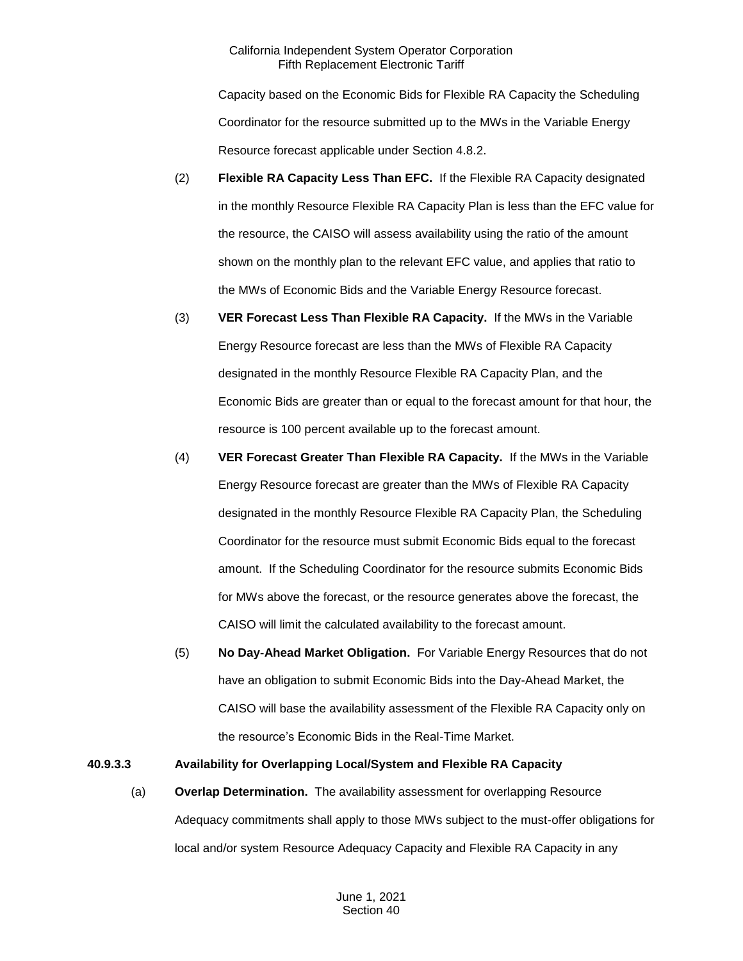Capacity based on the Economic Bids for Flexible RA Capacity the Scheduling Coordinator for the resource submitted up to the MWs in the Variable Energy Resource forecast applicable under Section 4.8.2.

- (2) **Flexible RA Capacity Less Than EFC.** If the Flexible RA Capacity designated in the monthly Resource Flexible RA Capacity Plan is less than the EFC value for the resource, the CAISO will assess availability using the ratio of the amount shown on the monthly plan to the relevant EFC value, and applies that ratio to the MWs of Economic Bids and the Variable Energy Resource forecast.
- (3) **VER Forecast Less Than Flexible RA Capacity.** If the MWs in the Variable Energy Resource forecast are less than the MWs of Flexible RA Capacity designated in the monthly Resource Flexible RA Capacity Plan, and the Economic Bids are greater than or equal to the forecast amount for that hour, the resource is 100 percent available up to the forecast amount.
- (4) **VER Forecast Greater Than Flexible RA Capacity.** If the MWs in the Variable Energy Resource forecast are greater than the MWs of Flexible RA Capacity designated in the monthly Resource Flexible RA Capacity Plan, the Scheduling Coordinator for the resource must submit Economic Bids equal to the forecast amount. If the Scheduling Coordinator for the resource submits Economic Bids for MWs above the forecast, or the resource generates above the forecast, the CAISO will limit the calculated availability to the forecast amount.
- (5) **No Day-Ahead Market Obligation.** For Variable Energy Resources that do not have an obligation to submit Economic Bids into the Day-Ahead Market, the CAISO will base the availability assessment of the Flexible RA Capacity only on the resource's Economic Bids in the Real-Time Market.

#### **40.9.3.3 Availability for Overlapping Local/System and Flexible RA Capacity**

(a) **Overlap Determination.** The availability assessment for overlapping Resource Adequacy commitments shall apply to those MWs subject to the must-offer obligations for local and/or system Resource Adequacy Capacity and Flexible RA Capacity in any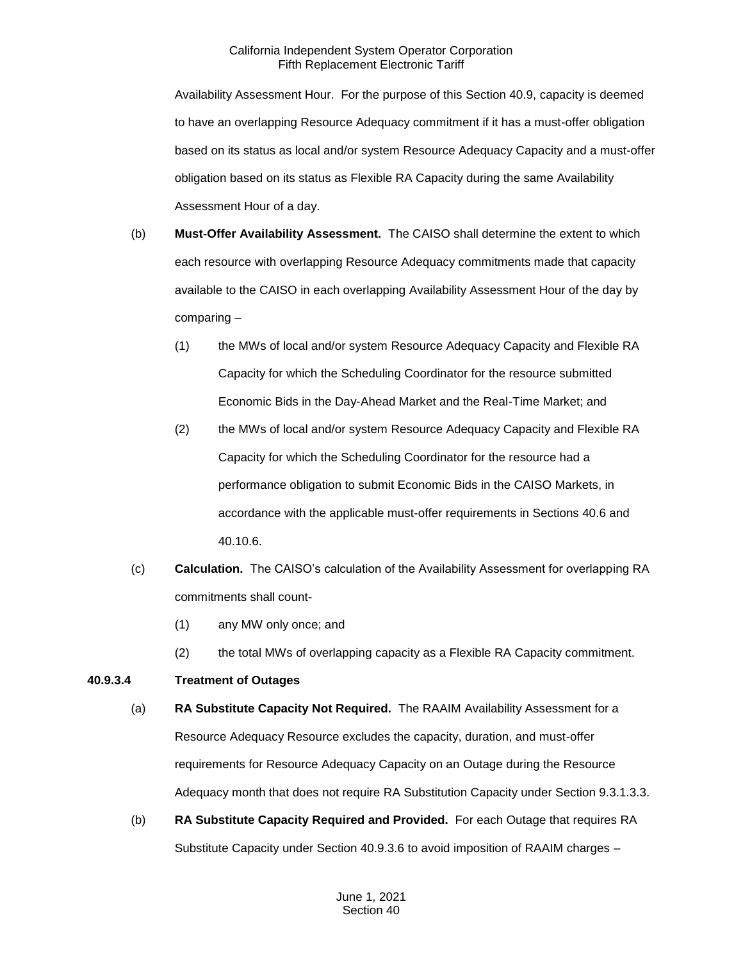Availability Assessment Hour. For the purpose of this Section 40.9, capacity is deemed to have an overlapping Resource Adequacy commitment if it has a must-offer obligation based on its status as local and/or system Resource Adequacy Capacity and a must-offer obligation based on its status as Flexible RA Capacity during the same Availability Assessment Hour of a day.

- (b) **Must-Offer Availability Assessment.** The CAISO shall determine the extent to which each resource with overlapping Resource Adequacy commitments made that capacity available to the CAISO in each overlapping Availability Assessment Hour of the day by comparing –
	- (1) the MWs of local and/or system Resource Adequacy Capacity and Flexible RA Capacity for which the Scheduling Coordinator for the resource submitted Economic Bids in the Day-Ahead Market and the Real-Time Market; and
	- (2) the MWs of local and/or system Resource Adequacy Capacity and Flexible RA Capacity for which the Scheduling Coordinator for the resource had a performance obligation to submit Economic Bids in the CAISO Markets, in accordance with the applicable must-offer requirements in Sections 40.6 and 40.10.6.
- (c) **Calculation.** The CAISO's calculation of the Availability Assessment for overlapping RA commitments shall count-
	- (1) any MW only once; and
	- (2) the total MWs of overlapping capacity as a Flexible RA Capacity commitment.

# **40.9.3.4 Treatment of Outages**

- (a) **RA Substitute Capacity Not Required.** The RAAIM Availability Assessment for a Resource Adequacy Resource excludes the capacity, duration, and must-offer requirements for Resource Adequacy Capacity on an Outage during the Resource Adequacy month that does not require RA Substitution Capacity under Section 9.3.1.3.3.
- (b) **RA Substitute Capacity Required and Provided.** For each Outage that requires RA Substitute Capacity under Section 40.9.3.6 to avoid imposition of RAAIM charges –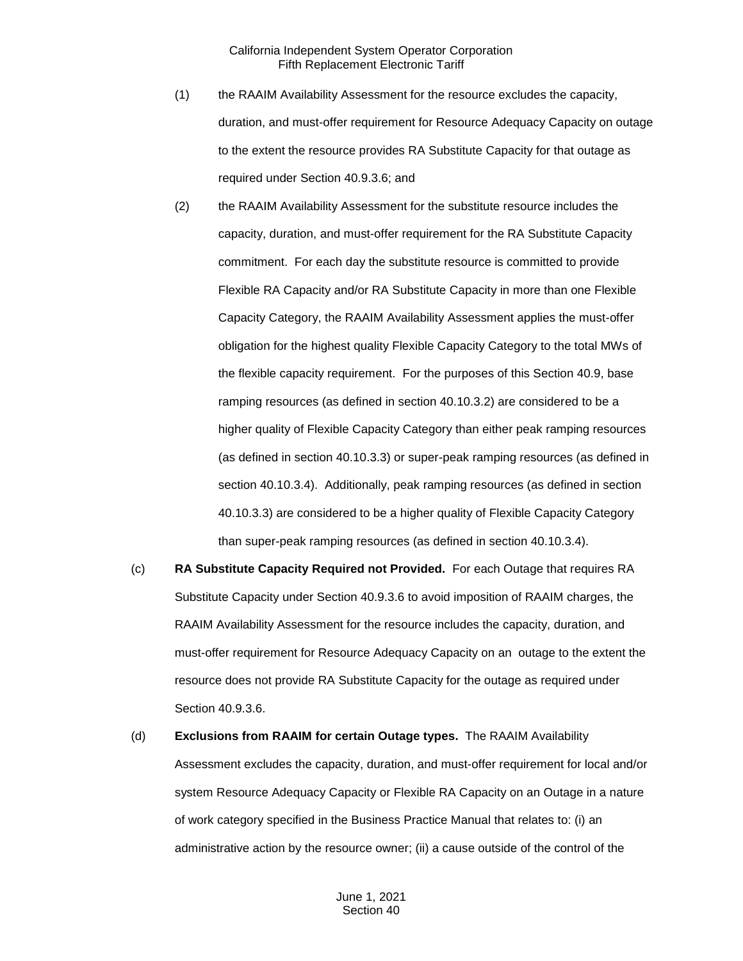- (1) the RAAIM Availability Assessment for the resource excludes the capacity, duration, and must-offer requirement for Resource Adequacy Capacity on outage to the extent the resource provides RA Substitute Capacity for that outage as required under Section 40.9.3.6; and
- (2) the RAAIM Availability Assessment for the substitute resource includes the capacity, duration, and must-offer requirement for the RA Substitute Capacity commitment. For each day the substitute resource is committed to provide Flexible RA Capacity and/or RA Substitute Capacity in more than one Flexible Capacity Category, the RAAIM Availability Assessment applies the must-offer obligation for the highest quality Flexible Capacity Category to the total MWs of the flexible capacity requirement. For the purposes of this Section 40.9, base ramping resources (as defined in section 40.10.3.2) are considered to be a higher quality of Flexible Capacity Category than either peak ramping resources (as defined in section 40.10.3.3) or super-peak ramping resources (as defined in section 40.10.3.4). Additionally, peak ramping resources (as defined in section 40.10.3.3) are considered to be a higher quality of Flexible Capacity Category than super-peak ramping resources (as defined in section 40.10.3.4).
- (c) **RA Substitute Capacity Required not Provided.** For each Outage that requires RA Substitute Capacity under Section 40.9.3.6 to avoid imposition of RAAIM charges, the RAAIM Availability Assessment for the resource includes the capacity, duration, and must-offer requirement for Resource Adequacy Capacity on an outage to the extent the resource does not provide RA Substitute Capacity for the outage as required under Section 40.9.3.6.

(d) **Exclusions from RAAIM for certain Outage types.** The RAAIM Availability Assessment excludes the capacity, duration, and must-offer requirement for local and/or system Resource Adequacy Capacity or Flexible RA Capacity on an Outage in a nature of work category specified in the Business Practice Manual that relates to: (i) an administrative action by the resource owner; (ii) a cause outside of the control of the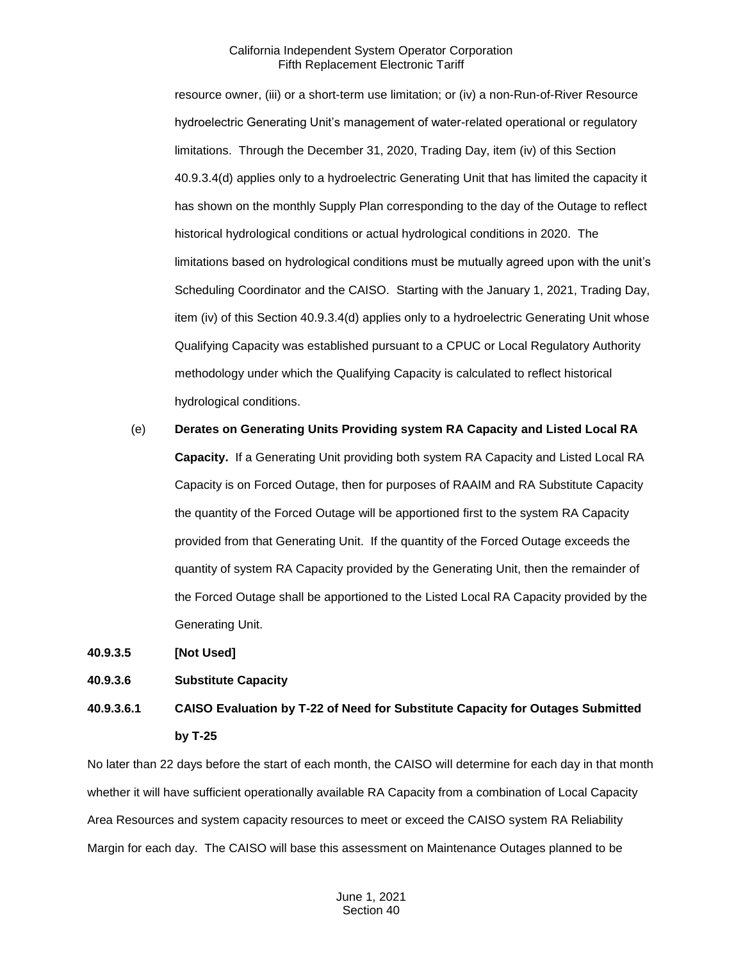resource owner, (iii) or a short-term use limitation; or (iv) a non-Run-of-River Resource hydroelectric Generating Unit's management of water-related operational or regulatory limitations. Through the December 31, 2020, Trading Day, item (iv) of this Section 40.9.3.4(d) applies only to a hydroelectric Generating Unit that has limited the capacity it has shown on the monthly Supply Plan corresponding to the day of the Outage to reflect historical hydrological conditions or actual hydrological conditions in 2020. The limitations based on hydrological conditions must be mutually agreed upon with the unit's Scheduling Coordinator and the CAISO. Starting with the January 1, 2021, Trading Day, item (iv) of this Section 40.9.3.4(d) applies only to a hydroelectric Generating Unit whose Qualifying Capacity was established pursuant to a CPUC or Local Regulatory Authority methodology under which the Qualifying Capacity is calculated to reflect historical hydrological conditions.

(e) **Derates on Generating Units Providing system RA Capacity and Listed Local RA Capacity.** If a Generating Unit providing both system RA Capacity and Listed Local RA Capacity is on Forced Outage, then for purposes of RAAIM and RA Substitute Capacity the quantity of the Forced Outage will be apportioned first to the system RA Capacity provided from that Generating Unit. If the quantity of the Forced Outage exceeds the quantity of system RA Capacity provided by the Generating Unit, then the remainder of the Forced Outage shall be apportioned to the Listed Local RA Capacity provided by the Generating Unit.

**40.9.3.5 [Not Used]** 

#### **40.9.3.6 Substitute Capacity**

**40.9.3.6.1 CAISO Evaluation by T-22 of Need for Substitute Capacity for Outages Submitted by T-25**

No later than 22 days before the start of each month, the CAISO will determine for each day in that month whether it will have sufficient operationally available RA Capacity from a combination of Local Capacity Area Resources and system capacity resources to meet or exceed the CAISO system RA Reliability Margin for each day. The CAISO will base this assessment on Maintenance Outages planned to be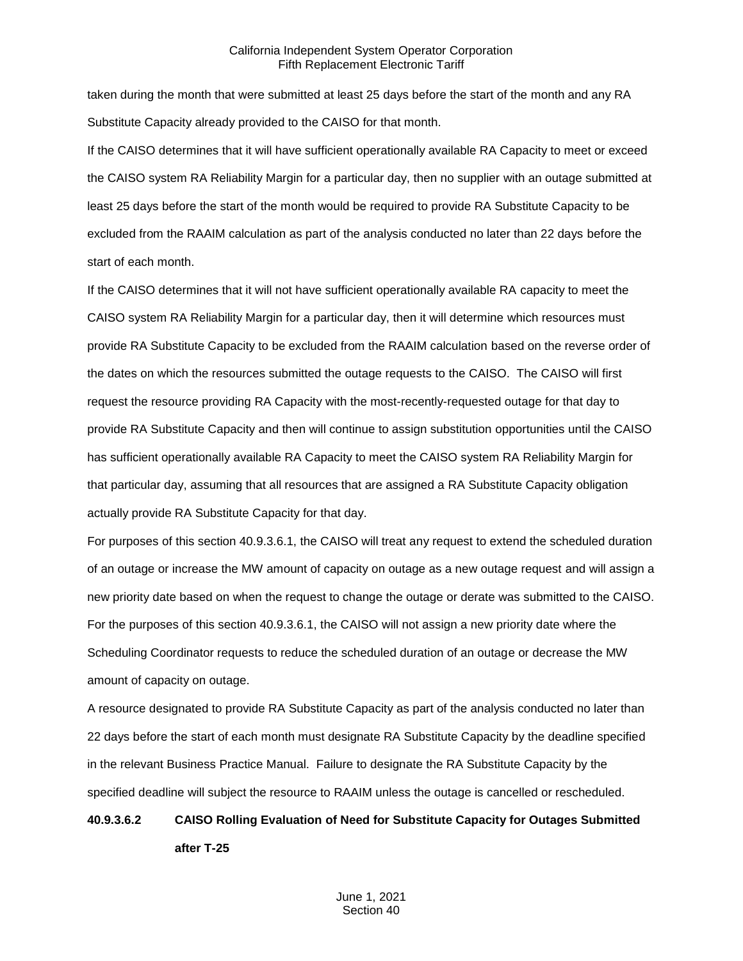taken during the month that were submitted at least 25 days before the start of the month and any RA Substitute Capacity already provided to the CAISO for that month.

If the CAISO determines that it will have sufficient operationally available RA Capacity to meet or exceed the CAISO system RA Reliability Margin for a particular day, then no supplier with an outage submitted at least 25 days before the start of the month would be required to provide RA Substitute Capacity to be excluded from the RAAIM calculation as part of the analysis conducted no later than 22 days before the start of each month.

If the CAISO determines that it will not have sufficient operationally available RA capacity to meet the CAISO system RA Reliability Margin for a particular day, then it will determine which resources must provide RA Substitute Capacity to be excluded from the RAAIM calculation based on the reverse order of the dates on which the resources submitted the outage requests to the CAISO. The CAISO will first request the resource providing RA Capacity with the most-recently-requested outage for that day to provide RA Substitute Capacity and then will continue to assign substitution opportunities until the CAISO has sufficient operationally available RA Capacity to meet the CAISO system RA Reliability Margin for that particular day, assuming that all resources that are assigned a RA Substitute Capacity obligation actually provide RA Substitute Capacity for that day.

For purposes of this section 40.9.3.6.1, the CAISO will treat any request to extend the scheduled duration of an outage or increase the MW amount of capacity on outage as a new outage request and will assign a new priority date based on when the request to change the outage or derate was submitted to the CAISO. For the purposes of this section 40.9.3.6.1, the CAISO will not assign a new priority date where the Scheduling Coordinator requests to reduce the scheduled duration of an outage or decrease the MW amount of capacity on outage.

A resource designated to provide RA Substitute Capacity as part of the analysis conducted no later than 22 days before the start of each month must designate RA Substitute Capacity by the deadline specified in the relevant Business Practice Manual. Failure to designate the RA Substitute Capacity by the specified deadline will subject the resource to RAAIM unless the outage is cancelled or rescheduled.

# **40.9.3.6.2 CAISO Rolling Evaluation of Need for Substitute Capacity for Outages Submitted after T-25**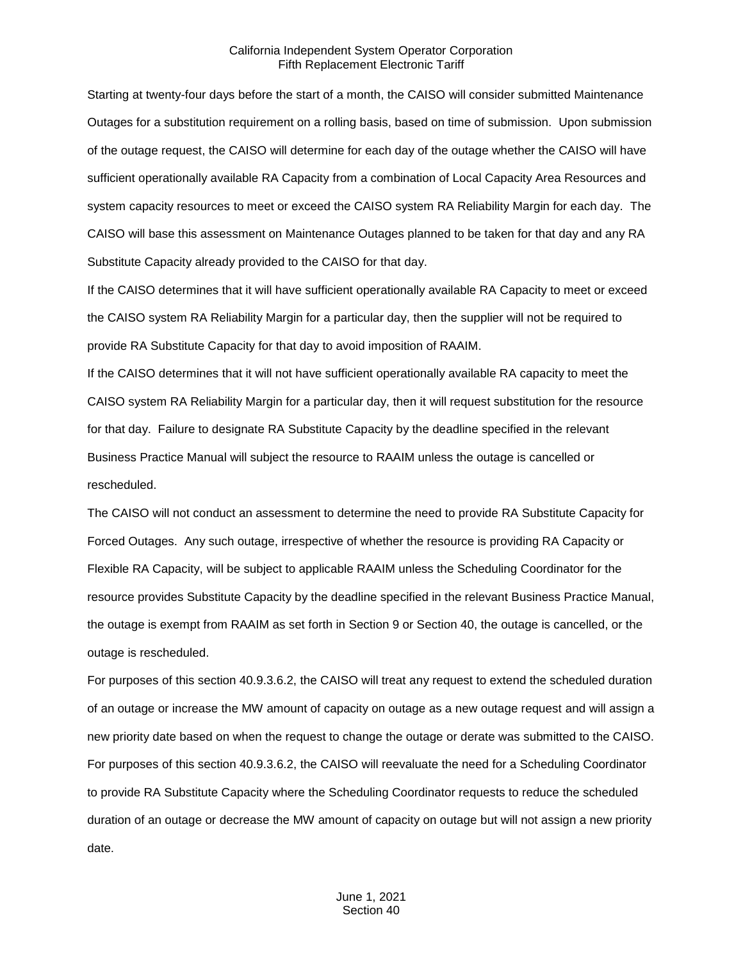Starting at twenty-four days before the start of a month, the CAISO will consider submitted Maintenance Outages for a substitution requirement on a rolling basis, based on time of submission. Upon submission of the outage request, the CAISO will determine for each day of the outage whether the CAISO will have sufficient operationally available RA Capacity from a combination of Local Capacity Area Resources and system capacity resources to meet or exceed the CAISO system RA Reliability Margin for each day. The CAISO will base this assessment on Maintenance Outages planned to be taken for that day and any RA Substitute Capacity already provided to the CAISO for that day.

If the CAISO determines that it will have sufficient operationally available RA Capacity to meet or exceed the CAISO system RA Reliability Margin for a particular day, then the supplier will not be required to provide RA Substitute Capacity for that day to avoid imposition of RAAIM.

If the CAISO determines that it will not have sufficient operationally available RA capacity to meet the CAISO system RA Reliability Margin for a particular day, then it will request substitution for the resource for that day. Failure to designate RA Substitute Capacity by the deadline specified in the relevant Business Practice Manual will subject the resource to RAAIM unless the outage is cancelled or rescheduled.

The CAISO will not conduct an assessment to determine the need to provide RA Substitute Capacity for Forced Outages. Any such outage, irrespective of whether the resource is providing RA Capacity or Flexible RA Capacity, will be subject to applicable RAAIM unless the Scheduling Coordinator for the resource provides Substitute Capacity by the deadline specified in the relevant Business Practice Manual, the outage is exempt from RAAIM as set forth in Section 9 or Section 40, the outage is cancelled, or the outage is rescheduled.

For purposes of this section 40.9.3.6.2, the CAISO will treat any request to extend the scheduled duration of an outage or increase the MW amount of capacity on outage as a new outage request and will assign a new priority date based on when the request to change the outage or derate was submitted to the CAISO. For purposes of this section 40.9.3.6.2, the CAISO will reevaluate the need for a Scheduling Coordinator to provide RA Substitute Capacity where the Scheduling Coordinator requests to reduce the scheduled duration of an outage or decrease the MW amount of capacity on outage but will not assign a new priority date.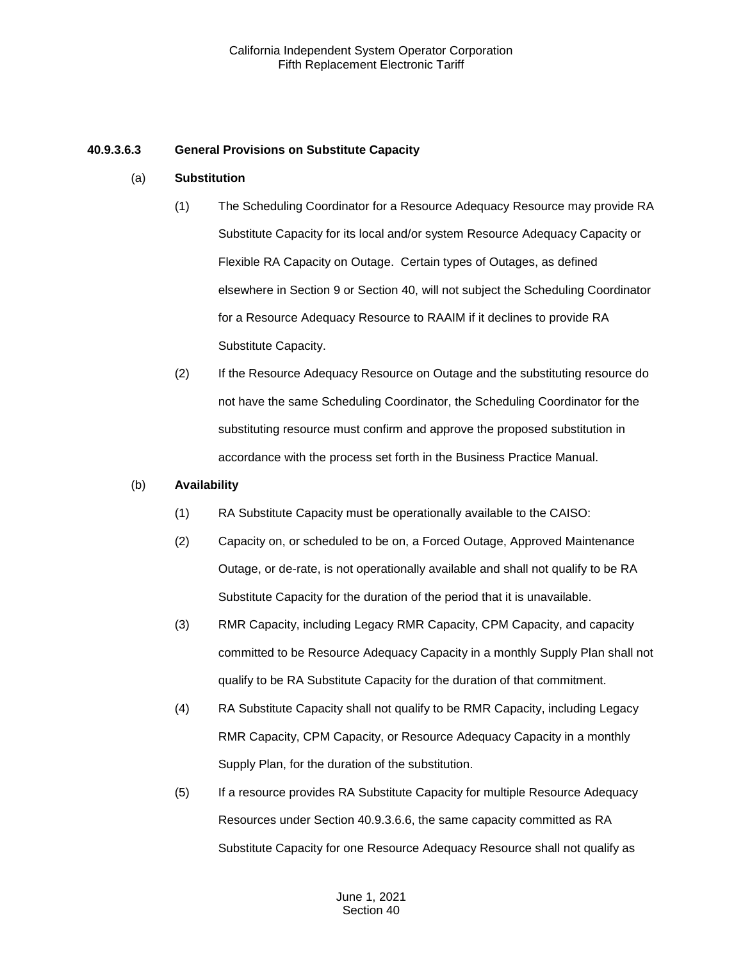### **40.9.3.6.3 General Provisions on Substitute Capacity**

#### (a) **Substitution**

- (1) The Scheduling Coordinator for a Resource Adequacy Resource may provide RA Substitute Capacity for its local and/or system Resource Adequacy Capacity or Flexible RA Capacity on Outage. Certain types of Outages, as defined elsewhere in Section 9 or Section 40, will not subject the Scheduling Coordinator for a Resource Adequacy Resource to RAAIM if it declines to provide RA Substitute Capacity.
- (2) If the Resource Adequacy Resource on Outage and the substituting resource do not have the same Scheduling Coordinator, the Scheduling Coordinator for the substituting resource must confirm and approve the proposed substitution in accordance with the process set forth in the Business Practice Manual.

#### (b) **Availability**

- (1) RA Substitute Capacity must be operationally available to the CAISO:
- (2) Capacity on, or scheduled to be on, a Forced Outage, Approved Maintenance Outage, or de-rate, is not operationally available and shall not qualify to be RA Substitute Capacity for the duration of the period that it is unavailable.
- (3) RMR Capacity, including Legacy RMR Capacity, CPM Capacity, and capacity committed to be Resource Adequacy Capacity in a monthly Supply Plan shall not qualify to be RA Substitute Capacity for the duration of that commitment.
- (4) RA Substitute Capacity shall not qualify to be RMR Capacity, including Legacy RMR Capacity, CPM Capacity, or Resource Adequacy Capacity in a monthly Supply Plan, for the duration of the substitution.
- (5) If a resource provides RA Substitute Capacity for multiple Resource Adequacy Resources under Section 40.9.3.6.6, the same capacity committed as RA Substitute Capacity for one Resource Adequacy Resource shall not qualify as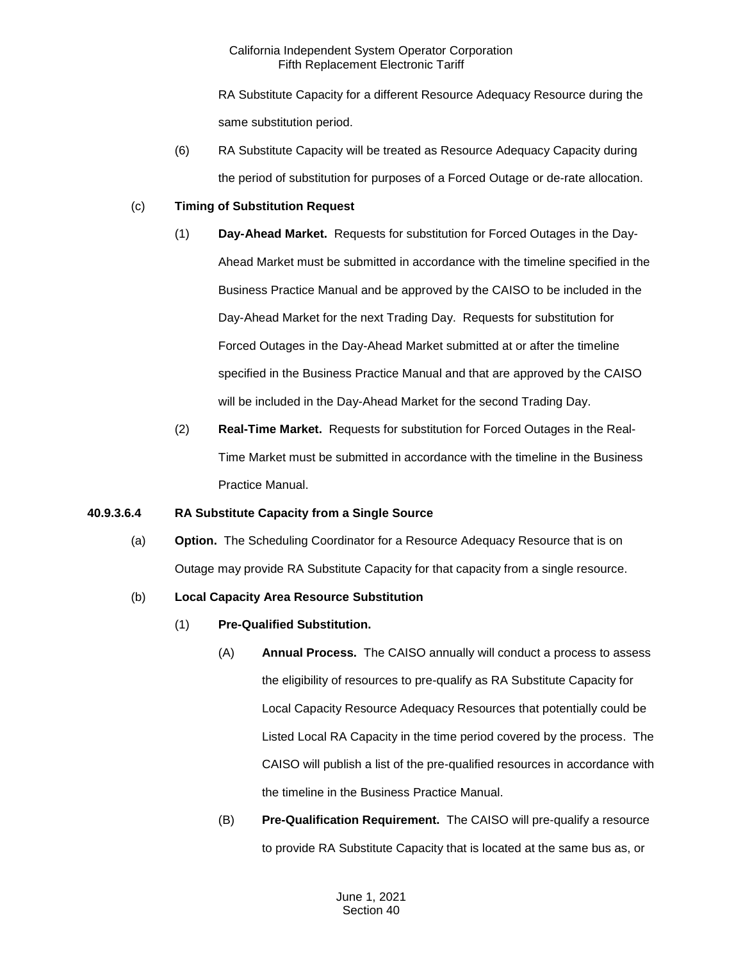RA Substitute Capacity for a different Resource Adequacy Resource during the same substitution period.

(6) RA Substitute Capacity will be treated as Resource Adequacy Capacity during the period of substitution for purposes of a Forced Outage or de-rate allocation.

### (c) **Timing of Substitution Request**

- (1) **Day-Ahead Market.** Requests for substitution for Forced Outages in the Day-Ahead Market must be submitted in accordance with the timeline specified in the Business Practice Manual and be approved by the CAISO to be included in the Day-Ahead Market for the next Trading Day. Requests for substitution for Forced Outages in the Day-Ahead Market submitted at or after the timeline specified in the Business Practice Manual and that are approved by the CAISO will be included in the Day-Ahead Market for the second Trading Day.
- (2) **Real-Time Market.** Requests for substitution for Forced Outages in the Real-Time Market must be submitted in accordance with the timeline in the Business Practice Manual.

# **40.9.3.6.4 RA Substitute Capacity from a Single Source**

(a) **Option.** The Scheduling Coordinator for a Resource Adequacy Resource that is on Outage may provide RA Substitute Capacity for that capacity from a single resource.

# (b) **Local Capacity Area Resource Substitution**

- (1) **Pre-Qualified Substitution.**
	- (A) **Annual Process.** The CAISO annually will conduct a process to assess the eligibility of resources to pre-qualify as RA Substitute Capacity for Local Capacity Resource Adequacy Resources that potentially could be Listed Local RA Capacity in the time period covered by the process. The CAISO will publish a list of the pre-qualified resources in accordance with the timeline in the Business Practice Manual.
	- (B) **Pre-Qualification Requirement.** The CAISO will pre-qualify a resource to provide RA Substitute Capacity that is located at the same bus as, or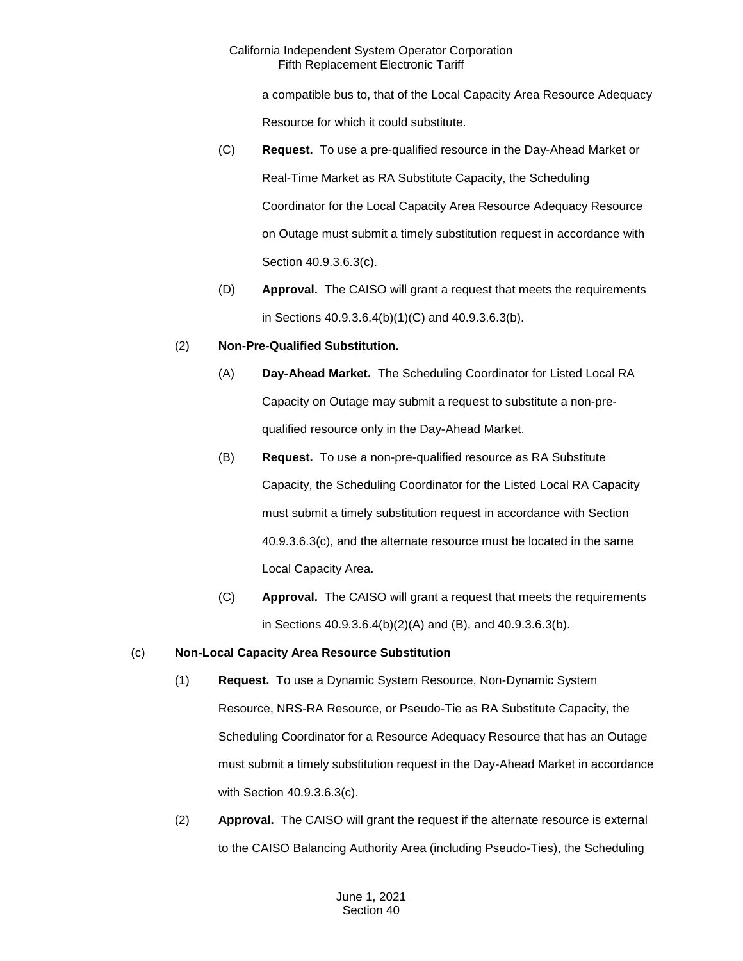a compatible bus to, that of the Local Capacity Area Resource Adequacy Resource for which it could substitute.

- (C) **Request.** To use a pre-qualified resource in the Day-Ahead Market or Real-Time Market as RA Substitute Capacity, the Scheduling Coordinator for the Local Capacity Area Resource Adequacy Resource on Outage must submit a timely substitution request in accordance with Section 40.9.3.6.3(c).
- (D) **Approval.** The CAISO will grant a request that meets the requirements in Sections 40.9.3.6.4(b)(1)(C) and 40.9.3.6.3(b).

# (2) **Non-Pre-Qualified Substitution.**

- (A) **Day-Ahead Market.** The Scheduling Coordinator for Listed Local RA Capacity on Outage may submit a request to substitute a non-prequalified resource only in the Day-Ahead Market.
- (B) **Request.** To use a non-pre-qualified resource as RA Substitute Capacity, the Scheduling Coordinator for the Listed Local RA Capacity must submit a timely substitution request in accordance with Section 40.9.3.6.3(c), and the alternate resource must be located in the same Local Capacity Area.
- (C) **Approval.** The CAISO will grant a request that meets the requirements in Sections 40.9.3.6.4(b)(2)(A) and (B), and 40.9.3.6.3(b).

# (c) **Non-Local Capacity Area Resource Substitution**

- (1) **Request.** To use a Dynamic System Resource, Non-Dynamic System Resource, NRS-RA Resource, or Pseudo-Tie as RA Substitute Capacity, the Scheduling Coordinator for a Resource Adequacy Resource that has an Outage must submit a timely substitution request in the Day-Ahead Market in accordance with Section 40.9.3.6.3(c).
- (2) **Approval.** The CAISO will grant the request if the alternate resource is external to the CAISO Balancing Authority Area (including Pseudo-Ties), the Scheduling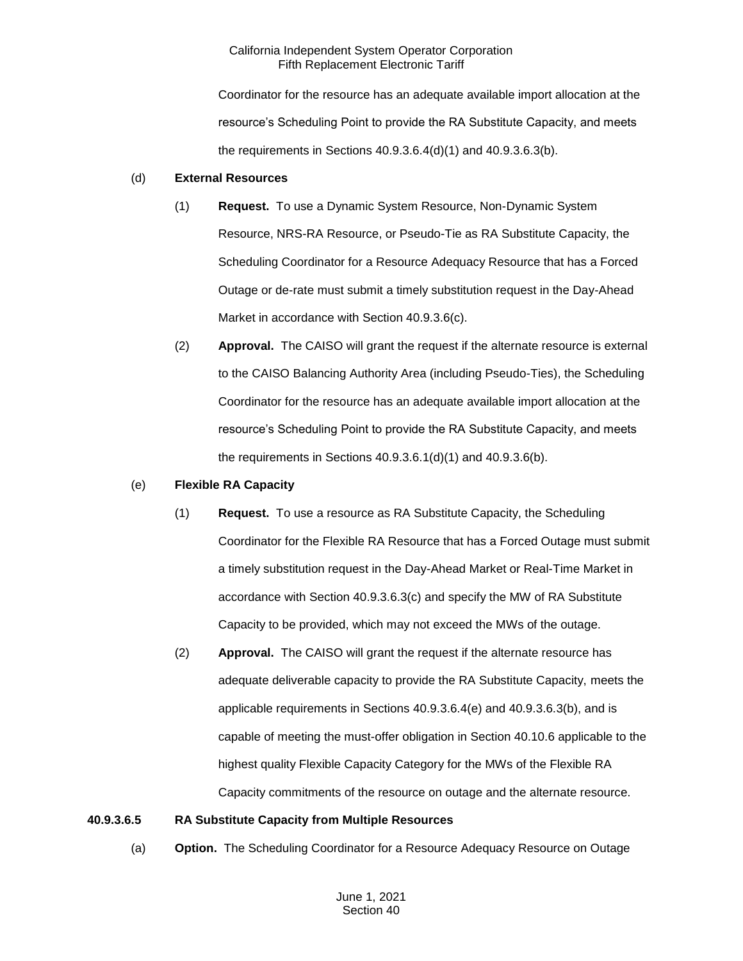Coordinator for the resource has an adequate available import allocation at the resource's Scheduling Point to provide the RA Substitute Capacity, and meets the requirements in Sections 40.9.3.6.4(d)(1) and 40.9.3.6.3(b).

#### (d) **External Resources**

- (1) **Request.** To use a Dynamic System Resource, Non-Dynamic System Resource, NRS-RA Resource, or Pseudo-Tie as RA Substitute Capacity, the Scheduling Coordinator for a Resource Adequacy Resource that has a Forced Outage or de-rate must submit a timely substitution request in the Day-Ahead Market in accordance with Section 40.9.3.6(c).
- (2) **Approval.** The CAISO will grant the request if the alternate resource is external to the CAISO Balancing Authority Area (including Pseudo-Ties), the Scheduling Coordinator for the resource has an adequate available import allocation at the resource's Scheduling Point to provide the RA Substitute Capacity, and meets the requirements in Sections  $40.9.3.6.1(d)(1)$  and  $40.9.3.6(b)$ .

#### (e) **Flexible RA Capacity**

- (1) **Request.** To use a resource as RA Substitute Capacity, the Scheduling Coordinator for the Flexible RA Resource that has a Forced Outage must submit a timely substitution request in the Day-Ahead Market or Real-Time Market in accordance with Section 40.9.3.6.3(c) and specify the MW of RA Substitute Capacity to be provided, which may not exceed the MWs of the outage.
- (2) **Approval.** The CAISO will grant the request if the alternate resource has adequate deliverable capacity to provide the RA Substitute Capacity, meets the applicable requirements in Sections 40.9.3.6.4(e) and 40.9.3.6.3(b), and is capable of meeting the must-offer obligation in Section 40.10.6 applicable to the highest quality Flexible Capacity Category for the MWs of the Flexible RA Capacity commitments of the resource on outage and the alternate resource.

#### **40.9.3.6.5 RA Substitute Capacity from Multiple Resources**

(a) **Option.** The Scheduling Coordinator for a Resource Adequacy Resource on Outage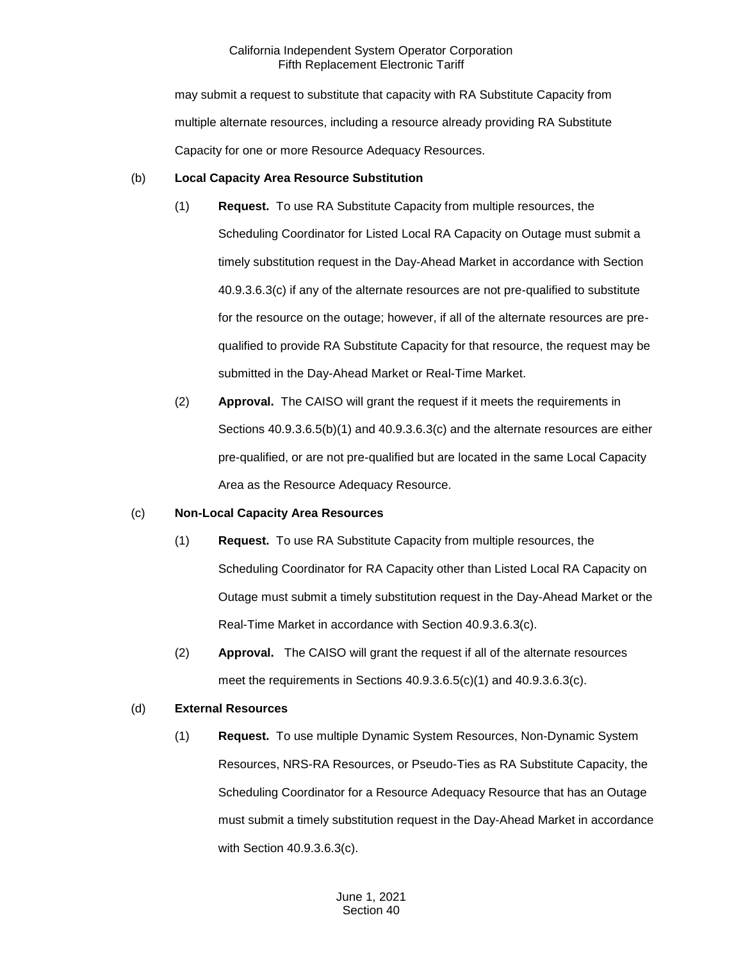may submit a request to substitute that capacity with RA Substitute Capacity from multiple alternate resources, including a resource already providing RA Substitute Capacity for one or more Resource Adequacy Resources.

## (b) **Local Capacity Area Resource Substitution**

- (1) **Request.** To use RA Substitute Capacity from multiple resources, the Scheduling Coordinator for Listed Local RA Capacity on Outage must submit a timely substitution request in the Day-Ahead Market in accordance with Section 40.9.3.6.3(c) if any of the alternate resources are not pre-qualified to substitute for the resource on the outage; however, if all of the alternate resources are prequalified to provide RA Substitute Capacity for that resource, the request may be submitted in the Day-Ahead Market or Real-Time Market.
- (2) **Approval.** The CAISO will grant the request if it meets the requirements in Sections 40.9.3.6.5(b)(1) and 40.9.3.6.3(c) and the alternate resources are either pre-qualified, or are not pre-qualified but are located in the same Local Capacity Area as the Resource Adequacy Resource.

#### (c) **Non-Local Capacity Area Resources**

- (1) **Request.** To use RA Substitute Capacity from multiple resources, the Scheduling Coordinator for RA Capacity other than Listed Local RA Capacity on Outage must submit a timely substitution request in the Day-Ahead Market or the Real-Time Market in accordance with Section 40.9.3.6.3(c).
- (2) **Approval.** The CAISO will grant the request if all of the alternate resources meet the requirements in Sections 40.9.3.6.5(c)(1) and 40.9.3.6.3(c).

## (d) **External Resources**

(1) **Request.** To use multiple Dynamic System Resources, Non-Dynamic System Resources, NRS-RA Resources, or Pseudo-Ties as RA Substitute Capacity, the Scheduling Coordinator for a Resource Adequacy Resource that has an Outage must submit a timely substitution request in the Day-Ahead Market in accordance with Section 40.9.3.6.3(c).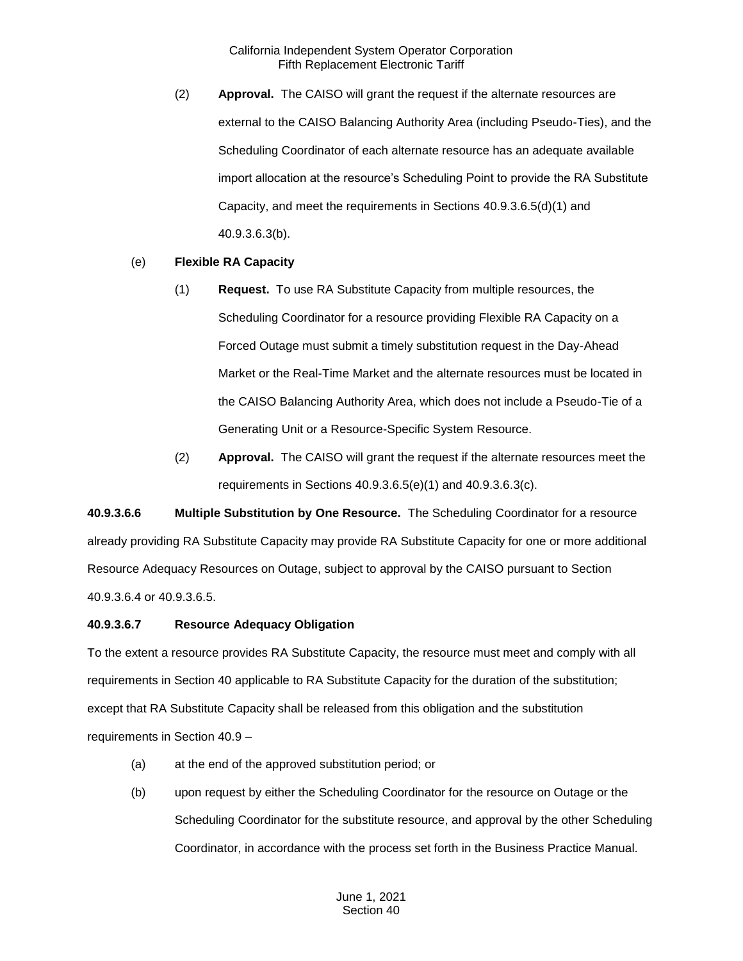(2) **Approval.** The CAISO will grant the request if the alternate resources are external to the CAISO Balancing Authority Area (including Pseudo-Ties), and the Scheduling Coordinator of each alternate resource has an adequate available import allocation at the resource's Scheduling Point to provide the RA Substitute Capacity, and meet the requirements in Sections 40.9.3.6.5(d)(1) and 40.9.3.6.3(b).

## (e) **Flexible RA Capacity**

- (1) **Request.** To use RA Substitute Capacity from multiple resources, the Scheduling Coordinator for a resource providing Flexible RA Capacity on a Forced Outage must submit a timely substitution request in the Day-Ahead Market or the Real-Time Market and the alternate resources must be located in the CAISO Balancing Authority Area, which does not include a Pseudo-Tie of a Generating Unit or a Resource-Specific System Resource.
- (2) **Approval.** The CAISO will grant the request if the alternate resources meet the requirements in Sections 40.9.3.6.5(e)(1) and 40.9.3.6.3(c).

**40.9.3.6.6 Multiple Substitution by One Resource.** The Scheduling Coordinator for a resource already providing RA Substitute Capacity may provide RA Substitute Capacity for one or more additional Resource Adequacy Resources on Outage, subject to approval by the CAISO pursuant to Section 40.9.3.6.4 or 40.9.3.6.5.

#### **40.9.3.6.7 Resource Adequacy Obligation**

To the extent a resource provides RA Substitute Capacity, the resource must meet and comply with all requirements in Section 40 applicable to RA Substitute Capacity for the duration of the substitution; except that RA Substitute Capacity shall be released from this obligation and the substitution requirements in Section 40.9 –

- (a) at the end of the approved substitution period; or
- (b) upon request by either the Scheduling Coordinator for the resource on Outage or the Scheduling Coordinator for the substitute resource, and approval by the other Scheduling Coordinator, in accordance with the process set forth in the Business Practice Manual.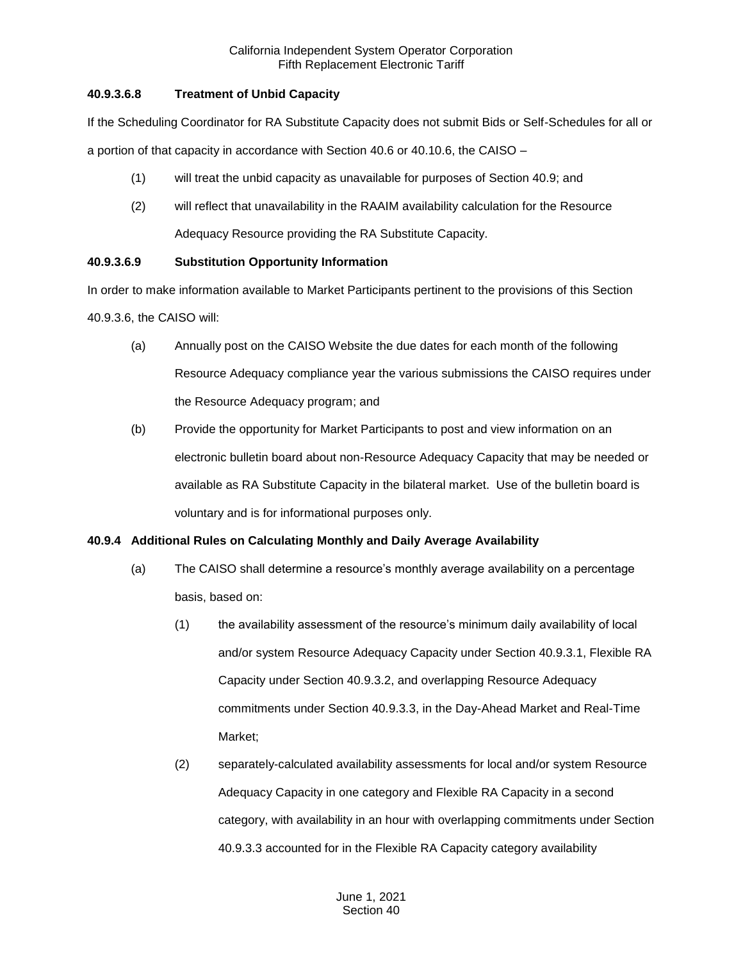# **40.9.3.6.8 Treatment of Unbid Capacity**

If the Scheduling Coordinator for RA Substitute Capacity does not submit Bids or Self-Schedules for all or

a portion of that capacity in accordance with Section 40.6 or 40.10.6, the CAISO –

- (1) will treat the unbid capacity as unavailable for purposes of Section 40.9; and
- (2) will reflect that unavailability in the RAAIM availability calculation for the Resource Adequacy Resource providing the RA Substitute Capacity.

# **40.9.3.6.9 Substitution Opportunity Information**

In order to make information available to Market Participants pertinent to the provisions of this Section 40.9.3.6, the CAISO will:

- (a) Annually post on the CAISO Website the due dates for each month of the following Resource Adequacy compliance year the various submissions the CAISO requires under the Resource Adequacy program; and
- (b) Provide the opportunity for Market Participants to post and view information on an electronic bulletin board about non-Resource Adequacy Capacity that may be needed or available as RA Substitute Capacity in the bilateral market. Use of the bulletin board is voluntary and is for informational purposes only.

# **40.9.4 Additional Rules on Calculating Monthly and Daily Average Availability**

- (a) The CAISO shall determine a resource's monthly average availability on a percentage basis, based on:
	- (1) the availability assessment of the resource's minimum daily availability of local and/or system Resource Adequacy Capacity under Section 40.9.3.1, Flexible RA Capacity under Section 40.9.3.2, and overlapping Resource Adequacy commitments under Section 40.9.3.3, in the Day-Ahead Market and Real-Time Market;
	- (2) separately-calculated availability assessments for local and/or system Resource Adequacy Capacity in one category and Flexible RA Capacity in a second category, with availability in an hour with overlapping commitments under Section 40.9.3.3 accounted for in the Flexible RA Capacity category availability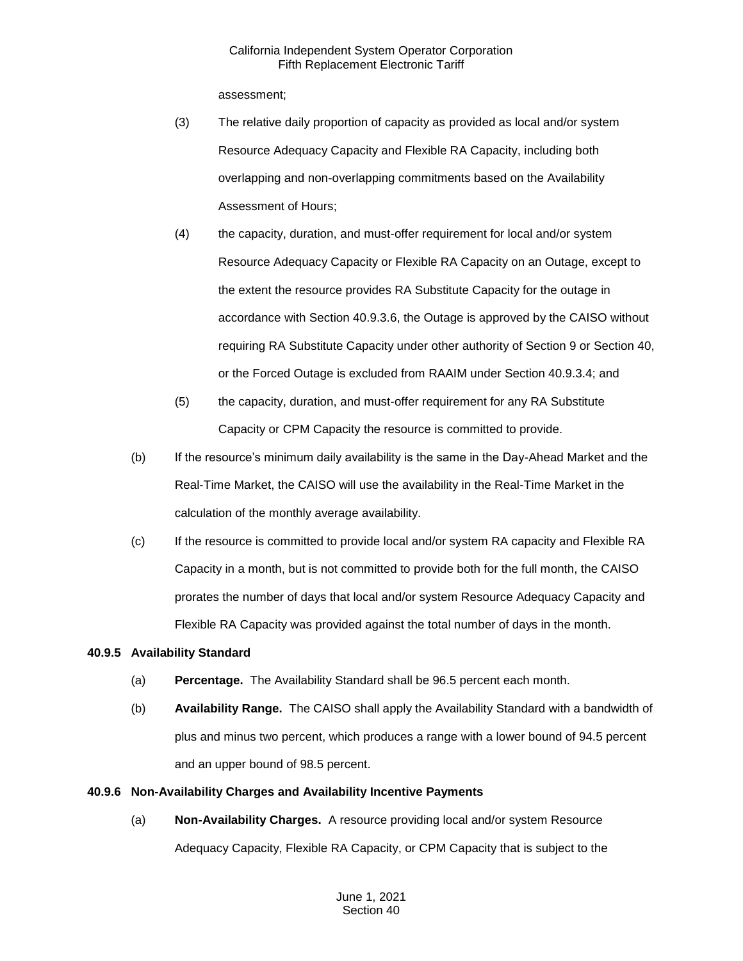assessment;

- (3) The relative daily proportion of capacity as provided as local and/or system Resource Adequacy Capacity and Flexible RA Capacity, including both overlapping and non-overlapping commitments based on the Availability Assessment of Hours;
- (4) the capacity, duration, and must-offer requirement for local and/or system Resource Adequacy Capacity or Flexible RA Capacity on an Outage, except to the extent the resource provides RA Substitute Capacity for the outage in accordance with Section 40.9.3.6, the Outage is approved by the CAISO without requiring RA Substitute Capacity under other authority of Section 9 or Section 40, or the Forced Outage is excluded from RAAIM under Section 40.9.3.4; and
- (5) the capacity, duration, and must-offer requirement for any RA Substitute Capacity or CPM Capacity the resource is committed to provide.
- (b) If the resource's minimum daily availability is the same in the Day-Ahead Market and the Real-Time Market, the CAISO will use the availability in the Real-Time Market in the calculation of the monthly average availability.
- (c) If the resource is committed to provide local and/or system RA capacity and Flexible RA Capacity in a month, but is not committed to provide both for the full month, the CAISO prorates the number of days that local and/or system Resource Adequacy Capacity and Flexible RA Capacity was provided against the total number of days in the month.

## **40.9.5 Availability Standard**

- (a) **Percentage.** The Availability Standard shall be 96.5 percent each month.
- (b) **Availability Range.** The CAISO shall apply the Availability Standard with a bandwidth of plus and minus two percent, which produces a range with a lower bound of 94.5 percent and an upper bound of 98.5 percent.

## **40.9.6 Non-Availability Charges and Availability Incentive Payments**

(a) **Non-Availability Charges.** A resource providing local and/or system Resource Adequacy Capacity, Flexible RA Capacity, or CPM Capacity that is subject to the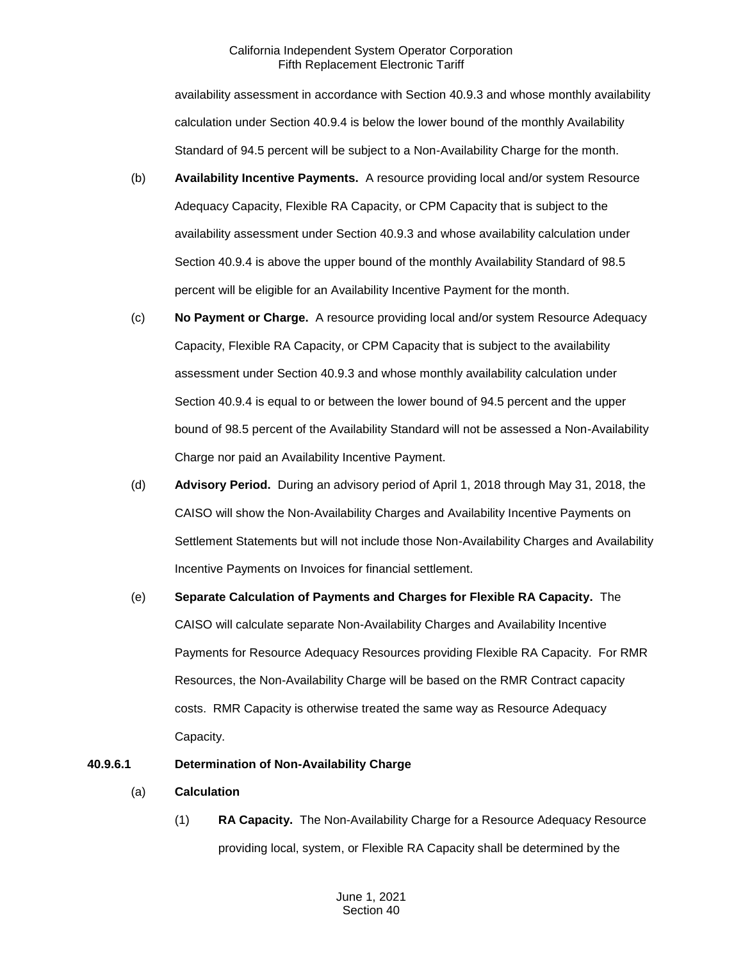availability assessment in accordance with Section 40.9.3 and whose monthly availability calculation under Section 40.9.4 is below the lower bound of the monthly Availability Standard of 94.5 percent will be subject to a Non-Availability Charge for the month.

- (b) **Availability Incentive Payments.** A resource providing local and/or system Resource Adequacy Capacity, Flexible RA Capacity, or CPM Capacity that is subject to the availability assessment under Section 40.9.3 and whose availability calculation under Section 40.9.4 is above the upper bound of the monthly Availability Standard of 98.5 percent will be eligible for an Availability Incentive Payment for the month.
- (c) **No Payment or Charge.** A resource providing local and/or system Resource Adequacy Capacity, Flexible RA Capacity, or CPM Capacity that is subject to the availability assessment under Section 40.9.3 and whose monthly availability calculation under Section 40.9.4 is equal to or between the lower bound of 94.5 percent and the upper bound of 98.5 percent of the Availability Standard will not be assessed a Non-Availability Charge nor paid an Availability Incentive Payment.
- (d) **Advisory Period.** During an advisory period of April 1, 2018 through May 31, 2018, the CAISO will show the Non-Availability Charges and Availability Incentive Payments on Settlement Statements but will not include those Non-Availability Charges and Availability Incentive Payments on Invoices for financial settlement.
- (e) **Separate Calculation of Payments and Charges for Flexible RA Capacity.** The CAISO will calculate separate Non-Availability Charges and Availability Incentive Payments for Resource Adequacy Resources providing Flexible RA Capacity. For RMR Resources, the Non-Availability Charge will be based on the RMR Contract capacity costs. RMR Capacity is otherwise treated the same way as Resource Adequacy Capacity.

## **40.9.6.1 Determination of Non-Availability Charge**

- (a) **Calculation**
	- (1) **RA Capacity.** The Non-Availability Charge for a Resource Adequacy Resource providing local, system, or Flexible RA Capacity shall be determined by the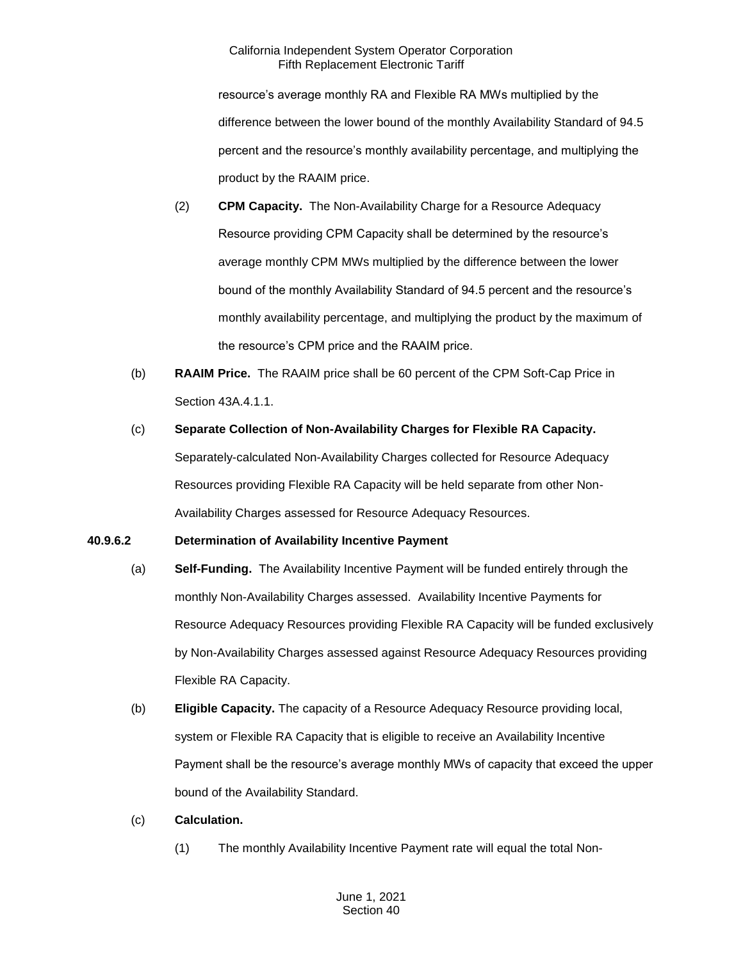resource's average monthly RA and Flexible RA MWs multiplied by the difference between the lower bound of the monthly Availability Standard of 94.5 percent and the resource's monthly availability percentage, and multiplying the product by the RAAIM price.

- (2) **CPM Capacity.** The Non-Availability Charge for a Resource Adequacy Resource providing CPM Capacity shall be determined by the resource's average monthly CPM MWs multiplied by the difference between the lower bound of the monthly Availability Standard of 94.5 percent and the resource's monthly availability percentage, and multiplying the product by the maximum of the resource's CPM price and the RAAIM price.
- (b) **RAAIM Price.** The RAAIM price shall be 60 percent of the CPM Soft-Cap Price in Section 43A.4.1.1.
- (c) **Separate Collection of Non-Availability Charges for Flexible RA Capacity.**  Separately-calculated Non-Availability Charges collected for Resource Adequacy Resources providing Flexible RA Capacity will be held separate from other Non-Availability Charges assessed for Resource Adequacy Resources.

## **40.9.6.2 Determination of Availability Incentive Payment**

- (a) **Self-Funding.** The Availability Incentive Payment will be funded entirely through the monthly Non-Availability Charges assessed. Availability Incentive Payments for Resource Adequacy Resources providing Flexible RA Capacity will be funded exclusively by Non-Availability Charges assessed against Resource Adequacy Resources providing Flexible RA Capacity.
- (b) **Eligible Capacity.** The capacity of a Resource Adequacy Resource providing local, system or Flexible RA Capacity that is eligible to receive an Availability Incentive Payment shall be the resource's average monthly MWs of capacity that exceed the upper bound of the Availability Standard.
- (c) **Calculation.** 
	- (1) The monthly Availability Incentive Payment rate will equal the total Non-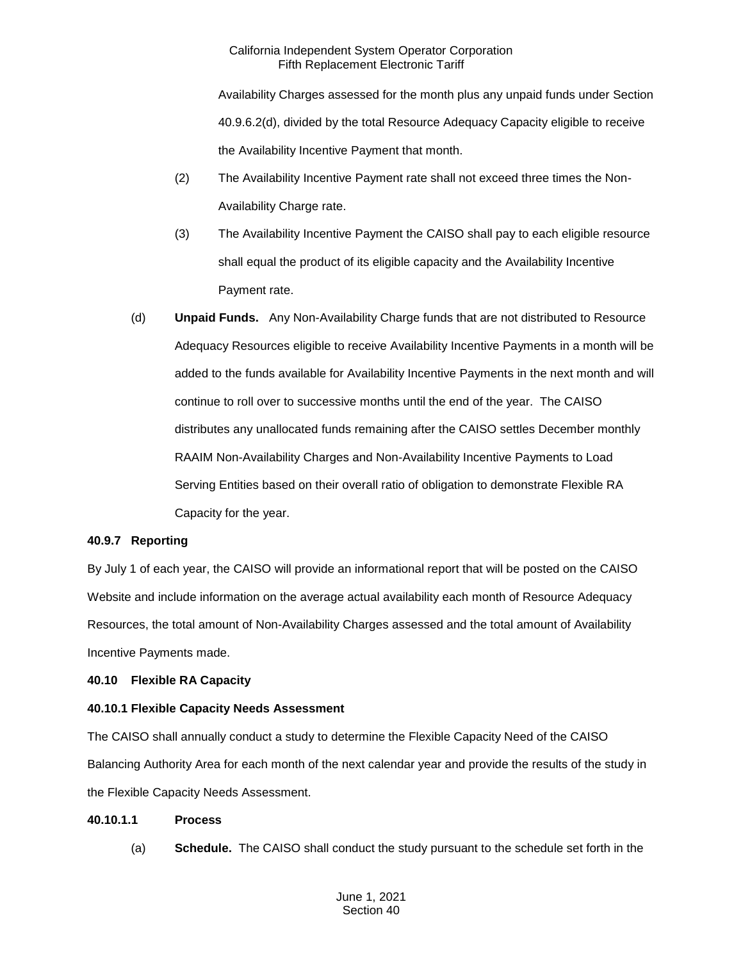Availability Charges assessed for the month plus any unpaid funds under Section 40.9.6.2(d), divided by the total Resource Adequacy Capacity eligible to receive the Availability Incentive Payment that month.

- (2) The Availability Incentive Payment rate shall not exceed three times the Non-Availability Charge rate.
- (3) The Availability Incentive Payment the CAISO shall pay to each eligible resource shall equal the product of its eligible capacity and the Availability Incentive Payment rate.
- (d) **Unpaid Funds.** Any Non-Availability Charge funds that are not distributed to Resource Adequacy Resources eligible to receive Availability Incentive Payments in a month will be added to the funds available for Availability Incentive Payments in the next month and will continue to roll over to successive months until the end of the year. The CAISO distributes any unallocated funds remaining after the CAISO settles December monthly RAAIM Non-Availability Charges and Non-Availability Incentive Payments to Load Serving Entities based on their overall ratio of obligation to demonstrate Flexible RA Capacity for the year.

## **40.9.7 Reporting**

By July 1 of each year, the CAISO will provide an informational report that will be posted on the CAISO Website and include information on the average actual availability each month of Resource Adequacy Resources, the total amount of Non-Availability Charges assessed and the total amount of Availability Incentive Payments made.

# **40.10 Flexible RA Capacity**

# **40.10.1 Flexible Capacity Needs Assessment**

The CAISO shall annually conduct a study to determine the Flexible Capacity Need of the CAISO Balancing Authority Area for each month of the next calendar year and provide the results of the study in the Flexible Capacity Needs Assessment.

## **40.10.1.1 Process**

(a) **Schedule.** The CAISO shall conduct the study pursuant to the schedule set forth in the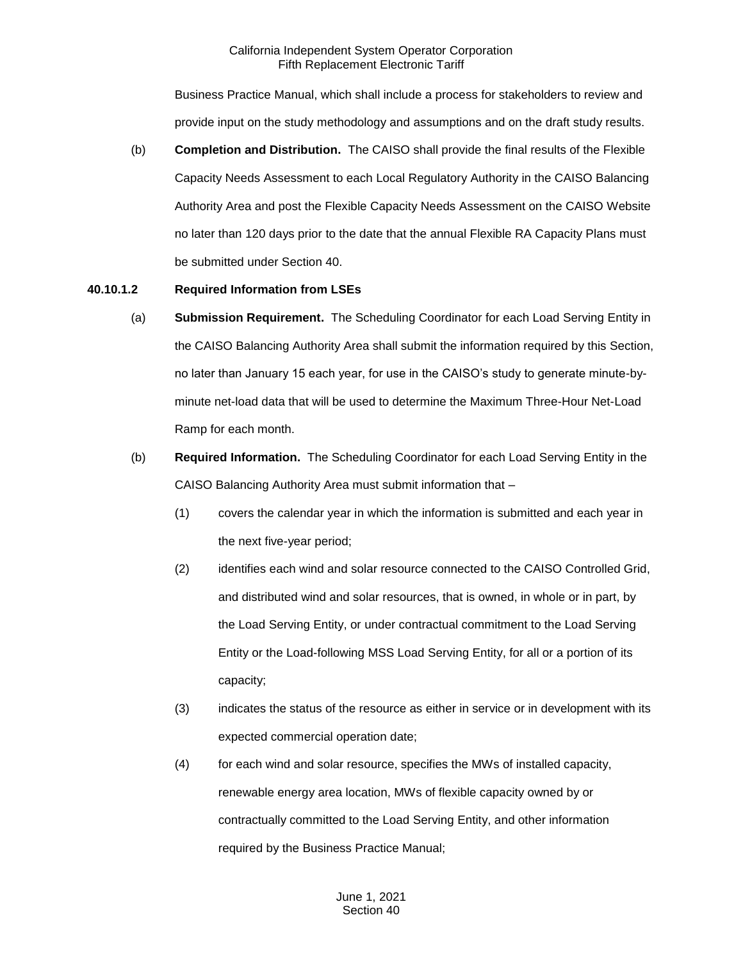Business Practice Manual, which shall include a process for stakeholders to review and provide input on the study methodology and assumptions and on the draft study results.

(b) **Completion and Distribution.** The CAISO shall provide the final results of the Flexible Capacity Needs Assessment to each Local Regulatory Authority in the CAISO Balancing Authority Area and post the Flexible Capacity Needs Assessment on the CAISO Website no later than 120 days prior to the date that the annual Flexible RA Capacity Plans must be submitted under Section 40.

## **40.10.1.2 Required Information from LSEs**

- (a) **Submission Requirement.** The Scheduling Coordinator for each Load Serving Entity in the CAISO Balancing Authority Area shall submit the information required by this Section, no later than January 15 each year, for use in the CAISO's study to generate minute-byminute net-load data that will be used to determine the Maximum Three-Hour Net-Load Ramp for each month.
- (b) **Required Information.** The Scheduling Coordinator for each Load Serving Entity in the CAISO Balancing Authority Area must submit information that –
	- (1) covers the calendar year in which the information is submitted and each year in the next five-year period;
	- (2) identifies each wind and solar resource connected to the CAISO Controlled Grid, and distributed wind and solar resources, that is owned, in whole or in part, by the Load Serving Entity, or under contractual commitment to the Load Serving Entity or the Load-following MSS Load Serving Entity, for all or a portion of its capacity;
	- (3) indicates the status of the resource as either in service or in development with its expected commercial operation date;
	- (4) for each wind and solar resource, specifies the MWs of installed capacity, renewable energy area location, MWs of flexible capacity owned by or contractually committed to the Load Serving Entity, and other information required by the Business Practice Manual;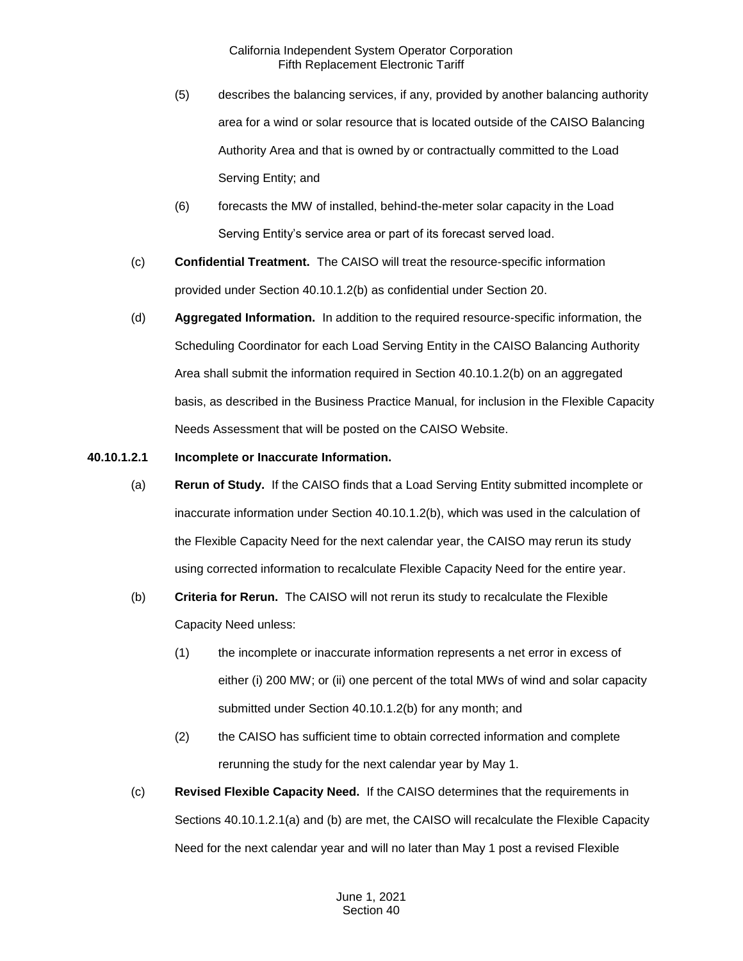- (5) describes the balancing services, if any, provided by another balancing authority area for a wind or solar resource that is located outside of the CAISO Balancing Authority Area and that is owned by or contractually committed to the Load Serving Entity; and
- (6) forecasts the MW of installed, behind-the-meter solar capacity in the Load Serving Entity's service area or part of its forecast served load.
- (c) **Confidential Treatment.** The CAISO will treat the resource-specific information provided under Section 40.10.1.2(b) as confidential under Section 20.
- (d) **Aggregated Information.** In addition to the required resource-specific information, the Scheduling Coordinator for each Load Serving Entity in the CAISO Balancing Authority Area shall submit the information required in Section 40.10.1.2(b) on an aggregated basis, as described in the Business Practice Manual, for inclusion in the Flexible Capacity Needs Assessment that will be posted on the CAISO Website.
- **40.10.1.2.1 Incomplete or Inaccurate Information.** 
	- (a) **Rerun of Study.** If the CAISO finds that a Load Serving Entity submitted incomplete or inaccurate information under Section 40.10.1.2(b), which was used in the calculation of the Flexible Capacity Need for the next calendar year, the CAISO may rerun its study using corrected information to recalculate Flexible Capacity Need for the entire year.
	- (b) **Criteria for Rerun.** The CAISO will not rerun its study to recalculate the Flexible Capacity Need unless:
		- (1) the incomplete or inaccurate information represents a net error in excess of either (i) 200 MW; or (ii) one percent of the total MWs of wind and solar capacity submitted under Section 40.10.1.2(b) for any month; and
		- (2) the CAISO has sufficient time to obtain corrected information and complete rerunning the study for the next calendar year by May 1.
	- (c) **Revised Flexible Capacity Need.** If the CAISO determines that the requirements in Sections 40.10.1.2.1(a) and (b) are met, the CAISO will recalculate the Flexible Capacity Need for the next calendar year and will no later than May 1 post a revised Flexible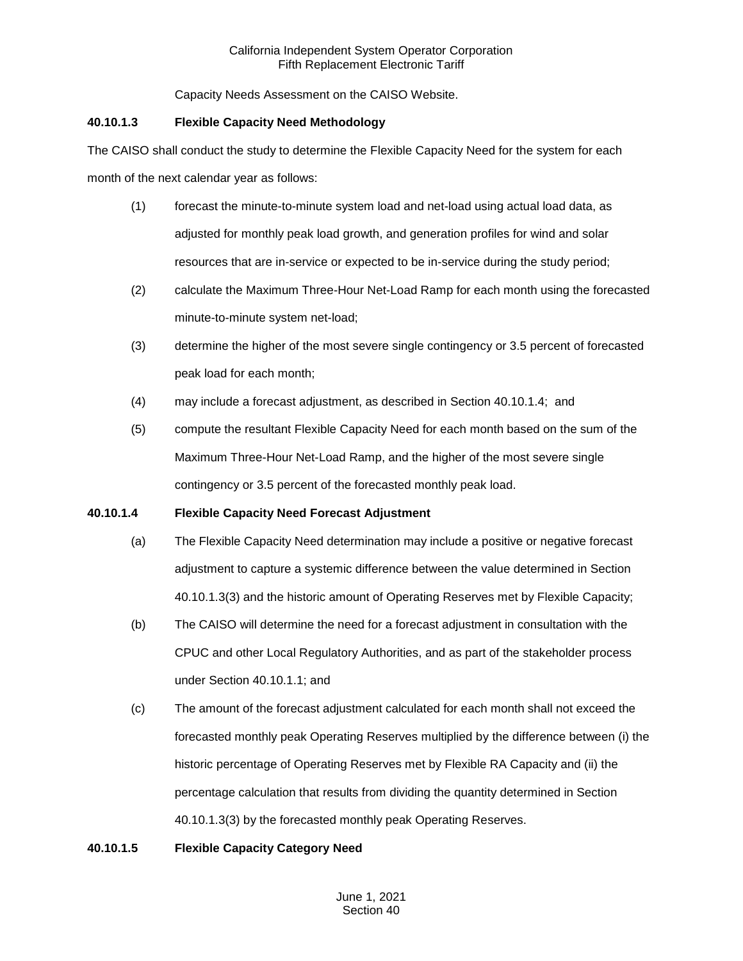Capacity Needs Assessment on the CAISO Website.

# **40.10.1.3 Flexible Capacity Need Methodology**

The CAISO shall conduct the study to determine the Flexible Capacity Need for the system for each month of the next calendar year as follows:

- (1) forecast the minute-to-minute system load and net-load using actual load data, as adjusted for monthly peak load growth, and generation profiles for wind and solar resources that are in-service or expected to be in-service during the study period;
- (2) calculate the Maximum Three-Hour Net-Load Ramp for each month using the forecasted minute-to-minute system net-load;
- (3) determine the higher of the most severe single contingency or 3.5 percent of forecasted peak load for each month;
- (4) may include a forecast adjustment, as described in Section 40.10.1.4; and
- (5) compute the resultant Flexible Capacity Need for each month based on the sum of the Maximum Three-Hour Net-Load Ramp, and the higher of the most severe single contingency or 3.5 percent of the forecasted monthly peak load.

# **40.10.1.4 Flexible Capacity Need Forecast Adjustment**

- (a) The Flexible Capacity Need determination may include a positive or negative forecast adjustment to capture a systemic difference between the value determined in Section 40.10.1.3(3) and the historic amount of Operating Reserves met by Flexible Capacity;
- (b) The CAISO will determine the need for a forecast adjustment in consultation with the CPUC and other Local Regulatory Authorities, and as part of the stakeholder process under Section 40.10.1.1; and
- (c) The amount of the forecast adjustment calculated for each month shall not exceed the forecasted monthly peak Operating Reserves multiplied by the difference between (i) the historic percentage of Operating Reserves met by Flexible RA Capacity and (ii) the percentage calculation that results from dividing the quantity determined in Section 40.10.1.3(3) by the forecasted monthly peak Operating Reserves.

# **40.10.1.5 Flexible Capacity Category Need**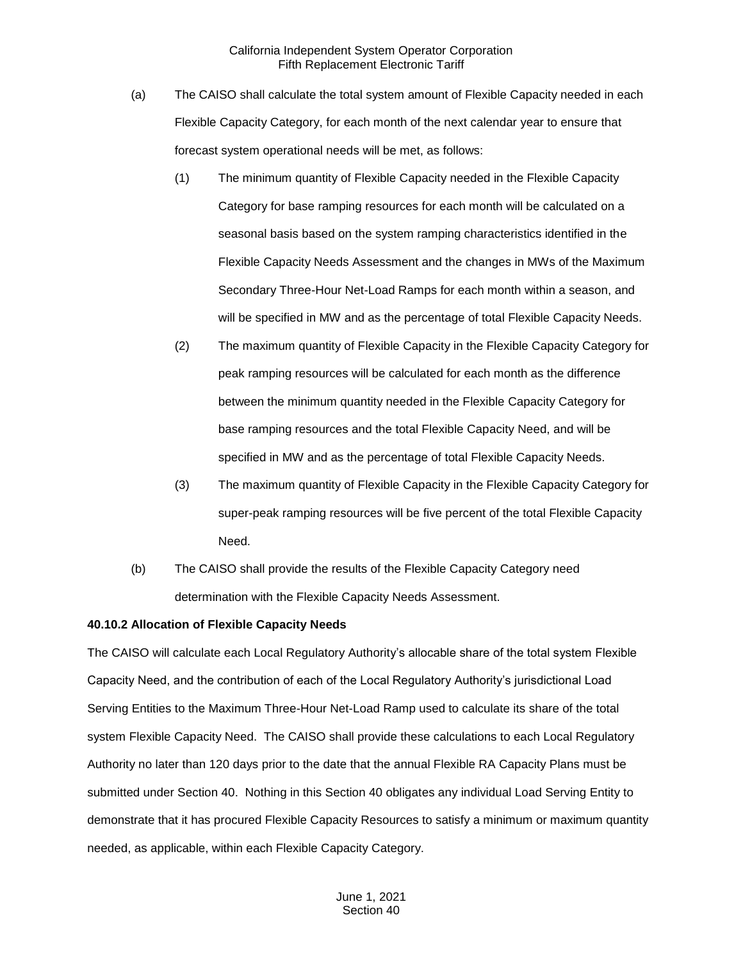- (a) The CAISO shall calculate the total system amount of Flexible Capacity needed in each Flexible Capacity Category, for each month of the next calendar year to ensure that forecast system operational needs will be met, as follows:
	- (1) The minimum quantity of Flexible Capacity needed in the Flexible Capacity Category for base ramping resources for each month will be calculated on a seasonal basis based on the system ramping characteristics identified in the Flexible Capacity Needs Assessment and the changes in MWs of the Maximum Secondary Three-Hour Net-Load Ramps for each month within a season, and will be specified in MW and as the percentage of total Flexible Capacity Needs.
	- (2) The maximum quantity of Flexible Capacity in the Flexible Capacity Category for peak ramping resources will be calculated for each month as the difference between the minimum quantity needed in the Flexible Capacity Category for base ramping resources and the total Flexible Capacity Need, and will be specified in MW and as the percentage of total Flexible Capacity Needs.
	- (3) The maximum quantity of Flexible Capacity in the Flexible Capacity Category for super-peak ramping resources will be five percent of the total Flexible Capacity Need.
- (b) The CAISO shall provide the results of the Flexible Capacity Category need determination with the Flexible Capacity Needs Assessment.

#### **40.10.2 Allocation of Flexible Capacity Needs**

The CAISO will calculate each Local Regulatory Authority's allocable share of the total system Flexible Capacity Need, and the contribution of each of the Local Regulatory Authority's jurisdictional Load Serving Entities to the Maximum Three-Hour Net-Load Ramp used to calculate its share of the total system Flexible Capacity Need. The CAISO shall provide these calculations to each Local Regulatory Authority no later than 120 days prior to the date that the annual Flexible RA Capacity Plans must be submitted under Section 40. Nothing in this Section 40 obligates any individual Load Serving Entity to demonstrate that it has procured Flexible Capacity Resources to satisfy a minimum or maximum quantity needed, as applicable, within each Flexible Capacity Category.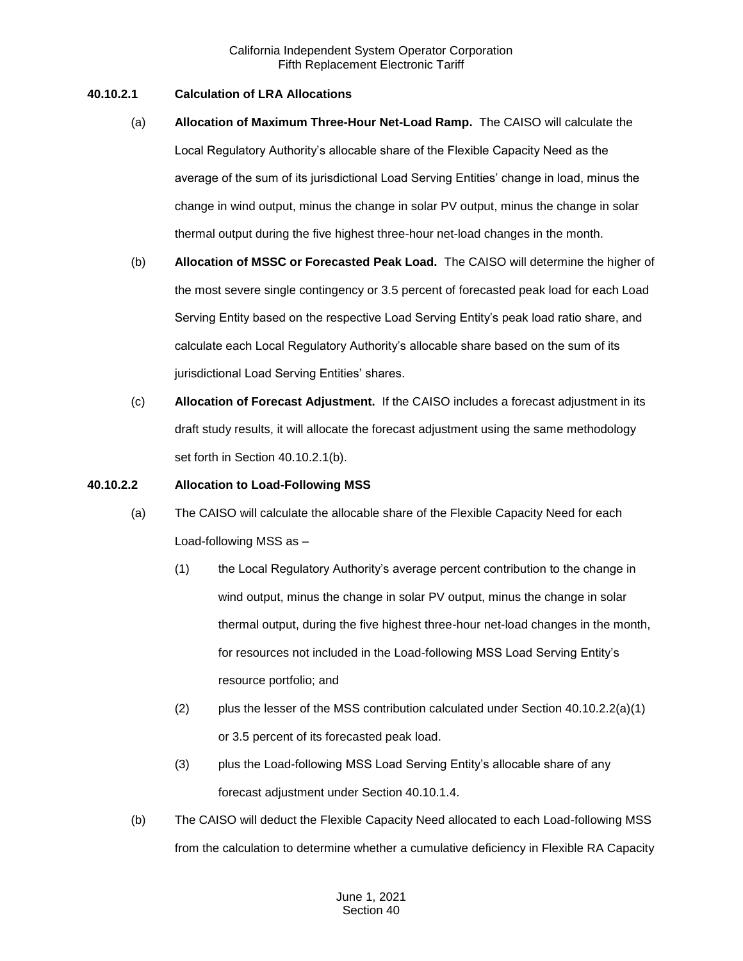#### **40.10.2.1 Calculation of LRA Allocations**

- (a) **Allocation of Maximum Three-Hour Net-Load Ramp.** The CAISO will calculate the Local Regulatory Authority's allocable share of the Flexible Capacity Need as the average of the sum of its jurisdictional Load Serving Entities' change in load, minus the change in wind output, minus the change in solar PV output, minus the change in solar thermal output during the five highest three-hour net-load changes in the month.
- (b) **Allocation of MSSC or Forecasted Peak Load.** The CAISO will determine the higher of the most severe single contingency or 3.5 percent of forecasted peak load for each Load Serving Entity based on the respective Load Serving Entity's peak load ratio share, and calculate each Local Regulatory Authority's allocable share based on the sum of its jurisdictional Load Serving Entities' shares.
- (c) **Allocation of Forecast Adjustment.** If the CAISO includes a forecast adjustment in its draft study results, it will allocate the forecast adjustment using the same methodology set forth in Section 40.10.2.1(b).

#### **40.10.2.2 Allocation to Load-Following MSS**

- (a) The CAISO will calculate the allocable share of the Flexible Capacity Need for each Load-following MSS as –
	- (1) the Local Regulatory Authority's average percent contribution to the change in wind output, minus the change in solar PV output, minus the change in solar thermal output, during the five highest three-hour net-load changes in the month, for resources not included in the Load-following MSS Load Serving Entity's resource portfolio; and
	- (2) plus the lesser of the MSS contribution calculated under Section  $40.10.2.2(a)(1)$ or 3.5 percent of its forecasted peak load.
	- (3) plus the Load-following MSS Load Serving Entity's allocable share of any forecast adjustment under Section 40.10.1.4.
- (b) The CAISO will deduct the Flexible Capacity Need allocated to each Load-following MSS from the calculation to determine whether a cumulative deficiency in Flexible RA Capacity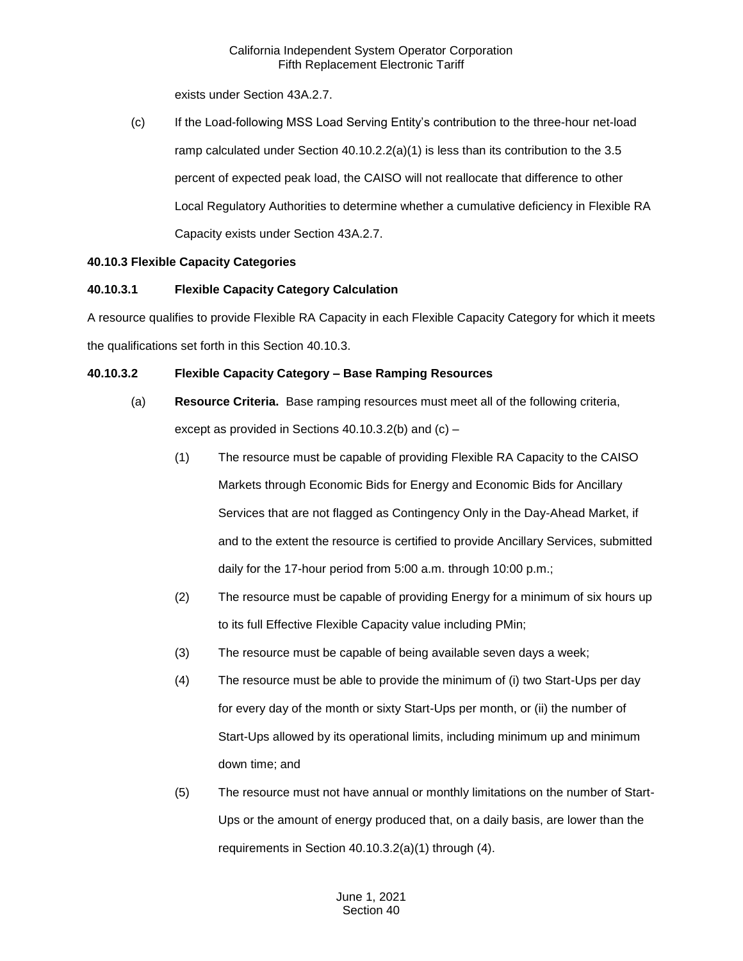exists under Section 43A.2.7.

(c) If the Load-following MSS Load Serving Entity's contribution to the three-hour net-load ramp calculated under Section  $40.10.2.2(a)(1)$  is less than its contribution to the 3.5 percent of expected peak load, the CAISO will not reallocate that difference to other Local Regulatory Authorities to determine whether a cumulative deficiency in Flexible RA Capacity exists under Section 43A.2.7.

## **40.10.3 Flexible Capacity Categories**

# **40.10.3.1 Flexible Capacity Category Calculation**

A resource qualifies to provide Flexible RA Capacity in each Flexible Capacity Category for which it meets the qualifications set forth in this Section 40.10.3.

# **40.10.3.2 Flexible Capacity Category – Base Ramping Resources**

- (a) **Resource Criteria.** Base ramping resources must meet all of the following criteria, except as provided in Sections 40.10.3.2(b) and (c) –
	- (1) The resource must be capable of providing Flexible RA Capacity to the CAISO Markets through Economic Bids for Energy and Economic Bids for Ancillary Services that are not flagged as Contingency Only in the Day-Ahead Market, if and to the extent the resource is certified to provide Ancillary Services, submitted daily for the 17-hour period from 5:00 a.m. through 10:00 p.m.;
	- (2) The resource must be capable of providing Energy for a minimum of six hours up to its full Effective Flexible Capacity value including PMin;
	- (3) The resource must be capable of being available seven days a week;
	- (4) The resource must be able to provide the minimum of (i) two Start-Ups per day for every day of the month or sixty Start-Ups per month, or (ii) the number of Start-Ups allowed by its operational limits, including minimum up and minimum down time; and
	- (5) The resource must not have annual or monthly limitations on the number of Start-Ups or the amount of energy produced that, on a daily basis, are lower than the requirements in Section 40.10.3.2(a)(1) through (4).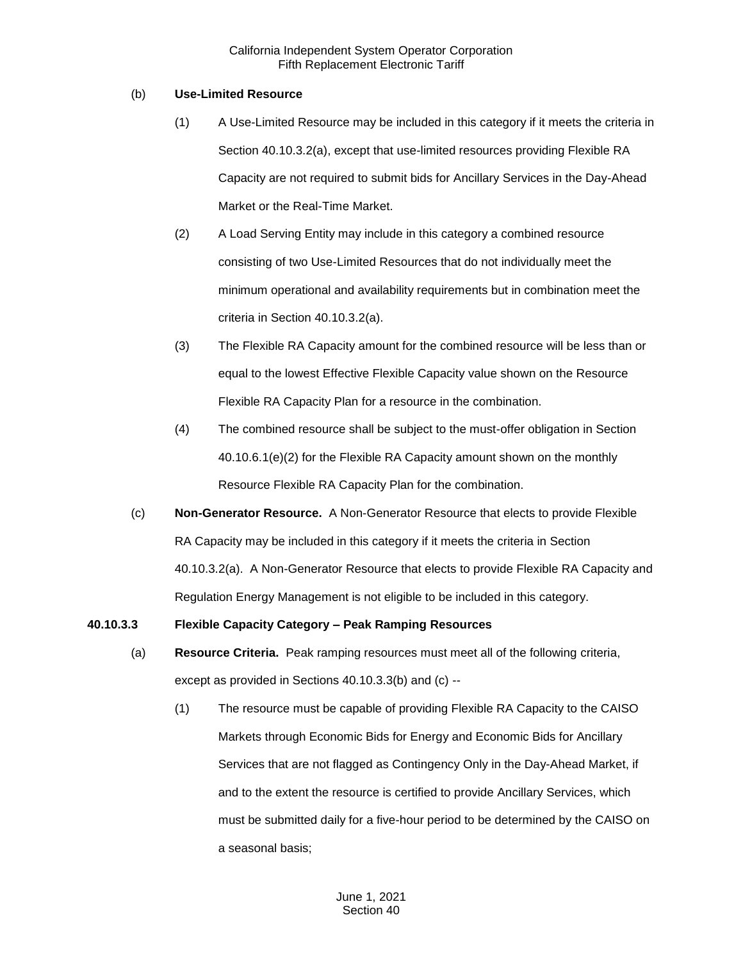### (b) **Use-Limited Resource**

- (1) A Use-Limited Resource may be included in this category if it meets the criteria in Section 40.10.3.2(a), except that use-limited resources providing Flexible RA Capacity are not required to submit bids for Ancillary Services in the Day-Ahead Market or the Real-Time Market.
- (2) A Load Serving Entity may include in this category a combined resource consisting of two Use-Limited Resources that do not individually meet the minimum operational and availability requirements but in combination meet the criteria in Section 40.10.3.2(a).
- (3) The Flexible RA Capacity amount for the combined resource will be less than or equal to the lowest Effective Flexible Capacity value shown on the Resource Flexible RA Capacity Plan for a resource in the combination.
- (4) The combined resource shall be subject to the must-offer obligation in Section 40.10.6.1(e)(2) for the Flexible RA Capacity amount shown on the monthly Resource Flexible RA Capacity Plan for the combination.
- (c) **Non-Generator Resource.** A Non-Generator Resource that elects to provide Flexible RA Capacity may be included in this category if it meets the criteria in Section 40.10.3.2(a). A Non-Generator Resource that elects to provide Flexible RA Capacity and Regulation Energy Management is not eligible to be included in this category.

## **40.10.3.3 Flexible Capacity Category – Peak Ramping Resources**

- (a) **Resource Criteria.** Peak ramping resources must meet all of the following criteria, except as provided in Sections 40.10.3.3(b) and (c) --
	- (1) The resource must be capable of providing Flexible RA Capacity to the CAISO Markets through Economic Bids for Energy and Economic Bids for Ancillary Services that are not flagged as Contingency Only in the Day-Ahead Market, if and to the extent the resource is certified to provide Ancillary Services, which must be submitted daily for a five-hour period to be determined by the CAISO on a seasonal basis;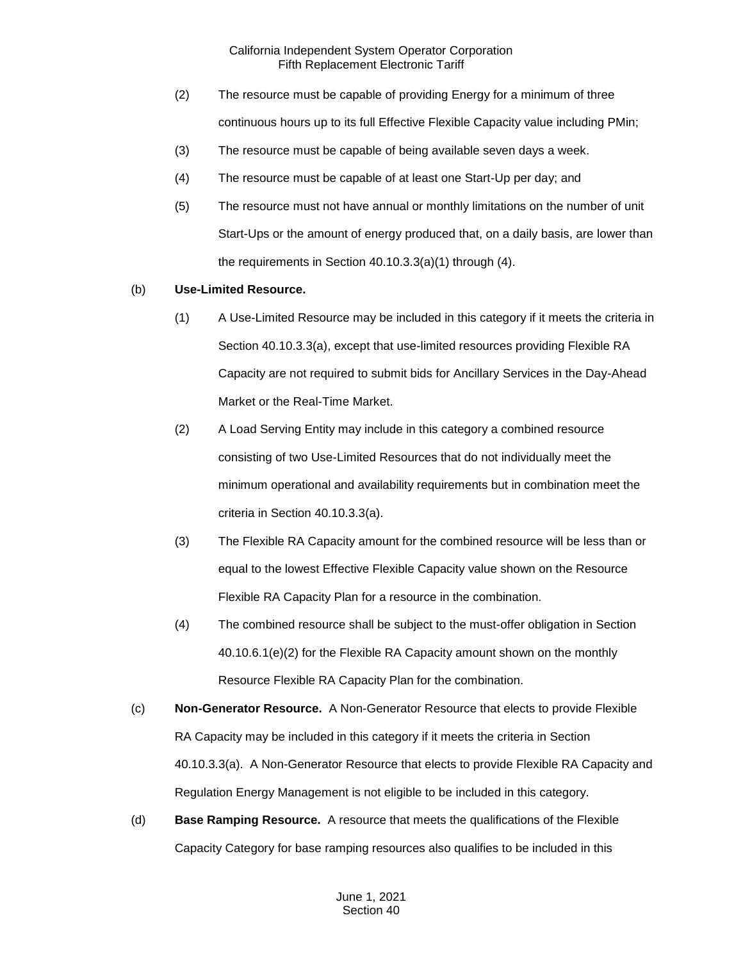- (2) The resource must be capable of providing Energy for a minimum of three continuous hours up to its full Effective Flexible Capacity value including PMin;
- (3) The resource must be capable of being available seven days a week.
- (4) The resource must be capable of at least one Start-Up per day; and
- (5) The resource must not have annual or monthly limitations on the number of unit Start-Ups or the amount of energy produced that, on a daily basis, are lower than the requirements in Section 40.10.3.3(a)(1) through (4).

# (b) **Use-Limited Resource.**

- (1) A Use-Limited Resource may be included in this category if it meets the criteria in Section 40.10.3.3(a), except that use-limited resources providing Flexible RA Capacity are not required to submit bids for Ancillary Services in the Day-Ahead Market or the Real-Time Market.
- (2) A Load Serving Entity may include in this category a combined resource consisting of two Use-Limited Resources that do not individually meet the minimum operational and availability requirements but in combination meet the criteria in Section 40.10.3.3(a).
- (3) The Flexible RA Capacity amount for the combined resource will be less than or equal to the lowest Effective Flexible Capacity value shown on the Resource Flexible RA Capacity Plan for a resource in the combination.
- (4) The combined resource shall be subject to the must-offer obligation in Section 40.10.6.1(e)(2) for the Flexible RA Capacity amount shown on the monthly Resource Flexible RA Capacity Plan for the combination.
- (c) **Non-Generator Resource.** A Non-Generator Resource that elects to provide Flexible RA Capacity may be included in this category if it meets the criteria in Section 40.10.3.3(a). A Non-Generator Resource that elects to provide Flexible RA Capacity and Regulation Energy Management is not eligible to be included in this category.
- (d) **Base Ramping Resource.** A resource that meets the qualifications of the Flexible Capacity Category for base ramping resources also qualifies to be included in this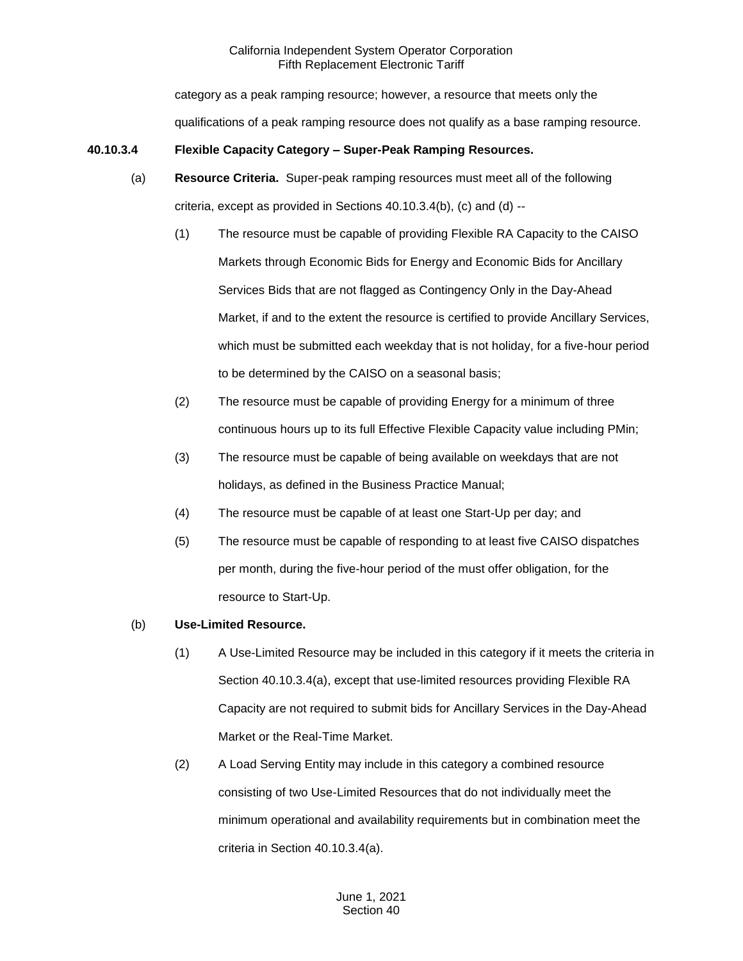category as a peak ramping resource; however, a resource that meets only the qualifications of a peak ramping resource does not qualify as a base ramping resource.

## **40.10.3.4 Flexible Capacity Category – Super-Peak Ramping Resources.**

- (a) **Resource Criteria.** Super-peak ramping resources must meet all of the following criteria, except as provided in Sections 40.10.3.4(b), (c) and (d) --
	- (1) The resource must be capable of providing Flexible RA Capacity to the CAISO Markets through Economic Bids for Energy and Economic Bids for Ancillary Services Bids that are not flagged as Contingency Only in the Day-Ahead Market, if and to the extent the resource is certified to provide Ancillary Services, which must be submitted each weekday that is not holiday, for a five-hour period to be determined by the CAISO on a seasonal basis;
	- (2) The resource must be capable of providing Energy for a minimum of three continuous hours up to its full Effective Flexible Capacity value including PMin;
	- (3) The resource must be capable of being available on weekdays that are not holidays, as defined in the Business Practice Manual;
	- (4) The resource must be capable of at least one Start-Up per day; and
	- (5) The resource must be capable of responding to at least five CAISO dispatches per month, during the five-hour period of the must offer obligation, for the resource to Start-Up.

## (b) **Use-Limited Resource.**

- (1) A Use-Limited Resource may be included in this category if it meets the criteria in Section 40.10.3.4(a), except that use-limited resources providing Flexible RA Capacity are not required to submit bids for Ancillary Services in the Day-Ahead Market or the Real-Time Market.
- (2) A Load Serving Entity may include in this category a combined resource consisting of two Use-Limited Resources that do not individually meet the minimum operational and availability requirements but in combination meet the criteria in Section 40.10.3.4(a).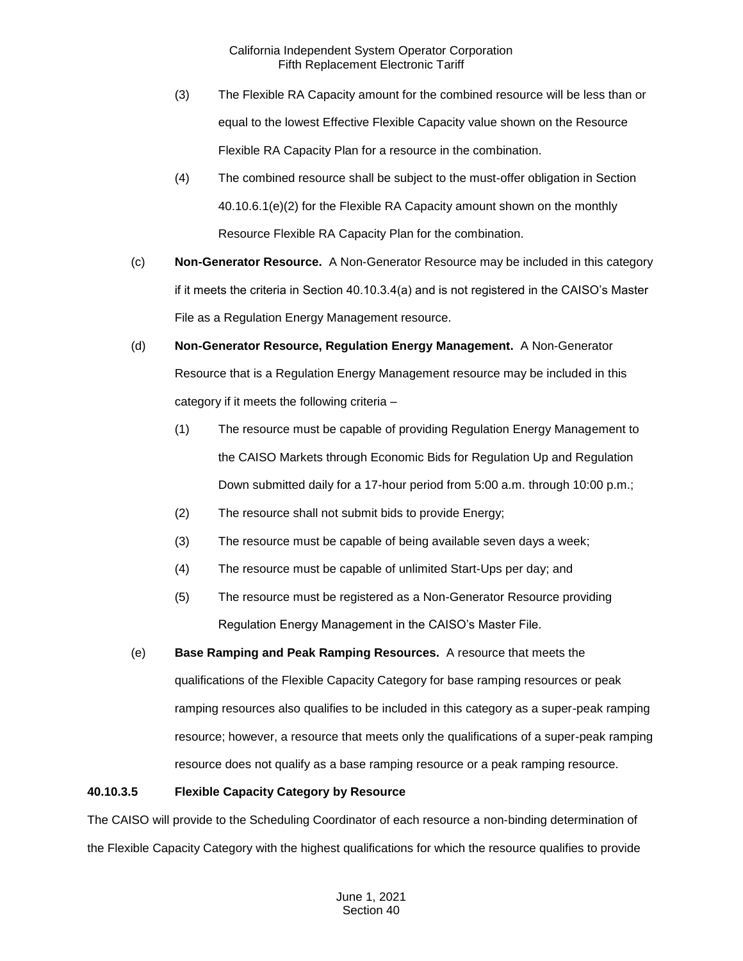- (3) The Flexible RA Capacity amount for the combined resource will be less than or equal to the lowest Effective Flexible Capacity value shown on the Resource Flexible RA Capacity Plan for a resource in the combination.
- (4) The combined resource shall be subject to the must-offer obligation in Section 40.10.6.1(e)(2) for the Flexible RA Capacity amount shown on the monthly Resource Flexible RA Capacity Plan for the combination.
- (c) **Non-Generator Resource.** A Non-Generator Resource may be included in this category if it meets the criteria in Section 40.10.3.4(a) and is not registered in the CAISO's Master File as a Regulation Energy Management resource.
- (d) **Non-Generator Resource, Regulation Energy Management.** A Non-Generator Resource that is a Regulation Energy Management resource may be included in this category if it meets the following criteria –
	- (1) The resource must be capable of providing Regulation Energy Management to the CAISO Markets through Economic Bids for Regulation Up and Regulation Down submitted daily for a 17-hour period from 5:00 a.m. through 10:00 p.m.;
	- (2) The resource shall not submit bids to provide Energy;
	- (3) The resource must be capable of being available seven days a week;
	- (4) The resource must be capable of unlimited Start-Ups per day; and
	- (5) The resource must be registered as a Non-Generator Resource providing Regulation Energy Management in the CAISO's Master File.
- (e) **Base Ramping and Peak Ramping Resources.** A resource that meets the qualifications of the Flexible Capacity Category for base ramping resources or peak ramping resources also qualifies to be included in this category as a super-peak ramping resource; however, a resource that meets only the qualifications of a super-peak ramping resource does not qualify as a base ramping resource or a peak ramping resource.

# **40.10.3.5 Flexible Capacity Category by Resource**

The CAISO will provide to the Scheduling Coordinator of each resource a non-binding determination of the Flexible Capacity Category with the highest qualifications for which the resource qualifies to provide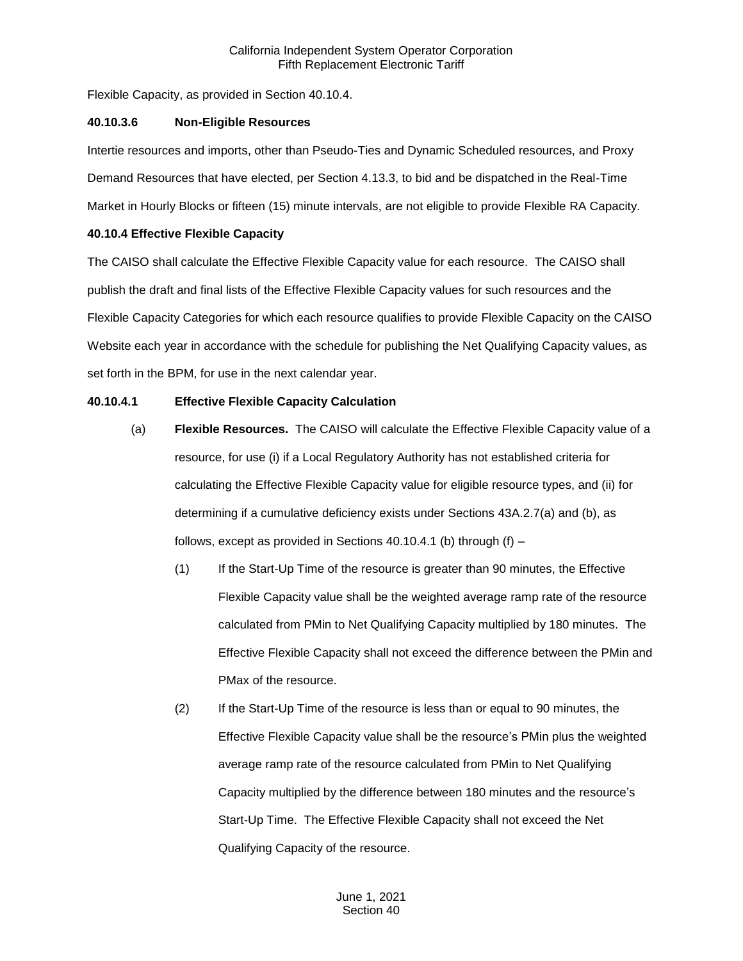Flexible Capacity, as provided in Section 40.10.4.

#### **40.10.3.6 Non-Eligible Resources**

Intertie resources and imports, other than Pseudo-Ties and Dynamic Scheduled resources, and Proxy Demand Resources that have elected, per Section 4.13.3, to bid and be dispatched in the Real-Time Market in Hourly Blocks or fifteen (15) minute intervals, are not eligible to provide Flexible RA Capacity.

## **40.10.4 Effective Flexible Capacity**

The CAISO shall calculate the Effective Flexible Capacity value for each resource. The CAISO shall publish the draft and final lists of the Effective Flexible Capacity values for such resources and the Flexible Capacity Categories for which each resource qualifies to provide Flexible Capacity on the CAISO Website each year in accordance with the schedule for publishing the Net Qualifying Capacity values, as set forth in the BPM, for use in the next calendar year.

#### **40.10.4.1 Effective Flexible Capacity Calculation**

- (a) **Flexible Resources.** The CAISO will calculate the Effective Flexible Capacity value of a resource, for use (i) if a Local Regulatory Authority has not established criteria for calculating the Effective Flexible Capacity value for eligible resource types, and (ii) for determining if a cumulative deficiency exists under Sections 43A.2.7(a) and (b), as follows, except as provided in Sections 40.10.4.1 (b) through  $(f)$  –
	- (1) If the Start-Up Time of the resource is greater than 90 minutes, the Effective Flexible Capacity value shall be the weighted average ramp rate of the resource calculated from PMin to Net Qualifying Capacity multiplied by 180 minutes. The Effective Flexible Capacity shall not exceed the difference between the PMin and PMax of the resource.
	- (2) If the Start-Up Time of the resource is less than or equal to 90 minutes, the Effective Flexible Capacity value shall be the resource's PMin plus the weighted average ramp rate of the resource calculated from PMin to Net Qualifying Capacity multiplied by the difference between 180 minutes and the resource's Start-Up Time. The Effective Flexible Capacity shall not exceed the Net Qualifying Capacity of the resource.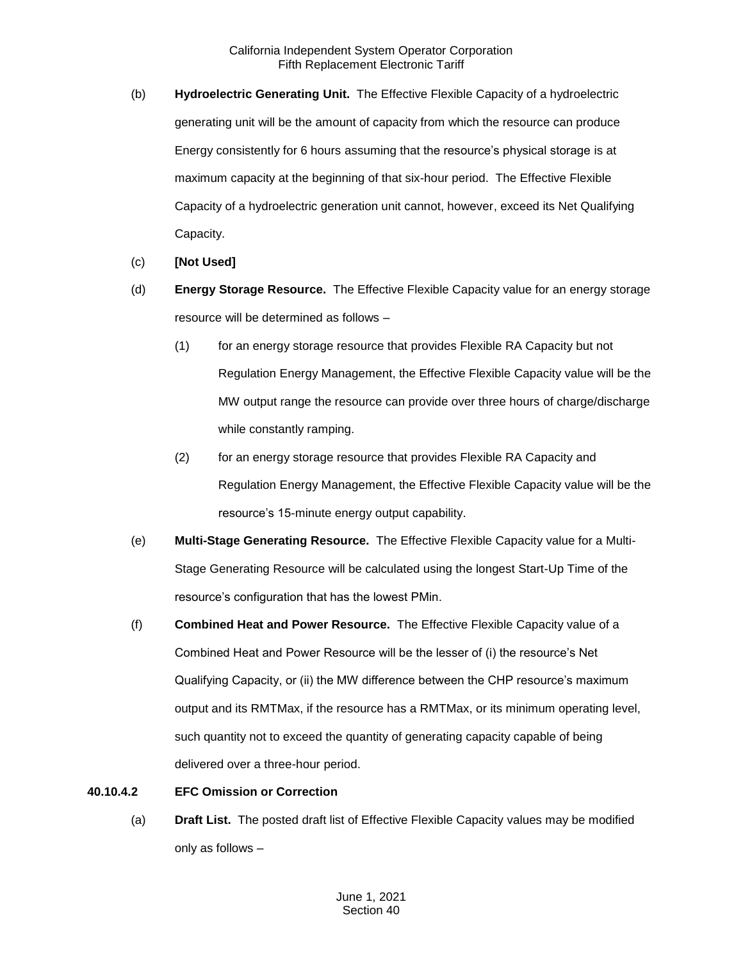- (b) **Hydroelectric Generating Unit.** The Effective Flexible Capacity of a hydroelectric generating unit will be the amount of capacity from which the resource can produce Energy consistently for 6 hours assuming that the resource's physical storage is at maximum capacity at the beginning of that six-hour period. The Effective Flexible Capacity of a hydroelectric generation unit cannot, however, exceed its Net Qualifying Capacity.
- (c) **[Not Used]**
- (d) **Energy Storage Resource.** The Effective Flexible Capacity value for an energy storage resource will be determined as follows –
	- (1) for an energy storage resource that provides Flexible RA Capacity but not Regulation Energy Management, the Effective Flexible Capacity value will be the MW output range the resource can provide over three hours of charge/discharge while constantly ramping.
	- (2) for an energy storage resource that provides Flexible RA Capacity and Regulation Energy Management, the Effective Flexible Capacity value will be the resource's 15-minute energy output capability.
- (e) **Multi-Stage Generating Resource.** The Effective Flexible Capacity value for a Multi-Stage Generating Resource will be calculated using the longest Start-Up Time of the resource's configuration that has the lowest PMin.
- (f) **Combined Heat and Power Resource.** The Effective Flexible Capacity value of a Combined Heat and Power Resource will be the lesser of (i) the resource's Net Qualifying Capacity, or (ii) the MW difference between the CHP resource's maximum output and its RMTMax, if the resource has a RMTMax, or its minimum operating level, such quantity not to exceed the quantity of generating capacity capable of being delivered over a three-hour period.
- **40.10.4.2 EFC Omission or Correction** 
	- (a) **Draft List.** The posted draft list of Effective Flexible Capacity values may be modified only as follows –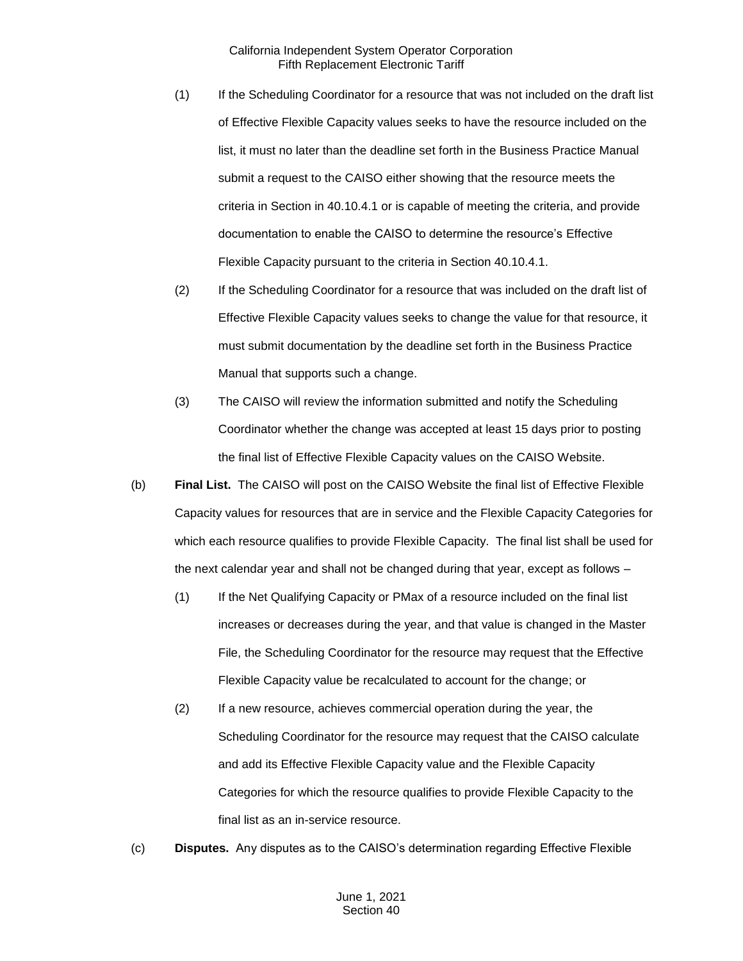- (1) If the Scheduling Coordinator for a resource that was not included on the draft list of Effective Flexible Capacity values seeks to have the resource included on the list, it must no later than the deadline set forth in the Business Practice Manual submit a request to the CAISO either showing that the resource meets the criteria in Section in 40.10.4.1 or is capable of meeting the criteria, and provide documentation to enable the CAISO to determine the resource's Effective Flexible Capacity pursuant to the criteria in Section 40.10.4.1.
- (2) If the Scheduling Coordinator for a resource that was included on the draft list of Effective Flexible Capacity values seeks to change the value for that resource, it must submit documentation by the deadline set forth in the Business Practice Manual that supports such a change.
- (3) The CAISO will review the information submitted and notify the Scheduling Coordinator whether the change was accepted at least 15 days prior to posting the final list of Effective Flexible Capacity values on the CAISO Website.
- (b) **Final List.** The CAISO will post on the CAISO Website the final list of Effective Flexible Capacity values for resources that are in service and the Flexible Capacity Categories for which each resource qualifies to provide Flexible Capacity. The final list shall be used for the next calendar year and shall not be changed during that year, except as follows –
	- (1) If the Net Qualifying Capacity or PMax of a resource included on the final list increases or decreases during the year, and that value is changed in the Master File, the Scheduling Coordinator for the resource may request that the Effective Flexible Capacity value be recalculated to account for the change; or
	- (2) If a new resource, achieves commercial operation during the year, the Scheduling Coordinator for the resource may request that the CAISO calculate and add its Effective Flexible Capacity value and the Flexible Capacity Categories for which the resource qualifies to provide Flexible Capacity to the final list as an in-service resource.
- (c) **Disputes.** Any disputes as to the CAISO's determination regarding Effective Flexible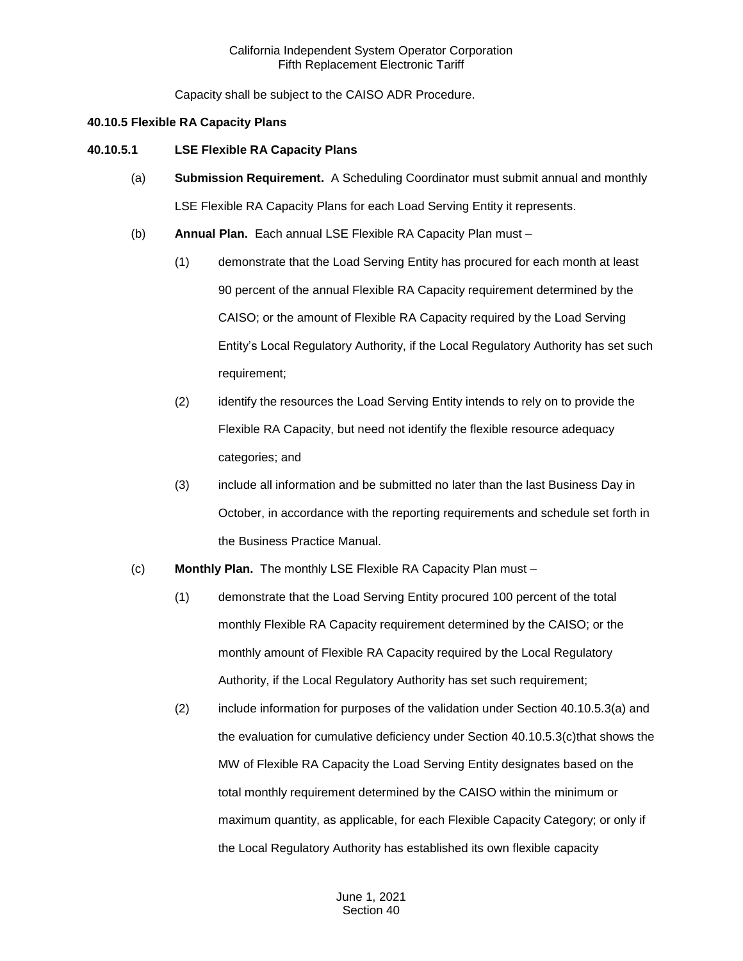Capacity shall be subject to the CAISO ADR Procedure.

#### **40.10.5 Flexible RA Capacity Plans**

#### **40.10.5.1 LSE Flexible RA Capacity Plans**

- (a) **Submission Requirement.** A Scheduling Coordinator must submit annual and monthly LSE Flexible RA Capacity Plans for each Load Serving Entity it represents.
- (b) **Annual Plan.** Each annual LSE Flexible RA Capacity Plan must
	- (1) demonstrate that the Load Serving Entity has procured for each month at least 90 percent of the annual Flexible RA Capacity requirement determined by the CAISO; or the amount of Flexible RA Capacity required by the Load Serving Entity's Local Regulatory Authority, if the Local Regulatory Authority has set such requirement;
	- (2) identify the resources the Load Serving Entity intends to rely on to provide the Flexible RA Capacity, but need not identify the flexible resource adequacy categories; and
	- (3) include all information and be submitted no later than the last Business Day in October, in accordance with the reporting requirements and schedule set forth in the Business Practice Manual.
- (c) **Monthly Plan.** The monthly LSE Flexible RA Capacity Plan must
	- (1) demonstrate that the Load Serving Entity procured 100 percent of the total monthly Flexible RA Capacity requirement determined by the CAISO; or the monthly amount of Flexible RA Capacity required by the Local Regulatory Authority, if the Local Regulatory Authority has set such requirement;
	- (2) include information for purposes of the validation under Section 40.10.5.3(a) and the evaluation for cumulative deficiency under Section 40.10.5.3(c)that shows the MW of Flexible RA Capacity the Load Serving Entity designates based on the total monthly requirement determined by the CAISO within the minimum or maximum quantity, as applicable, for each Flexible Capacity Category; or only if the Local Regulatory Authority has established its own flexible capacity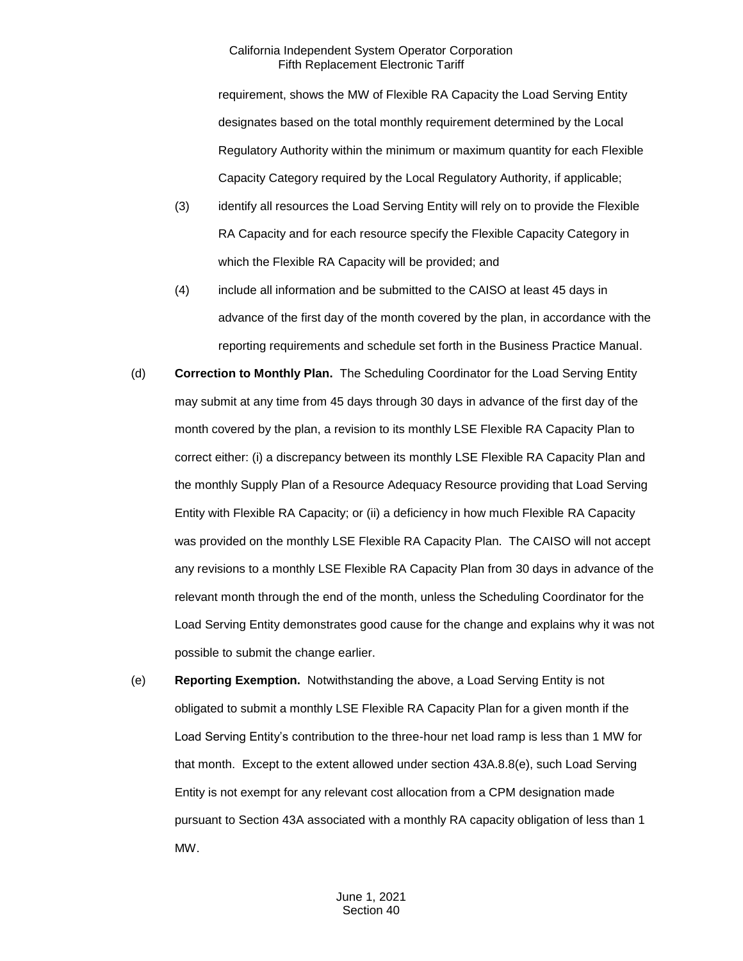requirement, shows the MW of Flexible RA Capacity the Load Serving Entity designates based on the total monthly requirement determined by the Local Regulatory Authority within the minimum or maximum quantity for each Flexible Capacity Category required by the Local Regulatory Authority, if applicable;

- (3) identify all resources the Load Serving Entity will rely on to provide the Flexible RA Capacity and for each resource specify the Flexible Capacity Category in which the Flexible RA Capacity will be provided; and
- (4) include all information and be submitted to the CAISO at least 45 days in advance of the first day of the month covered by the plan, in accordance with the reporting requirements and schedule set forth in the Business Practice Manual.
- (d) **Correction to Monthly Plan.** The Scheduling Coordinator for the Load Serving Entity may submit at any time from 45 days through 30 days in advance of the first day of the month covered by the plan, a revision to its monthly LSE Flexible RA Capacity Plan to correct either: (i) a discrepancy between its monthly LSE Flexible RA Capacity Plan and the monthly Supply Plan of a Resource Adequacy Resource providing that Load Serving Entity with Flexible RA Capacity; or (ii) a deficiency in how much Flexible RA Capacity was provided on the monthly LSE Flexible RA Capacity Plan. The CAISO will not accept any revisions to a monthly LSE Flexible RA Capacity Plan from 30 days in advance of the relevant month through the end of the month, unless the Scheduling Coordinator for the Load Serving Entity demonstrates good cause for the change and explains why it was not possible to submit the change earlier.
- (e) **Reporting Exemption.** Notwithstanding the above, a Load Serving Entity is not obligated to submit a monthly LSE Flexible RA Capacity Plan for a given month if the Load Serving Entity's contribution to the three-hour net load ramp is less than 1 MW for that month. Except to the extent allowed under section 43A.8.8(e), such Load Serving Entity is not exempt for any relevant cost allocation from a CPM designation made pursuant to Section 43A associated with a monthly RA capacity obligation of less than 1 MW.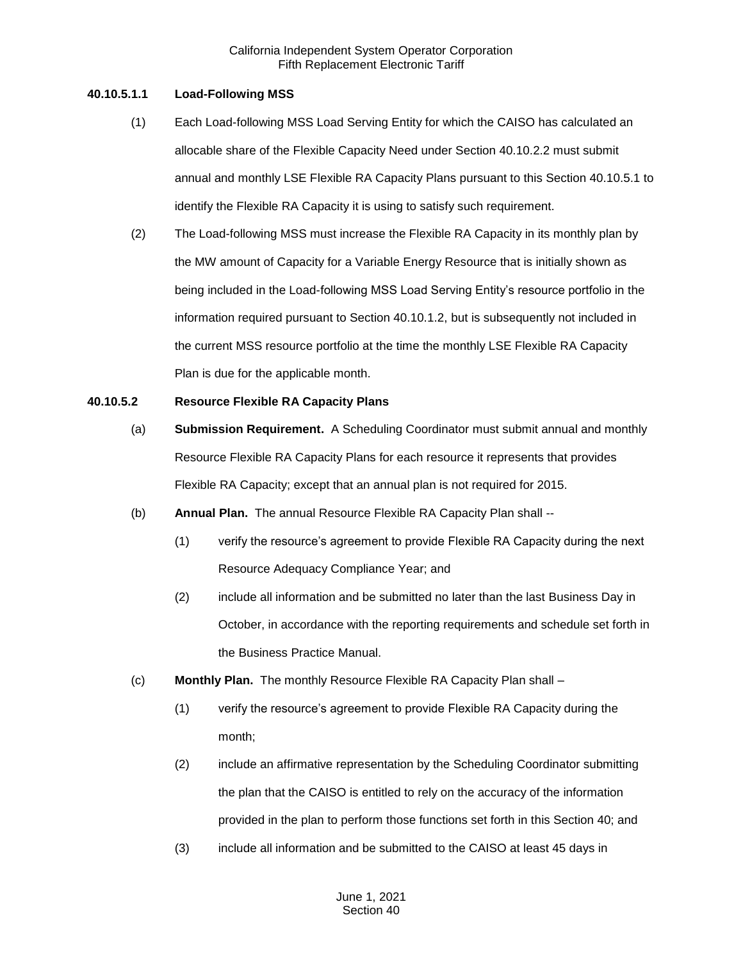## **40.10.5.1.1 Load-Following MSS**

- (1) Each Load-following MSS Load Serving Entity for which the CAISO has calculated an allocable share of the Flexible Capacity Need under Section 40.10.2.2 must submit annual and monthly LSE Flexible RA Capacity Plans pursuant to this Section 40.10.5.1 to identify the Flexible RA Capacity it is using to satisfy such requirement.
- (2) The Load-following MSS must increase the Flexible RA Capacity in its monthly plan by the MW amount of Capacity for a Variable Energy Resource that is initially shown as being included in the Load-following MSS Load Serving Entity's resource portfolio in the information required pursuant to Section 40.10.1.2, but is subsequently not included in the current MSS resource portfolio at the time the monthly LSE Flexible RA Capacity Plan is due for the applicable month.

### **40.10.5.2 Resource Flexible RA Capacity Plans**

- (a) **Submission Requirement.** A Scheduling Coordinator must submit annual and monthly Resource Flexible RA Capacity Plans for each resource it represents that provides Flexible RA Capacity; except that an annual plan is not required for 2015.
- (b) **Annual Plan.** The annual Resource Flexible RA Capacity Plan shall --
	- (1) verify the resource's agreement to provide Flexible RA Capacity during the next Resource Adequacy Compliance Year; and
	- (2) include all information and be submitted no later than the last Business Day in October, in accordance with the reporting requirements and schedule set forth in the Business Practice Manual.
- (c) **Monthly Plan.** The monthly Resource Flexible RA Capacity Plan shall
	- (1) verify the resource's agreement to provide Flexible RA Capacity during the month;
	- (2) include an affirmative representation by the Scheduling Coordinator submitting the plan that the CAISO is entitled to rely on the accuracy of the information provided in the plan to perform those functions set forth in this Section 40; and
	- (3) include all information and be submitted to the CAISO at least 45 days in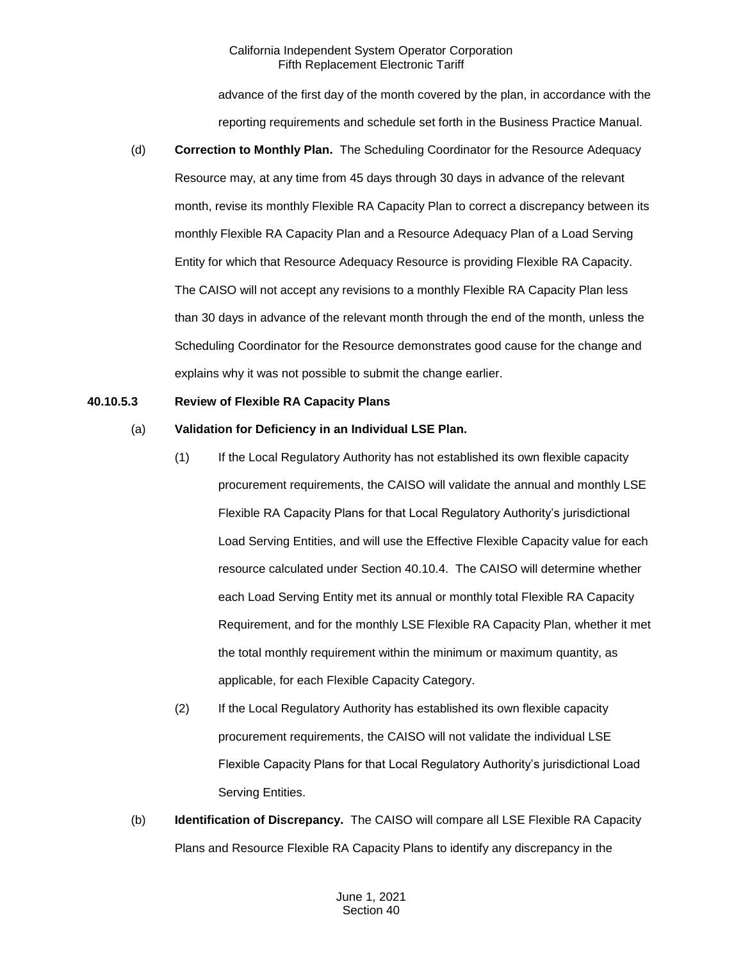advance of the first day of the month covered by the plan, in accordance with the reporting requirements and schedule set forth in the Business Practice Manual.

(d) **Correction to Monthly Plan.** The Scheduling Coordinator for the Resource Adequacy Resource may, at any time from 45 days through 30 days in advance of the relevant month, revise its monthly Flexible RA Capacity Plan to correct a discrepancy between its monthly Flexible RA Capacity Plan and a Resource Adequacy Plan of a Load Serving Entity for which that Resource Adequacy Resource is providing Flexible RA Capacity. The CAISO will not accept any revisions to a monthly Flexible RA Capacity Plan less than 30 days in advance of the relevant month through the end of the month, unless the Scheduling Coordinator for the Resource demonstrates good cause for the change and explains why it was not possible to submit the change earlier.

#### **40.10.5.3 Review of Flexible RA Capacity Plans**

## (a) **Validation for Deficiency in an Individual LSE Plan.**

- (1) If the Local Regulatory Authority has not established its own flexible capacity procurement requirements, the CAISO will validate the annual and monthly LSE Flexible RA Capacity Plans for that Local Regulatory Authority's jurisdictional Load Serving Entities, and will use the Effective Flexible Capacity value for each resource calculated under Section 40.10.4. The CAISO will determine whether each Load Serving Entity met its annual or monthly total Flexible RA Capacity Requirement, and for the monthly LSE Flexible RA Capacity Plan, whether it met the total monthly requirement within the minimum or maximum quantity, as applicable, for each Flexible Capacity Category.
- (2) If the Local Regulatory Authority has established its own flexible capacity procurement requirements, the CAISO will not validate the individual LSE Flexible Capacity Plans for that Local Regulatory Authority's jurisdictional Load Serving Entities.
- (b) **Identification of Discrepancy.** The CAISO will compare all LSE Flexible RA Capacity Plans and Resource Flexible RA Capacity Plans to identify any discrepancy in the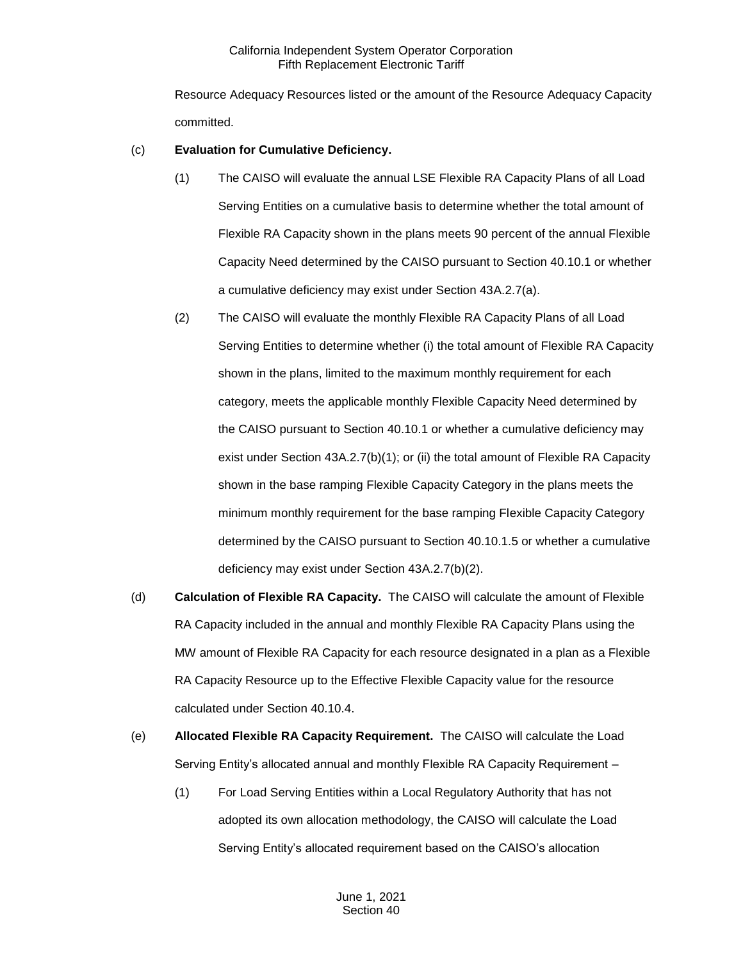Resource Adequacy Resources listed or the amount of the Resource Adequacy Capacity committed.

# (c) **Evaluation for Cumulative Deficiency.**

- (1) The CAISO will evaluate the annual LSE Flexible RA Capacity Plans of all Load Serving Entities on a cumulative basis to determine whether the total amount of Flexible RA Capacity shown in the plans meets 90 percent of the annual Flexible Capacity Need determined by the CAISO pursuant to Section 40.10.1 or whether a cumulative deficiency may exist under Section 43A.2.7(a).
- (2) The CAISO will evaluate the monthly Flexible RA Capacity Plans of all Load Serving Entities to determine whether (i) the total amount of Flexible RA Capacity shown in the plans, limited to the maximum monthly requirement for each category, meets the applicable monthly Flexible Capacity Need determined by the CAISO pursuant to Section 40.10.1 or whether a cumulative deficiency may exist under Section 43A.2.7(b)(1); or (ii) the total amount of Flexible RA Capacity shown in the base ramping Flexible Capacity Category in the plans meets the minimum monthly requirement for the base ramping Flexible Capacity Category determined by the CAISO pursuant to Section 40.10.1.5 or whether a cumulative deficiency may exist under Section 43A.2.7(b)(2).
- (d) **Calculation of Flexible RA Capacity.** The CAISO will calculate the amount of Flexible RA Capacity included in the annual and monthly Flexible RA Capacity Plans using the MW amount of Flexible RA Capacity for each resource designated in a plan as a Flexible RA Capacity Resource up to the Effective Flexible Capacity value for the resource calculated under Section 40.10.4.
- (e) **Allocated Flexible RA Capacity Requirement.** The CAISO will calculate the Load Serving Entity's allocated annual and monthly Flexible RA Capacity Requirement –
	- (1) For Load Serving Entities within a Local Regulatory Authority that has not adopted its own allocation methodology, the CAISO will calculate the Load Serving Entity's allocated requirement based on the CAISO's allocation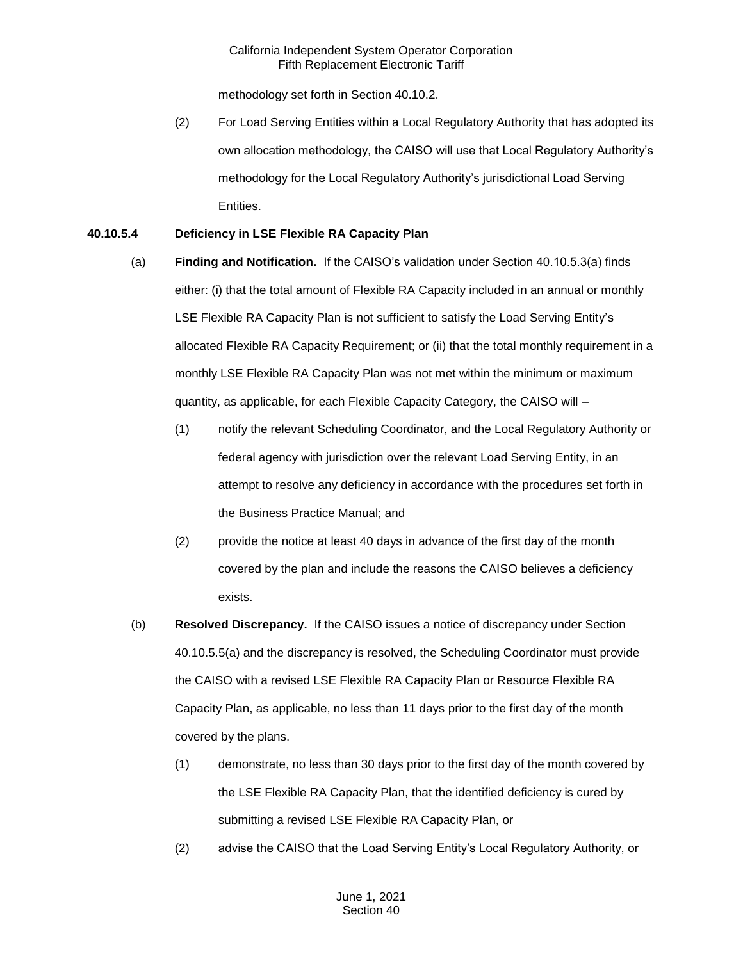methodology set forth in Section 40.10.2.

(2) For Load Serving Entities within a Local Regulatory Authority that has adopted its own allocation methodology, the CAISO will use that Local Regulatory Authority's methodology for the Local Regulatory Authority's jurisdictional Load Serving Entities.

# **40.10.5.4 Deficiency in LSE Flexible RA Capacity Plan**

- (a) **Finding and Notification.** If the CAISO's validation under Section 40.10.5.3(a) finds either: (i) that the total amount of Flexible RA Capacity included in an annual or monthly LSE Flexible RA Capacity Plan is not sufficient to satisfy the Load Serving Entity's allocated Flexible RA Capacity Requirement; or (ii) that the total monthly requirement in a monthly LSE Flexible RA Capacity Plan was not met within the minimum or maximum quantity, as applicable, for each Flexible Capacity Category, the CAISO will –
	- (1) notify the relevant Scheduling Coordinator, and the Local Regulatory Authority or federal agency with jurisdiction over the relevant Load Serving Entity, in an attempt to resolve any deficiency in accordance with the procedures set forth in the Business Practice Manual; and
	- (2) provide the notice at least 40 days in advance of the first day of the month covered by the plan and include the reasons the CAISO believes a deficiency exists.
- (b) **Resolved Discrepancy.** If the CAISO issues a notice of discrepancy under Section 40.10.5.5(a) and the discrepancy is resolved, the Scheduling Coordinator must provide the CAISO with a revised LSE Flexible RA Capacity Plan or Resource Flexible RA Capacity Plan, as applicable, no less than 11 days prior to the first day of the month covered by the plans.
	- (1) demonstrate, no less than 30 days prior to the first day of the month covered by the LSE Flexible RA Capacity Plan, that the identified deficiency is cured by submitting a revised LSE Flexible RA Capacity Plan, or
	- (2) advise the CAISO that the Load Serving Entity's Local Regulatory Authority, or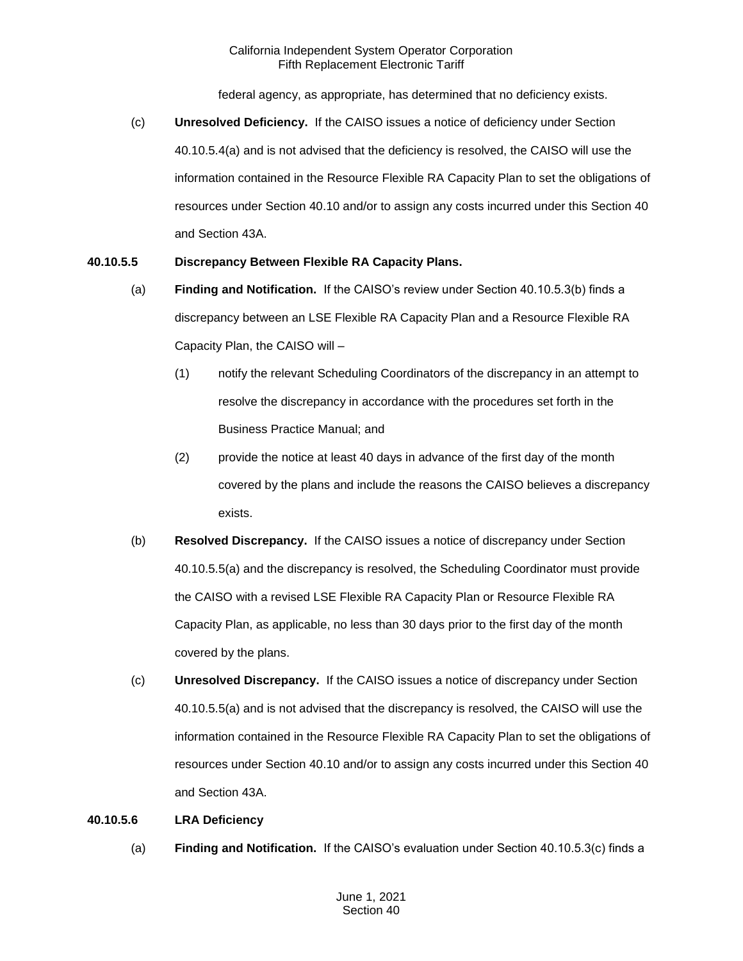federal agency, as appropriate, has determined that no deficiency exists.

(c) **Unresolved Deficiency.** If the CAISO issues a notice of deficiency under Section 40.10.5.4(a) and is not advised that the deficiency is resolved, the CAISO will use the information contained in the Resource Flexible RA Capacity Plan to set the obligations of resources under Section 40.10 and/or to assign any costs incurred under this Section 40 and Section 43A.

# **40.10.5.5 Discrepancy Between Flexible RA Capacity Plans.**

- (a) **Finding and Notification.** If the CAISO's review under Section 40.10.5.3(b) finds a discrepancy between an LSE Flexible RA Capacity Plan and a Resource Flexible RA Capacity Plan, the CAISO will –
	- (1) notify the relevant Scheduling Coordinators of the discrepancy in an attempt to resolve the discrepancy in accordance with the procedures set forth in the Business Practice Manual; and
	- (2) provide the notice at least 40 days in advance of the first day of the month covered by the plans and include the reasons the CAISO believes a discrepancy exists.
- (b) **Resolved Discrepancy.** If the CAISO issues a notice of discrepancy under Section 40.10.5.5(a) and the discrepancy is resolved, the Scheduling Coordinator must provide the CAISO with a revised LSE Flexible RA Capacity Plan or Resource Flexible RA Capacity Plan, as applicable, no less than 30 days prior to the first day of the month covered by the plans.
- (c) **Unresolved Discrepancy.** If the CAISO issues a notice of discrepancy under Section 40.10.5.5(a) and is not advised that the discrepancy is resolved, the CAISO will use the information contained in the Resource Flexible RA Capacity Plan to set the obligations of resources under Section 40.10 and/or to assign any costs incurred under this Section 40 and Section 43A.

#### **40.10.5.6 LRA Deficiency**

(a) **Finding and Notification.** If the CAISO's evaluation under Section 40.10.5.3(c) finds a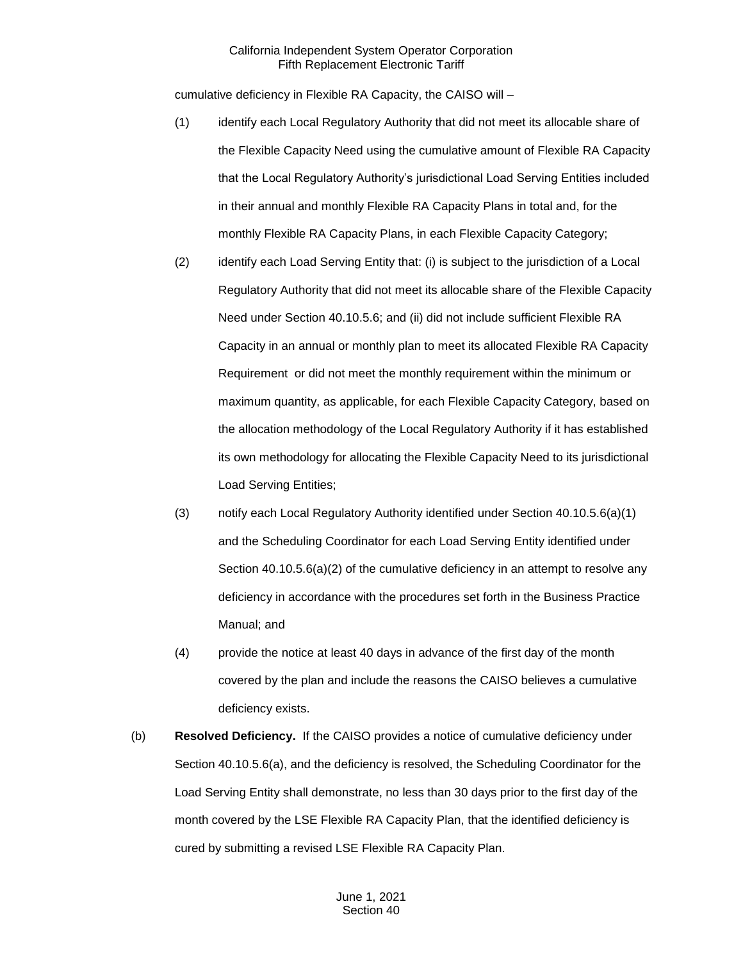cumulative deficiency in Flexible RA Capacity, the CAISO will –

- (1) identify each Local Regulatory Authority that did not meet its allocable share of the Flexible Capacity Need using the cumulative amount of Flexible RA Capacity that the Local Regulatory Authority's jurisdictional Load Serving Entities included in their annual and monthly Flexible RA Capacity Plans in total and, for the monthly Flexible RA Capacity Plans, in each Flexible Capacity Category;
- (2) identify each Load Serving Entity that: (i) is subject to the jurisdiction of a Local Regulatory Authority that did not meet its allocable share of the Flexible Capacity Need under Section 40.10.5.6; and (ii) did not include sufficient Flexible RA Capacity in an annual or monthly plan to meet its allocated Flexible RA Capacity Requirement or did not meet the monthly requirement within the minimum or maximum quantity, as applicable, for each Flexible Capacity Category, based on the allocation methodology of the Local Regulatory Authority if it has established its own methodology for allocating the Flexible Capacity Need to its jurisdictional Load Serving Entities;
- (3) notify each Local Regulatory Authority identified under Section 40.10.5.6(a)(1) and the Scheduling Coordinator for each Load Serving Entity identified under Section  $40.10.5.6(a)(2)$  of the cumulative deficiency in an attempt to resolve any deficiency in accordance with the procedures set forth in the Business Practice Manual; and
- (4) provide the notice at least 40 days in advance of the first day of the month covered by the plan and include the reasons the CAISO believes a cumulative deficiency exists.
- (b) **Resolved Deficiency.** If the CAISO provides a notice of cumulative deficiency under Section 40.10.5.6(a), and the deficiency is resolved, the Scheduling Coordinator for the Load Serving Entity shall demonstrate, no less than 30 days prior to the first day of the month covered by the LSE Flexible RA Capacity Plan, that the identified deficiency is cured by submitting a revised LSE Flexible RA Capacity Plan.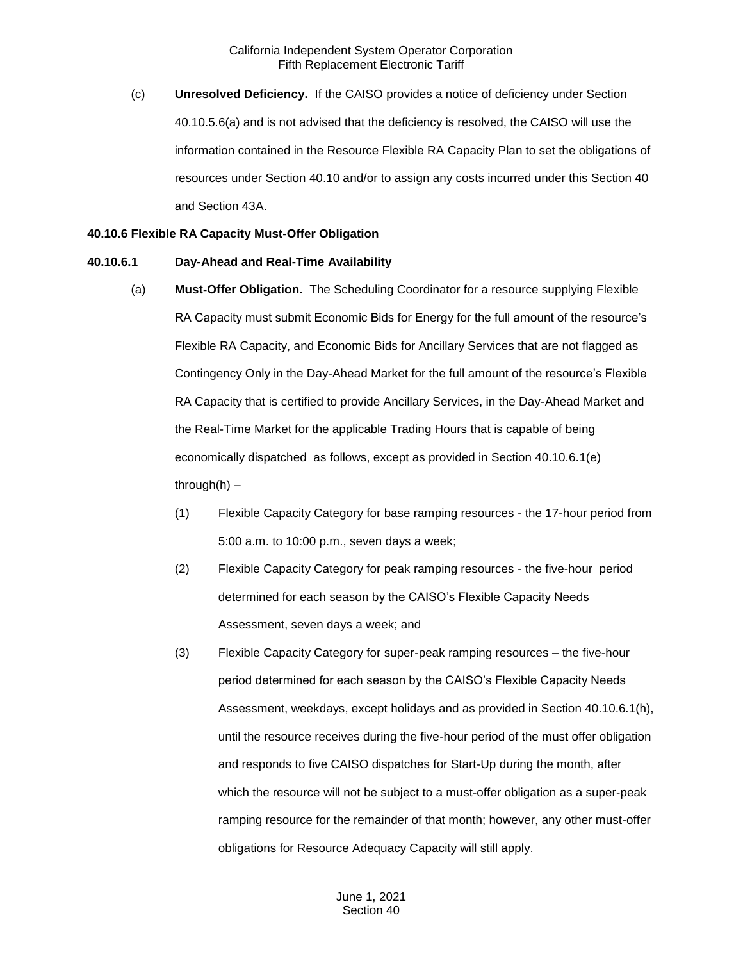(c) **Unresolved Deficiency.** If the CAISO provides a notice of deficiency under Section 40.10.5.6(a) and is not advised that the deficiency is resolved, the CAISO will use the information contained in the Resource Flexible RA Capacity Plan to set the obligations of resources under Section 40.10 and/or to assign any costs incurred under this Section 40 and Section 43A.

#### **40.10.6 Flexible RA Capacity Must-Offer Obligation**

#### **40.10.6.1 Day-Ahead and Real-Time Availability**

- (a) **Must-Offer Obligation.** The Scheduling Coordinator for a resource supplying Flexible RA Capacity must submit Economic Bids for Energy for the full amount of the resource's Flexible RA Capacity, and Economic Bids for Ancillary Services that are not flagged as Contingency Only in the Day-Ahead Market for the full amount of the resource's Flexible RA Capacity that is certified to provide Ancillary Services, in the Day-Ahead Market and the Real-Time Market for the applicable Trading Hours that is capable of being economically dispatched as follows, except as provided in Section 40.10.6.1(e) through $(h)$  –
	- (1) Flexible Capacity Category for base ramping resources the 17-hour period from 5:00 a.m. to 10:00 p.m., seven days a week;
	- (2) Flexible Capacity Category for peak ramping resources the five-hour period determined for each season by the CAISO's Flexible Capacity Needs Assessment, seven days a week; and
	- (3) Flexible Capacity Category for super-peak ramping resources the five-hour period determined for each season by the CAISO's Flexible Capacity Needs Assessment, weekdays, except holidays and as provided in Section 40.10.6.1(h), until the resource receives during the five-hour period of the must offer obligation and responds to five CAISO dispatches for Start-Up during the month, after which the resource will not be subject to a must-offer obligation as a super-peak ramping resource for the remainder of that month; however, any other must-offer obligations for Resource Adequacy Capacity will still apply.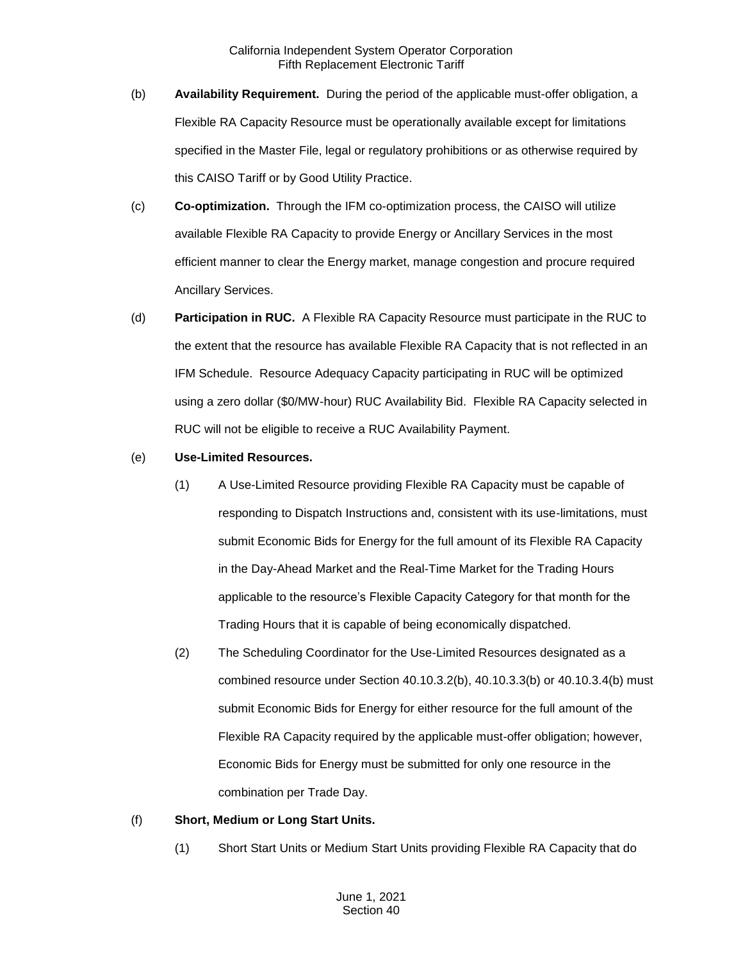- (b) **Availability Requirement.** During the period of the applicable must-offer obligation, a Flexible RA Capacity Resource must be operationally available except for limitations specified in the Master File, legal or regulatory prohibitions or as otherwise required by this CAISO Tariff or by Good Utility Practice.
- (c) **Co-optimization.** Through the IFM co-optimization process, the CAISO will utilize available Flexible RA Capacity to provide Energy or Ancillary Services in the most efficient manner to clear the Energy market, manage congestion and procure required Ancillary Services.
- (d) **Participation in RUC.** A Flexible RA Capacity Resource must participate in the RUC to the extent that the resource has available Flexible RA Capacity that is not reflected in an IFM Schedule. Resource Adequacy Capacity participating in RUC will be optimized using a zero dollar (\$0/MW-hour) RUC Availability Bid. Flexible RA Capacity selected in RUC will not be eligible to receive a RUC Availability Payment.
- (e) **Use-Limited Resources.**
	- (1) A Use-Limited Resource providing Flexible RA Capacity must be capable of responding to Dispatch Instructions and, consistent with its use-limitations, must submit Economic Bids for Energy for the full amount of its Flexible RA Capacity in the Day-Ahead Market and the Real-Time Market for the Trading Hours applicable to the resource's Flexible Capacity Category for that month for the Trading Hours that it is capable of being economically dispatched.
	- (2) The Scheduling Coordinator for the Use-Limited Resources designated as a combined resource under Section 40.10.3.2(b), 40.10.3.3(b) or 40.10.3.4(b) must submit Economic Bids for Energy for either resource for the full amount of the Flexible RA Capacity required by the applicable must-offer obligation; however, Economic Bids for Energy must be submitted for only one resource in the combination per Trade Day.

#### (f) **Short, Medium or Long Start Units.**

(1) Short Start Units or Medium Start Units providing Flexible RA Capacity that do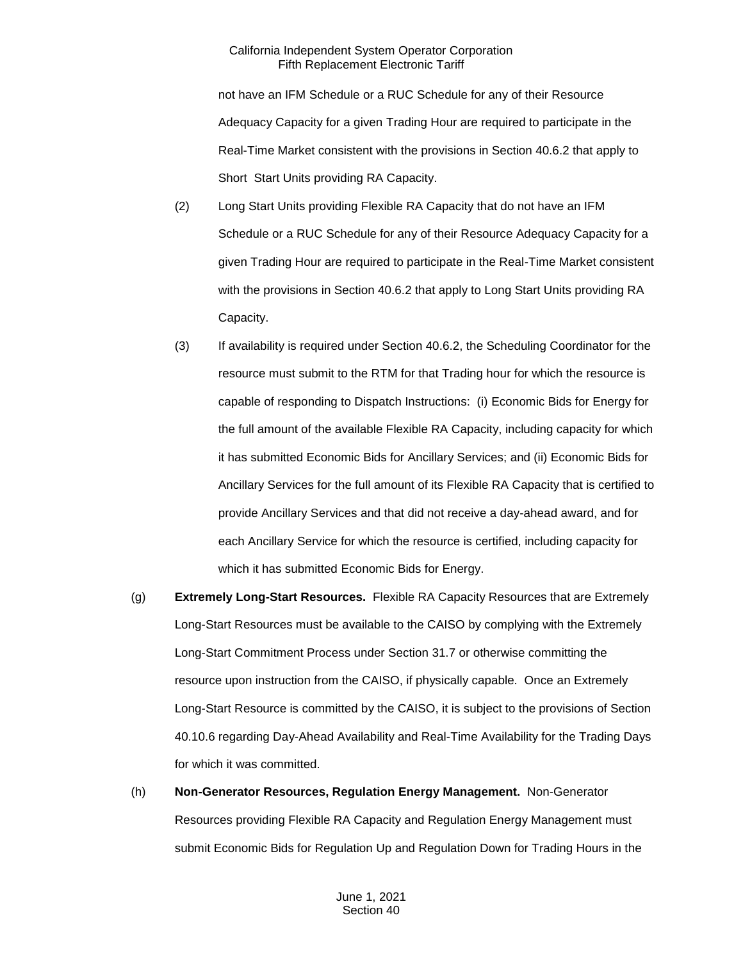not have an IFM Schedule or a RUC Schedule for any of their Resource Adequacy Capacity for a given Trading Hour are required to participate in the Real-Time Market consistent with the provisions in Section 40.6.2 that apply to Short Start Units providing RA Capacity.

- (2) Long Start Units providing Flexible RA Capacity that do not have an IFM Schedule or a RUC Schedule for any of their Resource Adequacy Capacity for a given Trading Hour are required to participate in the Real-Time Market consistent with the provisions in Section 40.6.2 that apply to Long Start Units providing RA Capacity.
- (3) If availability is required under Section 40.6.2, the Scheduling Coordinator for the resource must submit to the RTM for that Trading hour for which the resource is capable of responding to Dispatch Instructions: (i) Economic Bids for Energy for the full amount of the available Flexible RA Capacity, including capacity for which it has submitted Economic Bids for Ancillary Services; and (ii) Economic Bids for Ancillary Services for the full amount of its Flexible RA Capacity that is certified to provide Ancillary Services and that did not receive a day-ahead award, and for each Ancillary Service for which the resource is certified, including capacity for which it has submitted Economic Bids for Energy.
- (g) **Extremely Long-Start Resources.** Flexible RA Capacity Resources that are Extremely Long-Start Resources must be available to the CAISO by complying with the Extremely Long-Start Commitment Process under Section 31.7 or otherwise committing the resource upon instruction from the CAISO, if physically capable. Once an Extremely Long-Start Resource is committed by the CAISO, it is subject to the provisions of Section 40.10.6 regarding Day-Ahead Availability and Real-Time Availability for the Trading Days for which it was committed.

# (h) **Non-Generator Resources, Regulation Energy Management.** Non-Generator Resources providing Flexible RA Capacity and Regulation Energy Management must submit Economic Bids for Regulation Up and Regulation Down for Trading Hours in the